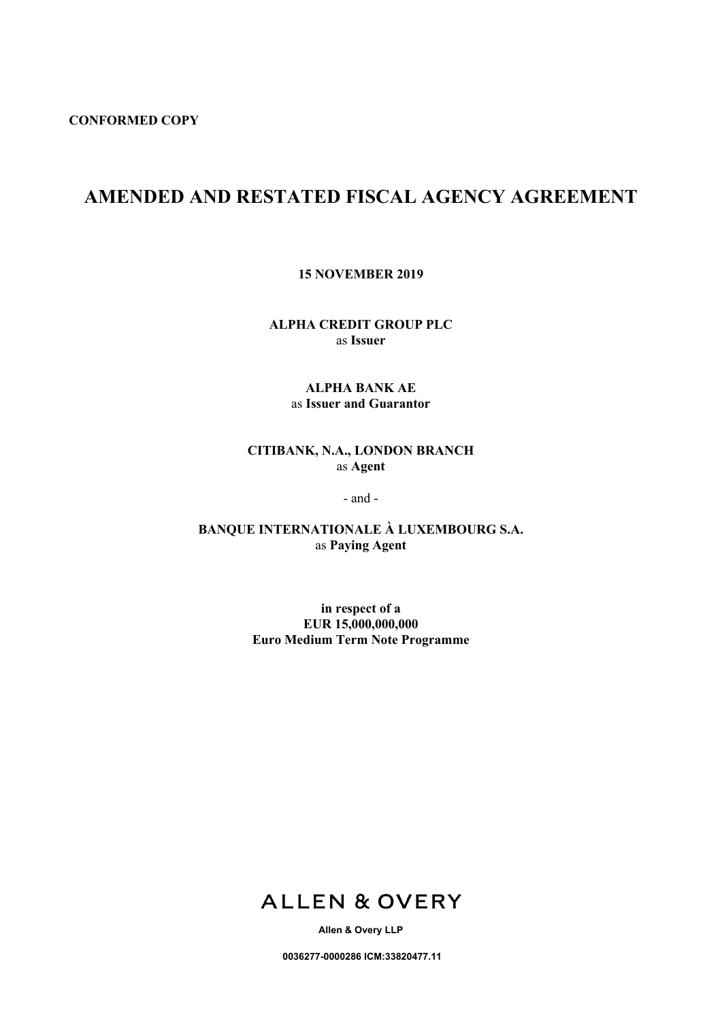# **AMENDED AND RESTATED FISCAL AGENCY AGREEMENT**

**15 NOVEMBER 2019**

**ALPHA CREDIT GROUP PLC** as **Issuer**

# **ALPHA BANK AE** as **Issuer and Guarantor**

# **CITIBANK, N.A., LONDON BRANCH** as **Agent**

- and -

**BANQUE INTERNATIONALE À LUXEMBOURG S.A.** as **Paying Agent**

> **in respect of a EUR 15,000,000,000 Euro Medium Term Note Programme**



**Allen & Overy LLP**

**0036277-0000286 ICM:33820477.11**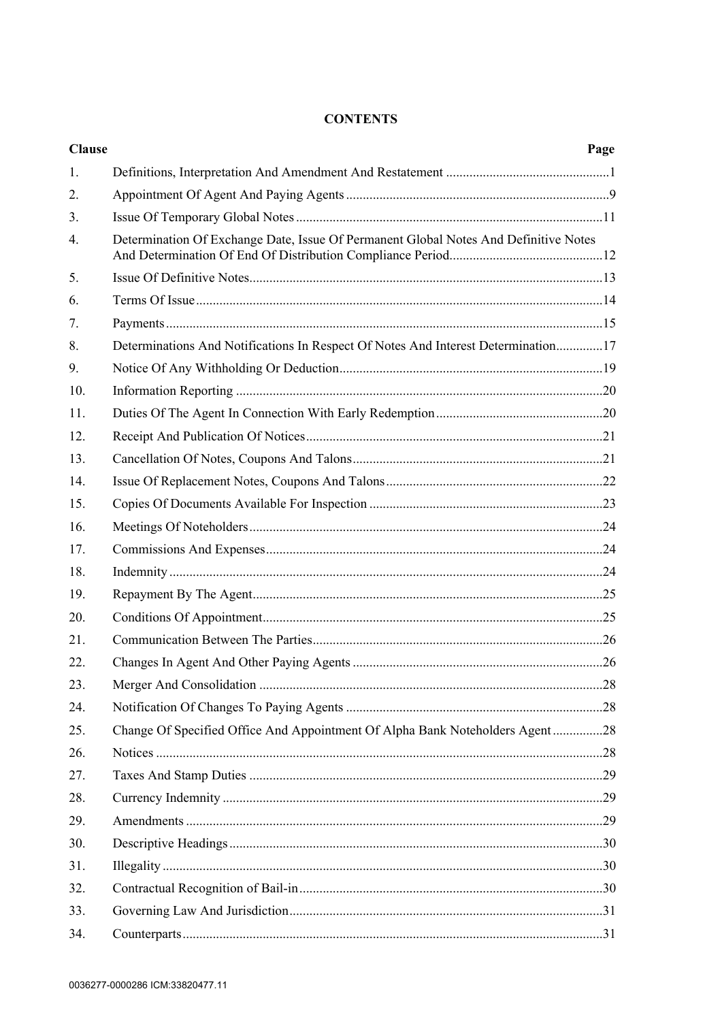# **CONTENTS**

| <b>Clause</b> |                                                                                      | Page |
|---------------|--------------------------------------------------------------------------------------|------|
| 1.            |                                                                                      |      |
| 2.            |                                                                                      |      |
| 3.            |                                                                                      |      |
| 4.            | Determination Of Exchange Date, Issue Of Permanent Global Notes And Definitive Notes |      |
| 5.            |                                                                                      |      |
| 6.            |                                                                                      |      |
| 7.            |                                                                                      |      |
| 8.            | Determinations And Notifications In Respect Of Notes And Interest Determination17    |      |
| 9.            |                                                                                      |      |
| 10.           |                                                                                      |      |
| 11.           |                                                                                      |      |
| 12.           |                                                                                      |      |
| 13.           |                                                                                      |      |
| 14.           |                                                                                      |      |
| 15.           |                                                                                      |      |
| 16.           |                                                                                      |      |
| 17.           |                                                                                      |      |
| 18.           |                                                                                      |      |
| 19.           |                                                                                      |      |
| 20.           |                                                                                      |      |
| 21.           |                                                                                      |      |
| 22.           |                                                                                      |      |
| 23.           |                                                                                      |      |
| 24.           |                                                                                      |      |
| 25.           | Change Of Specified Office And Appointment Of Alpha Bank Noteholders Agent28         |      |
| 26.           |                                                                                      |      |
| 27.           |                                                                                      |      |
| 28.           |                                                                                      |      |
| 29.           |                                                                                      |      |
| 30.           |                                                                                      |      |
| 31.           |                                                                                      |      |
| 32.           |                                                                                      |      |
| 33.           |                                                                                      |      |
| 34.           |                                                                                      |      |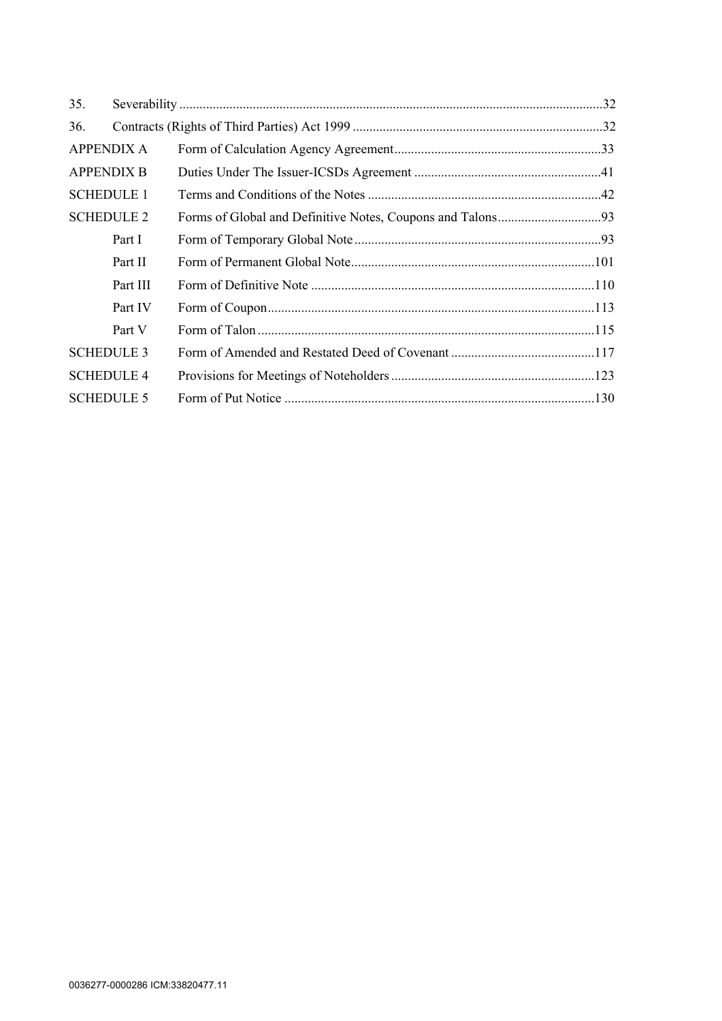| 35.               |                   |  |
|-------------------|-------------------|--|
| 36.               |                   |  |
| <b>APPENDIX A</b> |                   |  |
|                   | <b>APPENDIX B</b> |  |
|                   | <b>SCHEDULE 1</b> |  |
| <b>SCHEDULE 2</b> |                   |  |
|                   | Part I            |  |
|                   | Part II           |  |
|                   | Part III          |  |
|                   | Part IV           |  |
|                   | Part V            |  |
|                   | <b>SCHEDULE 3</b> |  |
| <b>SCHEDULE 4</b> |                   |  |
|                   | <b>SCHEDULE 5</b> |  |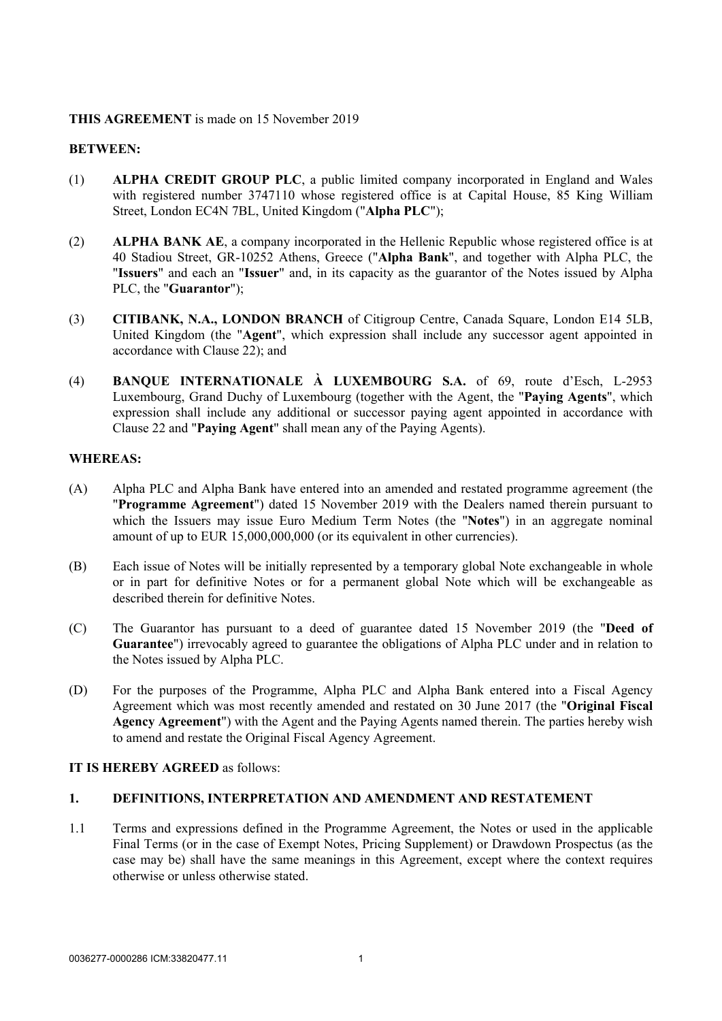## **THIS AGREEMENT** is made on 15 November 2019

## **BETWEEN:**

- (1) **ALPHA CREDIT GROUP PLC**, a public limited company incorporated in England and Wales with registered number 3747110 whose registered office is at Capital House, 85 King William Street, London EC4N 7BL, United Kingdom ("**Alpha PLC**");
- (2) **ALPHA BANK AE**, a company incorporated in the Hellenic Republic whose registered office is at 40 Stadiou Street, GR-10252 Athens, Greece ("**Alpha Bank**", and together with Alpha PLC, the "**Issuers**" and each an "**Issuer**" and, in its capacity as the guarantor of the Notes issued by Alpha PLC, the "**Guarantor**");
- (3) **CITIBANK, N.A., LONDON BRANCH** of Citigroup Centre, Canada Square, London E14 5LB, United Kingdom (the "**Agent**", which expression shall include any successor agent appointed in accordance with Clause [22](#page-28-1)); and
- (4) **BANQUE INTERNATIONALE À LUXEMBOURG S.A.** of 69, route d'Esch, L-2953 Luxembourg, Grand Duchy of Luxembourg (together with the Agent, the "**Paying Agents**", which expression shall include any additional or successor paying agent appointed in accordance with Clause [22](#page-28-1) and "**Paying Agent**" shall mean any of the Paying Agents).

# **WHEREAS:**

- (A) Alpha PLC and Alpha Bank have entered into an amended and restated programme agreement (the "**Programme Agreement**") dated 15 November 2019 with the Dealers named therein pursuant to which the Issuers may issue Euro Medium Term Notes (the "**Notes**") in an aggregate nominal amount of up to EUR 15,000,000,000 (or its equivalent in other currencies).
- (B) Each issue of Notes will be initially represented by a temporary global Note exchangeable in whole or in part for definitive Notes or for a permanent global Note which will be exchangeable as described therein for definitive Notes.
- (C) The Guarantor has pursuant to a deed of guarantee dated 15 November 2019 (the "**Deed of Guarantee**") irrevocably agreed to guarantee the obligations of Alpha PLC under and in relation to the Notes issued by Alpha PLC.
- (D) For the purposes of the Programme, Alpha PLC and Alpha Bank entered into a Fiscal Agency Agreement which was most recently amended and restated on 30 June 2017 (the "**Original Fiscal Agency Agreement**") with the Agent and the Paying Agents named therein. The parties hereby wish to amend and restate the Original Fiscal Agency Agreement.

## <span id="page-3-0"></span>**IT IS HEREBY AGREED** as follows:

## **1. DEFINITIONS, INTERPRETATION AND AMENDMENT AND RESTATEMENT**

1.1 Terms and expressions defined in the Programme Agreement, the Notes or used in the applicable Final Terms (or in the case of Exempt Notes, Pricing Supplement) or Drawdown Prospectus (as the case may be) shall have the same meanings in this Agreement, except where the context requires otherwise or unless otherwise stated.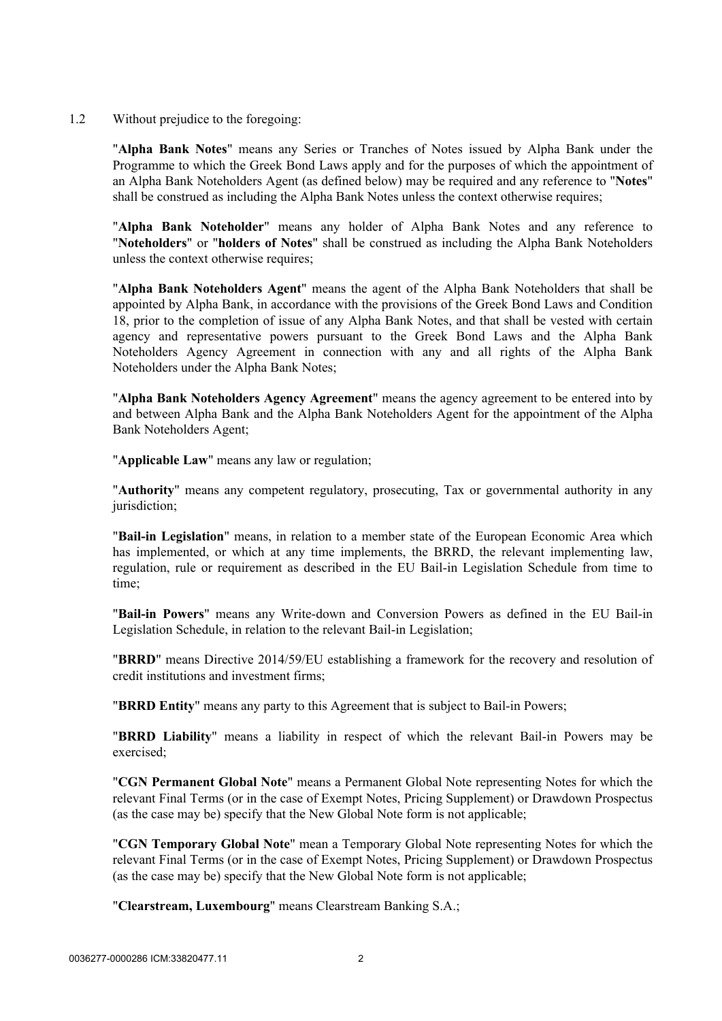1.2 Without prejudice to the foregoing:

"**Alpha Bank Notes**" means any Series or Tranches of Notes issued by Alpha Bank under the Programme to which the Greek Bond Laws apply and for the purposes of which the appointment of an Alpha Bank Noteholders Agent (as defined below) may be required and any reference to "**Notes**" shall be construed as including the Alpha Bank Notes unless the context otherwise requires;

"**Alpha Bank Noteholder**" means any holder of Alpha Bank Notes and any reference to "**Noteholders**" or "**holders of Notes**" shall be construed as including the Alpha Bank Noteholders unless the context otherwise requires;

"**Alpha Bank Noteholders Agent**" means the agent of the Alpha Bank Noteholders that shall be appointed by Alpha Bank, in accordance with the provisions of the Greek Bond Laws and Condition 18, prior to the completion of issue of any Alpha Bank Notes, and that shall be vested with certain agency and representative powers pursuant to the Greek Bond Laws and the Alpha Bank Noteholders Agency Agreement in connection with any and all rights of the Alpha Bank Noteholders under the Alpha Bank Notes;

"**Alpha Bank Noteholders Agency Agreement**" means the agency agreement to be entered into by and between Alpha Bank and the Alpha Bank Noteholders Agent for the appointment of the Alpha Bank Noteholders Agent;

"**Applicable Law**" means any law or regulation;

"**Authority**" means any competent regulatory, prosecuting, Tax or governmental authority in any jurisdiction:

"**Bail-in Legislation**" means, in relation to a member state of the European Economic Area which has implemented, or which at any time implements, the BRRD, the relevant implementing law, regulation, rule or requirement as described in the EU Bail-in Legislation Schedule from time to time;

"**Bail-in Powers**" means any Write-down and Conversion Powers as defined in the EU Bail-in Legislation Schedule, in relation to the relevant Bail-in Legislation;

"**BRRD**" means Directive 2014/59/EU establishing a framework for the recovery and resolution of credit institutions and investment firms;

"**BRRD Entity**" means any party to this Agreement that is subject to Bail-in Powers;

"**BRRD Liability**" means a liability in respect of which the relevant Bail-in Powers may be exercised;

"**CGN Permanent Global Note**" means a Permanent Global Note representing Notes for which the relevant Final Terms (or in the case of Exempt Notes, Pricing Supplement) or Drawdown Prospectus (as the case may be) specify that the New Global Note form is not applicable;

"**CGN Temporary Global Note**" mean a Temporary Global Note representing Notes for which the relevant Final Terms (or in the case of Exempt Notes, Pricing Supplement) or Drawdown Prospectus (as the case may be) specify that the New Global Note form is not applicable;

"**Clearstream, Luxembourg**" means Clearstream Banking S.A.;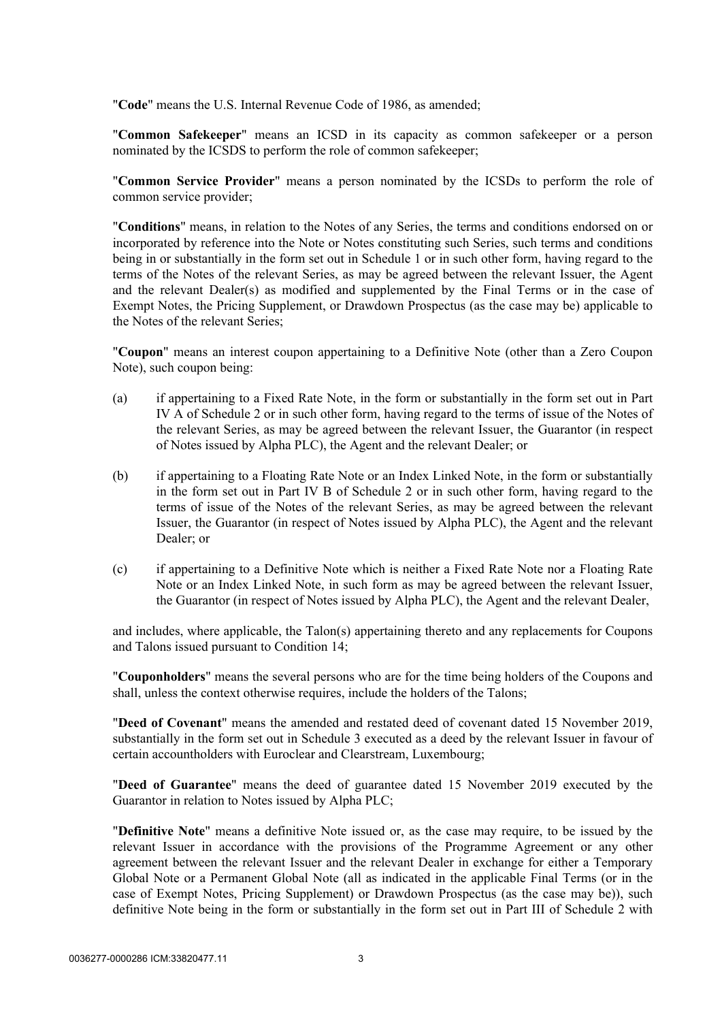"**Code**" means the U.S. Internal Revenue Code of 1986, as amended;

"**Common Safekeeper**" means an ICSD in its capacity as common safekeeper or a person nominated by the ICSDS to perform the role of common safekeeper;

"**Common Service Provider**" means a person nominated by the ICSDs to perform the role of common service provider;

"**Conditions**" means, in relation to the Notes of any Series, the terms and conditions endorsed on or incorporated by reference into the Note or Notes constituting such Series, such terms and conditions being in or substantially in the form set out in [Schedule 1](#page-44-1) or in such other form, having regard to the terms of the Notes of the relevant Series, as may be agreed between the relevant Issuer, the Agent and the relevant Dealer(s) as modified and supplemented by the Final Terms or in the case of Exempt Notes, the Pricing Supplement, or Drawdown Prospectus (as the case may be) applicable to the Notes of the relevant Series;

"**Coupon**" means an interest coupon appertaining to a Definitive Note (other than a Zero Coupon Note), such coupon being:

- (a) if appertaining to a Fixed Rate Note, in the form or substantially in the form set out in Part IV A of [Schedule 2](#page-95-2) or in such other form, having regard to the terms of issue of the Notes of the relevant Series, as may be agreed between the relevant Issuer, the Guarantor (in respect of Notes issued by Alpha PLC), the Agent and the relevant Dealer; or
- (b) if appertaining to a Floating Rate Note or an Index Linked Note, in the form or substantially in the form set out in Part IV B of [Schedule 2](#page-95-2) or in such other form, having regard to the terms of issue of the Notes of the relevant Series, as may be agreed between the relevant Issuer, the Guarantor (in respect of Notes issued by Alpha PLC), the Agent and the relevant Dealer; or
- (c) if appertaining to a Definitive Note which is neither a Fixed Rate Note nor a Floating Rate Note or an Index Linked Note, in such form as may be agreed between the relevant Issuer, the Guarantor (in respect of Notes issued by Alpha PLC), the Agent and the relevant Dealer,

and includes, where applicable, the Talon(s) appertaining thereto and any replacements for Coupons and Talons issued pursuant to Condition 14;

"**Couponholders**" means the several persons who are for the time being holders of the Coupons and shall, unless the context otherwise requires, include the holders of the Talons;

"**Deed of Covenant**" means the amended and restated deed of covenant dated 15 November 2019, substantially in the form set out in [Schedule 3](#page-119-1) executed as a deed by the relevant Issuer in favour of certain accountholders with Euroclear and Clearstream, Luxembourg;

"**Deed of Guarantee**" means the deed of guarantee dated 15 November 2019 executed by the Guarantor in relation to Notes issued by Alpha PLC;

"**Definitive Note**" means a definitive Note issued or, as the case may require, to be issued by the relevant Issuer in accordance with the provisions of the Programme Agreement or any other agreement between the relevant Issuer and the relevant Dealer in exchange for either a Temporary Global Note or a Permanent Global Note (all as indicated in the applicable Final Terms (or in the case of Exempt Notes, Pricing Supplement) or Drawdown Prospectus (as the case may be)), such definitive Note being in the form or substantially in the form set out in [Part III](#page-112-1) of [Schedule 2](#page-95-2) with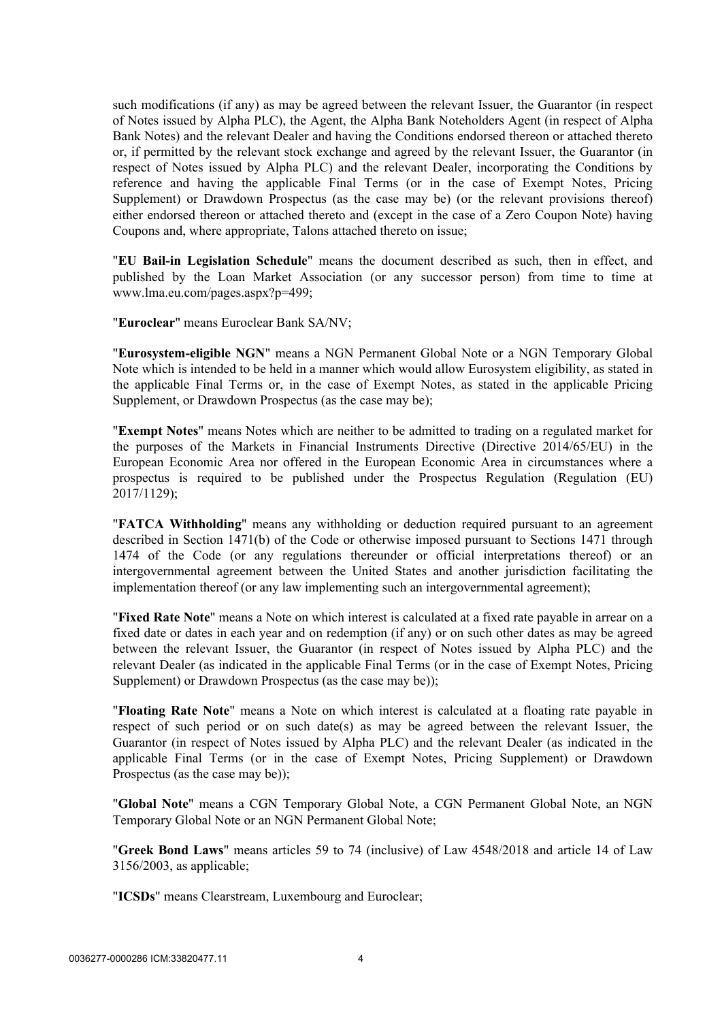such modifications (if any) as may be agreed between the relevant Issuer, the Guarantor (in respect of Notes issued by Alpha PLC), the Agent, the Alpha Bank Noteholders Agent (in respect of Alpha Bank Notes) and the relevant Dealer and having the Conditions endorsed thereon or attached thereto or, if permitted by the relevant stock exchange and agreed by the relevant Issuer, the Guarantor (in respect of Notes issued by Alpha PLC) and the relevant Dealer, incorporating the Conditions by reference and having the applicable Final Terms (or in the case of Exempt Notes, Pricing Supplement) or Drawdown Prospectus (as the case may be) (or the relevant provisions thereof) either endorsed thereon or attached thereto and (except in the case of a Zero Coupon Note) having Coupons and, where appropriate, Talons attached thereto on issue;

"**EU Bail-in Legislation Schedule**" means the document described as such, then in effect, and published by the Loan Market Association (or any successor person) from time to time at www.lma.eu.com/pages.aspx?p=499;

"**Euroclear**" means Euroclear Bank SA/NV;

"**Eurosystem-eligible NGN**" means a NGN Permanent Global Note or a NGN Temporary Global Note which is intended to be held in a manner which would allow Eurosystem eligibility, as stated in the applicable Final Terms or, in the case of Exempt Notes, as stated in the applicable Pricing Supplement, or Drawdown Prospectus (as the case may be);

"**Exempt Notes**" means Notes which are neither to be admitted to trading on a regulated market for the purposes of the Markets in Financial Instruments Directive (Directive 2014/65/EU) in the European Economic Area nor offered in the European Economic Area in circumstances where a prospectus is required to be published under the Prospectus Regulation (Regulation (EU) 2017/1129);

"**FATCA Withholding**" means any withholding or deduction required pursuant to an agreement described in Section 1471(b) of the Code or otherwise imposed pursuant to Sections 1471 through 1474 of the Code (or any regulations thereunder or official interpretations thereof) or an intergovernmental agreement between the United States and another jurisdiction facilitating the implementation thereof (or any law implementing such an intergovernmental agreement);

"**Fixed Rate Note**" means a Note on which interest is calculated at a fixed rate payable in arrear on a fixed date or dates in each year and on redemption (if any) or on such other dates as may be agreed between the relevant Issuer, the Guarantor (in respect of Notes issued by Alpha PLC) and the relevant Dealer (as indicated in the applicable Final Terms (or in the case of Exempt Notes, Pricing Supplement) or Drawdown Prospectus (as the case may be));

"**Floating Rate Note**" means a Note on which interest is calculated at a floating rate payable in respect of such period or on such date(s) as may be agreed between the relevant Issuer, the Guarantor (in respect of Notes issued by Alpha PLC) and the relevant Dealer (as indicated in the applicable Final Terms (or in the case of Exempt Notes, Pricing Supplement) or Drawdown Prospectus (as the case may be));

"**Global Note**" means a CGN Temporary Global Note, a CGN Permanent Global Note, an NGN Temporary Global Note or an NGN Permanent Global Note;

"**Greek Bond Laws**" means articles 59 to 74 (inclusive) of Law 4548/2018 and article 14 of Law 3156/2003, as applicable;

"**ICSDs**" means Clearstream, Luxembourg and Euroclear;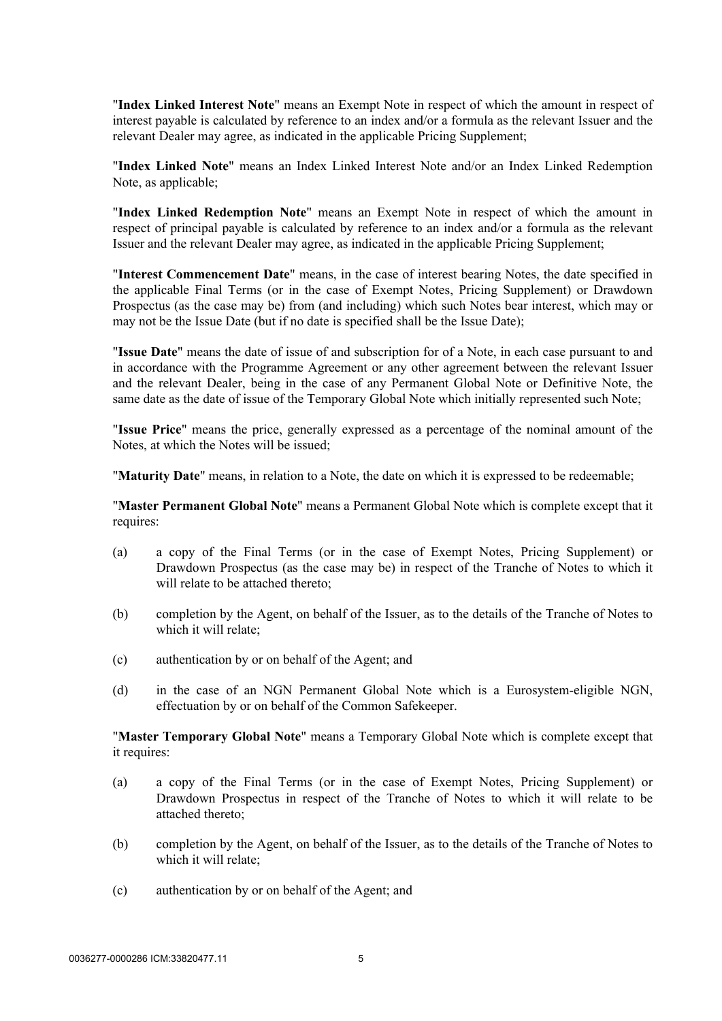"**Index Linked Interest Note**" means an Exempt Note in respect of which the amount in respect of interest payable is calculated by reference to an index and/or a formula as the relevant Issuer and the relevant Dealer may agree, as indicated in the applicable Pricing Supplement;

"**Index Linked Note**" means an Index Linked Interest Note and/or an Index Linked Redemption Note, as applicable;

"**Index Linked Redemption Note**" means an Exempt Note in respect of which the amount in respect of principal payable is calculated by reference to an index and/or a formula as the relevant Issuer and the relevant Dealer may agree, as indicated in the applicable Pricing Supplement;

"**Interest Commencement Date**" means, in the case of interest bearing Notes, the date specified in the applicable Final Terms (or in the case of Exempt Notes, Pricing Supplement) or Drawdown Prospectus (as the case may be) from (and including) which such Notes bear interest, which may or may not be the Issue Date (but if no date is specified shall be the Issue Date);

"**Issue Date**" means the date of issue of and subscription for of a Note, in each case pursuant to and in accordance with the Programme Agreement or any other agreement between the relevant Issuer and the relevant Dealer, being in the case of any Permanent Global Note or Definitive Note, the same date as the date of issue of the Temporary Global Note which initially represented such Note;

"**Issue Price**" means the price, generally expressed as a percentage of the nominal amount of the Notes, at which the Notes will be issued;

"**Maturity Date**" means, in relation to a Note, the date on which it is expressed to be redeemable;

"**Master Permanent Global Note**" means a Permanent Global Note which is complete except that it requires:

- (a) a copy of the Final Terms (or in the case of Exempt Notes, Pricing Supplement) or Drawdown Prospectus (as the case may be) in respect of the Tranche of Notes to which it will relate to be attached thereto;
- (b) completion by the Agent, on behalf of the Issuer, as to the details of the Tranche of Notes to which it will relate;
- (c) authentication by or on behalf of the Agent; and
- (d) in the case of an NGN Permanent Global Note which is a Eurosystem-eligible NGN, effectuation by or on behalf of the Common Safekeeper.

"**Master Temporary Global Note**" means a Temporary Global Note which is complete except that it requires:

- (a) a copy of the Final Terms (or in the case of Exempt Notes, Pricing Supplement) or Drawdown Prospectus in respect of the Tranche of Notes to which it will relate to be attached thereto;
- (b) completion by the Agent, on behalf of the Issuer, as to the details of the Tranche of Notes to which it will relate;
- (c) authentication by or on behalf of the Agent; and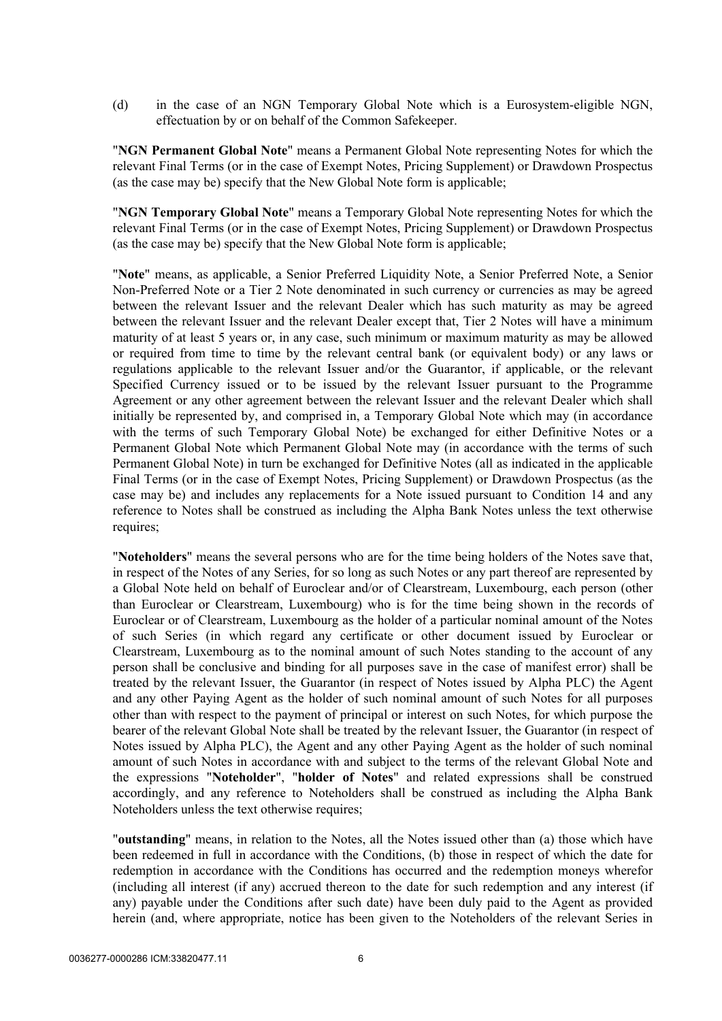(d) in the case of an NGN Temporary Global Note which is a Eurosystem-eligible NGN, effectuation by or on behalf of the Common Safekeeper.

"**NGN Permanent Global Note**" means a Permanent Global Note representing Notes for which the relevant Final Terms (or in the case of Exempt Notes, Pricing Supplement) or Drawdown Prospectus (as the case may be) specify that the New Global Note form is applicable;

"**NGN Temporary Global Note**" means a Temporary Global Note representing Notes for which the relevant Final Terms (or in the case of Exempt Notes, Pricing Supplement) or Drawdown Prospectus (as the case may be) specify that the New Global Note form is applicable;

"**Note**" means, as applicable, a Senior Preferred Liquidity Note, a Senior Preferred Note, a Senior Non-Preferred Note or a Tier 2 Note denominated in such currency or currencies as may be agreed between the relevant Issuer and the relevant Dealer which has such maturity as may be agreed between the relevant Issuer and the relevant Dealer except that, Tier 2 Notes will have a minimum maturity of at least 5 years or, in any case, such minimum or maximum maturity as may be allowed or required from time to time by the relevant central bank (or equivalent body) or any laws or regulations applicable to the relevant Issuer and/or the Guarantor, if applicable, or the relevant Specified Currency issued or to be issued by the relevant Issuer pursuant to the Programme Agreement or any other agreement between the relevant Issuer and the relevant Dealer which shall initially be represented by, and comprised in, a Temporary Global Note which may (in accordance with the terms of such Temporary Global Note) be exchanged for either Definitive Notes or a Permanent Global Note which Permanent Global Note may (in accordance with the terms of such Permanent Global Note) in turn be exchanged for Definitive Notes (all as indicated in the applicable Final Terms (or in the case of Exempt Notes, Pricing Supplement) or Drawdown Prospectus (as the case may be) and includes any replacements for a Note issued pursuant to Condition 14 and any reference to Notes shall be construed as including the Alpha Bank Notes unless the text otherwise requires;

"**Noteholders**" means the several persons who are for the time being holders of the Notes save that, in respect of the Notes of any Series, for so long as such Notes or any part thereof are represented by a Global Note held on behalf of Euroclear and/or of Clearstream, Luxembourg, each person (other than Euroclear or Clearstream, Luxembourg) who is for the time being shown in the records of Euroclear or of Clearstream, Luxembourg as the holder of a particular nominal amount of the Notes of such Series (in which regard any certificate or other document issued by Euroclear or Clearstream, Luxembourg as to the nominal amount of such Notes standing to the account of any person shall be conclusive and binding for all purposes save in the case of manifest error) shall be treated by the relevant Issuer, the Guarantor (in respect of Notes issued by Alpha PLC) the Agent and any other Paying Agent as the holder of such nominal amount of such Notes for all purposes other than with respect to the payment of principal or interest on such Notes, for which purpose the bearer of the relevant Global Note shall be treated by the relevant Issuer, the Guarantor (in respect of Notes issued by Alpha PLC), the Agent and any other Paying Agent as the holder of such nominal amount of such Notes in accordance with and subject to the terms of the relevant Global Note and the expressions "**Noteholder**", "**holder of Notes**" and related expressions shall be construed accordingly, and any reference to Noteholders shall be construed as including the Alpha Bank Noteholders unless the text otherwise requires;

"**outstanding**" means, in relation to the Notes, all the Notes issued other than (a) those which have been redeemed in full in accordance with the Conditions, (b) those in respect of which the date for redemption in accordance with the Conditions has occurred and the redemption moneys wherefor (including all interest (if any) accrued thereon to the date for such redemption and any interest (if any) payable under the Conditions after such date) have been duly paid to the Agent as provided herein (and, where appropriate, notice has been given to the Noteholders of the relevant Series in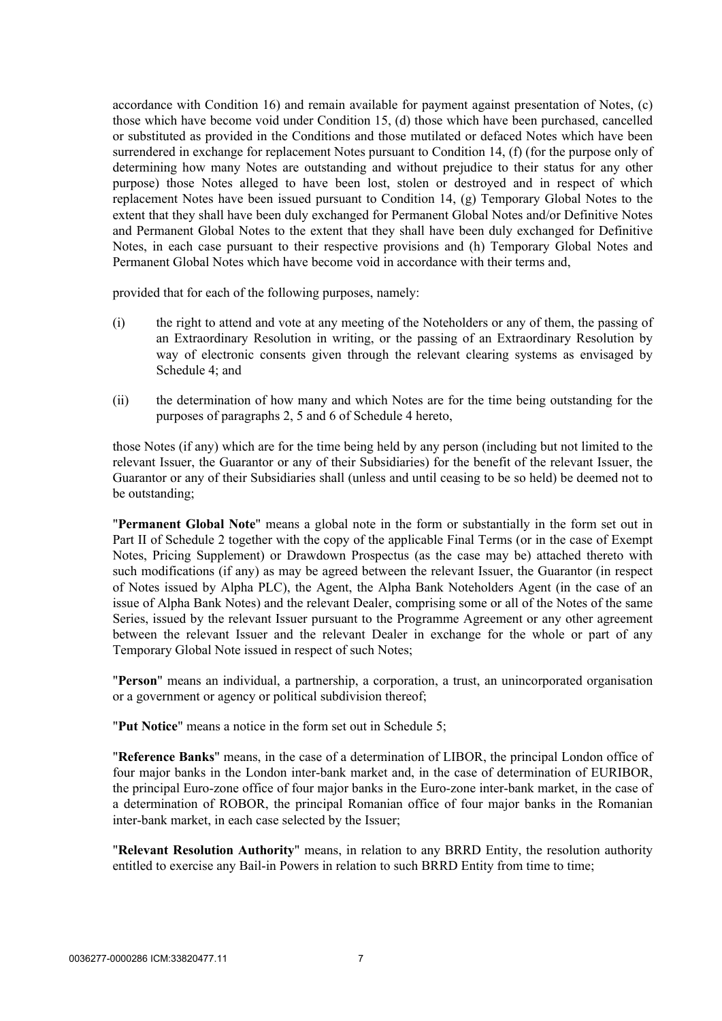accordance with Condition 16) and remain available for payment against presentation of Notes, (c) those which have become void under Condition 15, (d) those which have been purchased, cancelled or substituted as provided in the Conditions and those mutilated or defaced Notes which have been surrendered in exchange for replacement Notes pursuant to Condition 14, (f) (for the purpose only of determining how many Notes are outstanding and without prejudice to their status for any other purpose) those Notes alleged to have been lost, stolen or destroyed and in respect of which replacement Notes have been issued pursuant to Condition 14, (g) Temporary Global Notes to the extent that they shall have been duly exchanged for Permanent Global Notes and/or Definitive Notes and Permanent Global Notes to the extent that they shall have been duly exchanged for Definitive Notes, in each case pursuant to their respective provisions and (h) Temporary Global Notes and Permanent Global Notes which have become void in accordance with their terms and,

provided that for each of the following purposes, namely:

- (i) the right to attend and vote at any meeting of the Noteholders or any of them, the passing of an Extraordinary Resolution in writing, or the passing of an Extraordinary Resolution by way of electronic consents given through the relevant clearing systems as envisaged by [Schedule 4](#page-125-1); and
- (ii) the determination of how many and which Notes are for the time being outstanding for the purposes of paragraphs [2](#page-126-0), [5](#page-126-1) and [6](#page-127-0) of [Schedule 4](#page-125-1) hereto,

those Notes (if any) which are for the time being held by any person (including but not limited to the relevant Issuer, the Guarantor or any of their Subsidiaries) for the benefit of the relevant Issuer, the Guarantor or any of their Subsidiaries shall (unless and until ceasing to be so held) be deemed not to be outstanding;

"**Permanent Global Note**" means a global note in the form or substantially in the form set out in [Part II](#page-103-1) of [Schedule 2](#page-95-2) together with the copy of the applicable Final Terms (or in the case of Exempt Notes, Pricing Supplement) or Drawdown Prospectus (as the case may be) attached thereto with such modifications (if any) as may be agreed between the relevant Issuer, the Guarantor (in respect of Notes issued by Alpha PLC), the Agent, the Alpha Bank Noteholders Agent (in the case of an issue of Alpha Bank Notes) and the relevant Dealer, comprising some or all of the Notes of the same Series, issued by the relevant Issuer pursuant to the Programme Agreement or any other agreement between the relevant Issuer and the relevant Dealer in exchange for the whole or part of any Temporary Global Note issued in respect of such Notes;

"**Person**" means an individual, a partnership, a corporation, a trust, an unincorporated organisation or a government or agency or political subdivision thereof;

"**Put Notice**" means a notice in the form set out in [Schedule 5](#page-132-1);

"**Reference Banks**" means, in the case of a determination of LIBOR, the principal London office of four major banks in the London inter-bank market and, in the case of determination of EURIBOR, the principal Euro-zone office of four major banks in the Euro-zone inter-bank market, in the case of a determination of ROBOR, the principal Romanian office of four major banks in the Romanian inter-bank market, in each case selected by the Issuer;

"**Relevant Resolution Authority**" means, in relation to any BRRD Entity, the resolution authority entitled to exercise any Bail-in Powers in relation to such BRRD Entity from time to time;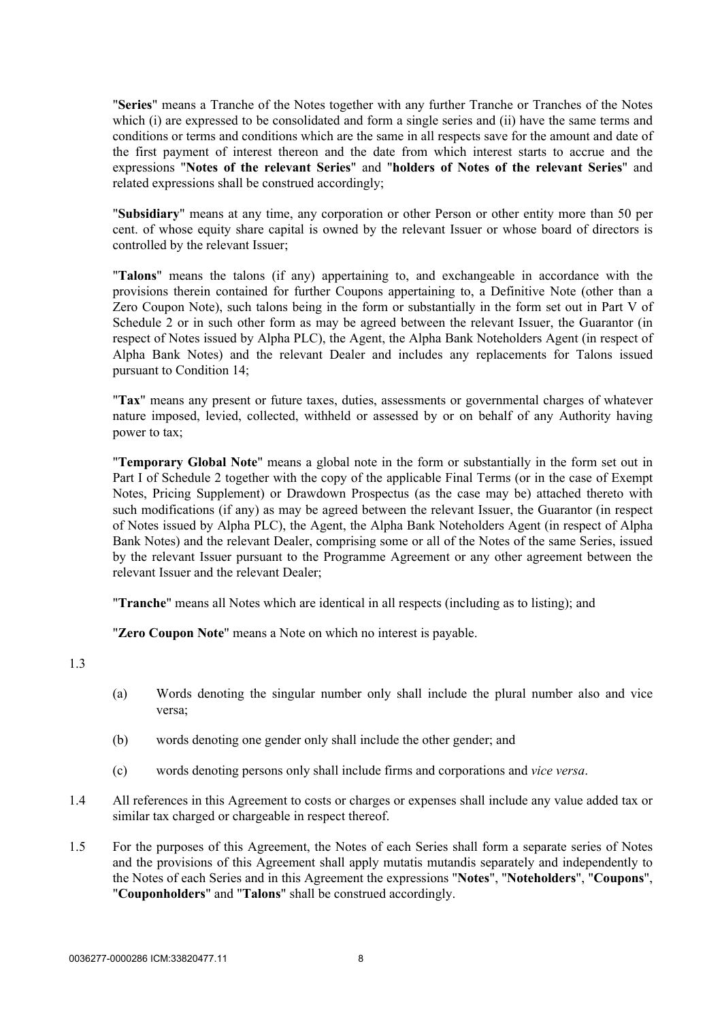"**Series**" means a Tranche of the Notes together with any further Tranche or Tranches of the Notes which (i) are expressed to be consolidated and form a single series and (ii) have the same terms and conditions or terms and conditions which are the same in all respects save for the amount and date of the first payment of interest thereon and the date from which interest starts to accrue and the expressions "**Notes of the relevant Series**" and "**holders of Notes of the relevant Series**" and related expressions shall be construed accordingly;

"**Subsidiary**" means at any time, any corporation or other Person or other entity more than 50 per cent. of whose equity share capital is owned by the relevant Issuer or whose board of directors is controlled by the relevant Issuer;

"**Talons**" means the talons (if any) appertaining to, and exchangeable in accordance with the provisions therein contained for further Coupons appertaining to, a Definitive Note (other than a Zero Coupon Note), such talons being in the form or substantially in the form set out in [Part V](#page-117-1) of [Schedule 2](#page-95-2) or in such other form as may be agreed between the relevant Issuer, the Guarantor (in respect of Notes issued by Alpha PLC), the Agent, the Alpha Bank Noteholders Agent (in respect of Alpha Bank Notes) and the relevant Dealer and includes any replacements for Talons issued pursuant to Condition 14;

"**Tax**" means any present or future taxes, duties, assessments or governmental charges of whatever nature imposed, levied, collected, withheld or assessed by or on behalf of any Authority having power to tax;

"**Temporary Global Note**" means a global note in the form or substantially in the form set out in Part I of [Schedule 2](#page-95-2) together with the copy of the applicable Final Terms (or in the case of Exempt Notes, Pricing Supplement) or Drawdown Prospectus (as the case may be) attached thereto with such modifications (if any) as may be agreed between the relevant Issuer, the Guarantor (in respect of Notes issued by Alpha PLC), the Agent, the Alpha Bank Noteholders Agent (in respect of Alpha Bank Notes) and the relevant Dealer, comprising some or all of the Notes of the same Series, issued by the relevant Issuer pursuant to the Programme Agreement or any other agreement between the relevant Issuer and the relevant Dealer;

"**Tranche**" means all Notes which are identical in all respects (including as to listing); and

"**Zero Coupon Note**" means a Note on which no interest is payable.

1.3

- (a) Words denoting the singular number only shall include the plural number also and vice versa;
- (b) words denoting one gender only shall include the other gender; and
- (c) words denoting persons only shall include firms and corporations and *vice versa*.
- 1.4 All references in this Agreement to costs or charges or expenses shall include any value added tax or similar tax charged or chargeable in respect thereof.
- 1.5 For the purposes of this Agreement, the Notes of each Series shall form a separate series of Notes and the provisions of this Agreement shall apply mutatis mutandis separately and independently to the Notes of each Series and in this Agreement the expressions "**Notes**", "**Noteholders**", "**Coupons**", "**Couponholders**" and "**Talons**" shall be construed accordingly.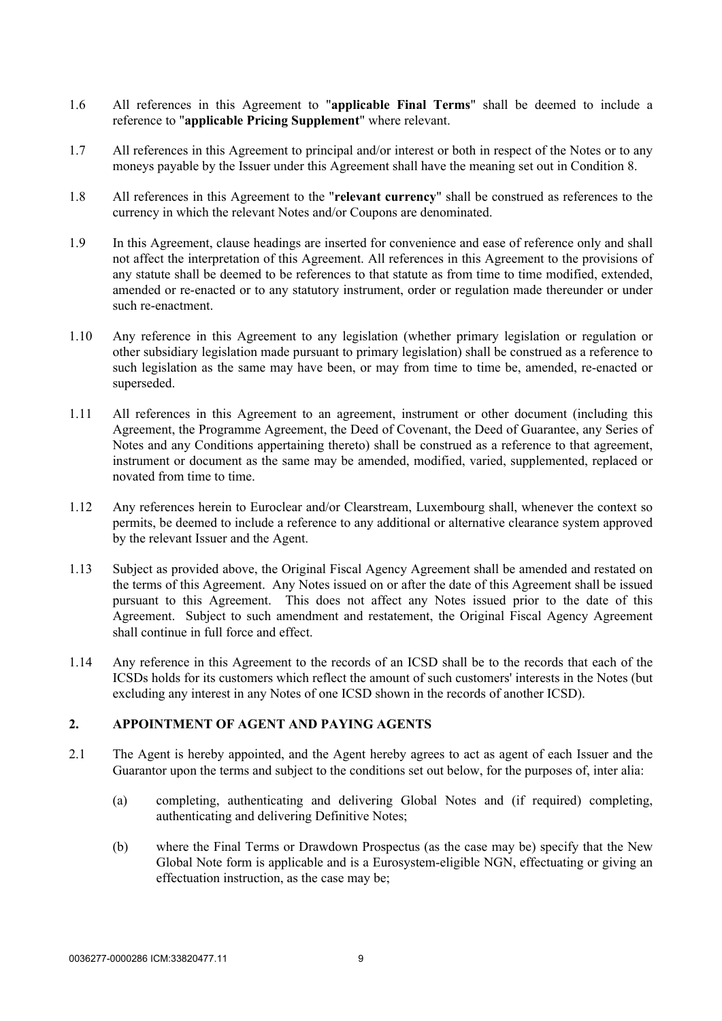- 1.6 All references in this Agreement to "**applicable Final Terms**" shall be deemed to include a reference to "**applicable Pricing Supplement**" where relevant.
- 1.7 All references in this Agreement to principal and/or interest or both in respect of the Notes or to any moneys payable by the Issuer under this Agreement shall have the meaning set out in Condition 8.
- 1.8 All references in this Agreement to the "**relevant currency**" shall be construed as references to the currency in which the relevant Notes and/or Coupons are denominated.
- 1.9 In this Agreement, clause headings are inserted for convenience and ease of reference only and shall not affect the interpretation of this Agreement. All references in this Agreement to the provisions of any statute shall be deemed to be references to that statute as from time to time modified, extended, amended or re-enacted or to any statutory instrument, order or regulation made thereunder or under such re-enactment.
- 1.10 Any reference in this Agreement to any legislation (whether primary legislation or regulation or other subsidiary legislation made pursuant to primary legislation) shall be construed as a reference to such legislation as the same may have been, or may from time to time be, amended, re-enacted or superseded.
- 1.11 All references in this Agreement to an agreement, instrument or other document (including this Agreement, the Programme Agreement, the Deed of Covenant, the Deed of Guarantee, any Series of Notes and any Conditions appertaining thereto) shall be construed as a reference to that agreement, instrument or document as the same may be amended, modified, varied, supplemented, replaced or novated from time to time.
- 1.12 Any references herein to Euroclear and/or Clearstream, Luxembourg shall, whenever the context so permits, be deemed to include a reference to any additional or alternative clearance system approved by the relevant Issuer and the Agent.
- 1.13 Subject as provided above, the Original Fiscal Agency Agreement shall be amended and restated on the terms of this Agreement. Any Notes issued on or after the date of this Agreement shall be issued pursuant to this Agreement. This does not affect any Notes issued prior to the date of this Agreement. Subject to such amendment and restatement, the Original Fiscal Agency Agreement shall continue in full force and effect.
- 1.14 Any reference in this Agreement to the records of an ICSD shall be to the records that each of the ICSDs holds for its customers which reflect the amount of such customers' interests in the Notes (but excluding any interest in any Notes of one ICSD shown in the records of another ICSD).

# <span id="page-11-0"></span>**2. APPOINTMENT OF AGENT AND PAYING AGENTS**

- 2.1 The Agent is hereby appointed, and the Agent hereby agrees to act as agent of each Issuer and the Guarantor upon the terms and subject to the conditions set out below, for the purposes of, inter alia:
	- (a) completing, authenticating and delivering Global Notes and (if required) completing, authenticating and delivering Definitive Notes;
	- (b) where the Final Terms or Drawdown Prospectus (as the case may be) specify that the New Global Note form is applicable and is a Eurosystem-eligible NGN, effectuating or giving an effectuation instruction, as the case may be;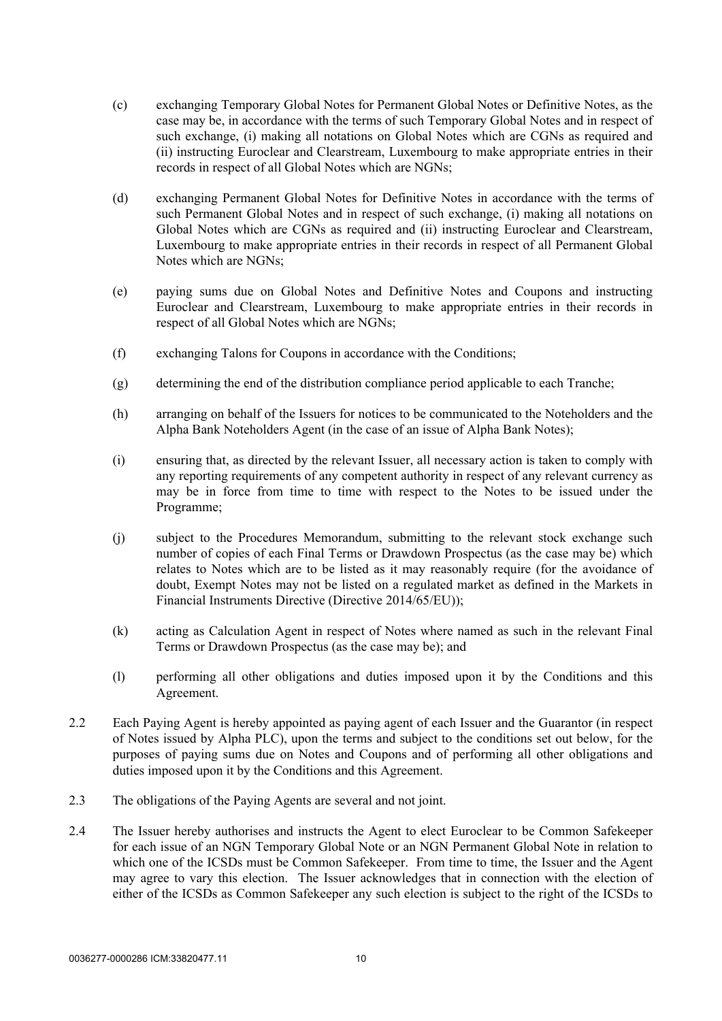- (c) exchanging Temporary Global Notes for Permanent Global Notes or Definitive Notes, as the case may be, in accordance with the terms of such Temporary Global Notes and in respect of such exchange, (i) making all notations on Global Notes which are CGNs as required and (ii) instructing Euroclear and Clearstream, Luxembourg to make appropriate entries in their records in respect of all Global Notes which are NGNs;
- (d) exchanging Permanent Global Notes for Definitive Notes in accordance with the terms of such Permanent Global Notes and in respect of such exchange, (i) making all notations on Global Notes which are CGNs as required and (ii) instructing Euroclear and Clearstream, Luxembourg to make appropriate entries in their records in respect of all Permanent Global Notes which are NGNs;
- (e) paying sums due on Global Notes and Definitive Notes and Coupons and instructing Euroclear and Clearstream, Luxembourg to make appropriate entries in their records in respect of all Global Notes which are NGNs;
- (f) exchanging Talons for Coupons in accordance with the Conditions;
- (g) determining the end of the distribution compliance period applicable to each Tranche;
- (h) arranging on behalf of the Issuers for notices to be communicated to the Noteholders and the Alpha Bank Noteholders Agent (in the case of an issue of Alpha Bank Notes);
- (i) ensuring that, as directed by the relevant Issuer, all necessary action is taken to comply with any reporting requirements of any competent authority in respect of any relevant currency as may be in force from time to time with respect to the Notes to be issued under the Programme;
- (j) subject to the Procedures Memorandum, submitting to the relevant stock exchange such number of copies of each Final Terms or Drawdown Prospectus (as the case may be) which relates to Notes which are to be listed as it may reasonably require (for the avoidance of doubt, Exempt Notes may not be listed on a regulated market as defined in the Markets in Financial Instruments Directive (Directive 2014/65/EU));
- (k) acting as Calculation Agent in respect of Notes where named as such in the relevant Final Terms or Drawdown Prospectus (as the case may be); and
- (l) performing all other obligations and duties imposed upon it by the Conditions and this Agreement.
- 2.2 Each Paying Agent is hereby appointed as paying agent of each Issuer and the Guarantor (in respect of Notes issued by Alpha PLC), upon the terms and subject to the conditions set out below, for the purposes of paying sums due on Notes and Coupons and of performing all other obligations and duties imposed upon it by the Conditions and this Agreement.
- 2.3 The obligations of the Paying Agents are several and not joint.
- 2.4 The Issuer hereby authorises and instructs the Agent to elect Euroclear to be Common Safekeeper for each issue of an NGN Temporary Global Note or an NGN Permanent Global Note in relation to which one of the ICSDs must be Common Safekeeper. From time to time, the Issuer and the Agent may agree to vary this election. The Issuer acknowledges that in connection with the election of either of the ICSDs as Common Safekeeper any such election is subject to the right of the ICSDs to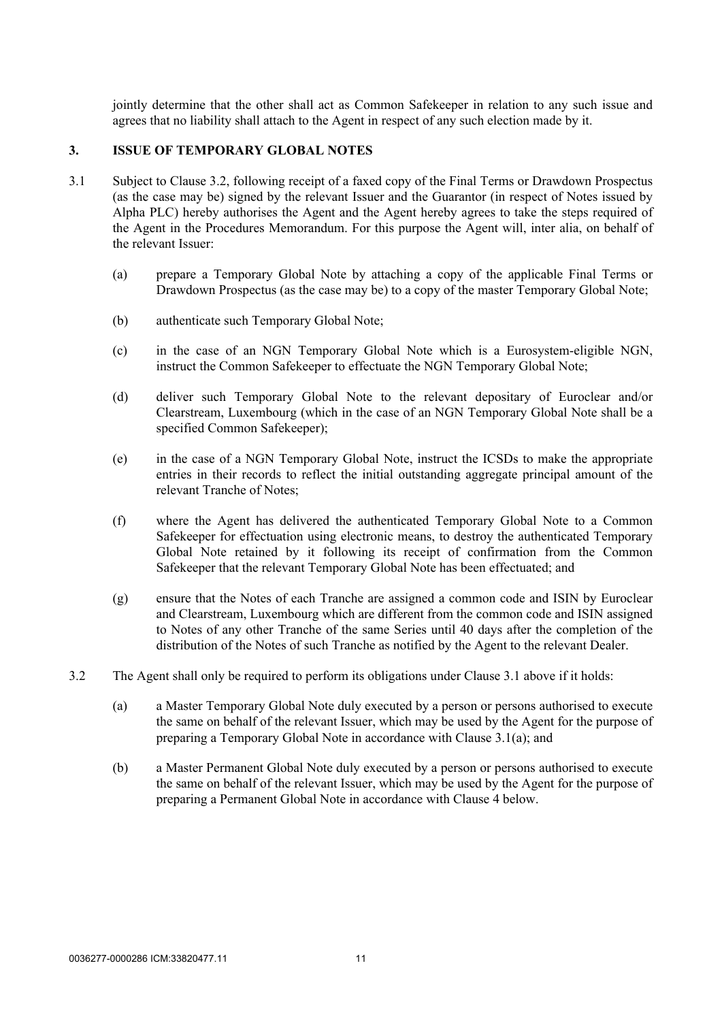jointly determine that the other shall act as Common Safekeeper in relation to any such issue and agrees that no liability shall attach to the Agent in respect of any such election made by it.

#### <span id="page-13-2"></span><span id="page-13-0"></span>**3. ISSUE OF TEMPORARY GLOBAL NOTES**

- <span id="page-13-3"></span>3.1 Subject to Clause [3.2,](#page-13-1) following receipt of a faxed copy of the Final Terms or Drawdown Prospectus (as the case may be) signed by the relevant Issuer and the Guarantor (in respect of Notes issued by Alpha PLC) hereby authorises the Agent and the Agent hereby agrees to take the steps required of the Agent in the Procedures Memorandum. For this purpose the Agent will, inter alia, on behalf of the relevant Issuer:
	- (a) prepare a Temporary Global Note by attaching a copy of the applicable Final Terms or Drawdown Prospectus (as the case may be) to a copy of the master Temporary Global Note;
	- (b) authenticate such Temporary Global Note;
	- (c) in the case of an NGN Temporary Global Note which is a Eurosystem-eligible NGN, instruct the Common Safekeeper to effectuate the NGN Temporary Global Note;
	- (d) deliver such Temporary Global Note to the relevant depositary of Euroclear and/or Clearstream, Luxembourg (which in the case of an NGN Temporary Global Note shall be a specified Common Safekeeper);
	- (e) in the case of a NGN Temporary Global Note, instruct the ICSDs to make the appropriate entries in their records to reflect the initial outstanding aggregate principal amount of the relevant Tranche of Notes;
	- (f) where the Agent has delivered the authenticated Temporary Global Note to a Common Safekeeper for effectuation using electronic means, to destroy the authenticated Temporary Global Note retained by it following its receipt of confirmation from the Common Safekeeper that the relevant Temporary Global Note has been effectuated; and
	- (g) ensure that the Notes of each Tranche are assigned a common code and ISIN by Euroclear and Clearstream, Luxembourg which are different from the common code and ISIN assigned to Notes of any other Tranche of the same Series until 40 days after the completion of the distribution of the Notes of such Tranche as notified by the Agent to the relevant Dealer.
- <span id="page-13-1"></span>3.2 The Agent shall only be required to perform its obligations under Clause [3.1 above](#page-13-2) if it holds:
	- (a) a Master Temporary Global Note duly executed by a person or persons authorised to execute the same on behalf of the relevant Issuer, which may be used by the Agent for the purpose of preparing a Temporary Global Note in accordance with Clause [3.1\(a\)](#page-13-3); and
	- (b) a Master Permanent Global Note duly executed by a person or persons authorised to execute the same on behalf of the relevant Issuer, which may be used by the Agent for the purpose of preparing a Permanent Global Note in accordance with Clause [4 below.](#page-14-0)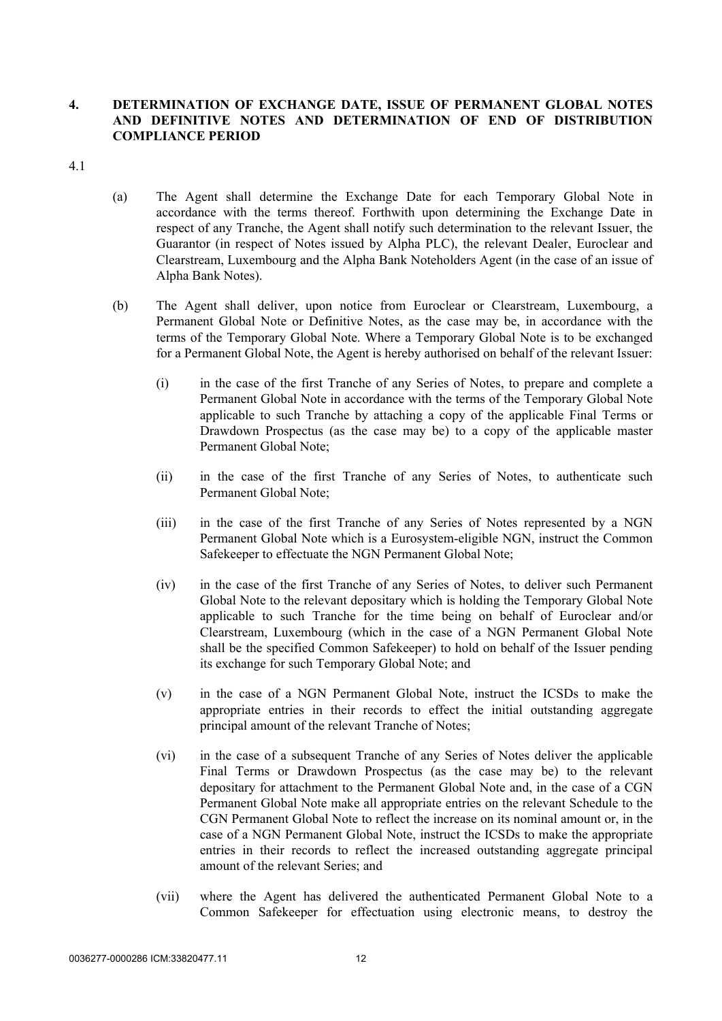# <span id="page-14-0"></span>**4. DETERMINATION OF EXCHANGE DATE, ISSUE OF PERMANENT GLOBAL NOTES AND DEFINITIVE NOTES AND DETERMINATION OF END OF DISTRIBUTION COMPLIANCE PERIOD**

4.1

- (a) The Agent shall determine the Exchange Date for each Temporary Global Note in accordance with the terms thereof. Forthwith upon determining the Exchange Date in respect of any Tranche, the Agent shall notify such determination to the relevant Issuer, the Guarantor (in respect of Notes issued by Alpha PLC), the relevant Dealer, Euroclear and Clearstream, Luxembourg and the Alpha Bank Noteholders Agent (in the case of an issue of Alpha Bank Notes).
- (b) The Agent shall deliver, upon notice from Euroclear or Clearstream, Luxembourg, a Permanent Global Note or Definitive Notes, as the case may be, in accordance with the terms of the Temporary Global Note. Where a Temporary Global Note is to be exchanged for a Permanent Global Note, the Agent is hereby authorised on behalf of the relevant Issuer:
	- (i) in the case of the first Tranche of any Series of Notes, to prepare and complete a Permanent Global Note in accordance with the terms of the Temporary Global Note applicable to such Tranche by attaching a copy of the applicable Final Terms or Drawdown Prospectus (as the case may be) to a copy of the applicable master Permanent Global Note;
	- (ii) in the case of the first Tranche of any Series of Notes, to authenticate such Permanent Global Note;
	- (iii) in the case of the first Tranche of any Series of Notes represented by a NGN Permanent Global Note which is a Eurosystem-eligible NGN, instruct the Common Safekeeper to effectuate the NGN Permanent Global Note;
	- (iv) in the case of the first Tranche of any Series of Notes, to deliver such Permanent Global Note to the relevant depositary which is holding the Temporary Global Note applicable to such Tranche for the time being on behalf of Euroclear and/or Clearstream, Luxembourg (which in the case of a NGN Permanent Global Note shall be the specified Common Safekeeper) to hold on behalf of the Issuer pending its exchange for such Temporary Global Note; and
	- (v) in the case of a NGN Permanent Global Note, instruct the ICSDs to make the appropriate entries in their records to effect the initial outstanding aggregate principal amount of the relevant Tranche of Notes;
	- (vi) in the case of a subsequent Tranche of any Series of Notes deliver the applicable Final Terms or Drawdown Prospectus (as the case may be) to the relevant depositary for attachment to the Permanent Global Note and, in the case of a CGN Permanent Global Note make all appropriate entries on the relevant Schedule to the CGN Permanent Global Note to reflect the increase on its nominal amount or, in the case of a NGN Permanent Global Note, instruct the ICSDs to make the appropriate entries in their records to reflect the increased outstanding aggregate principal amount of the relevant Series; and
	- (vii) where the Agent has delivered the authenticated Permanent Global Note to a Common Safekeeper for effectuation using electronic means, to destroy the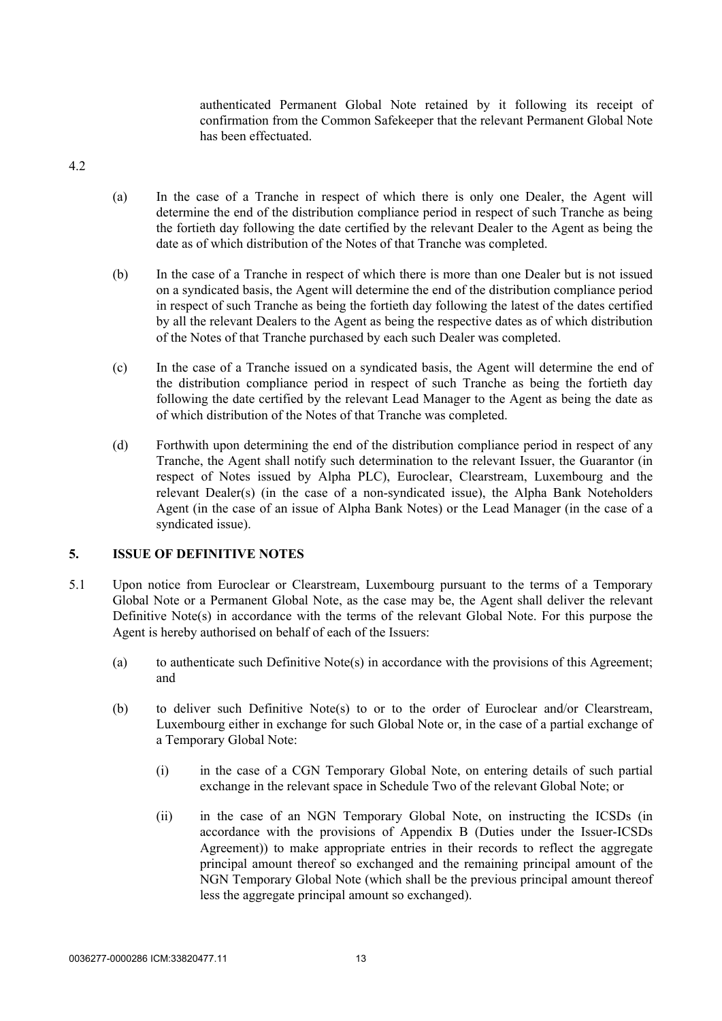authenticated Permanent Global Note retained by it following its receipt of confirmation from the Common Safekeeper that the relevant Permanent Global Note has been effectuated.

4.2

- (a) In the case of a Tranche in respect of which there is only one Dealer, the Agent will determine the end of the distribution compliance period in respect of such Tranche as being the fortieth day following the date certified by the relevant Dealer to the Agent as being the date as of which distribution of the Notes of that Tranche was completed.
- (b) In the case of a Tranche in respect of which there is more than one Dealer but is not issued on a syndicated basis, the Agent will determine the end of the distribution compliance period in respect of such Tranche as being the fortieth day following the latest of the dates certified by all the relevant Dealers to the Agent as being the respective dates as of which distribution of the Notes of that Tranche purchased by each such Dealer was completed.
- (c) In the case of a Tranche issued on a syndicated basis, the Agent will determine the end of the distribution compliance period in respect of such Tranche as being the fortieth day following the date certified by the relevant Lead Manager to the Agent as being the date as of which distribution of the Notes of that Tranche was completed.
- (d) Forthwith upon determining the end of the distribution compliance period in respect of any Tranche, the Agent shall notify such determination to the relevant Issuer, the Guarantor (in respect of Notes issued by Alpha PLC), Euroclear, Clearstream, Luxembourg and the relevant Dealer(s) (in the case of a non-syndicated issue), the Alpha Bank Noteholders Agent (in the case of an issue of Alpha Bank Notes) or the Lead Manager (in the case of a syndicated issue).

#### <span id="page-15-0"></span>**5. ISSUE OF DEFINITIVE NOTES**

- 5.1 Upon notice from Euroclear or Clearstream, Luxembourg pursuant to the terms of a Temporary Global Note or a Permanent Global Note, as the case may be, the Agent shall deliver the relevant Definitive Note(s) in accordance with the terms of the relevant Global Note. For this purpose the Agent is hereby authorised on behalf of each of the Issuers:
	- (a) to authenticate such Definitive Note(s) in accordance with the provisions of this Agreement; and
	- (b) to deliver such Definitive Note(s) to or to the order of Euroclear and/or Clearstream, Luxembourg either in exchange for such Global Note or, in the case of a partial exchange of a Temporary Global Note:
		- (i) in the case of a CGN Temporary Global Note, on entering details of such partial exchange in the relevant space in Schedule Two of the relevant Global Note; or
		- (ii) in the case of an NGN Temporary Global Note, on instructing the ICSDs (in accordance with the provisions of [Appendix B](#page-43-1) (Duties under the Issuer-ICSDs Agreement)) to make appropriate entries in their records to reflect the aggregate principal amount thereof so exchanged and the remaining principal amount of the NGN Temporary Global Note (which shall be the previous principal amount thereof less the aggregate principal amount so exchanged).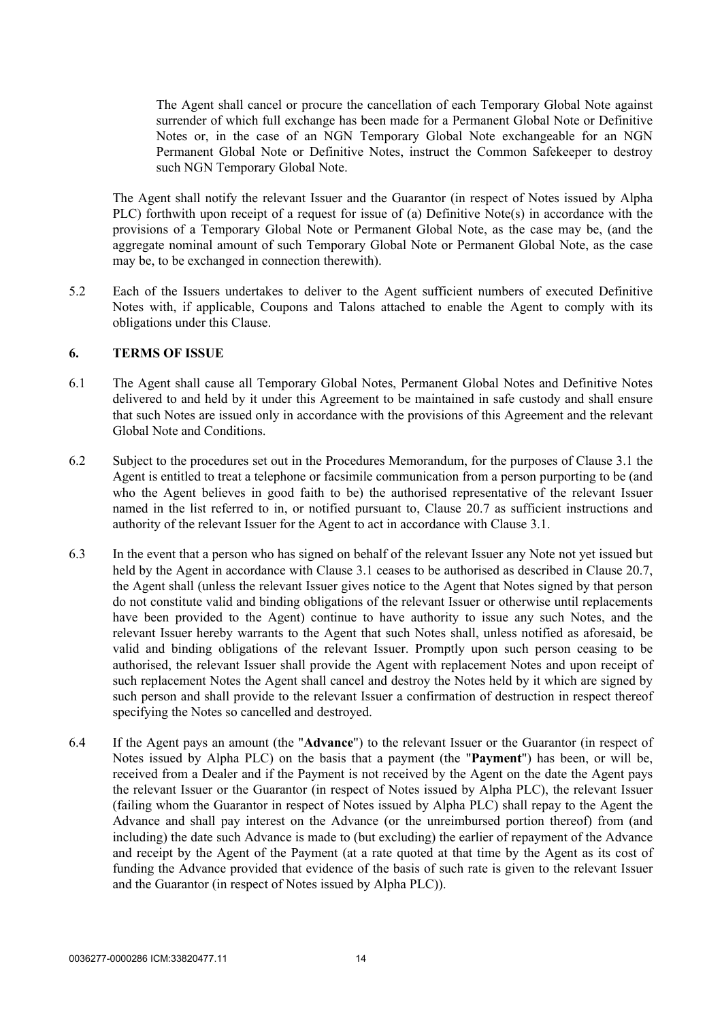The Agent shall cancel or procure the cancellation of each Temporary Global Note against surrender of which full exchange has been made for a Permanent Global Note or Definitive Notes or, in the case of an NGN Temporary Global Note exchangeable for an NGN Permanent Global Note or Definitive Notes, instruct the Common Safekeeper to destroy such NGN Temporary Global Note.

The Agent shall notify the relevant Issuer and the Guarantor (in respect of Notes issued by Alpha PLC) forthwith upon receipt of a request for issue of (a) Definitive Note(s) in accordance with the provisions of a Temporary Global Note or Permanent Global Note, as the case may be, (and the aggregate nominal amount of such Temporary Global Note or Permanent Global Note, as the case may be, to be exchanged in connection therewith).

5.2 Each of the Issuers undertakes to deliver to the Agent sufficient numbers of executed Definitive Notes with, if applicable, Coupons and Talons attached to enable the Agent to comply with its obligations under this Clause.

# <span id="page-16-0"></span>**6. TERMS OF ISSUE**

- 6.1 The Agent shall cause all Temporary Global Notes, Permanent Global Notes and Definitive Notes delivered to and held by it under this Agreement to be maintained in safe custody and shall ensure that such Notes are issued only in accordance with the provisions of this Agreement and the relevant Global Note and Conditions.
- 6.2 Subject to the procedures set out in the Procedures Memorandum, for the purposes of Clause [3.1](#page-13-2) the Agent is entitled to treat a telephone or facsimile communication from a person purporting to be (and who the Agent believes in good faith to be) the authorised representative of the relevant Issuer named in the list referred to in, or notified pursuant to, Clause [20.7](#page-28-2) as sufficient instructions and authority of the relevant Issuer for the Agent to act in accordance with Clause [3.1](#page-13-2).
- 6.3 In the event that a person who has signed on behalf of the relevant Issuer any Note not yet issued but held by the Agent in accordance with Clause [3.1](#page-13-2) ceases to be authorised as described in Clause [20.7,](#page-28-2) the Agent shall (unless the relevant Issuer gives notice to the Agent that Notes signed by that person do not constitute valid and binding obligations of the relevant Issuer or otherwise until replacements have been provided to the Agent) continue to have authority to issue any such Notes, and the relevant Issuer hereby warrants to the Agent that such Notes shall, unless notified as aforesaid, be valid and binding obligations of the relevant Issuer. Promptly upon such person ceasing to be authorised, the relevant Issuer shall provide the Agent with replacement Notes and upon receipt of such replacement Notes the Agent shall cancel and destroy the Notes held by it which are signed by such person and shall provide to the relevant Issuer a confirmation of destruction in respect thereof specifying the Notes so cancelled and destroyed.
- 6.4 If the Agent pays an amount (the "**Advance**") to the relevant Issuer or the Guarantor (in respect of Notes issued by Alpha PLC) on the basis that a payment (the "**Payment**") has been, or will be, received from a Dealer and if the Payment is not received by the Agent on the date the Agent pays the relevant Issuer or the Guarantor (in respect of Notes issued by Alpha PLC), the relevant Issuer (failing whom the Guarantor in respect of Notes issued by Alpha PLC) shall repay to the Agent the Advance and shall pay interest on the Advance (or the unreimbursed portion thereof) from (and including) the date such Advance is made to (but excluding) the earlier of repayment of the Advance and receipt by the Agent of the Payment (at a rate quoted at that time by the Agent as its cost of funding the Advance provided that evidence of the basis of such rate is given to the relevant Issuer and the Guarantor (in respect of Notes issued by Alpha PLC)).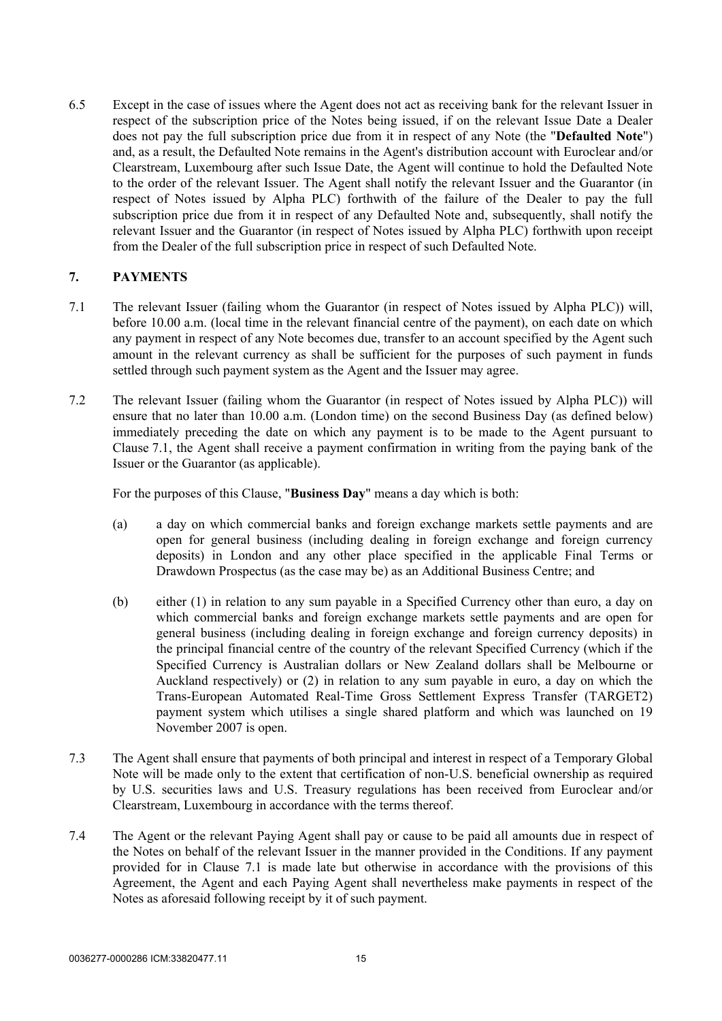6.5 Except in the case of issues where the Agent does not act as receiving bank for the relevant Issuer in respect of the subscription price of the Notes being issued, if on the relevant Issue Date a Dealer does not pay the full subscription price due from it in respect of any Note (the "**Defaulted Note**") and, as a result, the Defaulted Note remains in the Agent's distribution account with Euroclear and/or Clearstream, Luxembourg after such Issue Date, the Agent will continue to hold the Defaulted Note to the order of the relevant Issuer. The Agent shall notify the relevant Issuer and the Guarantor (in respect of Notes issued by Alpha PLC) forthwith of the failure of the Dealer to pay the full subscription price due from it in respect of any Defaulted Note and, subsequently, shall notify the relevant Issuer and the Guarantor (in respect of Notes issued by Alpha PLC) forthwith upon receipt from the Dealer of the full subscription price in respect of such Defaulted Note.

## <span id="page-17-0"></span>**7. PAYMENTS**

- <span id="page-17-1"></span>7.1 The relevant Issuer (failing whom the Guarantor (in respect of Notes issued by Alpha PLC)) will, before 10.00 a.m. (local time in the relevant financial centre of the payment), on each date on which any payment in respect of any Note becomes due, transfer to an account specified by the Agent such amount in the relevant currency as shall be sufficient for the purposes of such payment in funds settled through such payment system as the Agent and the Issuer may agree.
- <span id="page-17-3"></span>7.2 The relevant Issuer (failing whom the Guarantor (in respect of Notes issued by Alpha PLC)) will ensure that no later than 10.00 a.m. (London time) on the second Business Day (as defined below) immediately preceding the date on which any payment is to be made to the Agent pursuant to Clause [7.1](#page-17-1), the Agent shall receive a payment confirmation in writing from the paying bank of the Issuer or the Guarantor (as applicable).

For the purposes of this Clause, "**Business Day**" means a day which is both:

- (a) a day on which commercial banks and foreign exchange markets settle payments and are open for general business (including dealing in foreign exchange and foreign currency deposits) in London and any other place specified in the applicable Final Terms or Drawdown Prospectus (as the case may be) as an Additional Business Centre; and
- (b) either (1) in relation to any sum payable in a Specified Currency other than euro, a day on which commercial banks and foreign exchange markets settle payments and are open for general business (including dealing in foreign exchange and foreign currency deposits) in the principal financial centre of the country of the relevant Specified Currency (which if the Specified Currency is Australian dollars or New Zealand dollars shall be Melbourne or Auckland respectively) or (2) in relation to any sum payable in euro, a day on which the Trans-European Automated Real-Time Gross Settlement Express Transfer (TARGET2) payment system which utilises a single shared platform and which was launched on 19 November 2007 is open.
- 7.3 The Agent shall ensure that payments of both principal and interest in respect of a Temporary Global Note will be made only to the extent that certification of non-U.S. beneficial ownership as required by U.S. securities laws and U.S. Treasury regulations has been received from Euroclear and/or Clearstream, Luxembourg in accordance with the terms thereof.
- <span id="page-17-2"></span>7.4 The Agent or the relevant Paying Agent shall pay or cause to be paid all amounts due in respect of the Notes on behalf of the relevant Issuer in the manner provided in the Conditions. If any payment provided for in Clause [7.1](#page-17-1) is made late but otherwise in accordance with the provisions of this Agreement, the Agent and each Paying Agent shall nevertheless make payments in respect of the Notes as aforesaid following receipt by it of such payment.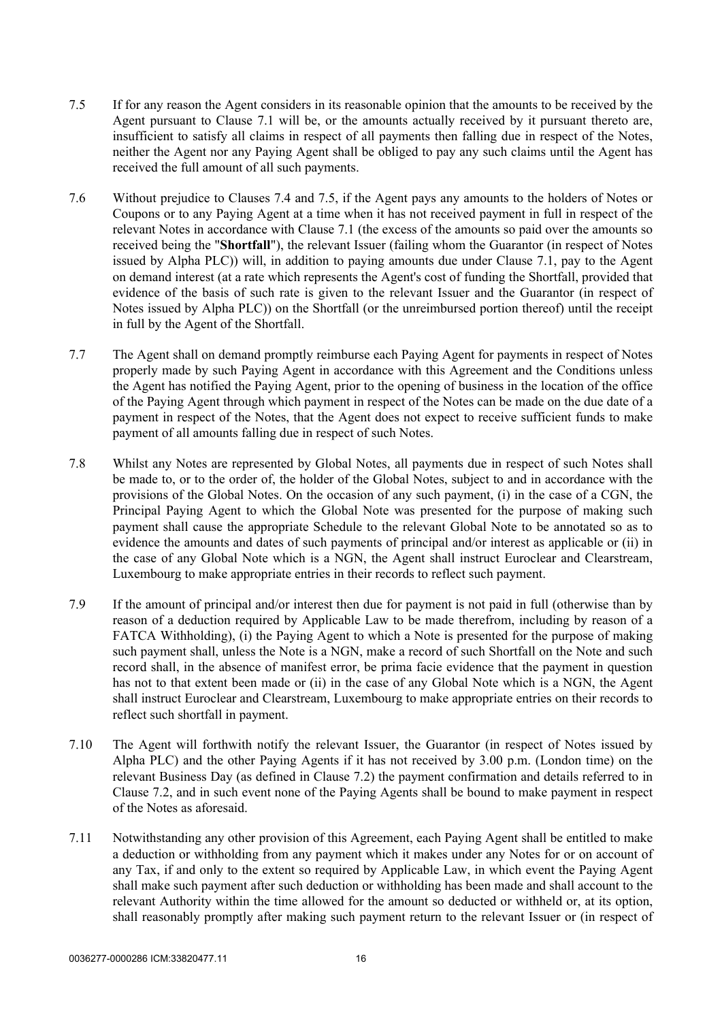- <span id="page-18-0"></span>7.5 If for any reason the Agent considers in its reasonable opinion that the amounts to be received by the Agent pursuant to Clause [7.1](#page-17-1) will be, or the amounts actually received by it pursuant thereto are, insufficient to satisfy all claims in respect of all payments then falling due in respect of the Notes, neither the Agent nor any Paying Agent shall be obliged to pay any such claims until the Agent has received the full amount of all such payments.
- 7.6 Without prejudice to Clauses [7.4](#page-17-2) and [7.5](#page-18-0), if the Agent pays any amounts to the holders of Notes or Coupons or to any Paying Agent at a time when it has not received payment in full in respect of the relevant Notes in accordance with Clause [7.1](#page-17-1) (the excess of the amounts so paid over the amounts so received being the "**Shortfall**"), the relevant Issuer (failing whom the Guarantor (in respect of Notes issued by Alpha PLC)) will, in addition to paying amounts due under Clause [7.1,](#page-17-1) pay to the Agent on demand interest (at a rate which represents the Agent's cost of funding the Shortfall, provided that evidence of the basis of such rate is given to the relevant Issuer and the Guarantor (in respect of Notes issued by Alpha PLC)) on the Shortfall (or the unreimbursed portion thereof) until the receipt in full by the Agent of the Shortfall.
- 7.7 The Agent shall on demand promptly reimburse each Paying Agent for payments in respect of Notes properly made by such Paying Agent in accordance with this Agreement and the Conditions unless the Agent has notified the Paying Agent, prior to the opening of business in the location of the office of the Paying Agent through which payment in respect of the Notes can be made on the due date of a payment in respect of the Notes, that the Agent does not expect to receive sufficient funds to make payment of all amounts falling due in respect of such Notes.
- 7.8 Whilst any Notes are represented by Global Notes, all payments due in respect of such Notes shall be made to, or to the order of, the holder of the Global Notes, subject to and in accordance with the provisions of the Global Notes. On the occasion of any such payment, (i) in the case of a CGN, the Principal Paying Agent to which the Global Note was presented for the purpose of making such payment shall cause the appropriate Schedule to the relevant Global Note to be annotated so as to evidence the amounts and dates of such payments of principal and/or interest as applicable or (ii) in the case of any Global Note which is a NGN, the Agent shall instruct Euroclear and Clearstream, Luxembourg to make appropriate entries in their records to reflect such payment.
- 7.9 If the amount of principal and/or interest then due for payment is not paid in full (otherwise than by reason of a deduction required by Applicable Law to be made therefrom, including by reason of a FATCA Withholding), (i) the Paying Agent to which a Note is presented for the purpose of making such payment shall, unless the Note is a NGN, make a record of such Shortfall on the Note and such record shall, in the absence of manifest error, be prima facie evidence that the payment in question has not to that extent been made or (ii) in the case of any Global Note which is a NGN, the Agent shall instruct Euroclear and Clearstream, Luxembourg to make appropriate entries on their records to reflect such shortfall in payment.
- 7.10 The Agent will forthwith notify the relevant Issuer, the Guarantor (in respect of Notes issued by Alpha PLC) and the other Paying Agents if it has not received by 3.00 p.m. (London time) on the relevant Business Day (as defined in Clause [7.2](#page-17-3)) the payment confirmation and details referred to in Clause [7.2,](#page-17-3) and in such event none of the Paying Agents shall be bound to make payment in respect of the Notes as aforesaid.
- <span id="page-18-1"></span>7.11 Notwithstanding any other provision of this Agreement, each Paying Agent shall be entitled to make a deduction or withholding from any payment which it makes under any Notes for or on account of any Tax, if and only to the extent so required by Applicable Law, in which event the Paying Agent shall make such payment after such deduction or withholding has been made and shall account to the relevant Authority within the time allowed for the amount so deducted or withheld or, at its option, shall reasonably promptly after making such payment return to the relevant Issuer or (in respect of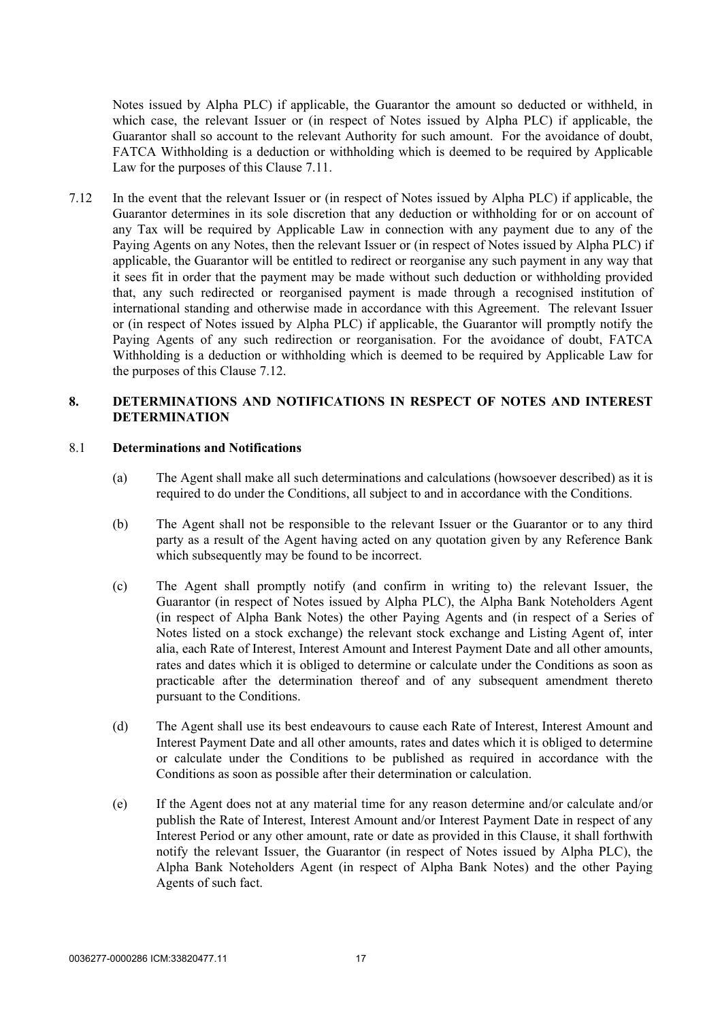Notes issued by Alpha PLC) if applicable, the Guarantor the amount so deducted or withheld, in which case, the relevant Issuer or (in respect of Notes issued by Alpha PLC) if applicable, the Guarantor shall so account to the relevant Authority for such amount. For the avoidance of doubt, FATCA Withholding is a deduction or withholding which is deemed to be required by Applicable Law for the purposes of this Clause [7.11](#page-18-1).

<span id="page-19-1"></span>7.12 In the event that the relevant Issuer or (in respect of Notes issued by Alpha PLC) if applicable, the Guarantor determines in its sole discretion that any deduction or withholding for or on account of any Tax will be required by Applicable Law in connection with any payment due to any of the Paying Agents on any Notes, then the relevant Issuer or (in respect of Notes issued by Alpha PLC) if applicable, the Guarantor will be entitled to redirect or reorganise any such payment in any way that it sees fit in order that the payment may be made without such deduction or withholding provided that, any such redirected or reorganised payment is made through a recognised institution of international standing and otherwise made in accordance with this Agreement. The relevant Issuer or (in respect of Notes issued by Alpha PLC) if applicable, the Guarantor will promptly notify the Paying Agents of any such redirection or reorganisation. For the avoidance of doubt, FATCA Withholding is a deduction or withholding which is deemed to be required by Applicable Law for the purposes of this Clause [7.12](#page-19-1).

#### <span id="page-19-0"></span>**8. DETERMINATIONS AND NOTIFICATIONS IN RESPECT OF NOTES AND INTEREST DETERMINATION**

#### 8.1 **Determinations and Notifications**

- (a) The Agent shall make all such determinations and calculations (howsoever described) as it is required to do under the Conditions, all subject to and in accordance with the Conditions.
- (b) The Agent shall not be responsible to the relevant Issuer or the Guarantor or to any third party as a result of the Agent having acted on any quotation given by any Reference Bank which subsequently may be found to be incorrect.
- (c) The Agent shall promptly notify (and confirm in writing to) the relevant Issuer, the Guarantor (in respect of Notes issued by Alpha PLC), the Alpha Bank Noteholders Agent (in respect of Alpha Bank Notes) the other Paying Agents and (in respect of a Series of Notes listed on a stock exchange) the relevant stock exchange and Listing Agent of, inter alia, each Rate of Interest, Interest Amount and Interest Payment Date and all other amounts, rates and dates which it is obliged to determine or calculate under the Conditions as soon as practicable after the determination thereof and of any subsequent amendment thereto pursuant to the Conditions.
- (d) The Agent shall use its best endeavours to cause each Rate of Interest, Interest Amount and Interest Payment Date and all other amounts, rates and dates which it is obliged to determine or calculate under the Conditions to be published as required in accordance with the Conditions as soon as possible after their determination or calculation.
- (e) If the Agent does not at any material time for any reason determine and/or calculate and/or publish the Rate of Interest, Interest Amount and/or Interest Payment Date in respect of any Interest Period or any other amount, rate or date as provided in this Clause, it shall forthwith notify the relevant Issuer, the Guarantor (in respect of Notes issued by Alpha PLC), the Alpha Bank Noteholders Agent (in respect of Alpha Bank Notes) and the other Paying Agents of such fact.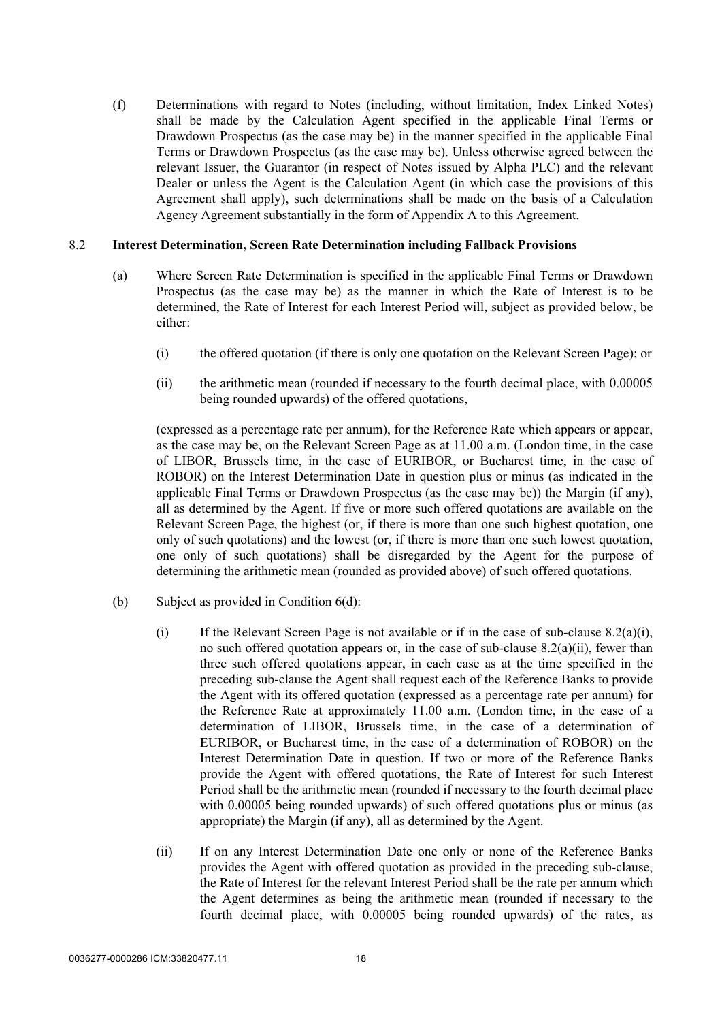(f) Determinations with regard to Notes (including, without limitation, Index Linked Notes) shall be made by the Calculation Agent specified in the applicable Final Terms or Drawdown Prospectus (as the case may be) in the manner specified in the applicable Final Terms or Drawdown Prospectus (as the case may be). Unless otherwise agreed between the relevant Issuer, the Guarantor (in respect of Notes issued by Alpha PLC) and the relevant Dealer or unless the Agent is the Calculation Agent (in which case the provisions of this Agreement shall apply), such determinations shall be made on the basis of a Calculation Agency Agreement substantially in the form of [Appendix A](#page-35-1) to this Agreement.

#### 8.2 **Interest Determination, Screen Rate Determination including Fallback Provisions**

- <span id="page-20-0"></span>(a) Where Screen Rate Determination is specified in the applicable Final Terms or Drawdown Prospectus (as the case may be) as the manner in which the Rate of Interest is to be determined, the Rate of Interest for each Interest Period will, subject as provided below, be either:
	- (i) the offered quotation (if there is only one quotation on the Relevant Screen Page); or
	- (ii) the arithmetic mean (rounded if necessary to the fourth decimal place, with 0.00005 being rounded upwards) of the offered quotations,

<span id="page-20-1"></span>(expressed as a percentage rate per annum), for the Reference Rate which appears or appear, as the case may be, on the Relevant Screen Page as at 11.00 a.m. (London time, in the case of LIBOR, Brussels time, in the case of EURIBOR, or Bucharest time, in the case of ROBOR) on the Interest Determination Date in question plus or minus (as indicated in the applicable Final Terms or Drawdown Prospectus (as the case may be)) the Margin (if any), all as determined by the Agent. If five or more such offered quotations are available on the Relevant Screen Page, the highest (or, if there is more than one such highest quotation, one only of such quotations) and the lowest (or, if there is more than one such lowest quotation, one only of such quotations) shall be disregarded by the Agent for the purpose of determining the arithmetic mean (rounded as provided above) of such offered quotations.

- (b) Subject as provided in Condition 6(d):
	- (i) If the Relevant Screen Page is not available or if in the case of sub-clause  $8.2(a)(i)$ , no such offered quotation appears or, in the case of sub-clause [8.2\(a\)\(ii\)](#page-20-1), fewer than three such offered quotations appear, in each case as at the time specified in the preceding sub-clause the Agent shall request each of the Reference Banks to provide the Agent with its offered quotation (expressed as a percentage rate per annum) for the Reference Rate at approximately 11.00 a.m. (London time, in the case of a determination of LIBOR, Brussels time, in the case of a determination of EURIBOR, or Bucharest time, in the case of a determination of ROBOR) on the Interest Determination Date in question. If two or more of the Reference Banks provide the Agent with offered quotations, the Rate of Interest for such Interest Period shall be the arithmetic mean (rounded if necessary to the fourth decimal place with 0.00005 being rounded upwards) of such offered quotations plus or minus (as appropriate) the Margin (if any), all as determined by the Agent.
	- (ii) If on any Interest Determination Date one only or none of the Reference Banks provides the Agent with offered quotation as provided in the preceding sub-clause, the Rate of Interest for the relevant Interest Period shall be the rate per annum which the Agent determines as being the arithmetic mean (rounded if necessary to the fourth decimal place, with 0.00005 being rounded upwards) of the rates, as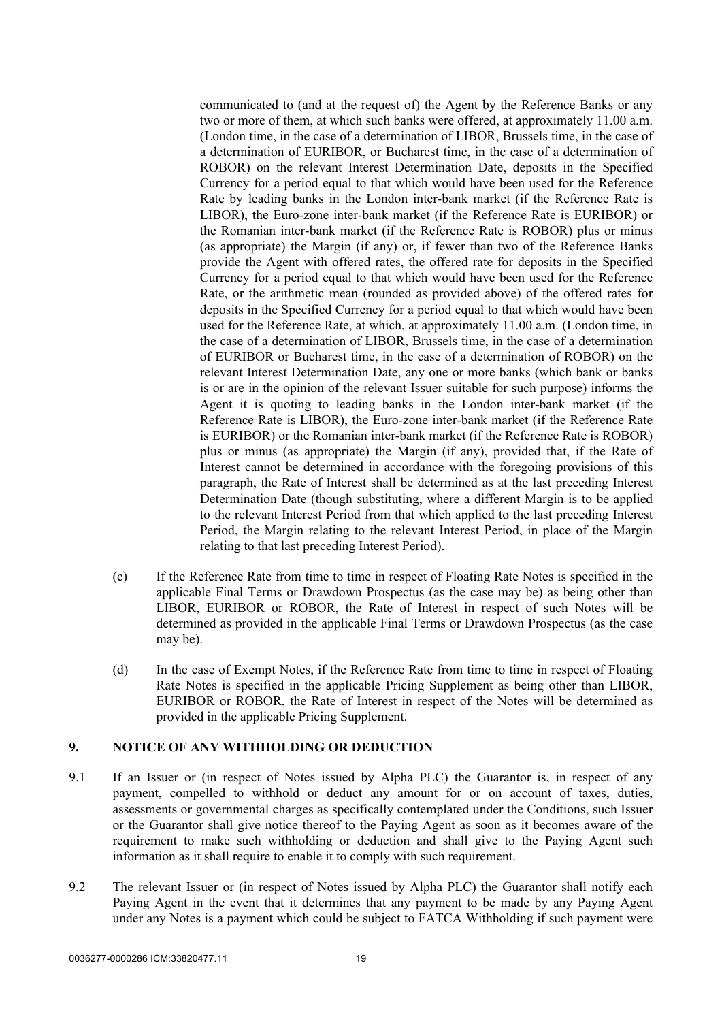communicated to (and at the request of) the Agent by the Reference Banks or any two or more of them, at which such banks were offered, at approximately 11.00 a.m. (London time, in the case of a determination of LIBOR, Brussels time, in the case of a determination of EURIBOR, or Bucharest time, in the case of a determination of ROBOR) on the relevant Interest Determination Date, deposits in the Specified Currency for a period equal to that which would have been used for the Reference Rate by leading banks in the London inter-bank market (if the Reference Rate is LIBOR), the Euro-zone inter-bank market (if the Reference Rate is EURIBOR) or the Romanian inter-bank market (if the Reference Rate is ROBOR) plus or minus (as appropriate) the Margin (if any) or, if fewer than two of the Reference Banks provide the Agent with offered rates, the offered rate for deposits in the Specified Currency for a period equal to that which would have been used for the Reference Rate, or the arithmetic mean (rounded as provided above) of the offered rates for deposits in the Specified Currency for a period equal to that which would have been used for the Reference Rate, at which, at approximately 11.00 a.m. (London time, in the case of a determination of LIBOR, Brussels time, in the case of a determination of EURIBOR or Bucharest time, in the case of a determination of ROBOR) on the relevant Interest Determination Date, any one or more banks (which bank or banks is or are in the opinion of the relevant Issuer suitable for such purpose) informs the Agent it is quoting to leading banks in the London inter-bank market (if the Reference Rate is LIBOR), the Euro-zone inter-bank market (if the Reference Rate is EURIBOR) or the Romanian inter-bank market (if the Reference Rate is ROBOR) plus or minus (as appropriate) the Margin (if any), provided that, if the Rate of Interest cannot be determined in accordance with the foregoing provisions of this paragraph, the Rate of Interest shall be determined as at the last preceding Interest Determination Date (though substituting, where a different Margin is to be applied to the relevant Interest Period from that which applied to the last preceding Interest Period, the Margin relating to the relevant Interest Period, in place of the Margin relating to that last preceding Interest Period).

- (c) If the Reference Rate from time to time in respect of Floating Rate Notes is specified in the applicable Final Terms or Drawdown Prospectus (as the case may be) as being other than LIBOR, EURIBOR or ROBOR, the Rate of Interest in respect of such Notes will be determined as provided in the applicable Final Terms or Drawdown Prospectus (as the case may be).
- (d) In the case of Exempt Notes, if the Reference Rate from time to time in respect of Floating Rate Notes is specified in the applicable Pricing Supplement as being other than LIBOR, EURIBOR or ROBOR, the Rate of Interest in respect of the Notes will be determined as provided in the applicable Pricing Supplement.

#### <span id="page-21-0"></span>**9. NOTICE OF ANY WITHHOLDING OR DEDUCTION**

- 9.1 If an Issuer or (in respect of Notes issued by Alpha PLC) the Guarantor is, in respect of any payment, compelled to withhold or deduct any amount for or on account of taxes, duties, assessments or governmental charges as specifically contemplated under the Conditions, such Issuer or the Guarantor shall give notice thereof to the Paying Agent as soon as it becomes aware of the requirement to make such withholding or deduction and shall give to the Paying Agent such information as it shall require to enable it to comply with such requirement.
- <span id="page-21-1"></span>9.2 The relevant Issuer or (in respect of Notes issued by Alpha PLC) the Guarantor shall notify each Paying Agent in the event that it determines that any payment to be made by any Paying Agent under any Notes is a payment which could be subject to FATCA Withholding if such payment were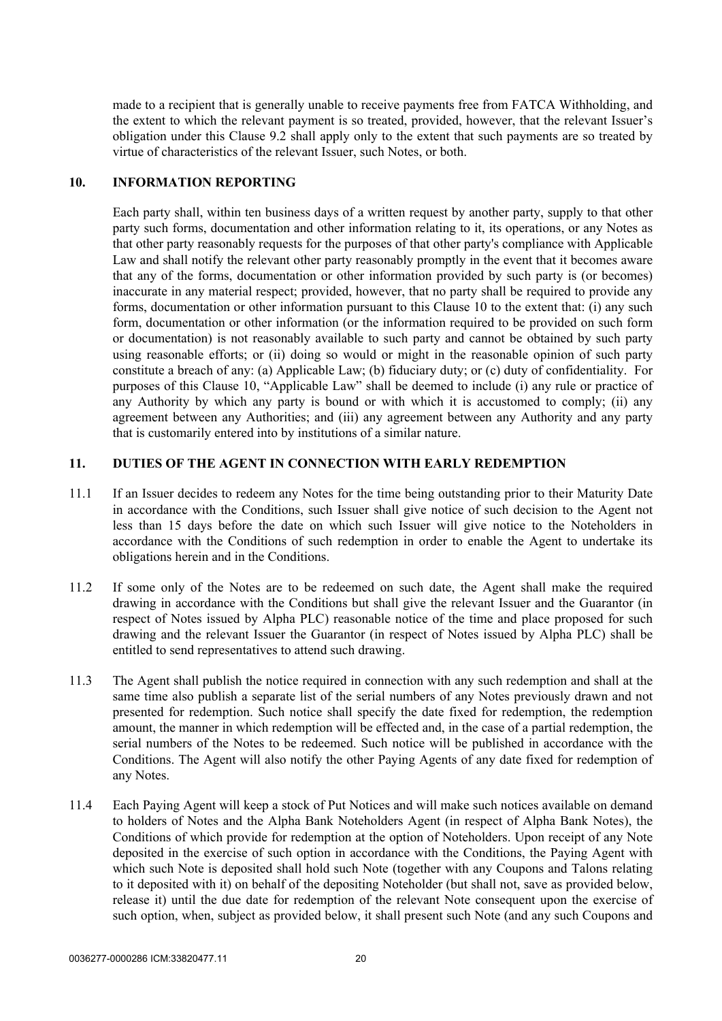made to a recipient that is generally unable to receive payments free from FATCA Withholding, and the extent to which the relevant payment is so treated, provided, however, that the relevant Issuer's obligation under this Clause [9.2](#page-21-1) shall apply only to the extent that such payments are so treated by virtue of characteristics of the relevant Issuer, such Notes, or both.

# <span id="page-22-0"></span>**10. INFORMATION REPORTING**

Each party shall, within ten business days of a written request by another party, supply to that other party such forms, documentation and other information relating to it, its operations, or any Notes as that other party reasonably requests for the purposes of that other party's compliance with Applicable Law and shall notify the relevant other party reasonably promptly in the event that it becomes aware that any of the forms, documentation or other information provided by such party is (or becomes) inaccurate in any material respect; provided, however, that no party shall be required to provide any forms, documentation or other information pursuant to this Clause [10](#page-22-0) to the extent that: (i) any such form, documentation or other information (or the information required to be provided on such form or documentation) is not reasonably available to such party and cannot be obtained by such party using reasonable efforts; or (ii) doing so would or might in the reasonable opinion of such party constitute a breach of any: (a) Applicable Law; (b) fiduciary duty; or (c) duty of confidentiality. For purposes of this Clause [10](#page-22-0), "Applicable Law" shall be deemed to include (i) any rule or practice of any Authority by which any party is bound or with which it is accustomed to comply; (ii) any agreement between any Authorities; and (iii) any agreement between any Authority and any party that is customarily entered into by institutions of a similar nature.

## <span id="page-22-1"></span>**11. DUTIES OF THE AGENT IN CONNECTION WITH EARLY REDEMPTION**

- 11.1 If an Issuer decides to redeem any Notes for the time being outstanding prior to their Maturity Date in accordance with the Conditions, such Issuer shall give notice of such decision to the Agent not less than 15 days before the date on which such Issuer will give notice to the Noteholders in accordance with the Conditions of such redemption in order to enable the Agent to undertake its obligations herein and in the Conditions.
- 11.2 If some only of the Notes are to be redeemed on such date, the Agent shall make the required drawing in accordance with the Conditions but shall give the relevant Issuer and the Guarantor (in respect of Notes issued by Alpha PLC) reasonable notice of the time and place proposed for such drawing and the relevant Issuer the Guarantor (in respect of Notes issued by Alpha PLC) shall be entitled to send representatives to attend such drawing.
- 11.3 The Agent shall publish the notice required in connection with any such redemption and shall at the same time also publish a separate list of the serial numbers of any Notes previously drawn and not presented for redemption. Such notice shall specify the date fixed for redemption, the redemption amount, the manner in which redemption will be effected and, in the case of a partial redemption, the serial numbers of the Notes to be redeemed. Such notice will be published in accordance with the Conditions. The Agent will also notify the other Paying Agents of any date fixed for redemption of any Notes.
- 11.4 Each Paying Agent will keep a stock of Put Notices and will make such notices available on demand to holders of Notes and the Alpha Bank Noteholders Agent (in respect of Alpha Bank Notes), the Conditions of which provide for redemption at the option of Noteholders. Upon receipt of any Note deposited in the exercise of such option in accordance with the Conditions, the Paying Agent with which such Note is deposited shall hold such Note (together with any Coupons and Talons relating to it deposited with it) on behalf of the depositing Noteholder (but shall not, save as provided below, release it) until the due date for redemption of the relevant Note consequent upon the exercise of such option, when, subject as provided below, it shall present such Note (and any such Coupons and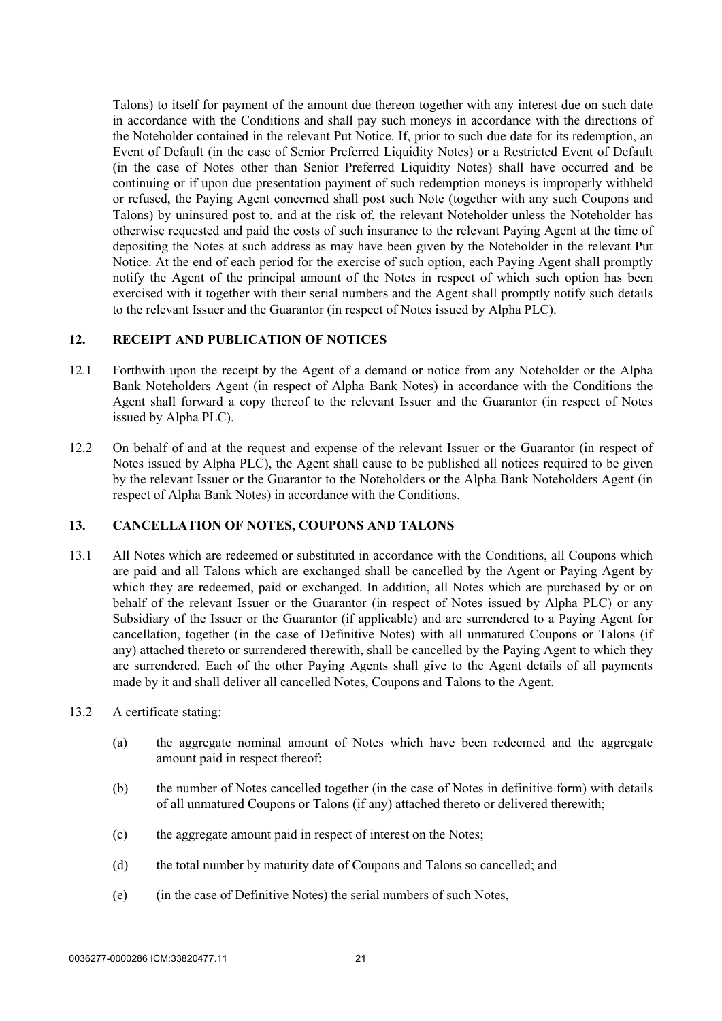Talons) to itself for payment of the amount due thereon together with any interest due on such date in accordance with the Conditions and shall pay such moneys in accordance with the directions of the Noteholder contained in the relevant Put Notice. If, prior to such due date for its redemption, an Event of Default (in the case of Senior Preferred Liquidity Notes) or a Restricted Event of Default (in the case of Notes other than Senior Preferred Liquidity Notes) shall have occurred and be continuing or if upon due presentation payment of such redemption moneys is improperly withheld or refused, the Paying Agent concerned shall post such Note (together with any such Coupons and Talons) by uninsured post to, and at the risk of, the relevant Noteholder unless the Noteholder has otherwise requested and paid the costs of such insurance to the relevant Paying Agent at the time of depositing the Notes at such address as may have been given by the Noteholder in the relevant Put Notice. At the end of each period for the exercise of such option, each Paying Agent shall promptly notify the Agent of the principal amount of the Notes in respect of which such option has been exercised with it together with their serial numbers and the Agent shall promptly notify such details to the relevant Issuer and the Guarantor (in respect of Notes issued by Alpha PLC).

## <span id="page-23-0"></span>**12. RECEIPT AND PUBLICATION OF NOTICES**

- 12.1 Forthwith upon the receipt by the Agent of a demand or notice from any Noteholder or the Alpha Bank Noteholders Agent (in respect of Alpha Bank Notes) in accordance with the Conditions the Agent shall forward a copy thereof to the relevant Issuer and the Guarantor (in respect of Notes issued by Alpha PLC).
- 12.2 On behalf of and at the request and expense of the relevant Issuer or the Guarantor (in respect of Notes issued by Alpha PLC), the Agent shall cause to be published all notices required to be given by the relevant Issuer or the Guarantor to the Noteholders or the Alpha Bank Noteholders Agent (in respect of Alpha Bank Notes) in accordance with the Conditions.

## <span id="page-23-1"></span>**13. CANCELLATION OF NOTES, COUPONS AND TALONS**

- 13.1 All Notes which are redeemed or substituted in accordance with the Conditions, all Coupons which are paid and all Talons which are exchanged shall be cancelled by the Agent or Paying Agent by which they are redeemed, paid or exchanged. In addition, all Notes which are purchased by or on behalf of the relevant Issuer or the Guarantor (in respect of Notes issued by Alpha PLC) or any Subsidiary of the Issuer or the Guarantor (if applicable) and are surrendered to a Paying Agent for cancellation, together (in the case of Definitive Notes) with all unmatured Coupons or Talons (if any) attached thereto or surrendered therewith, shall be cancelled by the Paying Agent to which they are surrendered. Each of the other Paying Agents shall give to the Agent details of all payments made by it and shall deliver all cancelled Notes, Coupons and Talons to the Agent.
- <span id="page-23-2"></span>13.2 A certificate stating:
	- (a) the aggregate nominal amount of Notes which have been redeemed and the aggregate amount paid in respect thereof;
	- (b) the number of Notes cancelled together (in the case of Notes in definitive form) with details of all unmatured Coupons or Talons (if any) attached thereto or delivered therewith;
	- (c) the aggregate amount paid in respect of interest on the Notes;
	- (d) the total number by maturity date of Coupons and Talons so cancelled; and
	- (e) (in the case of Definitive Notes) the serial numbers of such Notes,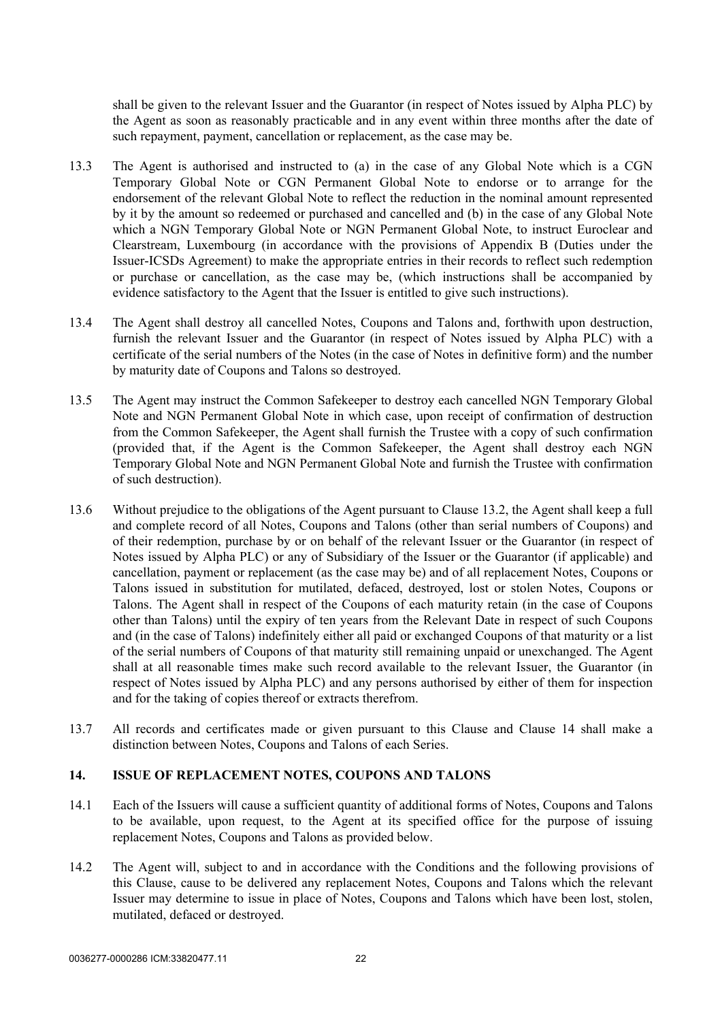shall be given to the relevant Issuer and the Guarantor (in respect of Notes issued by Alpha PLC) by the Agent as soon as reasonably practicable and in any event within three months after the date of such repayment, payment, cancellation or replacement, as the case may be.

- <span id="page-24-1"></span>13.3 The Agent is authorised and instructed to (a) in the case of any Global Note which is a CGN Temporary Global Note or CGN Permanent Global Note to endorse or to arrange for the endorsement of the relevant Global Note to reflect the reduction in the nominal amount represented by it by the amount so redeemed or purchased and cancelled and (b) in the case of any Global Note which a NGN Temporary Global Note or NGN Permanent Global Note, to instruct Euroclear and Clearstream, Luxembourg (in accordance with the provisions of [Appendix B](#page-43-1) (Duties under the Issuer-ICSDs Agreement) to make the appropriate entries in their records to reflect such redemption or purchase or cancellation, as the case may be, (which instructions shall be accompanied by evidence satisfactory to the Agent that the Issuer is entitled to give such instructions).
- 13.4 The Agent shall destroy all cancelled Notes, Coupons and Talons and, forthwith upon destruction, furnish the relevant Issuer and the Guarantor (in respect of Notes issued by Alpha PLC) with a certificate of the serial numbers of the Notes (in the case of Notes in definitive form) and the number by maturity date of Coupons and Talons so destroyed.
- <span id="page-24-2"></span>13.5 The Agent may instruct the Common Safekeeper to destroy each cancelled NGN Temporary Global Note and NGN Permanent Global Note in which case, upon receipt of confirmation of destruction from the Common Safekeeper, the Agent shall furnish the Trustee with a copy of such confirmation (provided that, if the Agent is the Common Safekeeper, the Agent shall destroy each NGN Temporary Global Note and NGN Permanent Global Note and furnish the Trustee with confirmation of such destruction).
- 13.6 Without prejudice to the obligations of the Agent pursuant to Clause [13.2,](#page-23-2) the Agent shall keep a full and complete record of all Notes, Coupons and Talons (other than serial numbers of Coupons) and of their redemption, purchase by or on behalf of the relevant Issuer or the Guarantor (in respect of Notes issued by Alpha PLC) or any of Subsidiary of the Issuer or the Guarantor (if applicable) and cancellation, payment or replacement (as the case may be) and of all replacement Notes, Coupons or Talons issued in substitution for mutilated, defaced, destroyed, lost or stolen Notes, Coupons or Talons. The Agent shall in respect of the Coupons of each maturity retain (in the case of Coupons other than Talons) until the expiry of ten years from the Relevant Date in respect of such Coupons and (in the case of Talons) indefinitely either all paid or exchanged Coupons of that maturity or a list of the serial numbers of Coupons of that maturity still remaining unpaid or unexchanged. The Agent shall at all reasonable times make such record available to the relevant Issuer, the Guarantor (in respect of Notes issued by Alpha PLC) and any persons authorised by either of them for inspection and for the taking of copies thereof or extracts therefrom.
- 13.7 All records and certificates made or given pursuant to this Clause and Clause [14](#page-24-0) shall make a distinction between Notes, Coupons and Talons of each Series.

#### <span id="page-24-0"></span>**14. ISSUE OF REPLACEMENT NOTES, COUPONS AND TALONS**

- 14.1 Each of the Issuers will cause a sufficient quantity of additional forms of Notes, Coupons and Talons to be available, upon request, to the Agent at its specified office for the purpose of issuing replacement Notes, Coupons and Talons as provided below.
- 14.2 The Agent will, subject to and in accordance with the Conditions and the following provisions of this Clause, cause to be delivered any replacement Notes, Coupons and Talons which the relevant Issuer may determine to issue in place of Notes, Coupons and Talons which have been lost, stolen, mutilated, defaced or destroyed.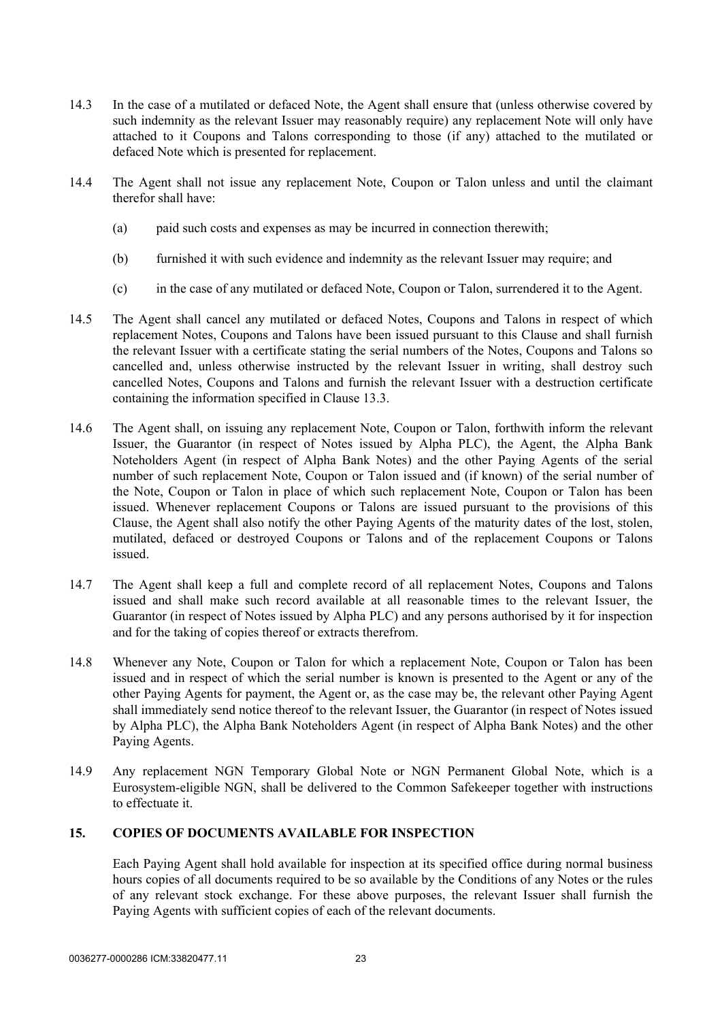- 14.3 In the case of a mutilated or defaced Note, the Agent shall ensure that (unless otherwise covered by such indemnity as the relevant Issuer may reasonably require) any replacement Note will only have attached to it Coupons and Talons corresponding to those (if any) attached to the mutilated or defaced Note which is presented for replacement.
- 14.4 The Agent shall not issue any replacement Note, Coupon or Talon unless and until the claimant therefor shall have:
	- (a) paid such costs and expenses as may be incurred in connection therewith;
	- (b) furnished it with such evidence and indemnity as the relevant Issuer may require; and
	- (c) in the case of any mutilated or defaced Note, Coupon or Talon, surrendered it to the Agent.
- 14.5 The Agent shall cancel any mutilated or defaced Notes, Coupons and Talons in respect of which replacement Notes, Coupons and Talons have been issued pursuant to this Clause and shall furnish the relevant Issuer with a certificate stating the serial numbers of the Notes, Coupons and Talons so cancelled and, unless otherwise instructed by the relevant Issuer in writing, shall destroy such cancelled Notes, Coupons and Talons and furnish the relevant Issuer with a destruction certificate containing the information specified in Clause [13.3.](#page-24-1)
- 14.6 The Agent shall, on issuing any replacement Note, Coupon or Talon, forthwith inform the relevant Issuer, the Guarantor (in respect of Notes issued by Alpha PLC), the Agent, the Alpha Bank Noteholders Agent (in respect of Alpha Bank Notes) and the other Paying Agents of the serial number of such replacement Note, Coupon or Talon issued and (if known) of the serial number of the Note, Coupon or Talon in place of which such replacement Note, Coupon or Talon has been issued. Whenever replacement Coupons or Talons are issued pursuant to the provisions of this Clause, the Agent shall also notify the other Paying Agents of the maturity dates of the lost, stolen, mutilated, defaced or destroyed Coupons or Talons and of the replacement Coupons or Talons issued.
- <span id="page-25-1"></span>14.7 The Agent shall keep a full and complete record of all replacement Notes, Coupons and Talons issued and shall make such record available at all reasonable times to the relevant Issuer, the Guarantor (in respect of Notes issued by Alpha PLC) and any persons authorised by it for inspection and for the taking of copies thereof or extracts therefrom.
- 14.8 Whenever any Note, Coupon or Talon for which a replacement Note, Coupon or Talon has been issued and in respect of which the serial number is known is presented to the Agent or any of the other Paying Agents for payment, the Agent or, as the case may be, the relevant other Paying Agent shall immediately send notice thereof to the relevant Issuer, the Guarantor (in respect of Notes issued by Alpha PLC), the Alpha Bank Noteholders Agent (in respect of Alpha Bank Notes) and the other Paying Agents.
- 14.9 Any replacement NGN Temporary Global Note or NGN Permanent Global Note, which is a Eurosystem-eligible NGN, shall be delivered to the Common Safekeeper together with instructions to effectuate it.

# <span id="page-25-0"></span>**15. COPIES OF DOCUMENTS AVAILABLE FOR INSPECTION**

Each Paying Agent shall hold available for inspection at its specified office during normal business hours copies of all documents required to be so available by the Conditions of any Notes or the rules of any relevant stock exchange. For these above purposes, the relevant Issuer shall furnish the Paying Agents with sufficient copies of each of the relevant documents.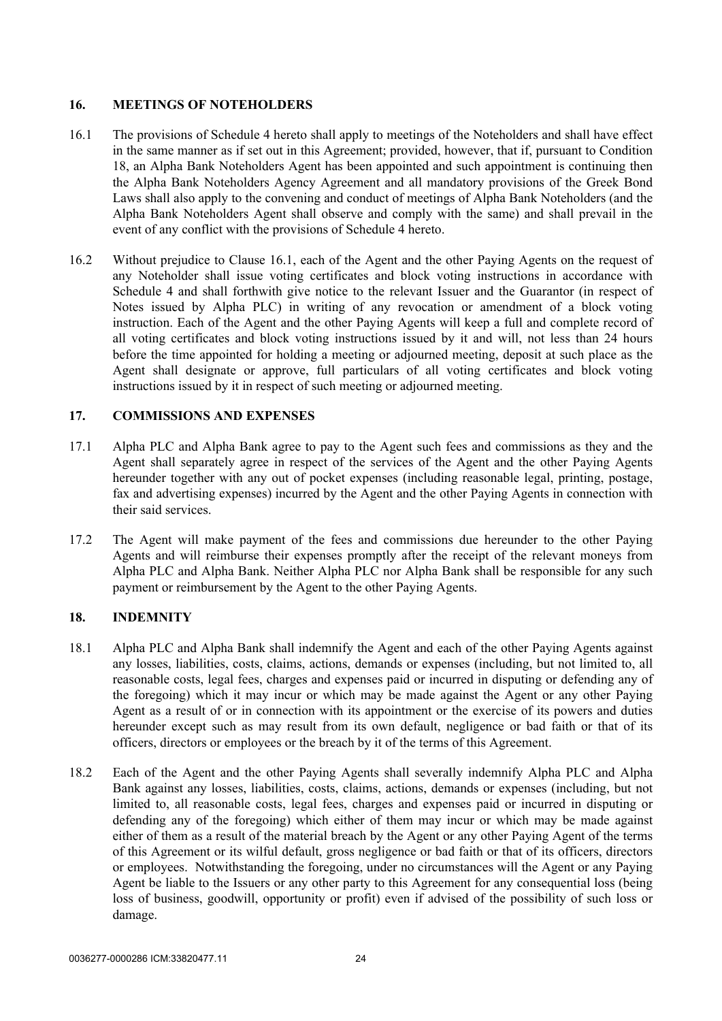# <span id="page-26-0"></span>**16. MEETINGS OF NOTEHOLDERS**

- <span id="page-26-3"></span>16.1 The provisions of [Schedule 4](#page-125-1) hereto shall apply to meetings of the Noteholders and shall have effect in the same manner as if set out in this Agreement; provided, however, that if, pursuant to Condition 18, an Alpha Bank Noteholders Agent has been appointed and such appointment is continuing then the Alpha Bank Noteholders Agency Agreement and all mandatory provisions of the Greek Bond Laws shall also apply to the convening and conduct of meetings of Alpha Bank Noteholders (and the Alpha Bank Noteholders Agent shall observe and comply with the same) and shall prevail in the event of any conflict with the provisions of Schedule 4 hereto.
- 16.2 Without prejudice to Clause [16.1,](#page-26-3) each of the Agent and the other Paying Agents on the request of any Noteholder shall issue voting certificates and block voting instructions in accordance with [Schedule 4](#page-125-1) and shall forthwith give notice to the relevant Issuer and the Guarantor (in respect of Notes issued by Alpha PLC) in writing of any revocation or amendment of a block voting instruction. Each of the Agent and the other Paying Agents will keep a full and complete record of all voting certificates and block voting instructions issued by it and will, not less than 24 hours before the time appointed for holding a meeting or adjourned meeting, deposit at such place as the Agent shall designate or approve, full particulars of all voting certificates and block voting instructions issued by it in respect of such meeting or adjourned meeting.

## <span id="page-26-1"></span>**17. COMMISSIONS AND EXPENSES**

- 17.1 Alpha PLC and Alpha Bank agree to pay to the Agent such fees and commissions as they and the Agent shall separately agree in respect of the services of the Agent and the other Paying Agents hereunder together with any out of pocket expenses (including reasonable legal, printing, postage, fax and advertising expenses) incurred by the Agent and the other Paying Agents in connection with their said services.
- 17.2 The Agent will make payment of the fees and commissions due hereunder to the other Paying Agents and will reimburse their expenses promptly after the receipt of the relevant moneys from Alpha PLC and Alpha Bank. Neither Alpha PLC nor Alpha Bank shall be responsible for any such payment or reimbursement by the Agent to the other Paying Agents.

# <span id="page-26-2"></span>**18. INDEMNITY**

- <span id="page-26-4"></span>18.1 Alpha PLC and Alpha Bank shall indemnify the Agent and each of the other Paying Agents against any losses, liabilities, costs, claims, actions, demands or expenses (including, but not limited to, all reasonable costs, legal fees, charges and expenses paid or incurred in disputing or defending any of the foregoing) which it may incur or which may be made against the Agent or any other Paying Agent as a result of or in connection with its appointment or the exercise of its powers and duties hereunder except such as may result from its own default, negligence or bad faith or that of its officers, directors or employees or the breach by it of the terms of this Agreement.
- <span id="page-26-5"></span>18.2 Each of the Agent and the other Paying Agents shall severally indemnify Alpha PLC and Alpha Bank against any losses, liabilities, costs, claims, actions, demands or expenses (including, but not limited to, all reasonable costs, legal fees, charges and expenses paid or incurred in disputing or defending any of the foregoing) which either of them may incur or which may be made against either of them as a result of the material breach by the Agent or any other Paying Agent of the terms of this Agreement or its wilful default, gross negligence or bad faith or that of its officers, directors or employees. Notwithstanding the foregoing, under no circumstances will the Agent or any Paying Agent be liable to the Issuers or any other party to this Agreement for any consequential loss (being loss of business, goodwill, opportunity or profit) even if advised of the possibility of such loss or damage.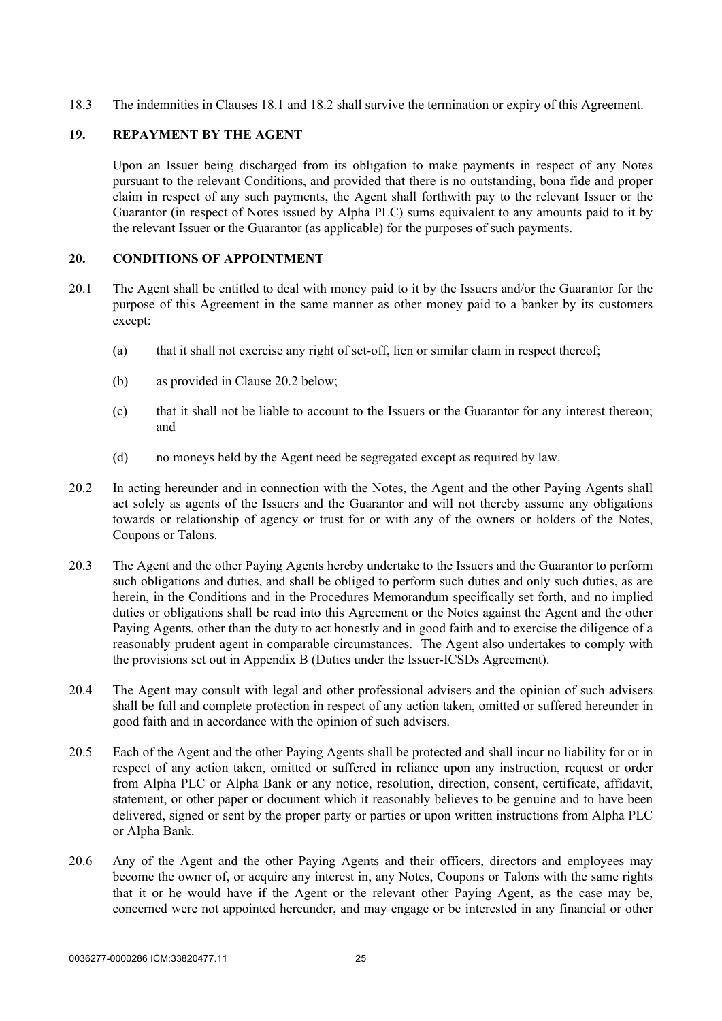<span id="page-27-0"></span>18.3 The indemnities in Clauses [18.1](#page-26-4) and [18.2](#page-26-5) shall survive the termination or expiry of this Agreement.

## **19. REPAYMENT BY THE AGENT**

Upon an Issuer being discharged from its obligation to make payments in respect of any Notes pursuant to the relevant Conditions, and provided that there is no outstanding, bona fide and proper claim in respect of any such payments, the Agent shall forthwith pay to the relevant Issuer or the Guarantor (in respect of Notes issued by Alpha PLC) sums equivalent to any amounts paid to it by the relevant Issuer or the Guarantor (as applicable) for the purposes of such payments.

## <span id="page-27-1"></span>**20. CONDITIONS OF APPOINTMENT**

- 20.1 The Agent shall be entitled to deal with money paid to it by the Issuers and/or the Guarantor for the purpose of this Agreement in the same manner as other money paid to a banker by its customers except:
	- (a) that it shall not exercise any right of set-off, lien or similar claim in respect thereof;
	- (b) as provided in Clause [20.2 below;](#page-27-2)
	- (c) that it shall not be liable to account to the Issuers or the Guarantor for any interest thereon; and
	- (d) no moneys held by the Agent need be segregated except as required by law.
- <span id="page-27-2"></span>20.2 In acting hereunder and in connection with the Notes, the Agent and the other Paying Agents shall act solely as agents of the Issuers and the Guarantor and will not thereby assume any obligations towards or relationship of agency or trust for or with any of the owners or holders of the Notes, Coupons or Talons.
- 20.3 The Agent and the other Paying Agents hereby undertake to the Issuers and the Guarantor to perform such obligations and duties, and shall be obliged to perform such duties and only such duties, as are herein, in the Conditions and in the Procedures Memorandum specifically set forth, and no implied duties or obligations shall be read into this Agreement or the Notes against the Agent and the other Paying Agents, other than the duty to act honestly and in good faith and to exercise the diligence of a reasonably prudent agent in comparable circumstances. The Agent also undertakes to comply with the provisions set out in [Appendix B](#page-43-1) (Duties under the Issuer-ICSDs Agreement).
- 20.4 The Agent may consult with legal and other professional advisers and the opinion of such advisers shall be full and complete protection in respect of any action taken, omitted or suffered hereunder in good faith and in accordance with the opinion of such advisers.
- 20.5 Each of the Agent and the other Paying Agents shall be protected and shall incur no liability for or in respect of any action taken, omitted or suffered in reliance upon any instruction, request or order from Alpha PLC or Alpha Bank or any notice, resolution, direction, consent, certificate, affidavit, statement, or other paper or document which it reasonably believes to be genuine and to have been delivered, signed or sent by the proper party or parties or upon written instructions from Alpha PLC or Alpha Bank.
- 20.6 Any of the Agent and the other Paying Agents and their officers, directors and employees may become the owner of, or acquire any interest in, any Notes, Coupons or Talons with the same rights that it or he would have if the Agent or the relevant other Paying Agent, as the case may be, concerned were not appointed hereunder, and may engage or be interested in any financial or other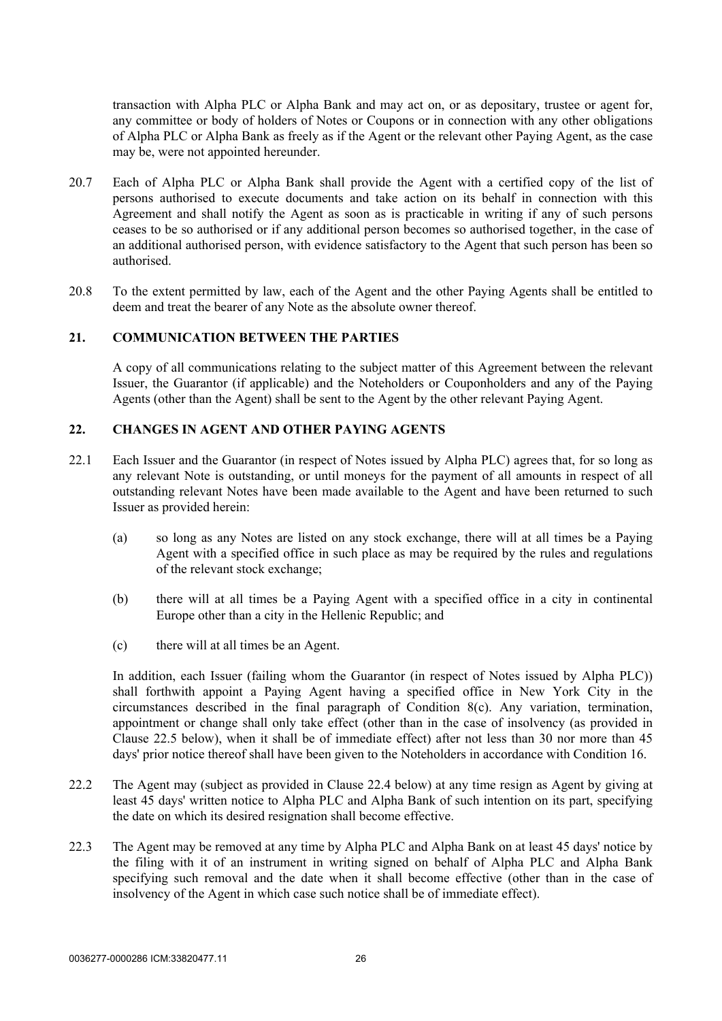transaction with Alpha PLC or Alpha Bank and may act on, or as depositary, trustee or agent for, any committee or body of holders of Notes or Coupons or in connection with any other obligations of Alpha PLC or Alpha Bank as freely as if the Agent or the relevant other Paying Agent, as the case may be, were not appointed hereunder.

- <span id="page-28-2"></span>20.7 Each of Alpha PLC or Alpha Bank shall provide the Agent with a certified copy of the list of persons authorised to execute documents and take action on its behalf in connection with this Agreement and shall notify the Agent as soon as is practicable in writing if any of such persons ceases to be so authorised or if any additional person becomes so authorised together, in the case of an additional authorised person, with evidence satisfactory to the Agent that such person has been so authorised.
- 20.8 To the extent permitted by law, each of the Agent and the other Paying Agents shall be entitled to deem and treat the bearer of any Note as the absolute owner thereof.

#### <span id="page-28-0"></span>**21. COMMUNICATION BETWEEN THE PARTIES**

A copy of all communications relating to the subject matter of this Agreement between the relevant Issuer, the Guarantor (if applicable) and the Noteholders or Couponholders and any of the Paying Agents (other than the Agent) shall be sent to the Agent by the other relevant Paying Agent.

#### <span id="page-28-5"></span><span id="page-28-1"></span>**22. CHANGES IN AGENT AND OTHER PAYING AGENTS**

- 22.1 Each Issuer and the Guarantor (in respect of Notes issued by Alpha PLC) agrees that, for so long as any relevant Note is outstanding, or until moneys for the payment of all amounts in respect of all outstanding relevant Notes have been made available to the Agent and have been returned to such Issuer as provided herein:
	- (a) so long as any Notes are listed on any stock exchange, there will at all times be a Paying Agent with a specified office in such place as may be required by the rules and regulations of the relevant stock exchange;
	- (b) there will at all times be a Paying Agent with a specified office in a city in continental Europe other than a city in the Hellenic Republic; and
	- (c) there will at all times be an Agent.

In addition, each Issuer (failing whom the Guarantor (in respect of Notes issued by Alpha PLC)) shall forthwith appoint a Paying Agent having a specified office in New York City in the circumstances described in the final paragraph of Condition 8(c). Any variation, termination, appointment or change shall only take effect (other than in the case of insolvency (as provided in Clause [22.5 below\)](#page-29-0), when it shall be of immediate effect) after not less than 30 nor more than 45 days' prior notice thereof shall have been given to the Noteholders in accordance with Condition 16.

- <span id="page-28-3"></span>22.2 The Agent may (subject as provided in Clause [22.4 below](#page-29-1)) at any time resign as Agent by giving at least 45 days' written notice to Alpha PLC and Alpha Bank of such intention on its part, specifying the date on which its desired resignation shall become effective.
- <span id="page-28-4"></span>22.3 The Agent may be removed at any time by Alpha PLC and Alpha Bank on at least 45 days' notice by the filing with it of an instrument in writing signed on behalf of Alpha PLC and Alpha Bank specifying such removal and the date when it shall become effective (other than in the case of insolvency of the Agent in which case such notice shall be of immediate effect).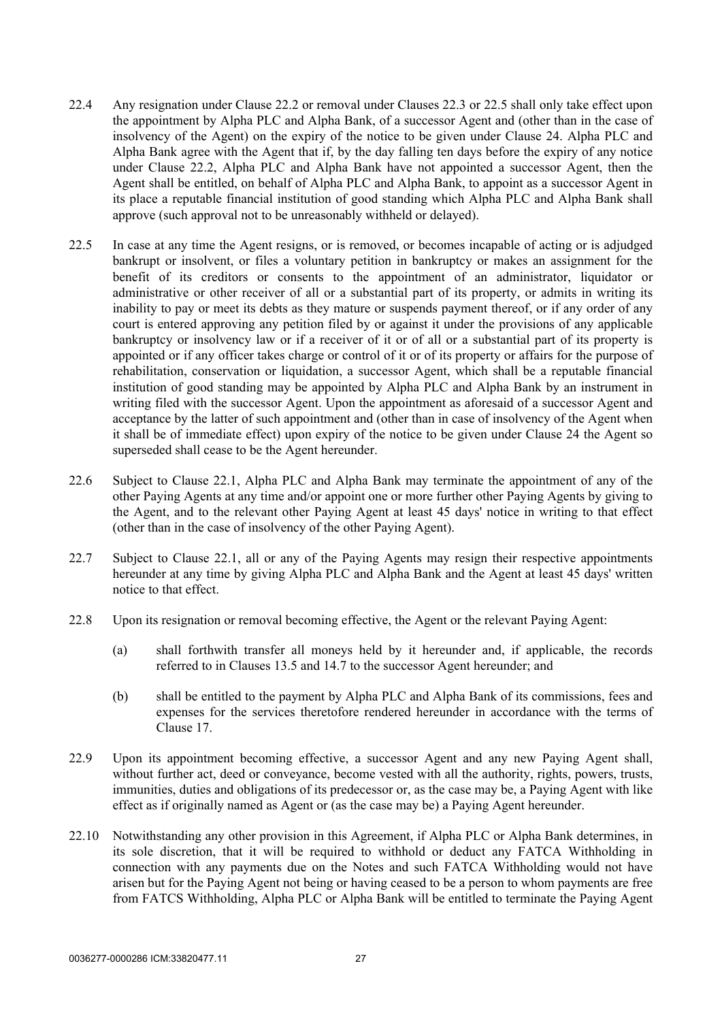- <span id="page-29-1"></span>22.4 Any resignation under Clause [22.2](#page-28-3) or removal under Clauses [22.3](#page-28-4) or [22.5](#page-29-0) shall only take effect upon the appointment by Alpha PLC and Alpha Bank, of a successor Agent and (other than in the case of insolvency of the Agent) on the expiry of the notice to be given under Clause [24](#page-30-1). Alpha PLC and Alpha Bank agree with the Agent that if, by the day falling ten days before the expiry of any notice under Clause [22.2](#page-28-3), Alpha PLC and Alpha Bank have not appointed a successor Agent, then the Agent shall be entitled, on behalf of Alpha PLC and Alpha Bank, to appoint as a successor Agent in its place a reputable financial institution of good standing which Alpha PLC and Alpha Bank shall approve (such approval not to be unreasonably withheld or delayed).
- <span id="page-29-0"></span>22.5 In case at any time the Agent resigns, or is removed, or becomes incapable of acting or is adjudged bankrupt or insolvent, or files a voluntary petition in bankruptcy or makes an assignment for the benefit of its creditors or consents to the appointment of an administrator, liquidator or administrative or other receiver of all or a substantial part of its property, or admits in writing its inability to pay or meet its debts as they mature or suspends payment thereof, or if any order of any court is entered approving any petition filed by or against it under the provisions of any applicable bankruptcy or insolvency law or if a receiver of it or of all or a substantial part of its property is appointed or if any officer takes charge or control of it or of its property or affairs for the purpose of rehabilitation, conservation or liquidation, a successor Agent, which shall be a reputable financial institution of good standing may be appointed by Alpha PLC and Alpha Bank by an instrument in writing filed with the successor Agent. Upon the appointment as aforesaid of a successor Agent and acceptance by the latter of such appointment and (other than in case of insolvency of the Agent when it shall be of immediate effect) upon expiry of the notice to be given under Clause [24](#page-30-1) the Agent so superseded shall cease to be the Agent hereunder.
- 22.6 Subject to Clause [22.1](#page-28-5), Alpha PLC and Alpha Bank may terminate the appointment of any of the other Paying Agents at any time and/or appoint one or more further other Paying Agents by giving to the Agent, and to the relevant other Paying Agent at least 45 days' notice in writing to that effect (other than in the case of insolvency of the other Paying Agent).
- 22.7 Subject to Clause [22.1](#page-28-5), all or any of the Paying Agents may resign their respective appointments hereunder at any time by giving Alpha PLC and Alpha Bank and the Agent at least 45 days' written notice to that effect.
- 22.8 Upon its resignation or removal becoming effective, the Agent or the relevant Paying Agent:
	- (a) shall forthwith transfer all moneys held by it hereunder and, if applicable, the records referred to in Clauses [13.5](#page-24-2) and [14.7](#page-25-1) to the successor Agent hereunder; and
	- (b) shall be entitled to the payment by Alpha PLC and Alpha Bank of its commissions, fees and expenses for the services theretofore rendered hereunder in accordance with the terms of Clause [17.](#page-26-1)
- 22.9 Upon its appointment becoming effective, a successor Agent and any new Paying Agent shall, without further act, deed or conveyance, become vested with all the authority, rights, powers, trusts, immunities, duties and obligations of its predecessor or, as the case may be, a Paying Agent with like effect as if originally named as Agent or (as the case may be) a Paying Agent hereunder.
- 22.10 Notwithstanding any other provision in this Agreement, if Alpha PLC or Alpha Bank determines, in its sole discretion, that it will be required to withhold or deduct any FATCA Withholding in connection with any payments due on the Notes and such FATCA Withholding would not have arisen but for the Paying Agent not being or having ceased to be a person to whom payments are free from FATCS Withholding, Alpha PLC or Alpha Bank will be entitled to terminate the Paying Agent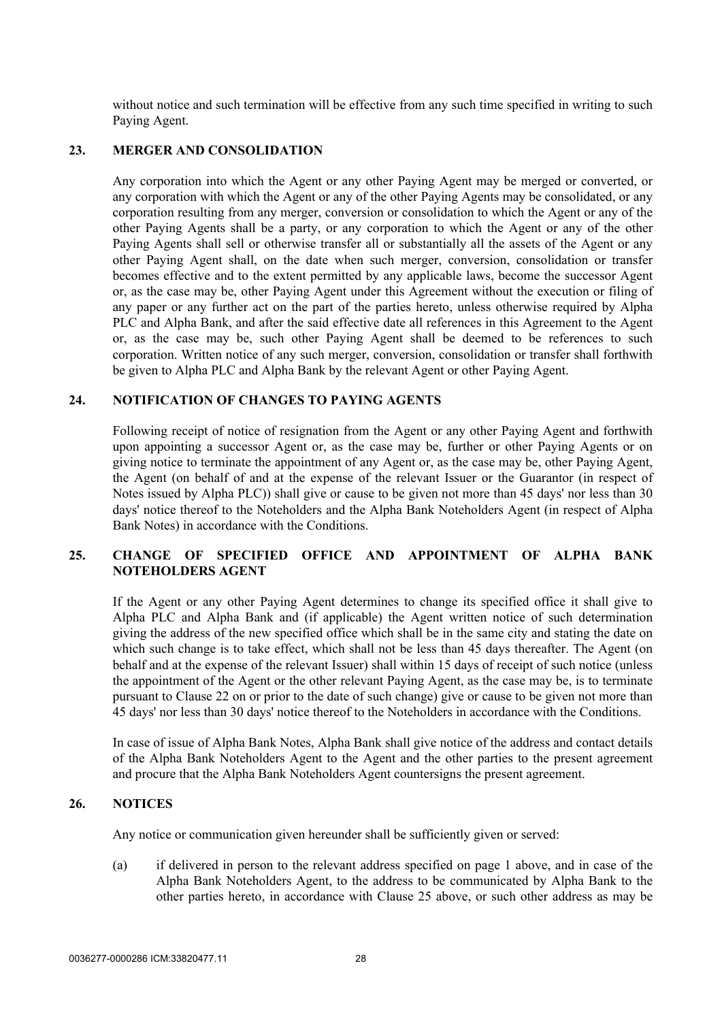without notice and such termination will be effective from any such time specified in writing to such Paying Agent.

#### <span id="page-30-0"></span>**23. MERGER AND CONSOLIDATION**

Any corporation into which the Agent or any other Paying Agent may be merged or converted, or any corporation with which the Agent or any of the other Paying Agents may be consolidated, or any corporation resulting from any merger, conversion or consolidation to which the Agent or any of the other Paying Agents shall be a party, or any corporation to which the Agent or any of the other Paying Agents shall sell or otherwise transfer all or substantially all the assets of the Agent or any other Paying Agent shall, on the date when such merger, conversion, consolidation or transfer becomes effective and to the extent permitted by any applicable laws, become the successor Agent or, as the case may be, other Paying Agent under this Agreement without the execution or filing of any paper or any further act on the part of the parties hereto, unless otherwise required by Alpha PLC and Alpha Bank, and after the said effective date all references in this Agreement to the Agent or, as the case may be, such other Paying Agent shall be deemed to be references to such corporation. Written notice of any such merger, conversion, consolidation or transfer shall forthwith be given to Alpha PLC and Alpha Bank by the relevant Agent or other Paying Agent.

# <span id="page-30-1"></span>**24. NOTIFICATION OF CHANGES TO PAYING AGENTS**

Following receipt of notice of resignation from the Agent or any other Paying Agent and forthwith upon appointing a successor Agent or, as the case may be, further or other Paying Agents or on giving notice to terminate the appointment of any Agent or, as the case may be, other Paying Agent, the Agent (on behalf of and at the expense of the relevant Issuer or the Guarantor (in respect of Notes issued by Alpha PLC)) shall give or cause to be given not more than 45 days' nor less than 30 days' notice thereof to the Noteholders and the Alpha Bank Noteholders Agent (in respect of Alpha Bank Notes) in accordance with the Conditions.

# <span id="page-30-2"></span>**25. CHANGE OF SPECIFIED OFFICE AND APPOINTMENT OF ALPHA BANK NOTEHOLDERS AGENT**

If the Agent or any other Paying Agent determines to change its specified office it shall give to Alpha PLC and Alpha Bank and (if applicable) the Agent written notice of such determination giving the address of the new specified office which shall be in the same city and stating the date on which such change is to take effect, which shall not be less than 45 days thereafter. The Agent (on behalf and at the expense of the relevant Issuer) shall within 15 days of receipt of such notice (unless the appointment of the Agent or the other relevant Paying Agent, as the case may be, is to terminate pursuant to Clause [22](#page-28-1) on or prior to the date of such change) give or cause to be given not more than 45 days' nor less than 30 days' notice thereof to the Noteholders in accordance with the Conditions.

In case of issue of Alpha Bank Notes, Alpha Bank shall give notice of the address and contact details of the Alpha Bank Noteholders Agent to the Agent and the other parties to the present agreement and procure that the Alpha Bank Noteholders Agent countersigns the present agreement.

## <span id="page-30-3"></span>**26. NOTICES**

Any notice or communication given hereunder shall be sufficiently given or served:

(a) if delivered in person to the relevant address specified on page 1 above, and in case of the Alpha Bank Noteholders Agent, to the address to be communicated by Alpha Bank to the other parties hereto, in accordance with Clause [25 above,](#page-30-2) or such other address as may be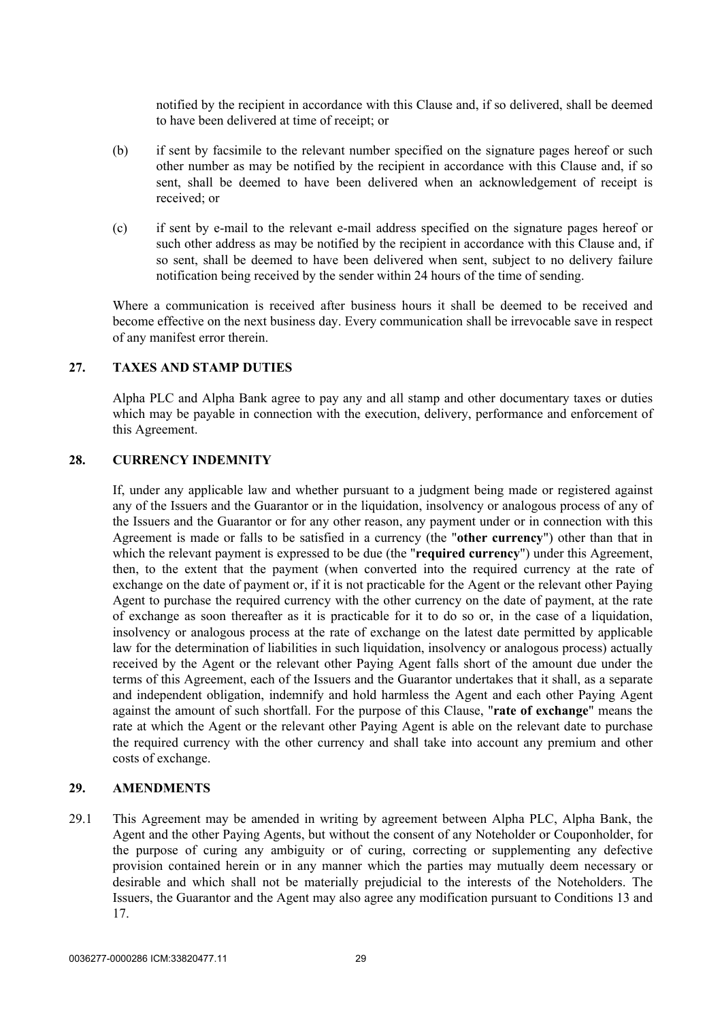notified by the recipient in accordance with this Clause and, if so delivered, shall be deemed to have been delivered at time of receipt; or

- (b) if sent by facsimile to the relevant number specified on the signature pages hereof or such other number as may be notified by the recipient in accordance with this Clause and, if so sent, shall be deemed to have been delivered when an acknowledgement of receipt is received; or
- (c) if sent by e-mail to the relevant e-mail address specified on the signature pages hereof or such other address as may be notified by the recipient in accordance with this Clause and, if so sent, shall be deemed to have been delivered when sent, subject to no delivery failure notification being received by the sender within 24 hours of the time of sending.

Where a communication is received after business hours it shall be deemed to be received and become effective on the next business day. Every communication shall be irrevocable save in respect of any manifest error therein.

#### <span id="page-31-0"></span>**27. TAXES AND STAMP DUTIES**

Alpha PLC and Alpha Bank agree to pay any and all stamp and other documentary taxes or duties which may be payable in connection with the execution, delivery, performance and enforcement of this Agreement.

#### <span id="page-31-1"></span>**28. CURRENCY INDEMNITY**

If, under any applicable law and whether pursuant to a judgment being made or registered against any of the Issuers and the Guarantor or in the liquidation, insolvency or analogous process of any of the Issuers and the Guarantor or for any other reason, any payment under or in connection with this Agreement is made or falls to be satisfied in a currency (the "**other currency**") other than that in which the relevant payment is expressed to be due (the "**required currency**") under this Agreement, then, to the extent that the payment (when converted into the required currency at the rate of exchange on the date of payment or, if it is not practicable for the Agent or the relevant other Paying Agent to purchase the required currency with the other currency on the date of payment, at the rate of exchange as soon thereafter as it is practicable for it to do so or, in the case of a liquidation, insolvency or analogous process at the rate of exchange on the latest date permitted by applicable law for the determination of liabilities in such liquidation, insolvency or analogous process) actually received by the Agent or the relevant other Paying Agent falls short of the amount due under the terms of this Agreement, each of the Issuers and the Guarantor undertakes that it shall, as a separate and independent obligation, indemnify and hold harmless the Agent and each other Paying Agent against the amount of such shortfall. For the purpose of this Clause, "**rate of exchange**" means the rate at which the Agent or the relevant other Paying Agent is able on the relevant date to purchase the required currency with the other currency and shall take into account any premium and other costs of exchange.

#### <span id="page-31-2"></span>**29. AMENDMENTS**

29.1 This Agreement may be amended in writing by agreement between Alpha PLC, Alpha Bank, the Agent and the other Paying Agents, but without the consent of any Noteholder or Couponholder, for the purpose of curing any ambiguity or of curing, correcting or supplementing any defective provision contained herein or in any manner which the parties may mutually deem necessary or desirable and which shall not be materially prejudicial to the interests of the Noteholders. The Issuers, the Guarantor and the Agent may also agree any modification pursuant to Conditions 13 and 17.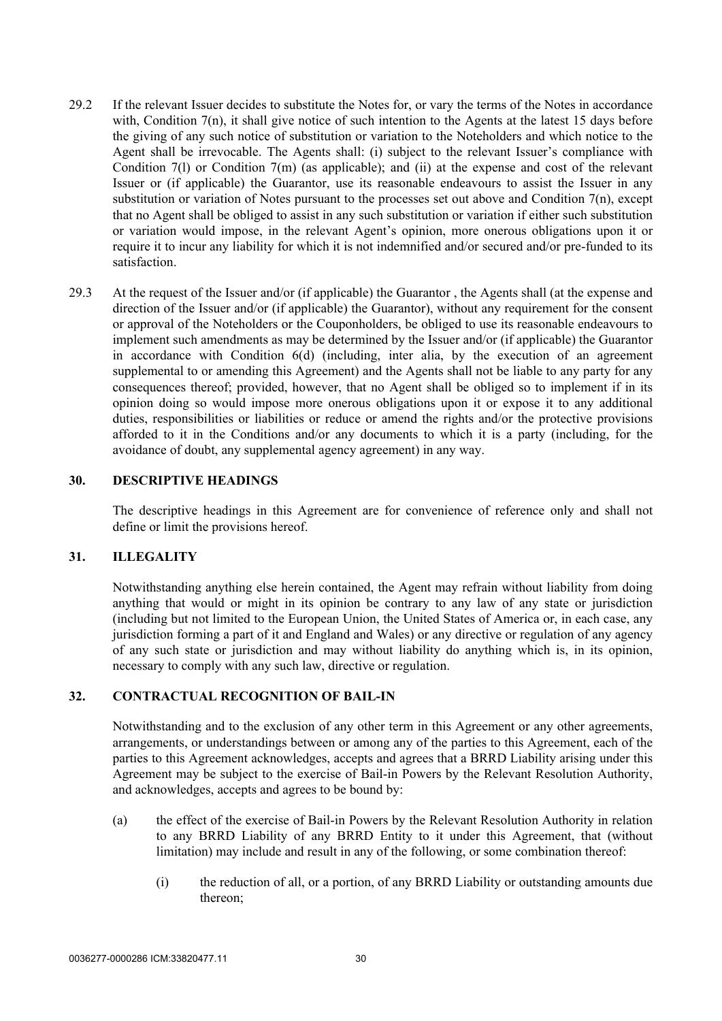- 29.2 If the relevant Issuer decides to substitute the Notes for, or vary the terms of the Notes in accordance with, Condition 7(n), it shall give notice of such intention to the Agents at the latest 15 days before the giving of any such notice of substitution or variation to the Noteholders and which notice to the Agent shall be irrevocable. The Agents shall: (i) subject to the relevant Issuer's compliance with Condition 7(1) or Condition 7(m) (as applicable); and (ii) at the expense and cost of the relevant Issuer or (if applicable) the Guarantor, use its reasonable endeavours to assist the Issuer in any substitution or variation of Notes pursuant to the processes set out above and Condition 7(n), except that no Agent shall be obliged to assist in any such substitution or variation if either such substitution or variation would impose, in the relevant Agent's opinion, more onerous obligations upon it or require it to incur any liability for which it is not indemnified and/or secured and/or pre-funded to its satisfaction.
- 29.3 At the request of the Issuer and/or (if applicable) the Guarantor , the Agents shall (at the expense and direction of the Issuer and/or (if applicable) the Guarantor), without any requirement for the consent or approval of the Noteholders or the Couponholders, be obliged to use its reasonable endeavours to implement such amendments as may be determined by the Issuer and/or (if applicable) the Guarantor in accordance with Condition 6(d) (including, inter alia, by the execution of an agreement supplemental to or amending this Agreement) and the Agents shall not be liable to any party for any consequences thereof; provided, however, that no Agent shall be obliged so to implement if in its opinion doing so would impose more onerous obligations upon it or expose it to any additional duties, responsibilities or liabilities or reduce or amend the rights and/or the protective provisions afforded to it in the Conditions and/or any documents to which it is a party (including, for the avoidance of doubt, any supplemental agency agreement) in any way.

#### <span id="page-32-0"></span>**30. DESCRIPTIVE HEADINGS**

The descriptive headings in this Agreement are for convenience of reference only and shall not define or limit the provisions hereof.

## <span id="page-32-1"></span>**31. ILLEGALITY**

Notwithstanding anything else herein contained, the Agent may refrain without liability from doing anything that would or might in its opinion be contrary to any law of any state or jurisdiction (including but not limited to the European Union, the United States of America or, in each case, any jurisdiction forming a part of it and England and Wales) or any directive or regulation of any agency of any such state or jurisdiction and may without liability do anything which is, in its opinion, necessary to comply with any such law, directive or regulation.

#### <span id="page-32-2"></span>**32. CONTRACTUAL RECOGNITION OF BAIL-IN**

Notwithstanding and to the exclusion of any other term in this Agreement or any other agreements, arrangements, or understandings between or among any of the parties to this Agreement, each of the parties to this Agreement acknowledges, accepts and agrees that a BRRD Liability arising under this Agreement may be subject to the exercise of Bail-in Powers by the Relevant Resolution Authority, and acknowledges, accepts and agrees to be bound by:

- (a) the effect of the exercise of Bail-in Powers by the Relevant Resolution Authority in relation to any BRRD Liability of any BRRD Entity to it under this Agreement, that (without limitation) may include and result in any of the following, or some combination thereof:
	- (i) the reduction of all, or a portion, of any BRRD Liability or outstanding amounts due thereon;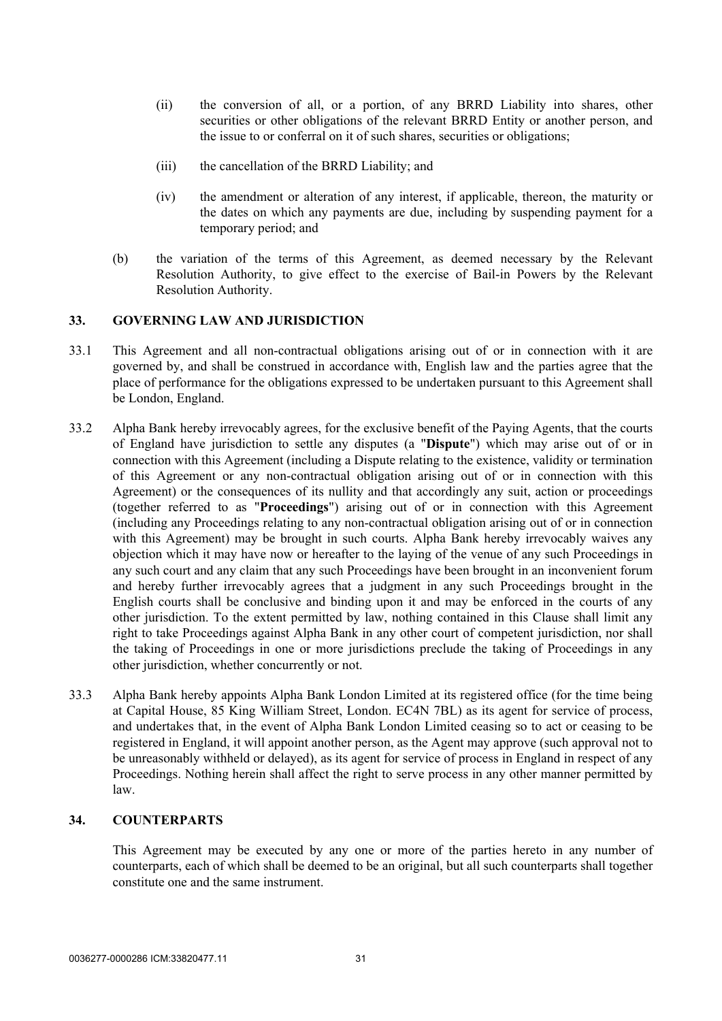- (ii) the conversion of all, or a portion, of any BRRD Liability into shares, other securities or other obligations of the relevant BRRD Entity or another person, and the issue to or conferral on it of such shares, securities or obligations;
- (iii) the cancellation of the BRRD Liability; and
- (iv) the amendment or alteration of any interest, if applicable, thereon, the maturity or the dates on which any payments are due, including by suspending payment for a temporary period; and
- (b) the variation of the terms of this Agreement, as deemed necessary by the Relevant Resolution Authority, to give effect to the exercise of Bail-in Powers by the Relevant Resolution Authority.

## <span id="page-33-0"></span>**33. GOVERNING LAW AND JURISDICTION**

- 33.1 This Agreement and all non-contractual obligations arising out of or in connection with it are governed by, and shall be construed in accordance with, English law and the parties agree that the place of performance for the obligations expressed to be undertaken pursuant to this Agreement shall be London, England.
- 33.2 Alpha Bank hereby irrevocably agrees, for the exclusive benefit of the Paying Agents, that the courts of England have jurisdiction to settle any disputes (a "**Dispute**") which may arise out of or in connection with this Agreement (including a Dispute relating to the existence, validity or termination of this Agreement or any non-contractual obligation arising out of or in connection with this Agreement) or the consequences of its nullity and that accordingly any suit, action or proceedings (together referred to as "**Proceedings**") arising out of or in connection with this Agreement (including any Proceedings relating to any non-contractual obligation arising out of or in connection with this Agreement) may be brought in such courts. Alpha Bank hereby irrevocably waives any objection which it may have now or hereafter to the laying of the venue of any such Proceedings in any such court and any claim that any such Proceedings have been brought in an inconvenient forum and hereby further irrevocably agrees that a judgment in any such Proceedings brought in the English courts shall be conclusive and binding upon it and may be enforced in the courts of any other jurisdiction. To the extent permitted by law, nothing contained in this Clause shall limit any right to take Proceedings against Alpha Bank in any other court of competent jurisdiction, nor shall the taking of Proceedings in one or more jurisdictions preclude the taking of Proceedings in any other jurisdiction, whether concurrently or not.
- 33.3 Alpha Bank hereby appoints Alpha Bank London Limited at its registered office (for the time being at Capital House, 85 King William Street, London. EC4N 7BL) as its agent for service of process, and undertakes that, in the event of Alpha Bank London Limited ceasing so to act or ceasing to be registered in England, it will appoint another person, as the Agent may approve (such approval not to be unreasonably withheld or delayed), as its agent for service of process in England in respect of any Proceedings. Nothing herein shall affect the right to serve process in any other manner permitted by law.

## <span id="page-33-1"></span>**34. COUNTERPARTS**

This Agreement may be executed by any one or more of the parties hereto in any number of counterparts, each of which shall be deemed to be an original, but all such counterparts shall together constitute one and the same instrument.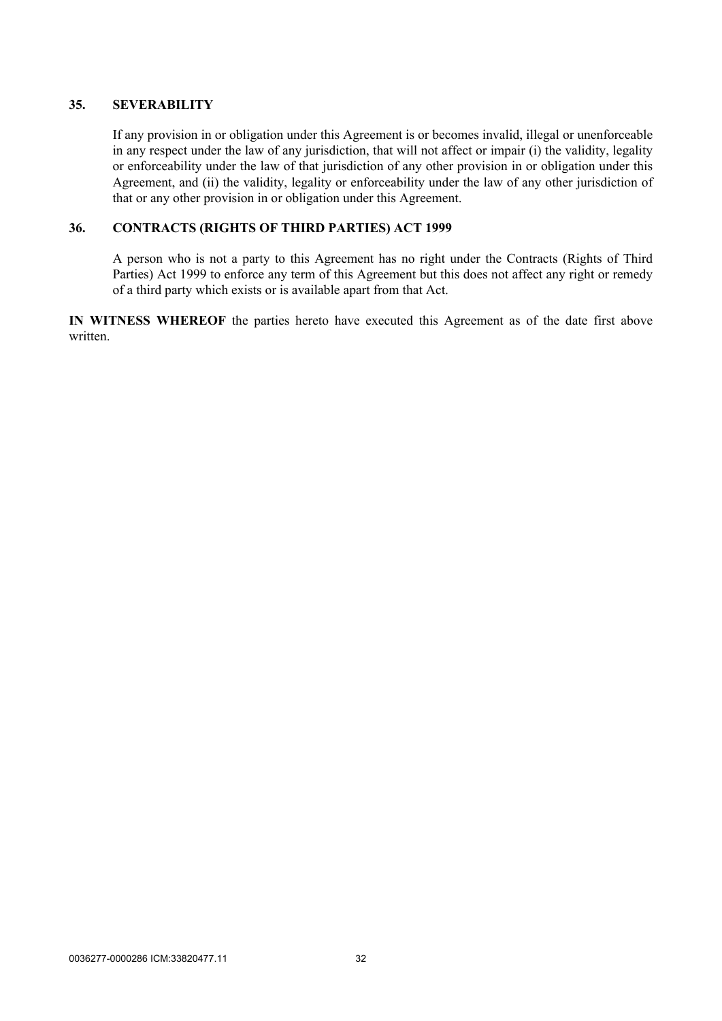## <span id="page-34-0"></span>**35. SEVERABILITY**

If any provision in or obligation under this Agreement is or becomes invalid, illegal or unenforceable in any respect under the law of any jurisdiction, that will not affect or impair (i) the validity, legality or enforceability under the law of that jurisdiction of any other provision in or obligation under this Agreement, and (ii) the validity, legality or enforceability under the law of any other jurisdiction of that or any other provision in or obligation under this Agreement.

## <span id="page-34-1"></span>**36. CONTRACTS (RIGHTS OF THIRD PARTIES) ACT 1999**

A person who is not a party to this Agreement has no right under the Contracts (Rights of Third Parties) Act 1999 to enforce any term of this Agreement but this does not affect any right or remedy of a third party which exists or is available apart from that Act.

**IN WITNESS WHEREOF** the parties hereto have executed this Agreement as of the date first above written.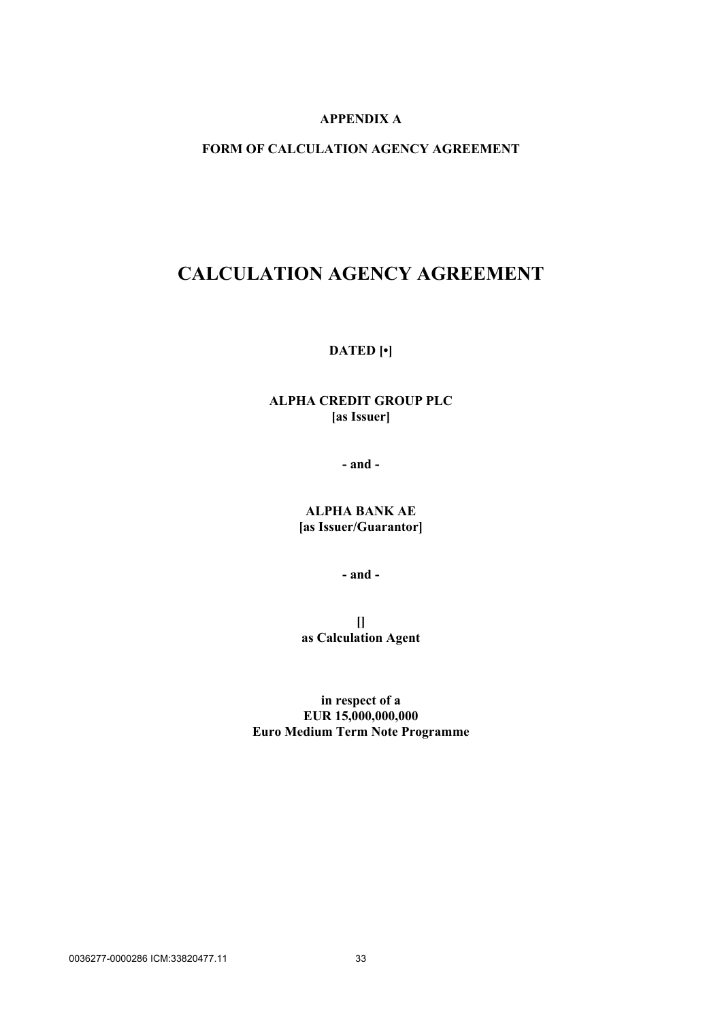# <span id="page-35-1"></span>**APPENDIX A**

# <span id="page-35-0"></span>**FORM OF CALCULATION AGENCY AGREEMENT**

# **CALCULATION AGENCY AGREEMENT**

## **DATED [•]**

# **ALPHA CREDIT GROUP PLC [as Issuer]**

**- and -**

# **ALPHA BANK AE [as Issuer/Guarantor]**

**- and -**

**[] as Calculation Agent**

**in respect of a EUR 15,000,000,000 Euro Medium Term Note Programme**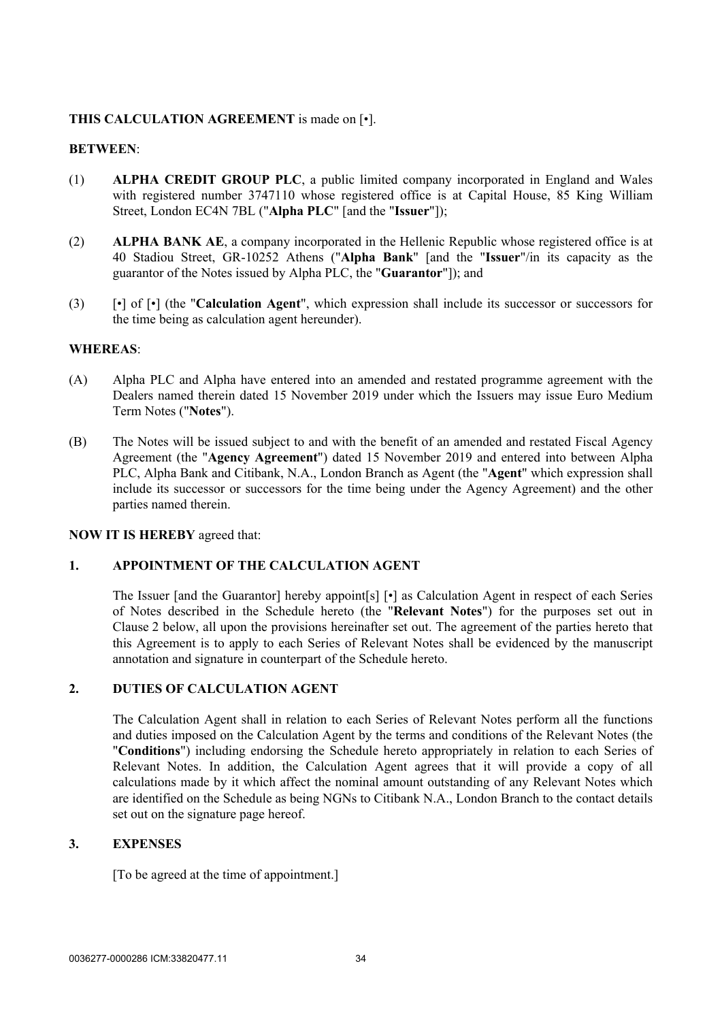## **THIS CALCULATION AGREEMENT** is made on [•].

### **BETWEEN**:

- (1) **ALPHA CREDIT GROUP PLC**, a public limited company incorporated in England and Wales with registered number 3747110 whose registered office is at Capital House, 85 King William Street, London EC4N 7BL ("**Alpha PLC**" [and the "**Issuer**"]);
- (2) **ALPHA BANK AE**, a company incorporated in the Hellenic Republic whose registered office is at 40 Stadiou Street, GR-10252 Athens ("**Alpha Bank**" [and the "**Issuer**"/in its capacity as the guarantor of the Notes issued by Alpha PLC, the "**Guarantor**"]); and
- (3) [•] of [•] (the "**Calculation Agent**", which expression shall include its successor or successors for the time being as calculation agent hereunder).

### **WHEREAS**:

- (A) Alpha PLC and Alpha have entered into an amended and restated programme agreement with the Dealers named therein dated 15 November 2019 under which the Issuers may issue Euro Medium Term Notes ("**Notes**").
- (B) The Notes will be issued subject to and with the benefit of an amended and restated Fiscal Agency Agreement (the "**Agency Agreement**") dated 15 November 2019 and entered into between Alpha PLC, Alpha Bank and Citibank, N.A., London Branch as Agent (the "**Agent**" which expression shall include its successor or successors for the time being under the Agency Agreement) and the other parties named therein.

### **NOW IT IS HEREBY** agreed that:

# **1. APPOINTMENT OF THE CALCULATION AGENT**

The Issuer [and the Guarantor] hereby appoint[s] [•] as Calculation Agent in respect of each Series of Notes described in the Schedule hereto (the "**Relevant Notes**") for the purposes set out in Clause [2 below](#page-36-0), all upon the provisions hereinafter set out. The agreement of the parties hereto that this Agreement is to apply to each Series of Relevant Notes shall be evidenced by the manuscript annotation and signature in counterpart of the Schedule hereto.

# <span id="page-36-0"></span>**2. DUTIES OF CALCULATION AGENT**

The Calculation Agent shall in relation to each Series of Relevant Notes perform all the functions and duties imposed on the Calculation Agent by the terms and conditions of the Relevant Notes (the "**Conditions**") including endorsing the Schedule hereto appropriately in relation to each Series of Relevant Notes. In addition, the Calculation Agent agrees that it will provide a copy of all calculations made by it which affect the nominal amount outstanding of any Relevant Notes which are identified on the Schedule as being NGNs to Citibank N.A., London Branch to the contact details set out on the signature page hereof.

## **3. EXPENSES**

[To be agreed at the time of appointment.]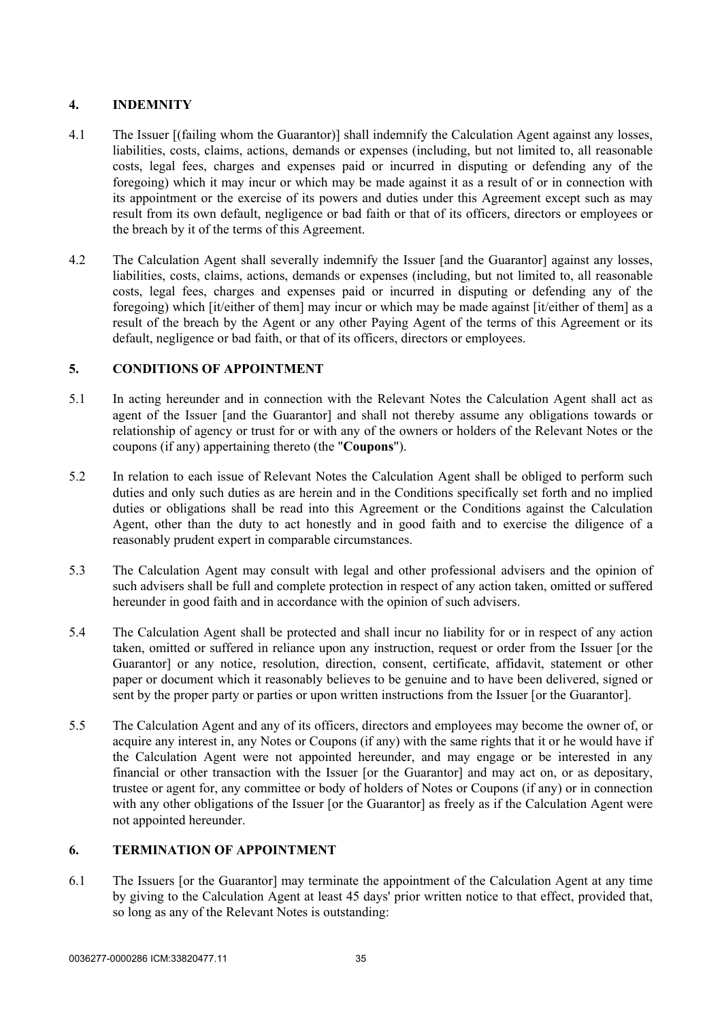# **4. INDEMNITY**

- 4.1 The Issuer [(failing whom the Guarantor)] shall indemnify the Calculation Agent against any losses, liabilities, costs, claims, actions, demands or expenses (including, but not limited to, all reasonable costs, legal fees, charges and expenses paid or incurred in disputing or defending any of the foregoing) which it may incur or which may be made against it as a result of or in connection with its appointment or the exercise of its powers and duties under this Agreement except such as may result from its own default, negligence or bad faith or that of its officers, directors or employees or the breach by it of the terms of this Agreement.
- 4.2 The Calculation Agent shall severally indemnify the Issuer [and the Guarantor] against any losses, liabilities, costs, claims, actions, demands or expenses (including, but not limited to, all reasonable costs, legal fees, charges and expenses paid or incurred in disputing or defending any of the foregoing) which [it/either of them] may incur or which may be made against [it/either of them] as a result of the breach by the Agent or any other Paying Agent of the terms of this Agreement or its default, negligence or bad faith, or that of its officers, directors or employees.

# **5. CONDITIONS OF APPOINTMENT**

- 5.1 In acting hereunder and in connection with the Relevant Notes the Calculation Agent shall act as agent of the Issuer [and the Guarantor] and shall not thereby assume any obligations towards or relationship of agency or trust for or with any of the owners or holders of the Relevant Notes or the coupons (if any) appertaining thereto (the "**Coupons**").
- 5.2 In relation to each issue of Relevant Notes the Calculation Agent shall be obliged to perform such duties and only such duties as are herein and in the Conditions specifically set forth and no implied duties or obligations shall be read into this Agreement or the Conditions against the Calculation Agent, other than the duty to act honestly and in good faith and to exercise the diligence of a reasonably prudent expert in comparable circumstances.
- 5.3 The Calculation Agent may consult with legal and other professional advisers and the opinion of such advisers shall be full and complete protection in respect of any action taken, omitted or suffered hereunder in good faith and in accordance with the opinion of such advisers.
- 5.4 The Calculation Agent shall be protected and shall incur no liability for or in respect of any action taken, omitted or suffered in reliance upon any instruction, request or order from the Issuer [or the Guarantor] or any notice, resolution, direction, consent, certificate, affidavit, statement or other paper or document which it reasonably believes to be genuine and to have been delivered, signed or sent by the proper party or parties or upon written instructions from the Issuer [or the Guarantor].
- 5.5 The Calculation Agent and any of its officers, directors and employees may become the owner of, or acquire any interest in, any Notes or Coupons (if any) with the same rights that it or he would have if the Calculation Agent were not appointed hereunder, and may engage or be interested in any financial or other transaction with the Issuer [or the Guarantor] and may act on, or as depositary, trustee or agent for, any committee or body of holders of Notes or Coupons (if any) or in connection with any other obligations of the Issuer [or the Guarantor] as freely as if the Calculation Agent were not appointed hereunder.

# **6. TERMINATION OF APPOINTMENT**

<span id="page-37-0"></span>6.1 The Issuers [or the Guarantor] may terminate the appointment of the Calculation Agent at any time by giving to the Calculation Agent at least 45 days' prior written notice to that effect, provided that, so long as any of the Relevant Notes is outstanding: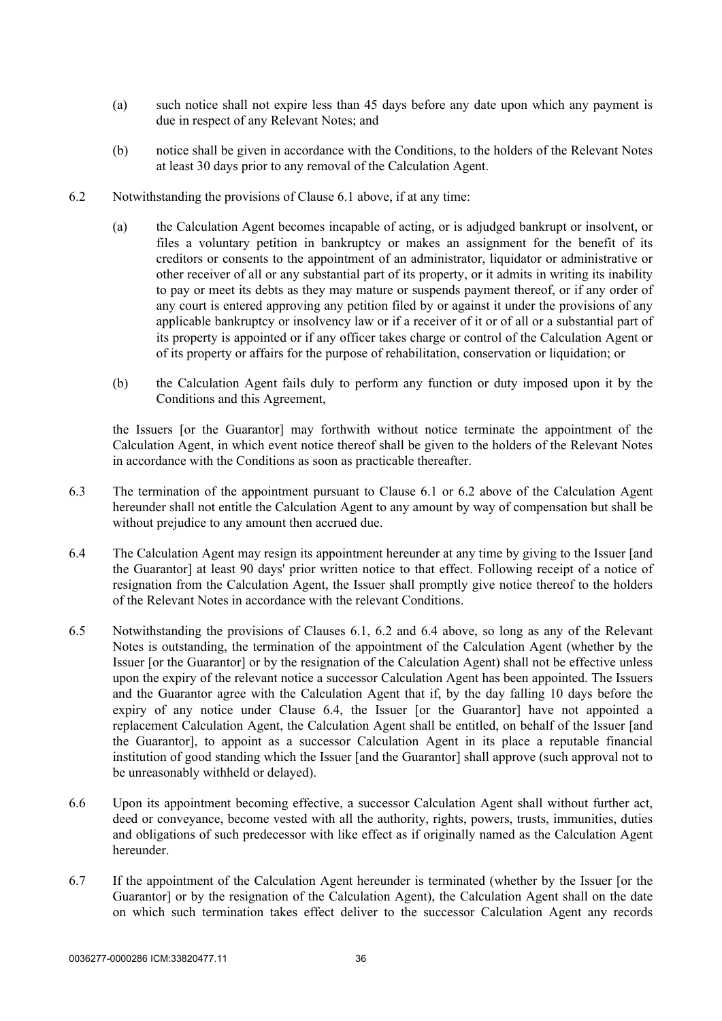- (a) such notice shall not expire less than 45 days before any date upon which any payment is due in respect of any Relevant Notes; and
- (b) notice shall be given in accordance with the Conditions, to the holders of the Relevant Notes at least 30 days prior to any removal of the Calculation Agent.
- <span id="page-38-0"></span>6.2 Notwithstanding the provisions of Clause [6.1 above](#page-37-0), if at any time:
	- (a) the Calculation Agent becomes incapable of acting, or is adjudged bankrupt or insolvent, or files a voluntary petition in bankruptcy or makes an assignment for the benefit of its creditors or consents to the appointment of an administrator, liquidator or administrative or other receiver of all or any substantial part of its property, or it admits in writing its inability to pay or meet its debts as they may mature or suspends payment thereof, or if any order of any court is entered approving any petition filed by or against it under the provisions of any applicable bankruptcy or insolvency law or if a receiver of it or of all or a substantial part of its property is appointed or if any officer takes charge or control of the Calculation Agent or of its property or affairs for the purpose of rehabilitation, conservation or liquidation; or
	- (b) the Calculation Agent fails duly to perform any function or duty imposed upon it by the Conditions and this Agreement,

the Issuers [or the Guarantor] may forthwith without notice terminate the appointment of the Calculation Agent, in which event notice thereof shall be given to the holders of the Relevant Notes in accordance with the Conditions as soon as practicable thereafter.

- 6.3 The termination of the appointment pursuant to Clause [6.1](#page-37-0) or [6.2 above](#page-38-0) of the Calculation Agent hereunder shall not entitle the Calculation Agent to any amount by way of compensation but shall be without prejudice to any amount then accrued due.
- <span id="page-38-1"></span>6.4 The Calculation Agent may resign its appointment hereunder at any time by giving to the Issuer [and the Guarantor] at least 90 days' prior written notice to that effect. Following receipt of a notice of resignation from the Calculation Agent, the Issuer shall promptly give notice thereof to the holders of the Relevant Notes in accordance with the relevant Conditions.
- 6.5 Notwithstanding the provisions of Clauses [6.1,](#page-37-0) [6.2](#page-38-0) and [6.4 above](#page-38-1), so long as any of the Relevant Notes is outstanding, the termination of the appointment of the Calculation Agent (whether by the Issuer [or the Guarantor] or by the resignation of the Calculation Agent) shall not be effective unless upon the expiry of the relevant notice a successor Calculation Agent has been appointed. The Issuers and the Guarantor agree with the Calculation Agent that if, by the day falling 10 days before the expiry of any notice under Clause [6.4](#page-38-1), the Issuer [or the Guarantor] have not appointed a replacement Calculation Agent, the Calculation Agent shall be entitled, on behalf of the Issuer [and the Guarantor], to appoint as a successor Calculation Agent in its place a reputable financial institution of good standing which the Issuer [and the Guarantor] shall approve (such approval not to be unreasonably withheld or delayed).
- 6.6 Upon its appointment becoming effective, a successor Calculation Agent shall without further act, deed or conveyance, become vested with all the authority, rights, powers, trusts, immunities, duties and obligations of such predecessor with like effect as if originally named as the Calculation Agent hereunder.
- 6.7 If the appointment of the Calculation Agent hereunder is terminated (whether by the Issuer [or the Guarantor] or by the resignation of the Calculation Agent), the Calculation Agent shall on the date on which such termination takes effect deliver to the successor Calculation Agent any records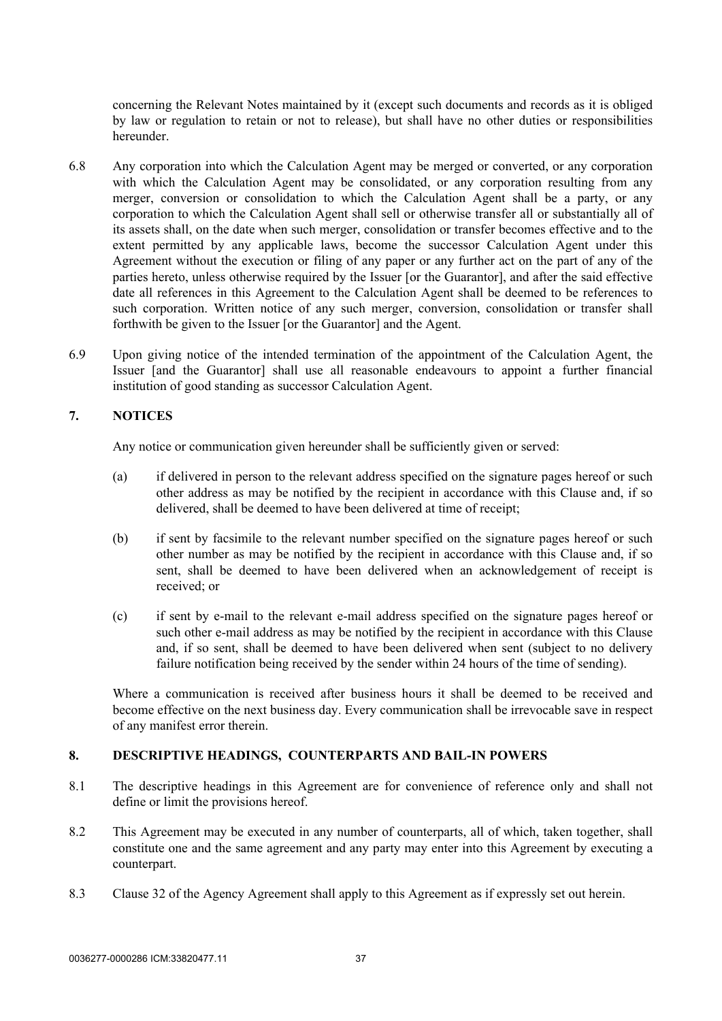concerning the Relevant Notes maintained by it (except such documents and records as it is obliged by law or regulation to retain or not to release), but shall have no other duties or responsibilities hereunder.

- 6.8 Any corporation into which the Calculation Agent may be merged or converted, or any corporation with which the Calculation Agent may be consolidated, or any corporation resulting from any merger, conversion or consolidation to which the Calculation Agent shall be a party, or any corporation to which the Calculation Agent shall sell or otherwise transfer all or substantially all of its assets shall, on the date when such merger, consolidation or transfer becomes effective and to the extent permitted by any applicable laws, become the successor Calculation Agent under this Agreement without the execution or filing of any paper or any further act on the part of any of the parties hereto, unless otherwise required by the Issuer [or the Guarantor], and after the said effective date all references in this Agreement to the Calculation Agent shall be deemed to be references to such corporation. Written notice of any such merger, conversion, consolidation or transfer shall forthwith be given to the Issuer [or the Guarantor] and the Agent.
- 6.9 Upon giving notice of the intended termination of the appointment of the Calculation Agent, the Issuer [and the Guarantor] shall use all reasonable endeavours to appoint a further financial institution of good standing as successor Calculation Agent.

## **7. NOTICES**

Any notice or communication given hereunder shall be sufficiently given or served:

- (a) if delivered in person to the relevant address specified on the signature pages hereof or such other address as may be notified by the recipient in accordance with this Clause and, if so delivered, shall be deemed to have been delivered at time of receipt;
- (b) if sent by facsimile to the relevant number specified on the signature pages hereof or such other number as may be notified by the recipient in accordance with this Clause and, if so sent, shall be deemed to have been delivered when an acknowledgement of receipt is received; or
- (c) if sent by e-mail to the relevant e-mail address specified on the signature pages hereof or such other e-mail address as may be notified by the recipient in accordance with this Clause and, if so sent, shall be deemed to have been delivered when sent (subject to no delivery failure notification being received by the sender within 24 hours of the time of sending).

Where a communication is received after business hours it shall be deemed to be received and become effective on the next business day. Every communication shall be irrevocable save in respect of any manifest error therein.

### **8. DESCRIPTIVE HEADINGS, COUNTERPARTS AND BAIL-IN POWERS**

- 8.1 The descriptive headings in this Agreement are for convenience of reference only and shall not define or limit the provisions hereof.
- 8.2 This Agreement may be executed in any number of counterparts, all of which, taken together, shall constitute one and the same agreement and any party may enter into this Agreement by executing a counterpart.
- 8.3 Clause 32 of the Agency Agreement shall apply to this Agreement as if expressly set out herein.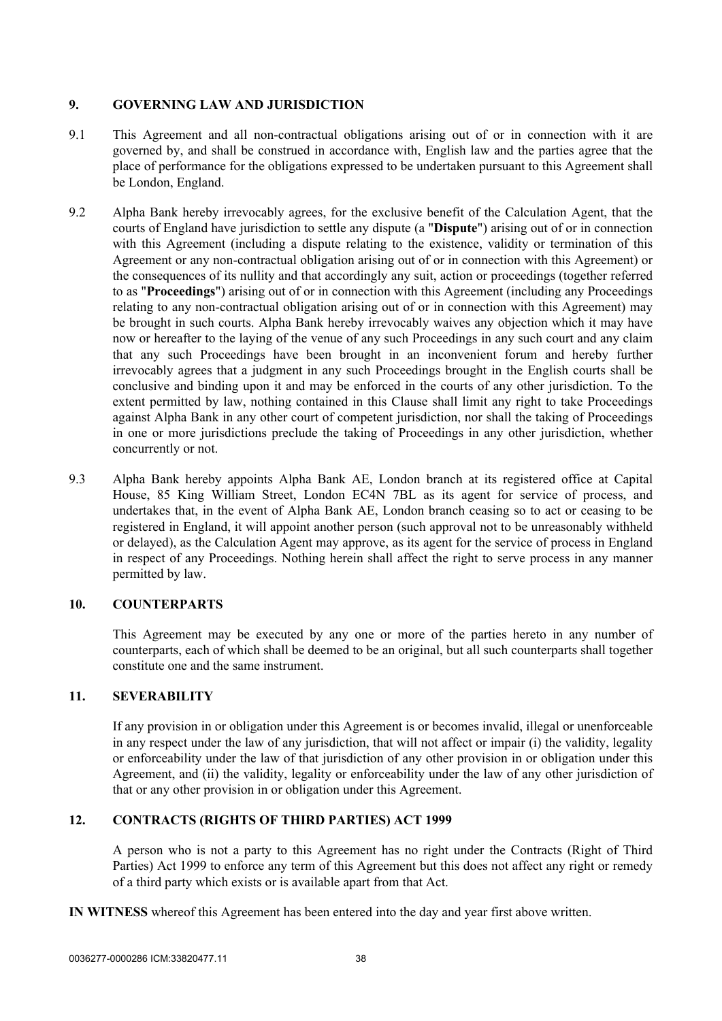# **9. GOVERNING LAW AND JURISDICTION**

- 9.1 This Agreement and all non-contractual obligations arising out of or in connection with it are governed by, and shall be construed in accordance with, English law and the parties agree that the place of performance for the obligations expressed to be undertaken pursuant to this Agreement shall be London, England.
- 9.2 Alpha Bank hereby irrevocably agrees, for the exclusive benefit of the Calculation Agent, that the courts of England have jurisdiction to settle any dispute (a "**Dispute**") arising out of or in connection with this Agreement (including a dispute relating to the existence, validity or termination of this Agreement or any non-contractual obligation arising out of or in connection with this Agreement) or the consequences of its nullity and that accordingly any suit, action or proceedings (together referred to as "**Proceedings**") arising out of or in connection with this Agreement (including any Proceedings relating to any non-contractual obligation arising out of or in connection with this Agreement) may be brought in such courts. Alpha Bank hereby irrevocably waives any objection which it may have now or hereafter to the laying of the venue of any such Proceedings in any such court and any claim that any such Proceedings have been brought in an inconvenient forum and hereby further irrevocably agrees that a judgment in any such Proceedings brought in the English courts shall be conclusive and binding upon it and may be enforced in the courts of any other jurisdiction. To the extent permitted by law, nothing contained in this Clause shall limit any right to take Proceedings against Alpha Bank in any other court of competent jurisdiction, nor shall the taking of Proceedings in one or more jurisdictions preclude the taking of Proceedings in any other jurisdiction, whether concurrently or not.
- 9.3 Alpha Bank hereby appoints Alpha Bank AE, London branch at its registered office at Capital House, 85 King William Street, London EC4N 7BL as its agent for service of process, and undertakes that, in the event of Alpha Bank AE, London branch ceasing so to act or ceasing to be registered in England, it will appoint another person (such approval not to be unreasonably withheld or delayed), as the Calculation Agent may approve, as its agent for the service of process in England in respect of any Proceedings. Nothing herein shall affect the right to serve process in any manner permitted by law.

# **10. COUNTERPARTS**

This Agreement may be executed by any one or more of the parties hereto in any number of counterparts, each of which shall be deemed to be an original, but all such counterparts shall together constitute one and the same instrument.

## **11. SEVERABILITY**

If any provision in or obligation under this Agreement is or becomes invalid, illegal or unenforceable in any respect under the law of any jurisdiction, that will not affect or impair (i) the validity, legality or enforceability under the law of that jurisdiction of any other provision in or obligation under this Agreement, and (ii) the validity, legality or enforceability under the law of any other jurisdiction of that or any other provision in or obligation under this Agreement.

# **12. CONTRACTS (RIGHTS OF THIRD PARTIES) ACT 1999**

A person who is not a party to this Agreement has no right under the Contracts (Right of Third Parties) Act 1999 to enforce any term of this Agreement but this does not affect any right or remedy of a third party which exists or is available apart from that Act.

**IN WITNESS** whereof this Agreement has been entered into the day and year first above written.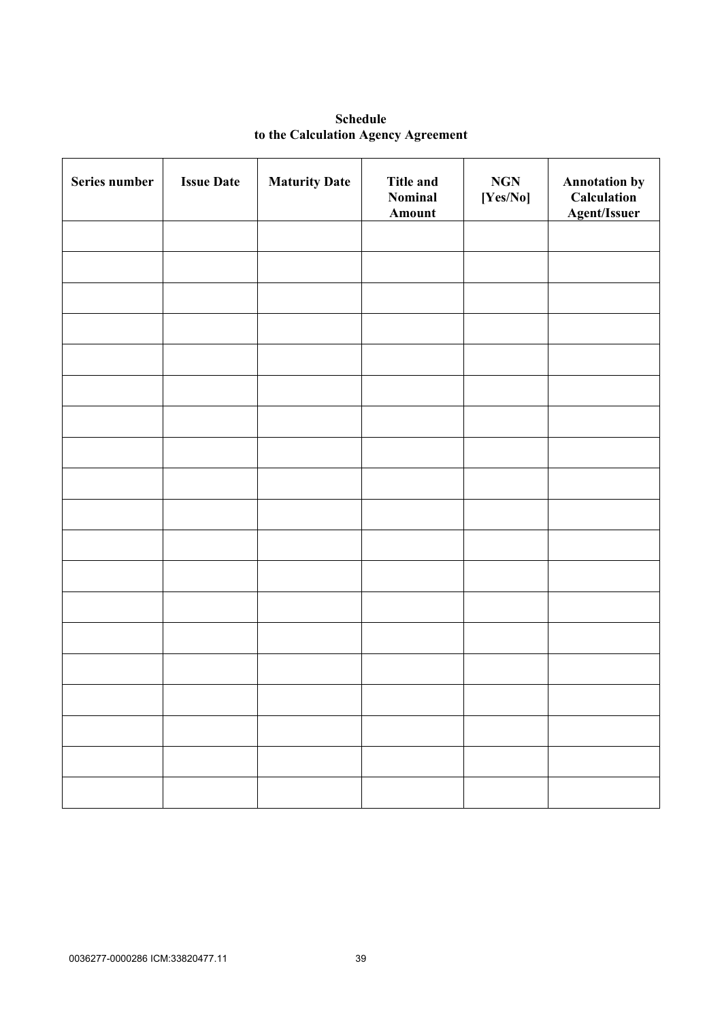| <b>Schedule</b>                     |  |  |  |  |
|-------------------------------------|--|--|--|--|
| to the Calculation Agency Agreement |  |  |  |  |

| Series number | <b>Issue Date</b> | <b>Maturity Date</b> | <b>Title and</b><br>Nominal<br>Amount | $\bf NGN$<br>[Yes/No] | <b>Annotation by</b><br>Calculation<br><b>Agent/Issuer</b> |
|---------------|-------------------|----------------------|---------------------------------------|-----------------------|------------------------------------------------------------|
|               |                   |                      |                                       |                       |                                                            |
|               |                   |                      |                                       |                       |                                                            |
|               |                   |                      |                                       |                       |                                                            |
|               |                   |                      |                                       |                       |                                                            |
|               |                   |                      |                                       |                       |                                                            |
|               |                   |                      |                                       |                       |                                                            |
|               |                   |                      |                                       |                       |                                                            |
|               |                   |                      |                                       |                       |                                                            |
|               |                   |                      |                                       |                       |                                                            |
|               |                   |                      |                                       |                       |                                                            |
|               |                   |                      |                                       |                       |                                                            |
|               |                   |                      |                                       |                       |                                                            |
|               |                   |                      |                                       |                       |                                                            |
|               |                   |                      |                                       |                       |                                                            |
|               |                   |                      |                                       |                       |                                                            |
|               |                   |                      |                                       |                       |                                                            |
|               |                   |                      |                                       |                       |                                                            |
|               |                   |                      |                                       |                       |                                                            |
|               |                   |                      |                                       |                       |                                                            |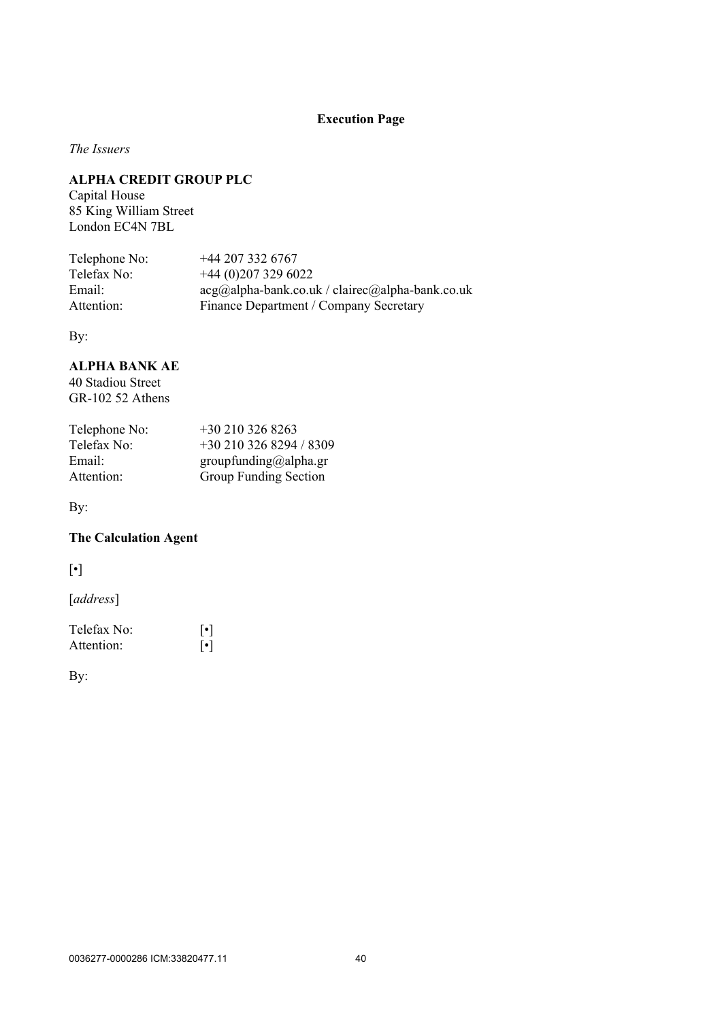# **Execution Page**

*The Issuers*

# **ALPHA CREDIT GROUP PLC**

Capital House 85 King William Street London EC4N 7BL

| $+442073326767$                                            |
|------------------------------------------------------------|
| $+44(0)2073296022$                                         |
| $acg(a)$ alpha-bank.co.uk / clairec $(a)$ alpha-bank.co.uk |
| Finance Department / Company Secretary                     |
|                                                            |

By:

# **ALPHA BANK AE**

40 Stadiou Street GR-102 52 Athens

| Telephone No: | $+302103268263$         |
|---------------|-------------------------|
| Telefax No:   | +30 210 326 8294 / 8309 |
| Email:        | groupfunding@alpha.gr   |
| Attention:    | Group Funding Section   |

By:

# **The Calculation Agent**

[•]

[*address*]

| Telefax No: | $\lceil \cdot \rceil$ |
|-------------|-----------------------|
| Attention:  | $\lceil \cdot \rceil$ |

By: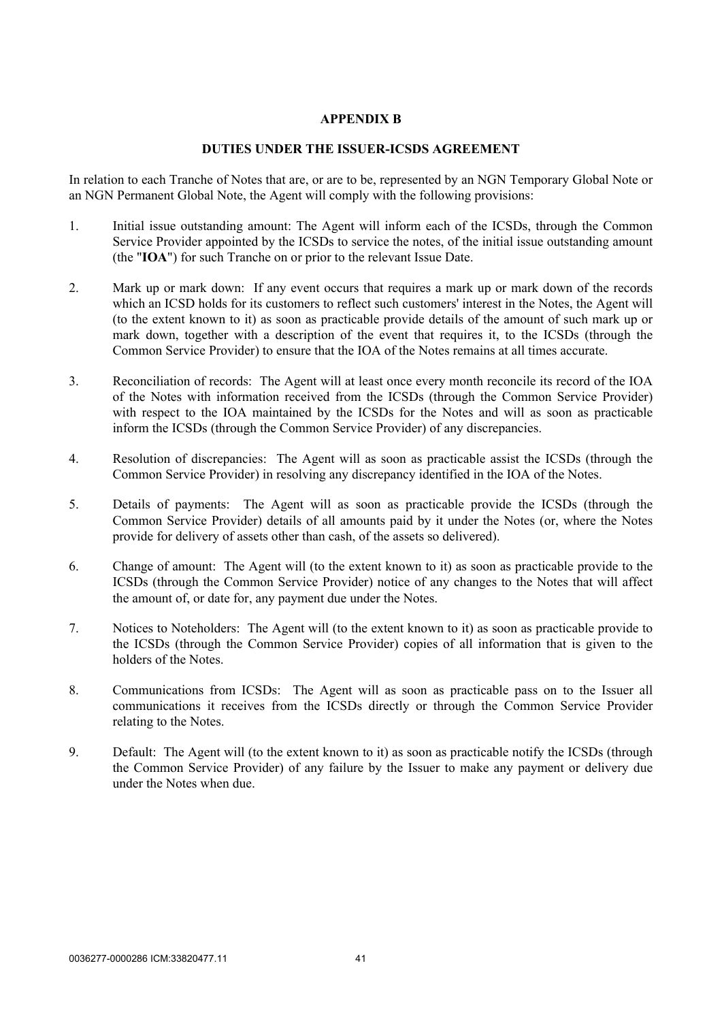### **APPENDIX B**

### **DUTIES UNDER THE ISSUER-ICSDS AGREEMENT**

In relation to each Tranche of Notes that are, or are to be, represented by an NGN Temporary Global Note or an NGN Permanent Global Note, the Agent will comply with the following provisions:

- 1. Initial issue outstanding amount: The Agent will inform each of the ICSDs, through the Common Service Provider appointed by the ICSDs to service the notes, of the initial issue outstanding amount (the "**IOA**") for such Tranche on or prior to the relevant Issue Date.
- 2. Mark up or mark down: If any event occurs that requires a mark up or mark down of the records which an ICSD holds for its customers to reflect such customers' interest in the Notes, the Agent will (to the extent known to it) as soon as practicable provide details of the amount of such mark up or mark down, together with a description of the event that requires it, to the ICSDs (through the Common Service Provider) to ensure that the IOA of the Notes remains at all times accurate.
- 3. Reconciliation of records: The Agent will at least once every month reconcile its record of the IOA of the Notes with information received from the ICSDs (through the Common Service Provider) with respect to the IOA maintained by the ICSDs for the Notes and will as soon as practicable inform the ICSDs (through the Common Service Provider) of any discrepancies.
- 4. Resolution of discrepancies: The Agent will as soon as practicable assist the ICSDs (through the Common Service Provider) in resolving any discrepancy identified in the IOA of the Notes.
- 5. Details of payments: The Agent will as soon as practicable provide the ICSDs (through the Common Service Provider) details of all amounts paid by it under the Notes (or, where the Notes provide for delivery of assets other than cash, of the assets so delivered).
- 6. Change of amount: The Agent will (to the extent known to it) as soon as practicable provide to the ICSDs (through the Common Service Provider) notice of any changes to the Notes that will affect the amount of, or date for, any payment due under the Notes.
- 7. Notices to Noteholders: The Agent will (to the extent known to it) as soon as practicable provide to the ICSDs (through the Common Service Provider) copies of all information that is given to the holders of the Notes.
- 8. Communications from ICSDs: The Agent will as soon as practicable pass on to the Issuer all communications it receives from the ICSDs directly or through the Common Service Provider relating to the Notes.
- 9. Default: The Agent will (to the extent known to it) as soon as practicable notify the ICSDs (through the Common Service Provider) of any failure by the Issuer to make any payment or delivery due under the Notes when due.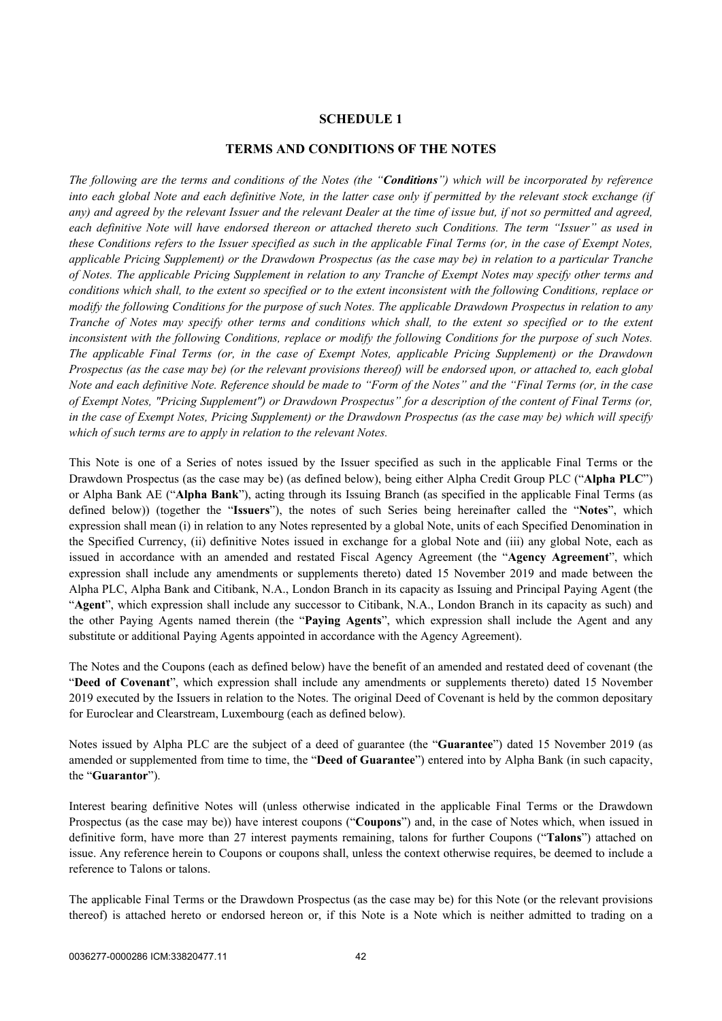### **SCHEDULE 1**

### **TERMS AND CONDITIONS OF THE NOTES**

*The following are the terms and conditions of the Notes (the "Conditions") which will be incorporated by reference into each global Note and each definitive Note, in the latter case only if permitted by the relevant stock exchange (if any) and agreed by the relevant Issuer and the relevant Dealer at the time of issue but, if not so permitted and agreed, each definitive Note will have endorsed thereon or attached thereto such Conditions. The term "Issuer" as used in these Conditions refers to the Issuer specified as such in the applicable Final Terms (or, in the case of Exempt Notes, applicable Pricing Supplement) or the Drawdown Prospectus (as the case may be) in relation to a particular Tranche of Notes. The applicable Pricing Supplement in relation to any Tranche of Exempt Notes may specify other terms and conditions which shall, to the extent so specified or to the extent inconsistent with the following Conditions, replace or modify the following Conditions for the purpose of such Notes. The applicable Drawdown Prospectus in relation to any Tranche of Notes may specify other terms and conditions which shall, to the extent so specified or to the extent inconsistent with the following Conditions, replace or modify the following Conditions for the purpose of such Notes. The applicable Final Terms (or, in the case of Exempt Notes, applicable Pricing Supplement) or the Drawdown Prospectus (as the case may be) (or the relevant provisions thereof) will be endorsed upon, or attached to, each global Note and each definitive Note. Reference should be made to "Form of the Notes" and the "Final Terms (or, in the case of Exempt Notes, "Pricing Supplement") or Drawdown Prospectus" for a description of the content of Final Terms (or, in the case of Exempt Notes, Pricing Supplement) or the Drawdown Prospectus (as the case may be) which will specify which of such terms are to apply in relation to the relevant Notes.*

This Note is one of a Series of notes issued by the Issuer specified as such in the applicable Final Terms or the Drawdown Prospectus (as the case may be) (as defined below), being either Alpha Credit Group PLC ("**Alpha PLC**") or Alpha Bank AE ("**Alpha Bank**"), acting through its Issuing Branch (as specified in the applicable Final Terms (as defined below)) (together the "**Issuers**"), the notes of such Series being hereinafter called the "**Notes**", which expression shall mean (i) in relation to any Notes represented by a global Note, units of each Specified Denomination in the Specified Currency, (ii) definitive Notes issued in exchange for a global Note and (iii) any global Note, each as issued in accordance with an amended and restated Fiscal Agency Agreement (the "**Agency Agreement**", which expression shall include any amendments or supplements thereto) dated 15 November 2019 and made between the Alpha PLC, Alpha Bank and Citibank, N.A., London Branch in its capacity as Issuing and Principal Paying Agent (the "**Agent**", which expression shall include any successor to Citibank, N.A., London Branch in its capacity as such) and the other Paying Agents named therein (the "**Paying Agents**", which expression shall include the Agent and any substitute or additional Paying Agents appointed in accordance with the Agency Agreement).

The Notes and the Coupons (each as defined below) have the benefit of an amended and restated deed of covenant (the "**Deed of Covenant**", which expression shall include any amendments or supplements thereto) dated 15 November 2019 executed by the Issuers in relation to the Notes. The original Deed of Covenant is held by the common depositary for Euroclear and Clearstream, Luxembourg (each as defined below).

Notes issued by Alpha PLC are the subject of a deed of guarantee (the "**Guarantee**") dated 15 November 2019 (as amended or supplemented from time to time, the "**Deed of Guarantee**") entered into by Alpha Bank (in such capacity, the "**Guarantor**").

Interest bearing definitive Notes will (unless otherwise indicated in the applicable Final Terms or the Drawdown Prospectus (as the case may be)) have interest coupons ("**Coupons**") and, in the case of Notes which, when issued in definitive form, have more than 27 interest payments remaining, talons for further Coupons ("**Talons**") attached on issue. Any reference herein to Coupons or coupons shall, unless the context otherwise requires, be deemed to include a reference to Talons or talons.

The applicable Final Terms or the Drawdown Prospectus (as the case may be) for this Note (or the relevant provisions thereof) is attached hereto or endorsed hereon or, if this Note is a Note which is neither admitted to trading on a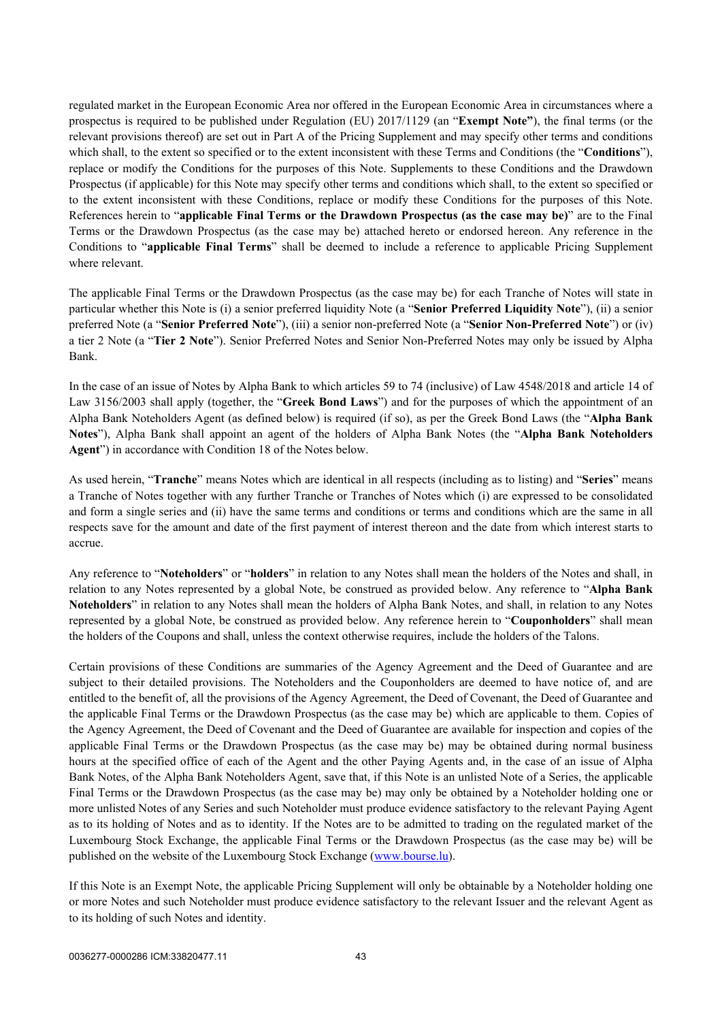regulated market in the European Economic Area nor offered in the European Economic Area in circumstances where a prospectus is required to be published under Regulation (EU) 2017/1129 (an "**Exempt Note"**), the final terms (or the relevant provisions thereof) are set out in Part A of the Pricing Supplement and may specify other terms and conditions which shall, to the extent so specified or to the extent inconsistent with these Terms and Conditions (the "**Conditions**"), replace or modify the Conditions for the purposes of this Note. Supplements to these Conditions and the Drawdown Prospectus (if applicable) for this Note may specify other terms and conditions which shall, to the extent so specified or to the extent inconsistent with these Conditions, replace or modify these Conditions for the purposes of this Note. References herein to "**applicable Final Terms or the Drawdown Prospectus (as the case may be)**" are to the Final Terms or the Drawdown Prospectus (as the case may be) attached hereto or endorsed hereon. Any reference in the Conditions to "**applicable Final Terms**" shall be deemed to include a reference to applicable Pricing Supplement where relevant.

The applicable Final Terms or the Drawdown Prospectus (as the case may be) for each Tranche of Notes will state in particular whether this Note is (i) a senior preferred liquidity Note (a "**Senior Preferred Liquidity Note**"), (ii) a senior preferred Note (a "**Senior Preferred Note**"), (iii) a senior non-preferred Note (a "**Senior Non-Preferred Note**") or (iv) a tier 2 Note (a "**Tier 2 Note**"). Senior Preferred Notes and Senior Non-Preferred Notes may only be issued by Alpha Bank.

In the case of an issue of Notes by Alpha Bank to which articles 59 to 74 (inclusive) of Law 4548/2018 and article 14 of Law 3156/2003 shall apply (together, the "**Greek Bond Laws**") and for the purposes of which the appointment of an Alpha Bank Noteholders Agent (as defined below) is required (if so), as per the Greek Bond Laws (the "**Alpha Bank Notes**"), Alpha Bank shall appoint an agent of the holders of Alpha Bank Notes (the "**Alpha Bank Noteholders Agent**") in accordance with Condition 18 of the Notes below.

As used herein, "**Tranche**" means Notes which are identical in all respects (including as to listing) and "**Series**" means a Tranche of Notes together with any further Tranche or Tranches of Notes which (i) are expressed to be consolidated and form a single series and (ii) have the same terms and conditions or terms and conditions which are the same in all respects save for the amount and date of the first payment of interest thereon and the date from which interest starts to accrue.

Any reference to "**Noteholders**" or "**holders**" in relation to any Notes shall mean the holders of the Notes and shall, in relation to any Notes represented by a global Note, be construed as provided below. Any reference to "**Alpha Bank Noteholders**" in relation to any Notes shall mean the holders of Alpha Bank Notes, and shall, in relation to any Notes represented by a global Note, be construed as provided below. Any reference herein to "**Couponholders**" shall mean the holders of the Coupons and shall, unless the context otherwise requires, include the holders of the Talons.

Certain provisions of these Conditions are summaries of the Agency Agreement and the Deed of Guarantee and are subject to their detailed provisions. The Noteholders and the Couponholders are deemed to have notice of, and are entitled to the benefit of, all the provisions of the Agency Agreement, the Deed of Covenant, the Deed of Guarantee and the applicable Final Terms or the Drawdown Prospectus (as the case may be) which are applicable to them. Copies of the Agency Agreement, the Deed of Covenant and the Deed of Guarantee are available for inspection and copies of the applicable Final Terms or the Drawdown Prospectus (as the case may be) may be obtained during normal business hours at the specified office of each of the Agent and the other Paying Agents and, in the case of an issue of Alpha Bank Notes, of the Alpha Bank Noteholders Agent, save that, if this Note is an unlisted Note of a Series, the applicable Final Terms or the Drawdown Prospectus (as the case may be) may only be obtained by a Noteholder holding one or more unlisted Notes of any Series and such Noteholder must produce evidence satisfactory to the relevant Paying Agent as to its holding of Notes and as to identity. If the Notes are to be admitted to trading on the regulated market of the Luxembourg Stock Exchange, the applicable Final Terms or the Drawdown Prospectus (as the case may be) will be published on the website of the Luxembourg Stock Exchange ([www.bourse.lu\)](http://www.bourse.lu/).

If this Note is an Exempt Note, the applicable Pricing Supplement will only be obtainable by a Noteholder holding one or more Notes and such Noteholder must produce evidence satisfactory to the relevant Issuer and the relevant Agent as to its holding of such Notes and identity.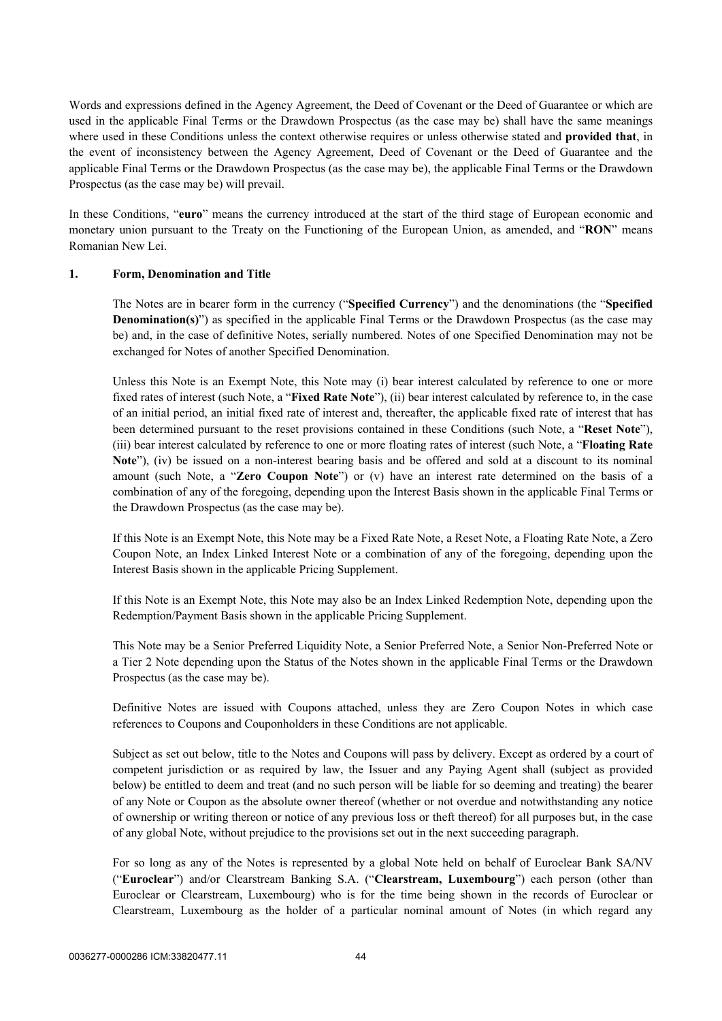Words and expressions defined in the Agency Agreement, the Deed of Covenant or the Deed of Guarantee or which are used in the applicable Final Terms or the Drawdown Prospectus (as the case may be) shall have the same meanings where used in these Conditions unless the context otherwise requires or unless otherwise stated and **provided that**, in the event of inconsistency between the Agency Agreement, Deed of Covenant or the Deed of Guarantee and the applicable Final Terms or the Drawdown Prospectus (as the case may be), the applicable Final Terms or the Drawdown Prospectus (as the case may be) will prevail.

In these Conditions, "**euro**" means the currency introduced at the start of the third stage of European economic and monetary union pursuant to the Treaty on the Functioning of the European Union, as amended, and "**RON**" means Romanian New Lei.

### **1. Form, Denomination and Title**

The Notes are in bearer form in the currency ("**Specified Currency**") and the denominations (the "**Specified Denomination(s)**") as specified in the applicable Final Terms or the Drawdown Prospectus (as the case may be) and, in the case of definitive Notes, serially numbered. Notes of one Specified Denomination may not be exchanged for Notes of another Specified Denomination.

Unless this Note is an Exempt Note, this Note may (i) bear interest calculated by reference to one or more fixed rates of interest (such Note, a "**Fixed Rate Note**"), (ii) bear interest calculated by reference to, in the case of an initial period, an initial fixed rate of interest and, thereafter, the applicable fixed rate of interest that has been determined pursuant to the reset provisions contained in these Conditions (such Note, a "**Reset Note**"), (iii) bear interest calculated by reference to one or more floating rates of interest (such Note, a "**Floating Rate Note**"), (iv) be issued on a non-interest bearing basis and be offered and sold at a discount to its nominal amount (such Note, a "**Zero Coupon Note**") or (v) have an interest rate determined on the basis of a combination of any of the foregoing, depending upon the Interest Basis shown in the applicable Final Terms or the Drawdown Prospectus (as the case may be).

If this Note is an Exempt Note, this Note may be a Fixed Rate Note, a Reset Note, a Floating Rate Note, a Zero Coupon Note, an Index Linked Interest Note or a combination of any of the foregoing, depending upon the Interest Basis shown in the applicable Pricing Supplement.

If this Note is an Exempt Note, this Note may also be an Index Linked Redemption Note, depending upon the Redemption/Payment Basis shown in the applicable Pricing Supplement.

This Note may be a Senior Preferred Liquidity Note, a Senior Preferred Note, a Senior Non-Preferred Note or a Tier 2 Note depending upon the Status of the Notes shown in the applicable Final Terms or the Drawdown Prospectus (as the case may be).

Definitive Notes are issued with Coupons attached, unless they are Zero Coupon Notes in which case references to Coupons and Couponholders in these Conditions are not applicable.

Subject as set out below, title to the Notes and Coupons will pass by delivery. Except as ordered by a court of competent jurisdiction or as required by law, the Issuer and any Paying Agent shall (subject as provided below) be entitled to deem and treat (and no such person will be liable for so deeming and treating) the bearer of any Note or Coupon as the absolute owner thereof (whether or not overdue and notwithstanding any notice of ownership or writing thereon or notice of any previous loss or theft thereof) for all purposes but, in the case of any global Note, without prejudice to the provisions set out in the next succeeding paragraph.

For so long as any of the Notes is represented by a global Note held on behalf of Euroclear Bank SA/NV ("**Euroclear**") and/or Clearstream Banking S.A. ("**Clearstream, Luxembourg**") each person (other than Euroclear or Clearstream, Luxembourg) who is for the time being shown in the records of Euroclear or Clearstream, Luxembourg as the holder of a particular nominal amount of Notes (in which regard any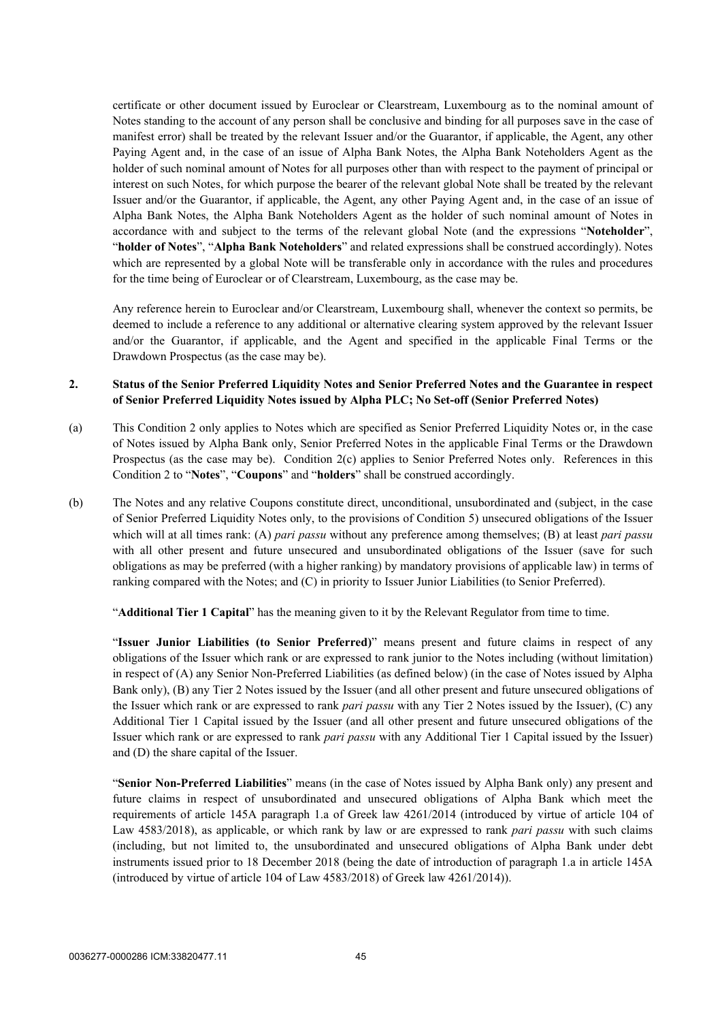certificate or other document issued by Euroclear or Clearstream, Luxembourg as to the nominal amount of Notes standing to the account of any person shall be conclusive and binding for all purposes save in the case of manifest error) shall be treated by the relevant Issuer and/or the Guarantor, if applicable, the Agent, any other Paying Agent and, in the case of an issue of Alpha Bank Notes, the Alpha Bank Noteholders Agent as the holder of such nominal amount of Notes for all purposes other than with respect to the payment of principal or interest on such Notes, for which purpose the bearer of the relevant global Note shall be treated by the relevant Issuer and/or the Guarantor, if applicable, the Agent, any other Paying Agent and, in the case of an issue of Alpha Bank Notes, the Alpha Bank Noteholders Agent as the holder of such nominal amount of Notes in accordance with and subject to the terms of the relevant global Note (and the expressions "**Noteholder**", "**holder of Notes**", "**Alpha Bank Noteholders**" and related expressions shall be construed accordingly). Notes which are represented by a global Note will be transferable only in accordance with the rules and procedures for the time being of Euroclear or of Clearstream, Luxembourg, as the case may be.

Any reference herein to Euroclear and/or Clearstream, Luxembourg shall, whenever the context so permits, be deemed to include a reference to any additional or alternative clearing system approved by the relevant Issuer and/or the Guarantor, if applicable, and the Agent and specified in the applicable Final Terms or the Drawdown Prospectus (as the case may be).

### **2. Status of the Senior Preferred Liquidity Notes and Senior Preferred Notes and the Guarantee in respect of Senior Preferred Liquidity Notes issued by Alpha PLC; No Set-off (Senior Preferred Notes)**

- (a) This Condition 2 only applies to Notes which are specified as Senior Preferred Liquidity Notes or, in the case of Notes issued by Alpha Bank only, Senior Preferred Notes in the applicable Final Terms or the Drawdown Prospectus (as the case may be). Condition 2(c) applies to Senior Preferred Notes only. References in this Condition 2 to "**Notes**", "**Coupons**" and "**holders**" shall be construed accordingly.
- (b) The Notes and any relative Coupons constitute direct, unconditional, unsubordinated and (subject, in the case of Senior Preferred Liquidity Notes only, to the provisions of Condition [5\)](#page-51-0) unsecured obligations of the Issuer which will at all times rank: (A) *pari passu* without any preference among themselves; (B) at least *pari passu* with all other present and future unsecured and unsubordinated obligations of the Issuer (save for such obligations as may be preferred (with a higher ranking) by mandatory provisions of applicable law) in terms of ranking compared with the Notes; and (C) in priority to Issuer Junior Liabilities (to Senior Preferred).

"**Additional Tier 1 Capital**" has the meaning given to it by the Relevant Regulator from time to time.

"**Issuer Junior Liabilities (to Senior Preferred)**" means present and future claims in respect of any obligations of the Issuer which rank or are expressed to rank junior to the Notes including (without limitation) in respect of (A) any Senior Non-Preferred Liabilities (as defined below) (in the case of Notes issued by Alpha Bank only), (B) any Tier 2 Notes issued by the Issuer (and all other present and future unsecured obligations of the Issuer which rank or are expressed to rank *pari passu* with any Tier 2 Notes issued by the Issuer), (C) any Additional Tier 1 Capital issued by the Issuer (and all other present and future unsecured obligations of the Issuer which rank or are expressed to rank *pari passu* with any Additional Tier 1 Capital issued by the Issuer) and (D) the share capital of the Issuer.

"**Senior Non-Preferred Liabilities**" means (in the case of Notes issued by Alpha Bank only) any present and future claims in respect of unsubordinated and unsecured obligations of Alpha Bank which meet the requirements of article 145A paragraph 1.a of Greek law 4261/2014 (introduced by virtue of article 104 of Law 4583/2018), as applicable, or which rank by law or are expressed to rank *pari passu* with such claims (including, but not limited to, the unsubordinated and unsecured obligations of Alpha Bank under debt instruments issued prior to 18 December 2018 (being the date of introduction of paragraph 1.a in article 145A (introduced by virtue of article 104 of Law 4583/2018) of Greek law 4261/2014)).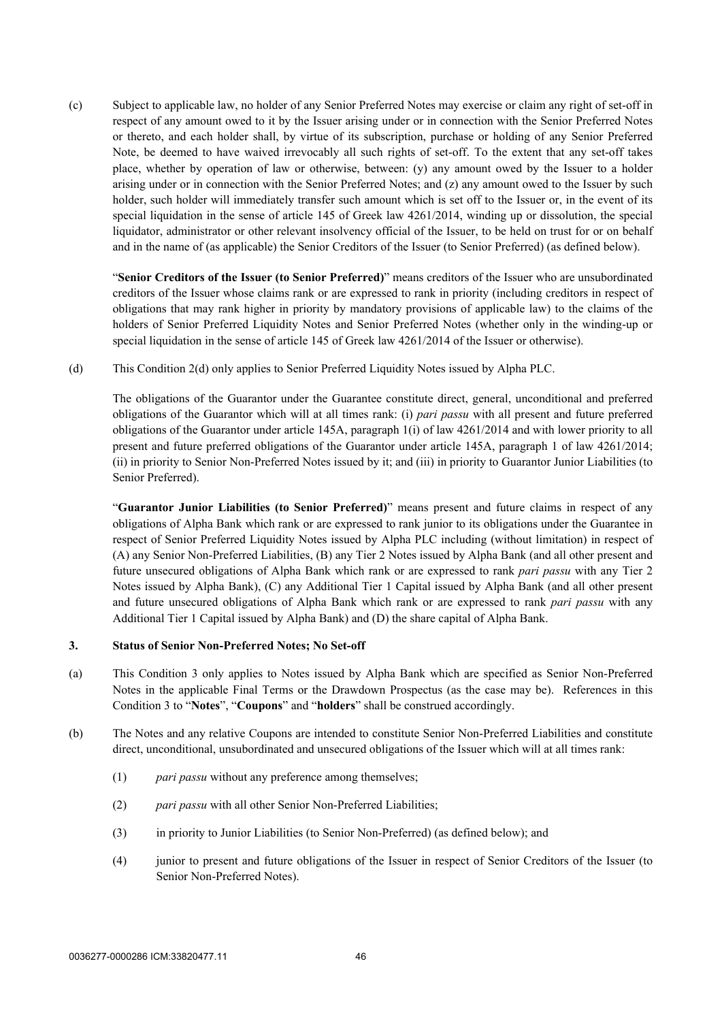(c) Subject to applicable law, no holder of any Senior Preferred Notes may exercise or claim any right of set-off in respect of any amount owed to it by the Issuer arising under or in connection with the Senior Preferred Notes or thereto, and each holder shall, by virtue of its subscription, purchase or holding of any Senior Preferred Note, be deemed to have waived irrevocably all such rights of set-off. To the extent that any set-off takes place, whether by operation of law or otherwise, between: (y) any amount owed by the Issuer to a holder arising under or in connection with the Senior Preferred Notes; and (z) any amount owed to the Issuer by such holder, such holder will immediately transfer such amount which is set off to the Issuer or, in the event of its special liquidation in the sense of article 145 of Greek law 4261/2014, winding up or dissolution, the special liquidator, administrator or other relevant insolvency official of the Issuer, to be held on trust for or on behalf and in the name of (as applicable) the Senior Creditors of the Issuer (to Senior Preferred) (as defined below).

"**Senior Creditors of the Issuer (to Senior Preferred)**" means creditors of the Issuer who are unsubordinated creditors of the Issuer whose claims rank or are expressed to rank in priority (including creditors in respect of obligations that may rank higher in priority by mandatory provisions of applicable law) to the claims of the holders of Senior Preferred Liquidity Notes and Senior Preferred Notes (whether only in the winding-up or special liquidation in the sense of article 145 of Greek law 4261/2014 of the Issuer or otherwise).

(d) This Condition 2(d) only applies to Senior Preferred Liquidity Notes issued by Alpha PLC.

The obligations of the Guarantor under the Guarantee constitute direct, general, unconditional and preferred obligations of the Guarantor which will at all times rank: (i) *pari passu* with all present and future preferred obligations of the Guarantor under article 145A, paragraph 1(i) of law 4261/2014 and with lower priority to all present and future preferred obligations of the Guarantor under article 145A, paragraph 1 of law 4261/2014; (ii) in priority to Senior Non-Preferred Notes issued by it; and (iii) in priority to Guarantor Junior Liabilities (to Senior Preferred).

"**Guarantor Junior Liabilities (to Senior Preferred)**" means present and future claims in respect of any obligations of Alpha Bank which rank or are expressed to rank junior to its obligations under the Guarantee in respect of Senior Preferred Liquidity Notes issued by Alpha PLC including (without limitation) in respect of (A) any Senior Non-Preferred Liabilities, (B) any Tier 2 Notes issued by Alpha Bank (and all other present and future unsecured obligations of Alpha Bank which rank or are expressed to rank *pari passu* with any Tier 2 Notes issued by Alpha Bank), (C) any Additional Tier 1 Capital issued by Alpha Bank (and all other present and future unsecured obligations of Alpha Bank which rank or are expressed to rank *pari passu* with any Additional Tier 1 Capital issued by Alpha Bank) and (D) the share capital of Alpha Bank.

### **3. Status of Senior Non-Preferred Notes; No Set-off**

- (a) This Condition 3 only applies to Notes issued by Alpha Bank which are specified as Senior Non-Preferred Notes in the applicable Final Terms or the Drawdown Prospectus (as the case may be). References in this Condition 3 to "**Notes**", "**Coupons**" and "**holders**" shall be construed accordingly.
- (b) The Notes and any relative Coupons are intended to constitute Senior Non-Preferred Liabilities and constitute direct, unconditional, unsubordinated and unsecured obligations of the Issuer which will at all times rank:
	- (1) *pari passu* without any preference among themselves;
	- (2) *pari passu* with all other Senior Non-Preferred Liabilities;
	- (3) in priority to Junior Liabilities (to Senior Non-Preferred) (as defined below); and
	- (4) junior to present and future obligations of the Issuer in respect of Senior Creditors of the Issuer (to Senior Non-Preferred Notes).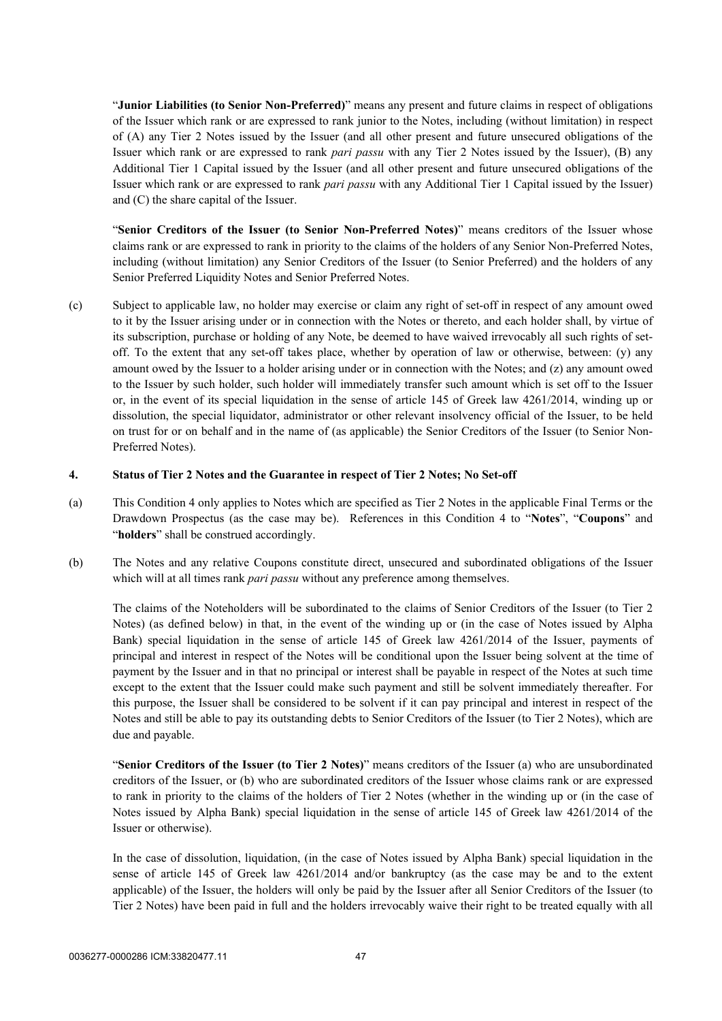"**Junior Liabilities (to Senior Non-Preferred)**" means any present and future claims in respect of obligations of the Issuer which rank or are expressed to rank junior to the Notes, including (without limitation) in respect of (A) any Tier 2 Notes issued by the Issuer (and all other present and future unsecured obligations of the Issuer which rank or are expressed to rank *pari passu* with any Tier 2 Notes issued by the Issuer), (B) any Additional Tier 1 Capital issued by the Issuer (and all other present and future unsecured obligations of the Issuer which rank or are expressed to rank *pari passu* with any Additional Tier 1 Capital issued by the Issuer) and (C) the share capital of the Issuer.

"**Senior Creditors of the Issuer (to Senior Non-Preferred Notes)**" means creditors of the Issuer whose claims rank or are expressed to rank in priority to the claims of the holders of any Senior Non-Preferred Notes, including (without limitation) any Senior Creditors of the Issuer (to Senior Preferred) and the holders of any Senior Preferred Liquidity Notes and Senior Preferred Notes.

(c) Subject to applicable law, no holder may exercise or claim any right of set-off in respect of any amount owed to it by the Issuer arising under or in connection with the Notes or thereto, and each holder shall, by virtue of its subscription, purchase or holding of any Note, be deemed to have waived irrevocably all such rights of setoff. To the extent that any set-off takes place, whether by operation of law or otherwise, between: (y) any amount owed by the Issuer to a holder arising under or in connection with the Notes; and (z) any amount owed to the Issuer by such holder, such holder will immediately transfer such amount which is set off to the Issuer or, in the event of its special liquidation in the sense of article 145 of Greek law 4261/2014, winding up or dissolution, the special liquidator, administrator or other relevant insolvency official of the Issuer, to be held on trust for or on behalf and in the name of (as applicable) the Senior Creditors of the Issuer (to Senior Non-Preferred Notes).

### **4. Status of Tier 2 Notes and the Guarantee in respect of Tier 2 Notes; No Set-off**

- (a) This Condition 4 only applies to Notes which are specified as Tier 2 Notes in the applicable Final Terms or the Drawdown Prospectus (as the case may be). References in this Condition 4 to "**Notes**", "**Coupons**" and "**holders**" shall be construed accordingly.
- (b) The Notes and any relative Coupons constitute direct, unsecured and subordinated obligations of the Issuer which will at all times rank *pari passu* without any preference among themselves.

The claims of the Noteholders will be subordinated to the claims of Senior Creditors of the Issuer (to Tier 2 Notes) (as defined below) in that, in the event of the winding up or (in the case of Notes issued by Alpha Bank) special liquidation in the sense of article 145 of Greek law 4261/2014 of the Issuer, payments of principal and interest in respect of the Notes will be conditional upon the Issuer being solvent at the time of payment by the Issuer and in that no principal or interest shall be payable in respect of the Notes at such time except to the extent that the Issuer could make such payment and still be solvent immediately thereafter. For this purpose, the Issuer shall be considered to be solvent if it can pay principal and interest in respect of the Notes and still be able to pay its outstanding debts to Senior Creditors of the Issuer (to Tier 2 Notes), which are due and payable.

"**Senior Creditors of the Issuer (to Tier 2 Notes)**" means creditors of the Issuer (a) who are unsubordinated creditors of the Issuer, or (b) who are subordinated creditors of the Issuer whose claims rank or are expressed to rank in priority to the claims of the holders of Tier 2 Notes (whether in the winding up or (in the case of Notes issued by Alpha Bank) special liquidation in the sense of article 145 of Greek law 4261/2014 of the Issuer or otherwise).

In the case of dissolution, liquidation, (in the case of Notes issued by Alpha Bank) special liquidation in the sense of article 145 of Greek law 4261/2014 and/or bankruptcy (as the case may be and to the extent applicable) of the Issuer, the holders will only be paid by the Issuer after all Senior Creditors of the Issuer (to Tier 2 Notes) have been paid in full and the holders irrevocably waive their right to be treated equally with all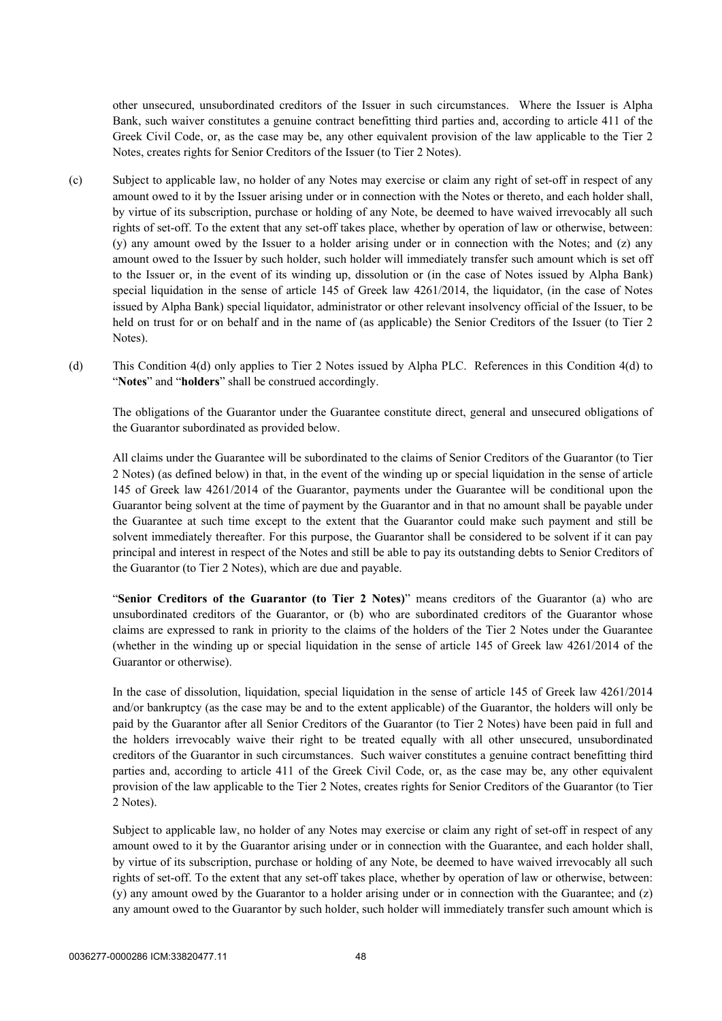other unsecured, unsubordinated creditors of the Issuer in such circumstances. Where the Issuer is Alpha Bank, such waiver constitutes a genuine contract benefitting third parties and, according to article 411 of the Greek Civil Code, or, as the case may be, any other equivalent provision of the law applicable to the Tier 2 Notes, creates rights for Senior Creditors of the Issuer (to Tier 2 Notes).

- (c) Subject to applicable law, no holder of any Notes may exercise or claim any right of set-off in respect of any amount owed to it by the Issuer arising under or in connection with the Notes or thereto, and each holder shall, by virtue of its subscription, purchase or holding of any Note, be deemed to have waived irrevocably all such rights of set-off. To the extent that any set-off takes place, whether by operation of law or otherwise, between: (y) any amount owed by the Issuer to a holder arising under or in connection with the Notes; and (z) any amount owed to the Issuer by such holder, such holder will immediately transfer such amount which is set off to the Issuer or, in the event of its winding up, dissolution or (in the case of Notes issued by Alpha Bank) special liquidation in the sense of article 145 of Greek law 4261/2014, the liquidator, (in the case of Notes issued by Alpha Bank) special liquidator, administrator or other relevant insolvency official of the Issuer, to be held on trust for or on behalf and in the name of (as applicable) the Senior Creditors of the Issuer (to Tier 2 Notes).
- (d) This Condition 4(d) only applies to Tier 2 Notes issued by Alpha PLC. References in this Condition 4(d) to "**Notes**" and "**holders**" shall be construed accordingly.

The obligations of the Guarantor under the Guarantee constitute direct, general and unsecured obligations of the Guarantor subordinated as provided below.

All claims under the Guarantee will be subordinated to the claims of Senior Creditors of the Guarantor (to Tier 2 Notes) (as defined below) in that, in the event of the winding up or special liquidation in the sense of article 145 of Greek law 4261/2014 of the Guarantor, payments under the Guarantee will be conditional upon the Guarantor being solvent at the time of payment by the Guarantor and in that no amount shall be payable under the Guarantee at such time except to the extent that the Guarantor could make such payment and still be solvent immediately thereafter. For this purpose, the Guarantor shall be considered to be solvent if it can pay principal and interest in respect of the Notes and still be able to pay its outstanding debts to Senior Creditors of the Guarantor (to Tier 2 Notes), which are due and payable.

"**Senior Creditors of the Guarantor (to Tier 2 Notes)**" means creditors of the Guarantor (a) who are unsubordinated creditors of the Guarantor, or (b) who are subordinated creditors of the Guarantor whose claims are expressed to rank in priority to the claims of the holders of the Tier 2 Notes under the Guarantee (whether in the winding up or special liquidation in the sense of article 145 of Greek law 4261/2014 of the Guarantor or otherwise).

In the case of dissolution, liquidation, special liquidation in the sense of article 145 of Greek law 4261/2014 and/or bankruptcy (as the case may be and to the extent applicable) of the Guarantor, the holders will only be paid by the Guarantor after all Senior Creditors of the Guarantor (to Tier 2 Notes) have been paid in full and the holders irrevocably waive their right to be treated equally with all other unsecured, unsubordinated creditors of the Guarantor in such circumstances. Such waiver constitutes a genuine contract benefitting third parties and, according to article 411 of the Greek Civil Code, or, as the case may be, any other equivalent provision of the law applicable to the Tier 2 Notes, creates rights for Senior Creditors of the Guarantor (to Tier 2 Notes).

Subject to applicable law, no holder of any Notes may exercise or claim any right of set-off in respect of any amount owed to it by the Guarantor arising under or in connection with the Guarantee, and each holder shall, by virtue of its subscription, purchase or holding of any Note, be deemed to have waived irrevocably all such rights of set-off. To the extent that any set-off takes place, whether by operation of law or otherwise, between: (y) any amount owed by the Guarantor to a holder arising under or in connection with the Guarantee; and (z) any amount owed to the Guarantor by such holder, such holder will immediately transfer such amount which is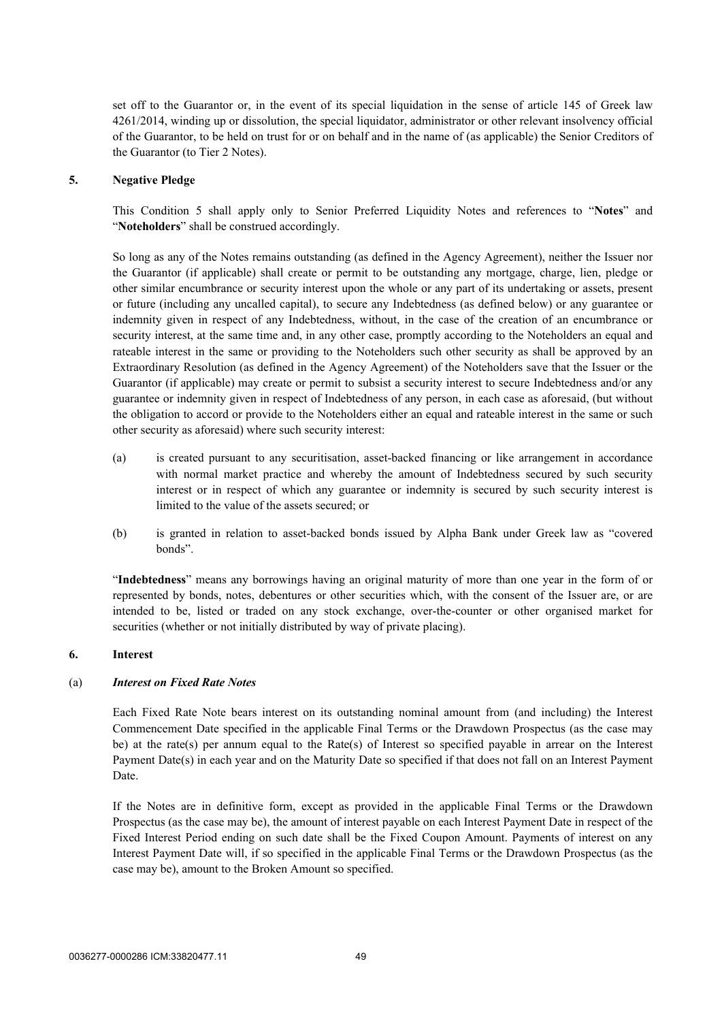set off to the Guarantor or, in the event of its special liquidation in the sense of article 145 of Greek law 4261/2014, winding up or dissolution, the special liquidator, administrator or other relevant insolvency official of the Guarantor, to be held on trust for or on behalf and in the name of (as applicable) the Senior Creditors of the Guarantor (to Tier 2 Notes).

### <span id="page-51-0"></span>**5. Negative Pledge**

This Condition [5](#page-51-0) shall apply only to Senior Preferred Liquidity Notes and references to "**Notes**" and "**Noteholders**" shall be construed accordingly.

So long as any of the Notes remains outstanding (as defined in the Agency Agreement), neither the Issuer nor the Guarantor (if applicable) shall create or permit to be outstanding any mortgage, charge, lien, pledge or other similar encumbrance or security interest upon the whole or any part of its undertaking or assets, present or future (including any uncalled capital), to secure any Indebtedness (as defined below) or any guarantee or indemnity given in respect of any Indebtedness, without, in the case of the creation of an encumbrance or security interest, at the same time and, in any other case, promptly according to the Noteholders an equal and rateable interest in the same or providing to the Noteholders such other security as shall be approved by an Extraordinary Resolution (as defined in the Agency Agreement) of the Noteholders save that the Issuer or the Guarantor (if applicable) may create or permit to subsist a security interest to secure Indebtedness and/or any guarantee or indemnity given in respect of Indebtedness of any person, in each case as aforesaid, (but without the obligation to accord or provide to the Noteholders either an equal and rateable interest in the same or such other security as aforesaid) where such security interest:

- (a) is created pursuant to any securitisation, asset-backed financing or like arrangement in accordance with normal market practice and whereby the amount of Indebtedness secured by such security interest or in respect of which any guarantee or indemnity is secured by such security interest is limited to the value of the assets secured; or
- (b) is granted in relation to asset-backed bonds issued by Alpha Bank under Greek law as "covered bonds".

"**Indebtedness**" means any borrowings having an original maturity of more than one year in the form of or represented by bonds, notes, debentures or other securities which, with the consent of the Issuer are, or are intended to be, listed or traded on any stock exchange, over-the-counter or other organised market for securities (whether or not initially distributed by way of private placing).

### <span id="page-51-2"></span><span id="page-51-1"></span>**6. Interest**

### (a) *Interest on Fixed Rate Notes*

Each Fixed Rate Note bears interest on its outstanding nominal amount from (and including) the Interest Commencement Date specified in the applicable Final Terms or the Drawdown Prospectus (as the case may be) at the rate(s) per annum equal to the Rate(s) of Interest so specified payable in arrear on the Interest Payment Date(s) in each year and on the Maturity Date so specified if that does not fall on an Interest Payment Date.

If the Notes are in definitive form, except as provided in the applicable Final Terms or the Drawdown Prospectus (as the case may be), the amount of interest payable on each Interest Payment Date in respect of the Fixed Interest Period ending on such date shall be the Fixed Coupon Amount. Payments of interest on any Interest Payment Date will, if so specified in the applicable Final Terms or the Drawdown Prospectus (as the case may be), amount to the Broken Amount so specified.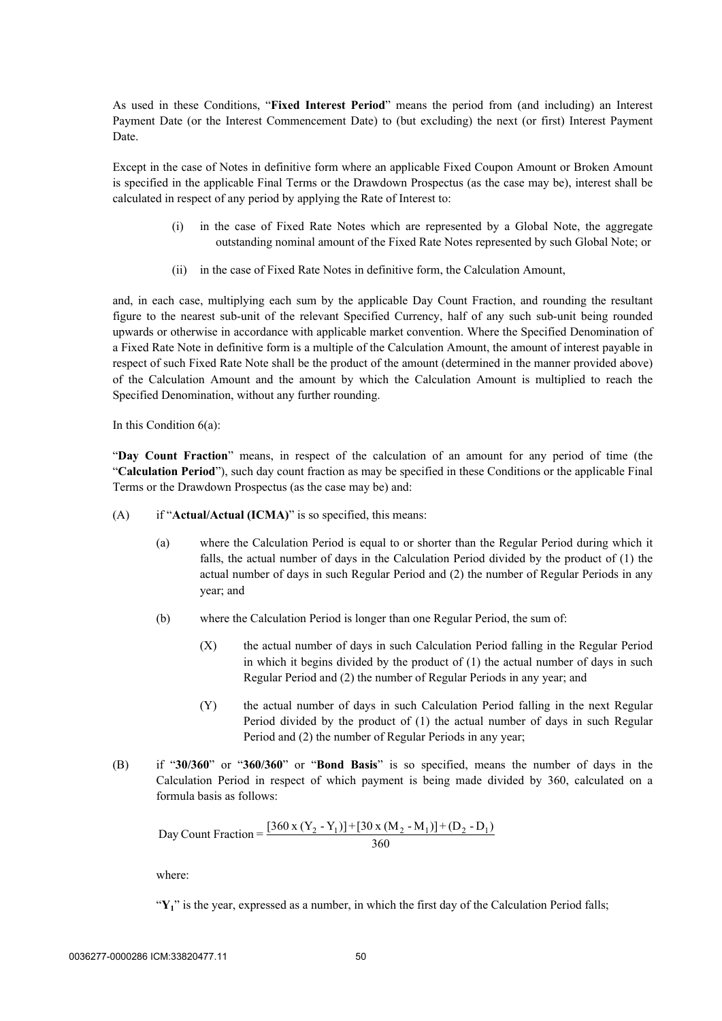As used in these Conditions, "**Fixed Interest Period**" means the period from (and including) an Interest Payment Date (or the Interest Commencement Date) to (but excluding) the next (or first) Interest Payment Date.

Except in the case of Notes in definitive form where an applicable Fixed Coupon Amount or Broken Amount is specified in the applicable Final Terms or the Drawdown Prospectus (as the case may be), interest shall be calculated in respect of any period by applying the Rate of Interest to:

- (i) in the case of Fixed Rate Notes which are represented by a Global Note, the aggregate outstanding nominal amount of the Fixed Rate Notes represented by such Global Note; or
- (ii) in the case of Fixed Rate Notes in definitive form, the Calculation Amount,

and, in each case, multiplying each sum by the applicable Day Count Fraction, and rounding the resultant figure to the nearest sub-unit of the relevant Specified Currency, half of any such sub-unit being rounded upwards or otherwise in accordance with applicable market convention. Where the Specified Denomination of a Fixed Rate Note in definitive form is a multiple of the Calculation Amount, the amount of interest payable in respect of such Fixed Rate Note shall be the product of the amount (determined in the manner provided above) of the Calculation Amount and the amount by which the Calculation Amount is multiplied to reach the Specified Denomination, without any further rounding.

In this Condition 6(a):

"**Day Count Fraction**" means, in respect of the calculation of an amount for any period of time (the "**Calculation Period**"), such day count fraction as may be specified in these Conditions or the applicable Final Terms or the Drawdown Prospectus (as the case may be) and:

- (A) if "**Actual/Actual (ICMA)**" is so specified, this means:
	- (a) where the Calculation Period is equal to or shorter than the Regular Period during which it falls, the actual number of days in the Calculation Period divided by the product of (1) the actual number of days in such Regular Period and (2) the number of Regular Periods in any year; and
	- (b) where the Calculation Period is longer than one Regular Period, the sum of:
		- (X) the actual number of days in such Calculation Period falling in the Regular Period in which it begins divided by the product of (1) the actual number of days in such Regular Period and (2) the number of Regular Periods in any year; and
		- (Y) the actual number of days in such Calculation Period falling in the next Regular Period divided by the product of (1) the actual number of days in such Regular Period and (2) the number of Regular Periods in any year;
- (B) if "**30/360**" or "**360/360**" or "**Bond Basis**" is so specified, means the number of days in the Calculation Period in respect of which payment is being made divided by 360, calculated on a formula basis as follows:

Day Count Fraction = 
$$
\frac{[360 \times (Y_2 - Y_1)] + [30 \times (M_2 - M_1)] + (D_2 - D_1)}{360}
$$

where:

"Y<sub>1</sub>" is the year, expressed as a number, in which the first day of the Calculation Period falls;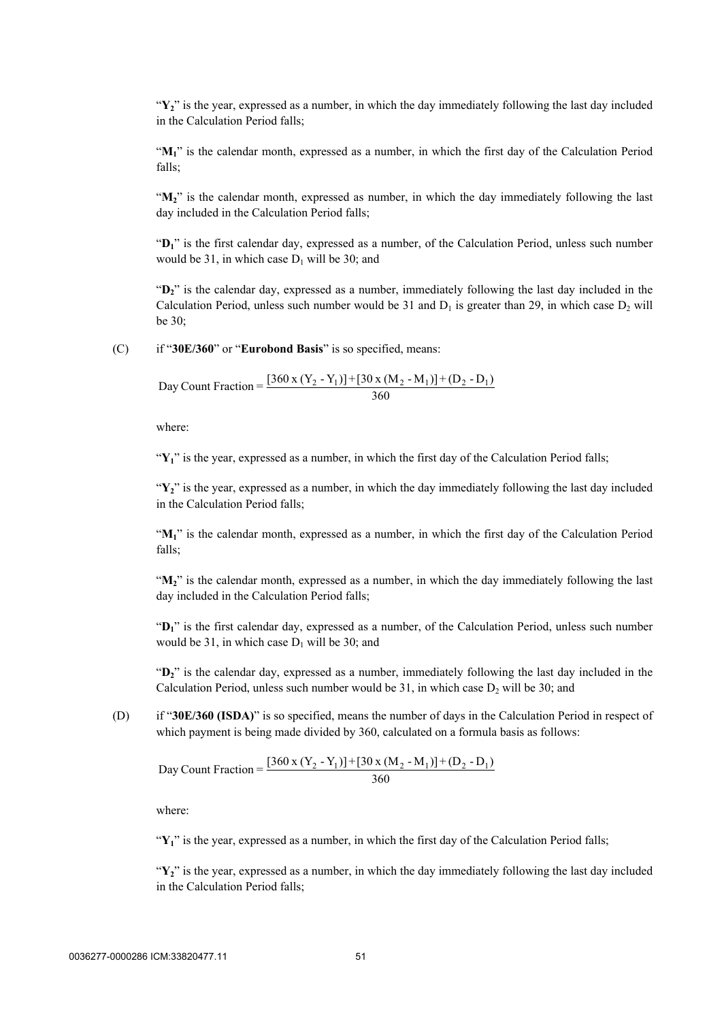"**Y2**" is the year, expressed as a number, in which the day immediately following the last day included in the Calculation Period falls;

"M<sub>1</sub>" is the calendar month, expressed as a number, in which the first day of the Calculation Period falls;

"**M2**" is the calendar month, expressed as number, in which the day immediately following the last day included in the Calculation Period falls;

"**D1**" is the first calendar day, expressed as a number, of the Calculation Period, unless such number would be 31, in which case  $D_1$  will be 30; and

"**D2**" is the calendar day, expressed as a number, immediately following the last day included in the Calculation Period, unless such number would be 31 and  $D_1$  is greater than 29, in which case  $D_2$  will be 30;

(C) if "**30E/360**" or "**Eurobond Basis**" is so specified, means:

Day Count Fraction =  $\frac{[360 \times (Y_2 - Y_1)] + [30 \times (M_2 - M_1)] + (D_2 - D_1)}{360}$ 

where:

"Y<sub>1</sub>" is the year, expressed as a number, in which the first day of the Calculation Period falls;

"Y<sub>2</sub>" is the year, expressed as a number, in which the day immediately following the last day included in the Calculation Period falls;

"M<sub>1</sub>" is the calendar month, expressed as a number, in which the first day of the Calculation Period falls;

"M<sub>2</sub>" is the calendar month, expressed as a number, in which the day immediately following the last day included in the Calculation Period falls;

"**D1**" is the first calendar day, expressed as a number, of the Calculation Period, unless such number would be 31, in which case  $D_1$  will be 30; and

"**D2**" is the calendar day, expressed as a number, immediately following the last day included in the Calculation Period, unless such number would be 31, in which case  $D_2$  will be 30; and

(D) if "**30E/360 (ISDA)**" is so specified, means the number of days in the Calculation Period in respect of which payment is being made divided by 360, calculated on a formula basis as follows:

Day Count Fraction =  $\frac{[360 \times (Y_2 - Y_1)] + [30 \times (M_2 - M_1)] + (D_2 - D_1)}{360}$ 

where:

"Y<sub>1</sub>" is the year, expressed as a number, in which the first day of the Calculation Period falls;

"**Y2**" is the year, expressed as a number, in which the day immediately following the last day included in the Calculation Period falls;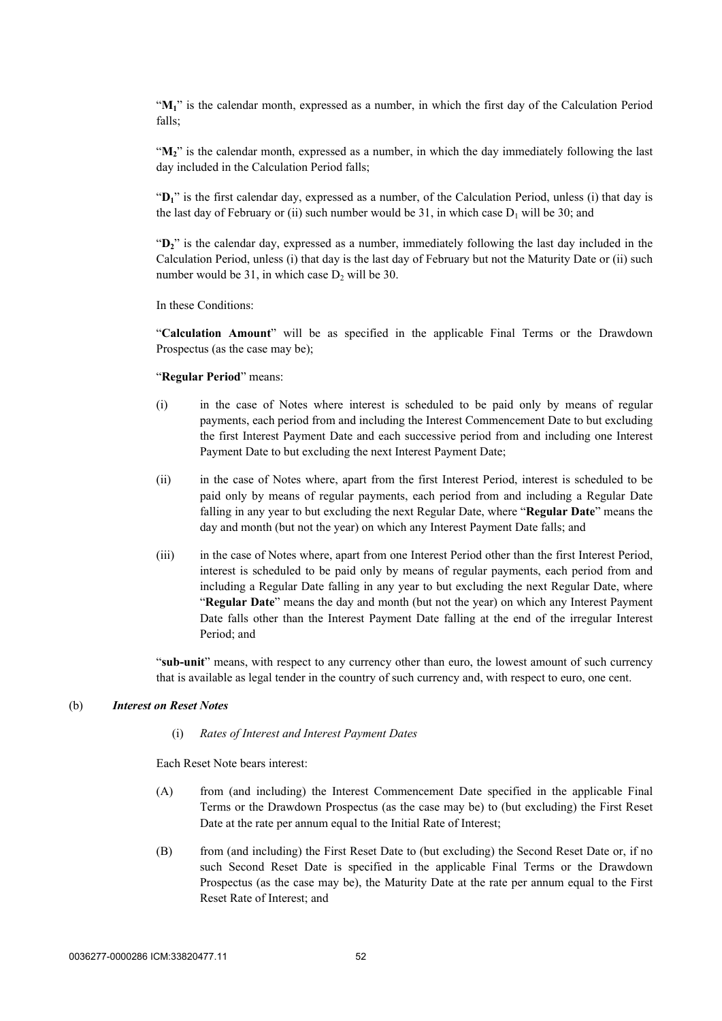"**M1**" is the calendar month, expressed as a number, in which the first day of the Calculation Period falls;

"M<sub>2</sub>" is the calendar month, expressed as a number, in which the day immediately following the last day included in the Calculation Period falls;

"**D1**" is the first calendar day, expressed as a number, of the Calculation Period, unless (i) that day is the last day of February or (ii) such number would be 31, in which case  $D_1$  will be 30; and

"**D2**" is the calendar day, expressed as a number, immediately following the last day included in the Calculation Period, unless (i) that day is the last day of February but not the Maturity Date or (ii) such number would be  $31$ , in which case  $D_2$  will be  $30$ .

In these Conditions:

"**Calculation Amount**" will be as specified in the applicable Final Terms or the Drawdown Prospectus (as the case may be);

#### "**Regular Period**" means:

- (i) in the case of Notes where interest is scheduled to be paid only by means of regular payments, each period from and including the Interest Commencement Date to but excluding the first Interest Payment Date and each successive period from and including one Interest Payment Date to but excluding the next Interest Payment Date;
- (ii) in the case of Notes where, apart from the first Interest Period, interest is scheduled to be paid only by means of regular payments, each period from and including a Regular Date falling in any year to but excluding the next Regular Date, where "**Regular Date**" means the day and month (but not the year) on which any Interest Payment Date falls; and
- (iii) in the case of Notes where, apart from one Interest Period other than the first Interest Period, interest is scheduled to be paid only by means of regular payments, each period from and including a Regular Date falling in any year to but excluding the next Regular Date, where "**Regular Date**" means the day and month (but not the year) on which any Interest Payment Date falls other than the Interest Payment Date falling at the end of the irregular Interest Period; and

"**sub-unit**" means, with respect to any currency other than euro, the lowest amount of such currency that is available as legal tender in the country of such currency and, with respect to euro, one cent.

#### <span id="page-54-0"></span>(b) *Interest on Reset Notes*

#### (i) *Rates of Interest and Interest Payment Dates*

Each Reset Note bears interest:

- (A) from (and including) the Interest Commencement Date specified in the applicable Final Terms or the Drawdown Prospectus (as the case may be) to (but excluding) the First Reset Date at the rate per annum equal to the Initial Rate of Interest;
- (B) from (and including) the First Reset Date to (but excluding) the Second Reset Date or, if no such Second Reset Date is specified in the applicable Final Terms or the Drawdown Prospectus (as the case may be), the Maturity Date at the rate per annum equal to the First Reset Rate of Interest; and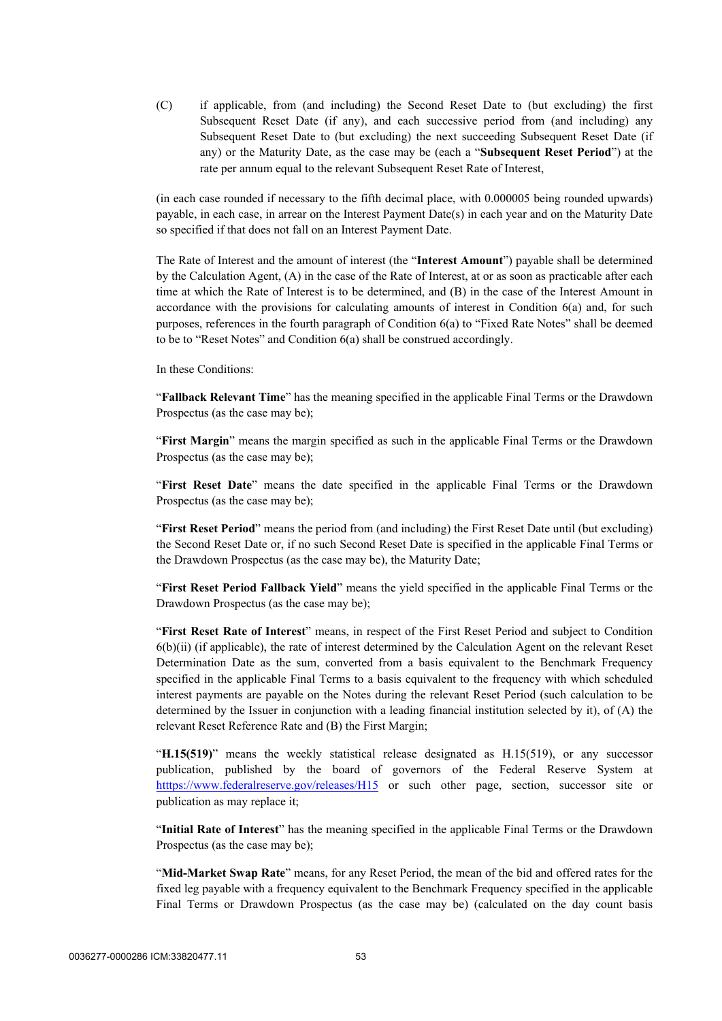(C) if applicable, from (and including) the Second Reset Date to (but excluding) the first Subsequent Reset Date (if any), and each successive period from (and including) any Subsequent Reset Date to (but excluding) the next succeeding Subsequent Reset Date (if any) or the Maturity Date, as the case may be (each a "**Subsequent Reset Period**") at the rate per annum equal to the relevant Subsequent Reset Rate of Interest,

(in each case rounded if necessary to the fifth decimal place, with 0.000005 being rounded upwards) payable, in each case, in arrear on the Interest Payment Date(s) in each year and on the Maturity Date so specified if that does not fall on an Interest Payment Date.

The Rate of Interest and the amount of interest (the "**Interest Amount**") payable shall be determined by the Calculation Agent, (A) in the case of the Rate of Interest, at or as soon as practicable after each time at which the Rate of Interest is to be determined, and (B) in the case of the Interest Amount in accordance with the provisions for calculating amounts of interest in Condition [6\(a\)](#page-51-1) and, for such purposes, references in the fourth paragraph of Condition [6\(a\)](#page-51-1) to "Fixed Rate Notes" shall be deemed to be to "Reset Notes" and Condition [6\(a\)](#page-51-1) shall be construed accordingly.

In these Conditions:

"**Fallback Relevant Time**" has the meaning specified in the applicable Final Terms or the Drawdown Prospectus (as the case may be);

"**First Margin**" means the margin specified as such in the applicable Final Terms or the Drawdown Prospectus (as the case may be);

"**First Reset Date**" means the date specified in the applicable Final Terms or the Drawdown Prospectus (as the case may be);

"**First Reset Period**" means the period from (and including) the First Reset Date until (but excluding) the Second Reset Date or, if no such Second Reset Date is specified in the applicable Final Terms or the Drawdown Prospectus (as the case may be), the Maturity Date;

"**First Reset Period Fallback Yield**" means the yield specified in the applicable Final Terms or the Drawdown Prospectus (as the case may be);

"**First Reset Rate of Interest**" means, in respect of the First Reset Period and subject to Condition [6\(b\)\(ii\)](#page-59-0) (if applicable), the rate of interest determined by the Calculation Agent on the relevant Reset Determination Date as the sum, converted from a basis equivalent to the Benchmark Frequency specified in the applicable Final Terms to a basis equivalent to the frequency with which scheduled interest payments are payable on the Notes during the relevant Reset Period (such calculation to be determined by the Issuer in conjunction with a leading financial institution selected by it), of (A) the relevant Reset Reference Rate and (B) the First Margin;

"**H.15(519)**" means the weekly statistical release designated as H.15(519), or any successor publication, published by the board of governors of the Federal Reserve System at [htttps://www.federalreserve.gov/releases/H15](https://www.federalreserve.gov/releases/H15/) or such other page, section, successor site or publication as may replace it;

"**Initial Rate of Interest**" has the meaning specified in the applicable Final Terms or the Drawdown Prospectus (as the case may be);

"**Mid-Market Swap Rate**" means, for any Reset Period, the mean of the bid and offered rates for the fixed leg payable with a frequency equivalent to the Benchmark Frequency specified in the applicable Final Terms or Drawdown Prospectus (as the case may be) (calculated on the day count basis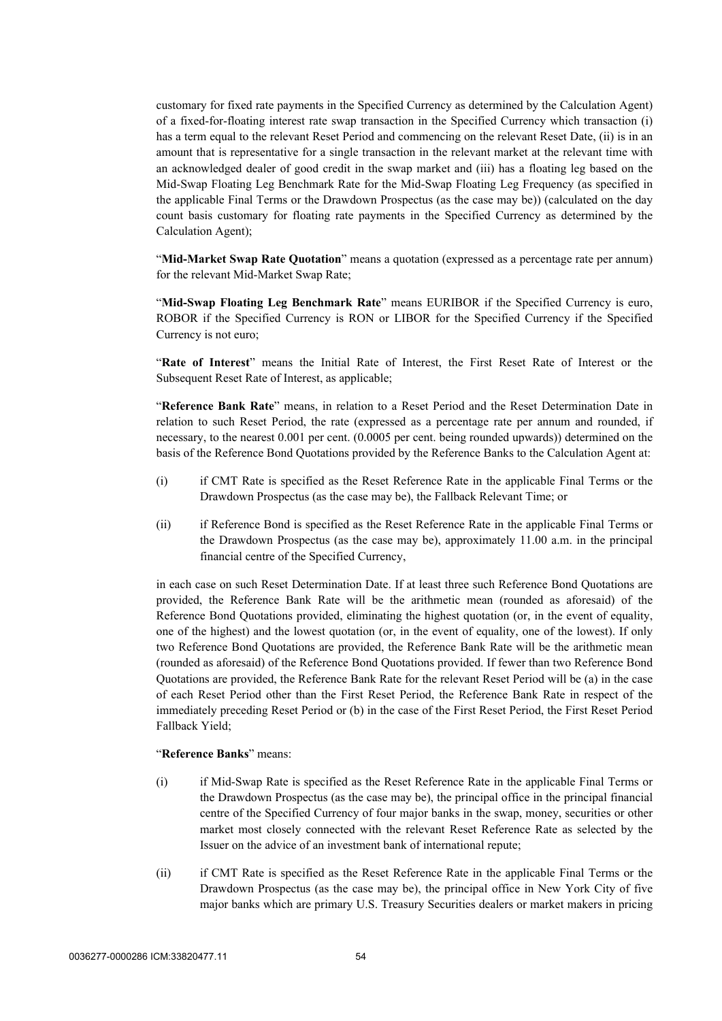customary for fixed rate payments in the Specified Currency as determined by the Calculation Agent) of a fixed-for-floating interest rate swap transaction in the Specified Currency which transaction (i) has a term equal to the relevant Reset Period and commencing on the relevant Reset Date, (ii) is in an amount that is representative for a single transaction in the relevant market at the relevant time with an acknowledged dealer of good credit in the swap market and (iii) has a floating leg based on the Mid-Swap Floating Leg Benchmark Rate for the Mid-Swap Floating Leg Frequency (as specified in the applicable Final Terms or the Drawdown Prospectus (as the case may be)) (calculated on the day count basis customary for floating rate payments in the Specified Currency as determined by the Calculation Agent);

"**Mid-Market Swap Rate Quotation**" means a quotation (expressed as a percentage rate per annum) for the relevant Mid-Market Swap Rate;

"**Mid-Swap Floating Leg Benchmark Rate**" means EURIBOR if the Specified Currency is euro, ROBOR if the Specified Currency is RON or LIBOR for the Specified Currency if the Specified Currency is not euro;

"**Rate of Interest**" means the Initial Rate of Interest, the First Reset Rate of Interest or the Subsequent Reset Rate of Interest, as applicable;

"**Reference Bank Rate**" means, in relation to a Reset Period and the Reset Determination Date in relation to such Reset Period, the rate (expressed as a percentage rate per annum and rounded, if necessary, to the nearest 0.001 per cent. (0.0005 per cent. being rounded upwards)) determined on the basis of the Reference Bond Quotations provided by the Reference Banks to the Calculation Agent at:

- (i) if CMT Rate is specified as the Reset Reference Rate in the applicable Final Terms or the Drawdown Prospectus (as the case may be), the Fallback Relevant Time; or
- (ii) if Reference Bond is specified as the Reset Reference Rate in the applicable Final Terms or the Drawdown Prospectus (as the case may be), approximately 11.00 a.m. in the principal financial centre of the Specified Currency,

in each case on such Reset Determination Date. If at least three such Reference Bond Quotations are provided, the Reference Bank Rate will be the arithmetic mean (rounded as aforesaid) of the Reference Bond Quotations provided, eliminating the highest quotation (or, in the event of equality, one of the highest) and the lowest quotation (or, in the event of equality, one of the lowest). If only two Reference Bond Quotations are provided, the Reference Bank Rate will be the arithmetic mean (rounded as aforesaid) of the Reference Bond Quotations provided. If fewer than two Reference Bond Quotations are provided, the Reference Bank Rate for the relevant Reset Period will be (a) in the case of each Reset Period other than the First Reset Period, the Reference Bank Rate in respect of the immediately preceding Reset Period or (b) in the case of the First Reset Period, the First Reset Period Fallback Yield;

### "**Reference Banks**" means:

- (i) if Mid-Swap Rate is specified as the Reset Reference Rate in the applicable Final Terms or the Drawdown Prospectus (as the case may be), the principal office in the principal financial centre of the Specified Currency of four major banks in the swap, money, securities or other market most closely connected with the relevant Reset Reference Rate as selected by the Issuer on the advice of an investment bank of international repute;
- (ii) if CMT Rate is specified as the Reset Reference Rate in the applicable Final Terms or the Drawdown Prospectus (as the case may be), the principal office in New York City of five major banks which are primary U.S. Treasury Securities dealers or market makers in pricing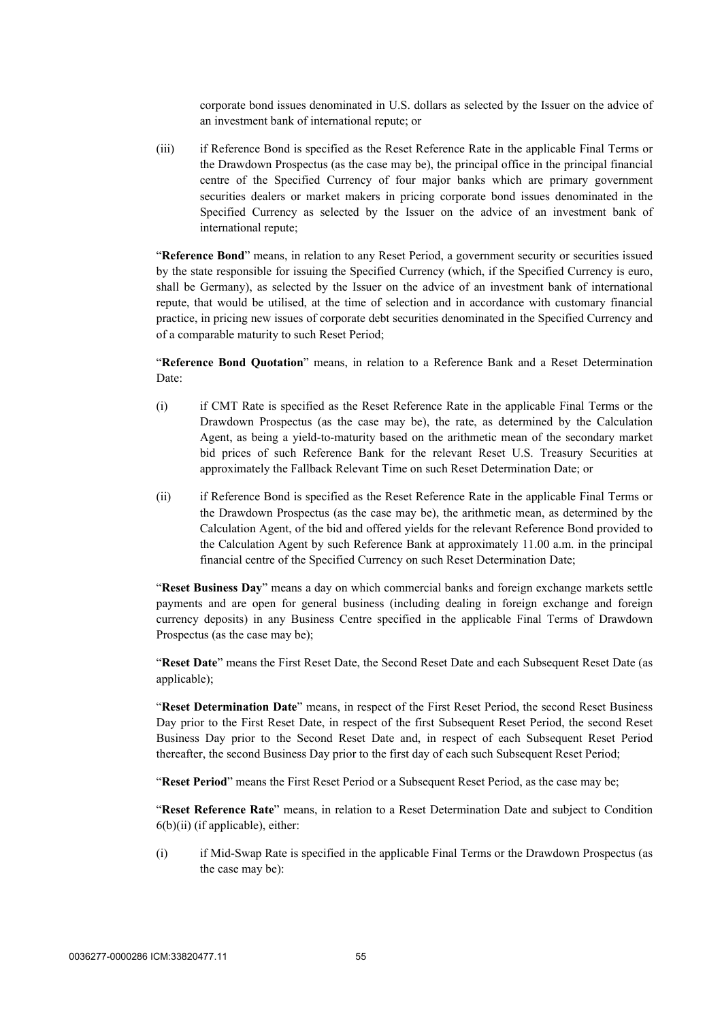corporate bond issues denominated in U.S. dollars as selected by the Issuer on the advice of an investment bank of international repute; or

(iii) if Reference Bond is specified as the Reset Reference Rate in the applicable Final Terms or the Drawdown Prospectus (as the case may be), the principal office in the principal financial centre of the Specified Currency of four major banks which are primary government securities dealers or market makers in pricing corporate bond issues denominated in the Specified Currency as selected by the Issuer on the advice of an investment bank of international repute;

"**Reference Bond**" means, in relation to any Reset Period, a government security or securities issued by the state responsible for issuing the Specified Currency (which, if the Specified Currency is euro, shall be Germany), as selected by the Issuer on the advice of an investment bank of international repute, that would be utilised, at the time of selection and in accordance with customary financial practice, in pricing new issues of corporate debt securities denominated in the Specified Currency and of a comparable maturity to such Reset Period;

"**Reference Bond Quotation**" means, in relation to a Reference Bank and a Reset Determination Date:

- (i) if CMT Rate is specified as the Reset Reference Rate in the applicable Final Terms or the Drawdown Prospectus (as the case may be), the rate, as determined by the Calculation Agent, as being a yield-to-maturity based on the arithmetic mean of the secondary market bid prices of such Reference Bank for the relevant Reset U.S. Treasury Securities at approximately the Fallback Relevant Time on such Reset Determination Date; or
- (ii) if Reference Bond is specified as the Reset Reference Rate in the applicable Final Terms or the Drawdown Prospectus (as the case may be), the arithmetic mean, as determined by the Calculation Agent, of the bid and offered yields for the relevant Reference Bond provided to the Calculation Agent by such Reference Bank at approximately 11.00 a.m. in the principal financial centre of the Specified Currency on such Reset Determination Date;

"**Reset Business Day**" means a day on which commercial banks and foreign exchange markets settle payments and are open for general business (including dealing in foreign exchange and foreign currency deposits) in any Business Centre specified in the applicable Final Terms of Drawdown Prospectus (as the case may be);

"**Reset Date**" means the First Reset Date, the Second Reset Date and each Subsequent Reset Date (as applicable);

"**Reset Determination Date**" means, in respect of the First Reset Period, the second Reset Business Day prior to the First Reset Date, in respect of the first Subsequent Reset Period, the second Reset Business Day prior to the Second Reset Date and, in respect of each Subsequent Reset Period thereafter, the second Business Day prior to the first day of each such Subsequent Reset Period;

"**Reset Period**" means the First Reset Period or a Subsequent Reset Period, as the case may be;

"**Reset Reference Rate**" means, in relation to a Reset Determination Date and subject to Condition  $6(b)(ii)$  (if applicable), either:

(i) if Mid-Swap Rate is specified in the applicable Final Terms or the Drawdown Prospectus (as the case may be):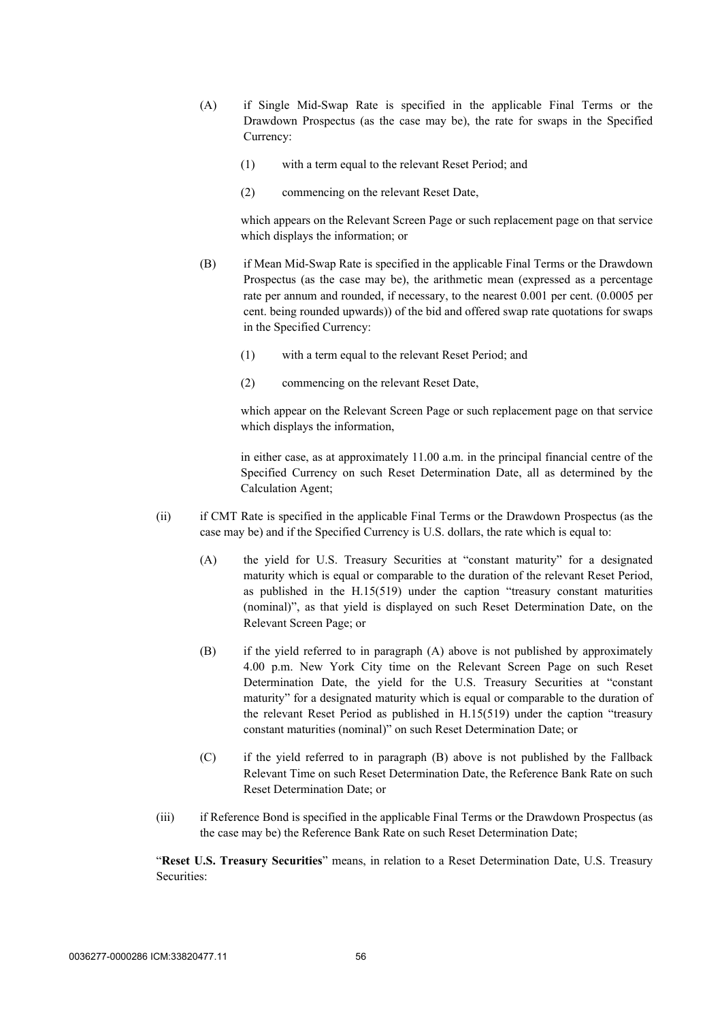- (A) if Single Mid-Swap Rate is specified in the applicable Final Terms or the Drawdown Prospectus (as the case may be), the rate for swaps in the Specified Currency:
	- (1) with a term equal to the relevant Reset Period; and
	- (2) commencing on the relevant Reset Date,

which appears on the Relevant Screen Page or such replacement page on that service which displays the information; or

- (B) if Mean Mid-Swap Rate is specified in the applicable Final Terms or the Drawdown Prospectus (as the case may be), the arithmetic mean (expressed as a percentage rate per annum and rounded, if necessary, to the nearest 0.001 per cent. (0.0005 per cent. being rounded upwards)) of the bid and offered swap rate quotations for swaps in the Specified Currency:
	- (1) with a term equal to the relevant Reset Period; and
	- (2) commencing on the relevant Reset Date,

which appear on the Relevant Screen Page or such replacement page on that service which displays the information,

in either case, as at approximately 11.00 a.m. in the principal financial centre of the Specified Currency on such Reset Determination Date, all as determined by the Calculation Agent;

- (ii) if CMT Rate is specified in the applicable Final Terms or the Drawdown Prospectus (as the case may be) and if the Specified Currency is U.S. dollars, the rate which is equal to:
	- (A) the yield for U.S. Treasury Securities at "constant maturity" for a designated maturity which is equal or comparable to the duration of the relevant Reset Period, as published in the H.15(519) under the caption "treasury constant maturities (nominal)", as that yield is displayed on such Reset Determination Date, on the Relevant Screen Page; or
	- (B) if the yield referred to in paragraph (A) above is not published by approximately 4.00 p.m. New York City time on the Relevant Screen Page on such Reset Determination Date, the yield for the U.S. Treasury Securities at "constant maturity" for a designated maturity which is equal or comparable to the duration of the relevant Reset Period as published in H.15(519) under the caption "treasury constant maturities (nominal)" on such Reset Determination Date; or
	- (C) if the yield referred to in paragraph (B) above is not published by the Fallback Relevant Time on such Reset Determination Date, the Reference Bank Rate on such Reset Determination Date; or
- (iii) if Reference Bond is specified in the applicable Final Terms or the Drawdown Prospectus (as the case may be) the Reference Bank Rate on such Reset Determination Date;

"**Reset U.S. Treasury Securities**" means, in relation to a Reset Determination Date, U.S. Treasury Securities: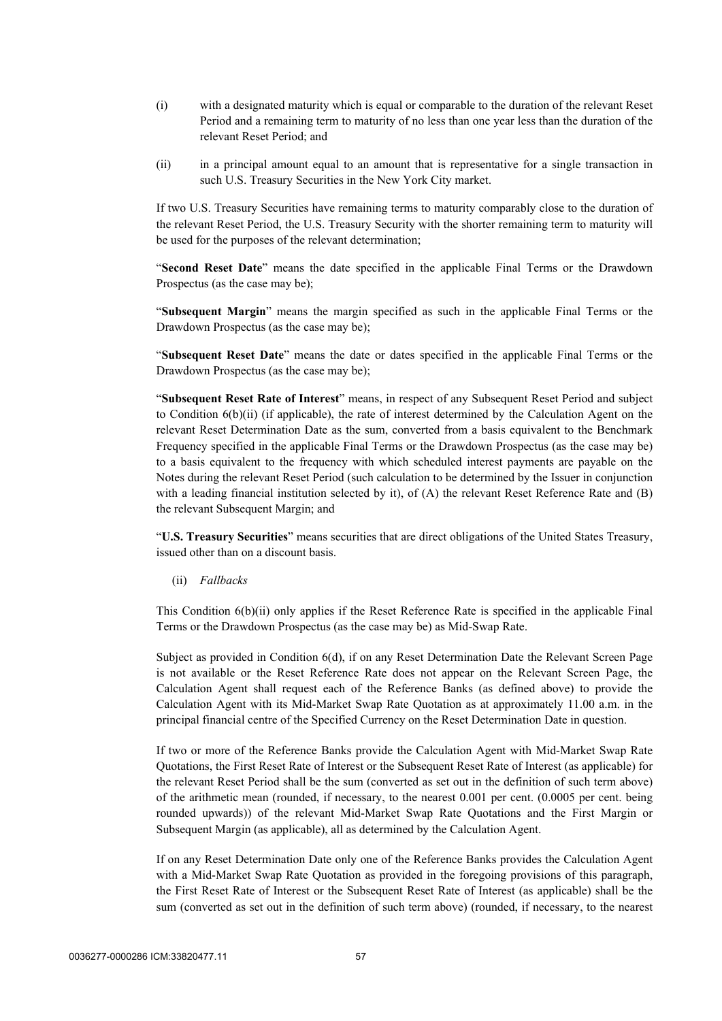- (i) with a designated maturity which is equal or comparable to the duration of the relevant Reset Period and a remaining term to maturity of no less than one year less than the duration of the relevant Reset Period; and
- (ii) in a principal amount equal to an amount that is representative for a single transaction in such U.S. Treasury Securities in the New York City market.

If two U.S. Treasury Securities have remaining terms to maturity comparably close to the duration of the relevant Reset Period, the U.S. Treasury Security with the shorter remaining term to maturity will be used for the purposes of the relevant determination;

"**Second Reset Date**" means the date specified in the applicable Final Terms or the Drawdown Prospectus (as the case may be);

"**Subsequent Margin**" means the margin specified as such in the applicable Final Terms or the Drawdown Prospectus (as the case may be);

"**Subsequent Reset Date**" means the date or dates specified in the applicable Final Terms or the Drawdown Prospectus (as the case may be);

"**Subsequent Reset Rate of Interest**" means, in respect of any Subsequent Reset Period and subject to Condition  $6(b)(ii)$  (if applicable), the rate of interest determined by the Calculation Agent on the relevant Reset Determination Date as the sum, converted from a basis equivalent to the Benchmark Frequency specified in the applicable Final Terms or the Drawdown Prospectus (as the case may be) to a basis equivalent to the frequency with which scheduled interest payments are payable on the Notes during the relevant Reset Period (such calculation to be determined by the Issuer in conjunction with a leading financial institution selected by it), of (A) the relevant Reset Reference Rate and (B) the relevant Subsequent Margin; and

"**U.S. Treasury Securities**" means securities that are direct obligations of the United States Treasury, issued other than on a discount basis.

<span id="page-59-0"></span>(ii) *Fallbacks*

This Condition  $6(b)(ii)$  only applies if the Reset Reference Rate is specified in the applicable Final Terms or the Drawdown Prospectus (as the case may be) as Mid-Swap Rate.

Subject as provided in Condition 6(d), if on any Reset Determination Date the Relevant Screen Page is not available or the Reset Reference Rate does not appear on the Relevant Screen Page, the Calculation Agent shall request each of the Reference Banks (as defined above) to provide the Calculation Agent with its Mid-Market Swap Rate Quotation as at approximately 11.00 a.m. in the principal financial centre of the Specified Currency on the Reset Determination Date in question.

If two or more of the Reference Banks provide the Calculation Agent with Mid-Market Swap Rate Quotations, the First Reset Rate of Interest or the Subsequent Reset Rate of Interest (as applicable) for the relevant Reset Period shall be the sum (converted as set out in the definition of such term above) of the arithmetic mean (rounded, if necessary, to the nearest 0.001 per cent. (0.0005 per cent. being rounded upwards)) of the relevant Mid-Market Swap Rate Quotations and the First Margin or Subsequent Margin (as applicable), all as determined by the Calculation Agent.

If on any Reset Determination Date only one of the Reference Banks provides the Calculation Agent with a Mid-Market Swap Rate Quotation as provided in the foregoing provisions of this paragraph, the First Reset Rate of Interest or the Subsequent Reset Rate of Interest (as applicable) shall be the sum (converted as set out in the definition of such term above) (rounded, if necessary, to the nearest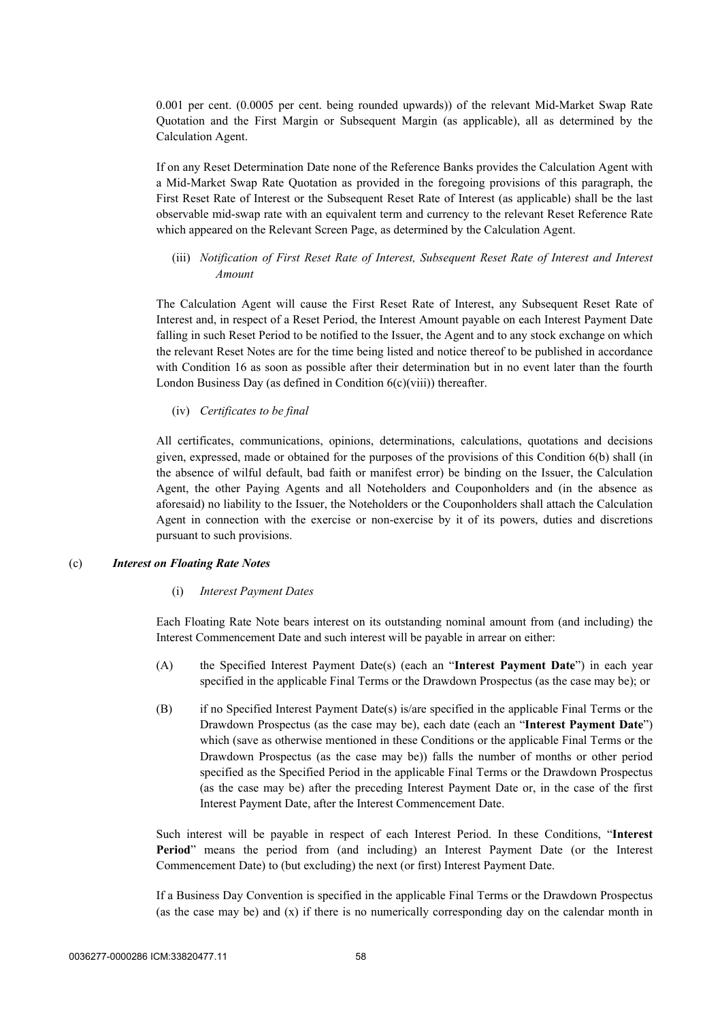0.001 per cent. (0.0005 per cent. being rounded upwards)) of the relevant Mid-Market Swap Rate Quotation and the First Margin or Subsequent Margin (as applicable), all as determined by the Calculation Agent.

If on any Reset Determination Date none of the Reference Banks provides the Calculation Agent with a Mid-Market Swap Rate Quotation as provided in the foregoing provisions of this paragraph, the First Reset Rate of Interest or the Subsequent Reset Rate of Interest (as applicable) shall be the last observable mid-swap rate with an equivalent term and currency to the relevant Reset Reference Rate which appeared on the Relevant Screen Page, as determined by the Calculation Agent.

(iii) *Notification of First Reset Rate of Interest, Subsequent Reset Rate of Interest and Interest Amount*

The Calculation Agent will cause the First Reset Rate of Interest, any Subsequent Reset Rate of Interest and, in respect of a Reset Period, the Interest Amount payable on each Interest Payment Date falling in such Reset Period to be notified to the Issuer, the Agent and to any stock exchange on which the relevant Reset Notes are for the time being listed and notice thereof to be published in accordance with Condition [16](#page-89-0) as soon as possible after their determination but in no event later than the fourth London Business Day (as defined in Condition [6\(c\)\(viii\)](#page-65-0)) thereafter.

(iv) *Certificates to be final*

All certificates, communications, opinions, determinations, calculations, quotations and decisions given, expressed, made or obtained for the purposes of the provisions of this Condition [6\(b\)](#page-54-0) shall (in the absence of wilful default, bad faith or manifest error) be binding on the Issuer, the Calculation Agent, the other Paying Agents and all Noteholders and Couponholders and (in the absence as aforesaid) no liability to the Issuer, the Noteholders or the Couponholders shall attach the Calculation Agent in connection with the exercise or non-exercise by it of its powers, duties and discretions pursuant to such provisions.

#### <span id="page-60-2"></span>(c) *Interest on Floating Rate Notes*

#### (i) *Interest Payment Dates*

Each Floating Rate Note bears interest on its outstanding nominal amount from (and including) the Interest Commencement Date and such interest will be payable in arrear on either:

- (A) the Specified Interest Payment Date(s) (each an "**Interest Payment Date**") in each year specified in the applicable Final Terms or the Drawdown Prospectus (as the case may be); or
- <span id="page-60-0"></span>(B) if no Specified Interest Payment Date(s) is/are specified in the applicable Final Terms or the Drawdown Prospectus (as the case may be), each date (each an "**Interest Payment Date**") which (save as otherwise mentioned in these Conditions or the applicable Final Terms or the Drawdown Prospectus (as the case may be)) falls the number of months or other period specified as the Specified Period in the applicable Final Terms or the Drawdown Prospectus (as the case may be) after the preceding Interest Payment Date or, in the case of the first Interest Payment Date, after the Interest Commencement Date.

Such interest will be payable in respect of each Interest Period. In these Conditions, "**Interest Period**" means the period from (and including) an Interest Payment Date (or the Interest Commencement Date) to (but excluding) the next (or first) Interest Payment Date.

<span id="page-60-1"></span>If a Business Day Convention is specified in the applicable Final Terms or the Drawdown Prospectus (as the case may be) and (x) if there is no numerically corresponding day on the calendar month in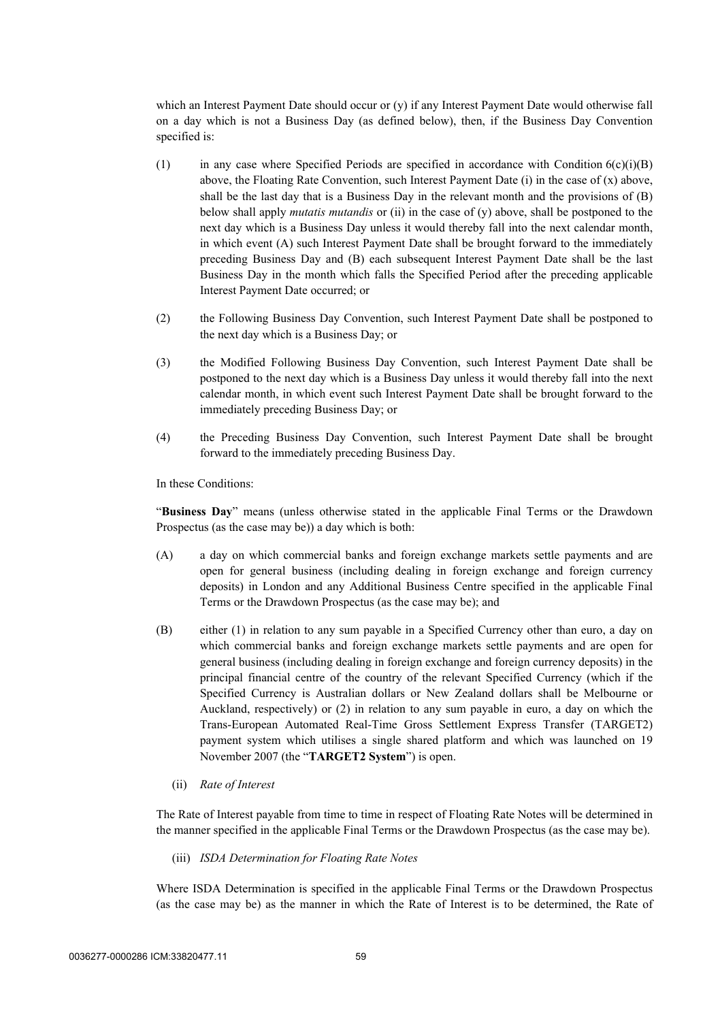<span id="page-61-1"></span>which an Interest Payment Date should occur or (y) if any Interest Payment Date would otherwise fall on a day which is not a Business Day (as defined below), then, if the Business Day Convention specified is:

- (1) in any case where Specified Periods are specified in accordance with Condition  $6(c)(i)(B)$ [above,](#page-60-0) the Floating Rate Convention, such Interest Payment Date  $(i)$  in the case of  $(x)$  above, shall be the last day that is a Business Day in the relevant month and the provisions of [\(B\)](#page-61-0) below shall apply *mutatis mutandis* or (ii) in the case of [\(y\)](#page-61-1) above, shall be postponed to the next day which is a Business Day unless it would thereby fall into the next calendar month, in which event (A) such Interest Payment Date shall be brought forward to the immediately preceding Business Day and (B) each subsequent Interest Payment Date shall be the last Business Day in the month which falls the Specified Period after the preceding applicable Interest Payment Date occurred; or
- <span id="page-61-0"></span>(2) the Following Business Day Convention, such Interest Payment Date shall be postponed to the next day which is a Business Day; or
- (3) the Modified Following Business Day Convention, such Interest Payment Date shall be postponed to the next day which is a Business Day unless it would thereby fall into the next calendar month, in which event such Interest Payment Date shall be brought forward to the immediately preceding Business Day; or
- (4) the Preceding Business Day Convention, such Interest Payment Date shall be brought forward to the immediately preceding Business Day.

In these Conditions:

"**Business Day**" means (unless otherwise stated in the applicable Final Terms or the Drawdown Prospectus (as the case may be)) a day which is both:

- (A) a day on which commercial banks and foreign exchange markets settle payments and are open for general business (including dealing in foreign exchange and foreign currency deposits) in London and any Additional Business Centre specified in the applicable Final Terms or the Drawdown Prospectus (as the case may be); and
- (B) either (1) in relation to any sum payable in a Specified Currency other than euro, a day on which commercial banks and foreign exchange markets settle payments and are open for general business (including dealing in foreign exchange and foreign currency deposits) in the principal financial centre of the country of the relevant Specified Currency (which if the Specified Currency is Australian dollars or New Zealand dollars shall be Melbourne or Auckland, respectively) or (2) in relation to any sum payable in euro, a day on which the Trans-European Automated Real-Time Gross Settlement Express Transfer (TARGET2) payment system which utilises a single shared platform and which was launched on 19 November 2007 (the "**TARGET2 System**") is open.
	- (ii) *Rate of Interest*

The Rate of Interest payable from time to time in respect of Floating Rate Notes will be determined in the manner specified in the applicable Final Terms or the Drawdown Prospectus (as the case may be).

<span id="page-61-2"></span>(iii) *ISDA Determination for Floating Rate Notes*

Where ISDA Determination is specified in the applicable Final Terms or the Drawdown Prospectus (as the case may be) as the manner in which the Rate of Interest is to be determined, the Rate of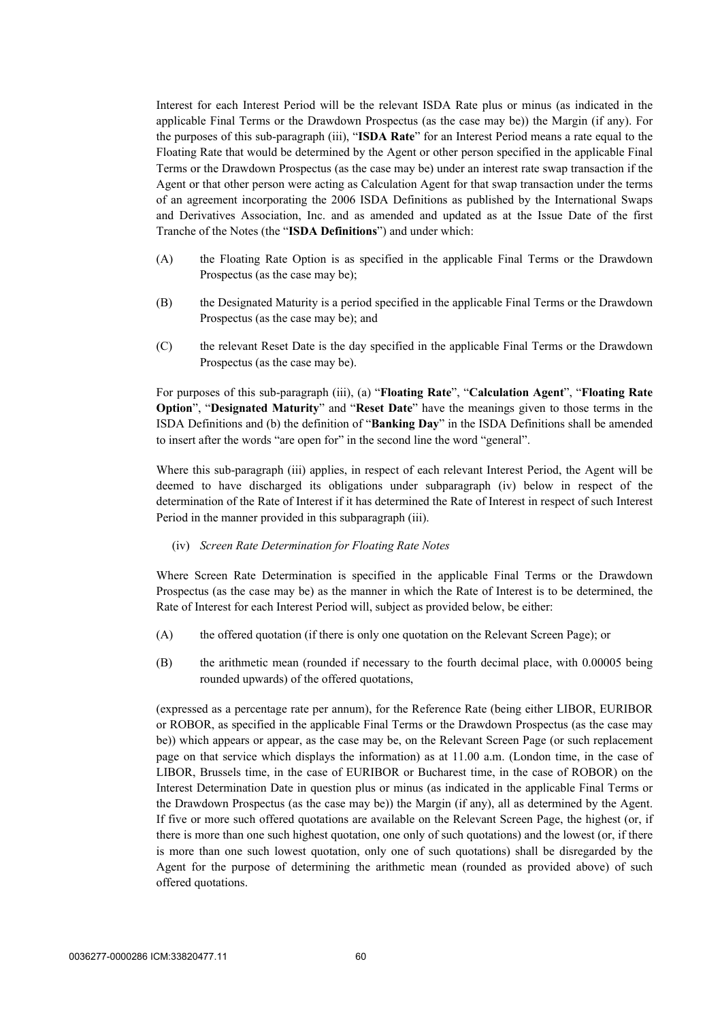Interest for each Interest Period will be the relevant ISDA Rate plus or minus (as indicated in the applicable Final Terms or the Drawdown Prospectus (as the case may be)) the Margin (if any). For the purposes of this sub-paragraph [\(iii\),](#page-61-2) "**ISDA Rate**" for an Interest Period means a rate equal to the Floating Rate that would be determined by the Agent or other person specified in the applicable Final Terms or the Drawdown Prospectus (as the case may be) under an interest rate swap transaction if the Agent or that other person were acting as Calculation Agent for that swap transaction under the terms of an agreement incorporating the 2006 ISDA Definitions as published by the International Swaps and Derivatives Association, Inc. and as amended and updated as at the Issue Date of the first Tranche of the Notes (the "**ISDA Definitions**") and under which:

- (A) the Floating Rate Option is as specified in the applicable Final Terms or the Drawdown Prospectus (as the case may be);
- (B) the Designated Maturity is a period specified in the applicable Final Terms or the Drawdown Prospectus (as the case may be); and
- (C) the relevant Reset Date is the day specified in the applicable Final Terms or the Drawdown Prospectus (as the case may be).

For purposes of this sub-paragraph [\(iii\)](#page-61-2), (a) "**Floating Rate**", "**Calculation Agent**", "**Floating Rate Option**", "**Designated Maturity**" and "**Reset Date**" have the meanings given to those terms in the ISDA Definitions and (b) the definition of "**Banking Day**" in the ISDA Definitions shall be amended to insert after the words "are open for" in the second line the word "general".

Where this sub-paragraph [\(iii\)](#page-61-2) applies, in respect of each relevant Interest Period, the Agent will be deemed to have discharged its obligations under subparagraph [\(iv\) below](#page-62-0) in respect of the determination of the Rate of Interest if it has determined the Rate of Interest in respect of such Interest Period in the manner provided in this subparagraph [\(iii\).](#page-61-2)

<span id="page-62-0"></span>(iv) *Screen Rate Determination for Floating Rate Notes*

Where Screen Rate Determination is specified in the applicable Final Terms or the Drawdown Prospectus (as the case may be) as the manner in which the Rate of Interest is to be determined, the Rate of Interest for each Interest Period will, subject as provided below, be either:

- <span id="page-62-2"></span><span id="page-62-1"></span>(A) the offered quotation (if there is only one quotation on the Relevant Screen Page); or
- (B) the arithmetic mean (rounded if necessary to the fourth decimal place, with 0.00005 being rounded upwards) of the offered quotations,

(expressed as a percentage rate per annum), for the Reference Rate (being either LIBOR, EURIBOR or ROBOR, as specified in the applicable Final Terms or the Drawdown Prospectus (as the case may be)) which appears or appear, as the case may be, on the Relevant Screen Page (or such replacement page on that service which displays the information) as at 11.00 a.m. (London time, in the case of LIBOR, Brussels time, in the case of EURIBOR or Bucharest time, in the case of ROBOR) on the Interest Determination Date in question plus or minus (as indicated in the applicable Final Terms or the Drawdown Prospectus (as the case may be)) the Margin (if any), all as determined by the Agent. If five or more such offered quotations are available on the Relevant Screen Page, the highest (or, if there is more than one such highest quotation, one only of such quotations) and the lowest (or, if there is more than one such lowest quotation, only one of such quotations) shall be disregarded by the Agent for the purpose of determining the arithmetic mean (rounded as provided above) of such offered quotations.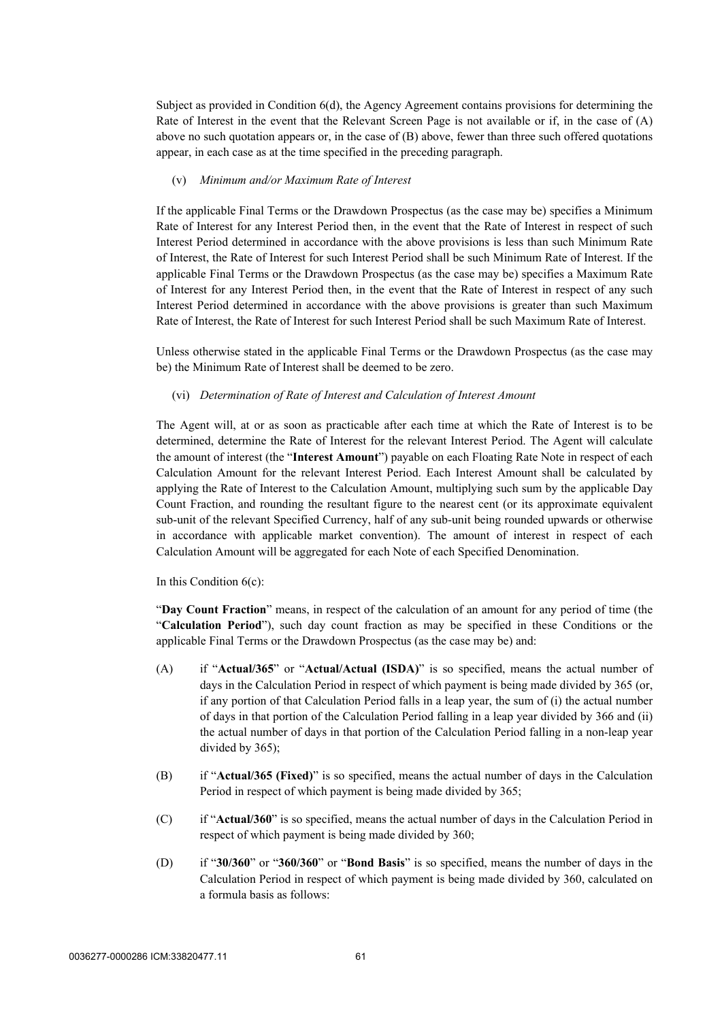Subject as provided in Condition 6(d), the Agency Agreement contains provisions for determining the Rate of Interest in the event that the Relevant Screen Page is not available or if, in the case of [\(A\)](#page-62-1)  [above](#page-62-1) no such quotation appears or, in the case of [\(B\) above,](#page-62-2) fewer than three such offered quotations appear, in each case as at the time specified in the preceding paragraph.

#### (v) *Minimum and/or Maximum Rate of Interest*

If the applicable Final Terms or the Drawdown Prospectus (as the case may be) specifies a Minimum Rate of Interest for any Interest Period then, in the event that the Rate of Interest in respect of such Interest Period determined in accordance with the above provisions is less than such Minimum Rate of Interest, the Rate of Interest for such Interest Period shall be such Minimum Rate of Interest. If the applicable Final Terms or the Drawdown Prospectus (as the case may be) specifies a Maximum Rate of Interest for any Interest Period then, in the event that the Rate of Interest in respect of any such Interest Period determined in accordance with the above provisions is greater than such Maximum Rate of Interest, the Rate of Interest for such Interest Period shall be such Maximum Rate of Interest.

Unless otherwise stated in the applicable Final Terms or the Drawdown Prospectus (as the case may be) the Minimum Rate of Interest shall be deemed to be zero.

#### (vi) *Determination of Rate of Interest and Calculation of Interest Amount*

The Agent will, at or as soon as practicable after each time at which the Rate of Interest is to be determined, determine the Rate of Interest for the relevant Interest Period. The Agent will calculate the amount of interest (the "**Interest Amount**") payable on each Floating Rate Note in respect of each Calculation Amount for the relevant Interest Period. Each Interest Amount shall be calculated by applying the Rate of Interest to the Calculation Amount, multiplying such sum by the applicable Day Count Fraction, and rounding the resultant figure to the nearest cent (or its approximate equivalent sub-unit of the relevant Specified Currency, half of any sub-unit being rounded upwards or otherwise in accordance with applicable market convention). The amount of interest in respect of each Calculation Amount will be aggregated for each Note of each Specified Denomination.

In this Condition 6(c):

"**Day Count Fraction**" means, in respect of the calculation of an amount for any period of time (the "**Calculation Period**"), such day count fraction as may be specified in these Conditions or the applicable Final Terms or the Drawdown Prospectus (as the case may be) and:

- (A) if "**Actual/365**" or "**Actual/Actual (ISDA)**" is so specified, means the actual number of days in the Calculation Period in respect of which payment is being made divided by 365 (or, if any portion of that Calculation Period falls in a leap year, the sum of (i) the actual number of days in that portion of the Calculation Period falling in a leap year divided by 366 and (ii) the actual number of days in that portion of the Calculation Period falling in a non-leap year divided by 365);
- (B) if "**Actual/365 (Fixed)**" is so specified, means the actual number of days in the Calculation Period in respect of which payment is being made divided by 365;
- (C) if "**Actual/360**" is so specified, means the actual number of days in the Calculation Period in respect of which payment is being made divided by 360;
- (D) if "**30/360**" or "**360/360**" or "**Bond Basis**" is so specified, means the number of days in the Calculation Period in respect of which payment is being made divided by 360, calculated on a formula basis as follows: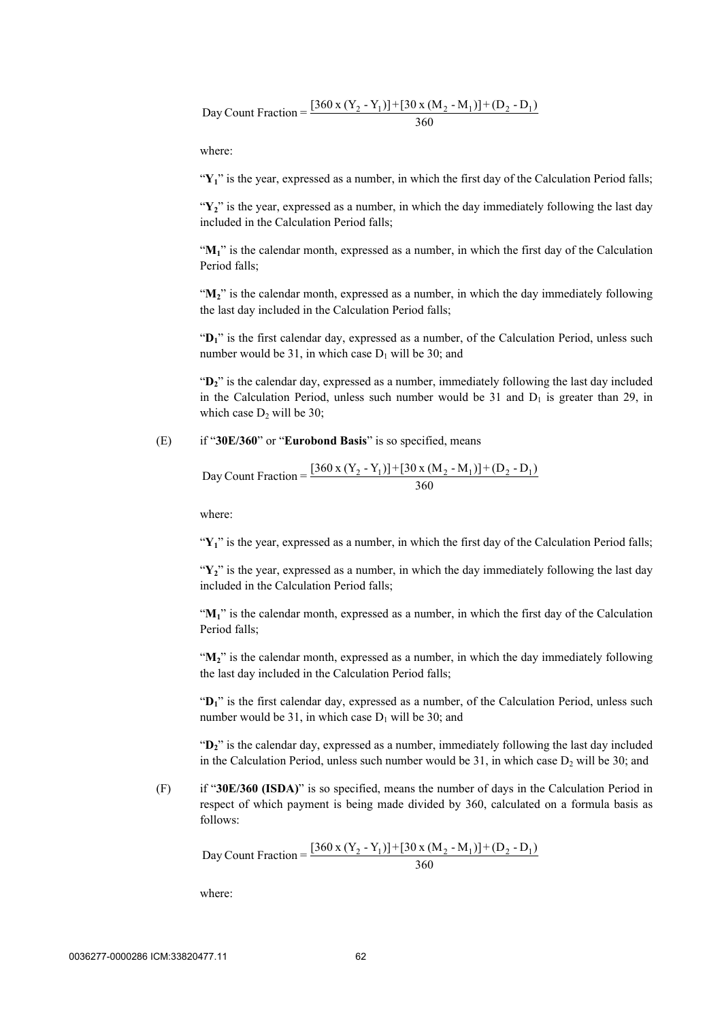Day Count Fraction = 
$$
\frac{[360 \times (Y_2 - Y_1)] + [30 \times (M_2 - M_1)] + (D_2 - D_1)}{360}
$$

where:

"Y<sub>1</sub>" is the year, expressed as a number, in which the first day of the Calculation Period falls;

 $\mathbf{Y}_i$ <sup>2</sup> is the year, expressed as a number, in which the day immediately following the last day included in the Calculation Period falls;

"M<sub>1</sub>" is the calendar month, expressed as a number, in which the first day of the Calculation Period falls;

" $M_2$ " is the calendar month, expressed as a number, in which the day immediately following the last day included in the Calculation Period falls;

"D<sub>1</sub>" is the first calendar day, expressed as a number, of the Calculation Period, unless such number would be 31, in which case  $D_1$  will be 30; and

"**D2**" is the calendar day, expressed as a number, immediately following the last day included in the Calculation Period, unless such number would be 31 and  $D_1$  is greater than 29, in which case  $D_2$  will be 30;

(E) if "**30E/360**" or "**Eurobond Basis**" is so specified, means

Day Count Fraction = 
$$
\frac{[360 \times (Y_2 - Y_1)] + [30 \times (M_2 - M_1)] + (D_2 - D_1)}{360}
$$

where:

"Y<sub>1</sub>" is the year, expressed as a number, in which the first day of the Calculation Period falls;

"**Y2**" is the year, expressed as a number, in which the day immediately following the last day included in the Calculation Period falls;

" $M<sub>1</sub>$ " is the calendar month, expressed as a number, in which the first day of the Calculation Period falls;

"M<sub>2</sub>" is the calendar month, expressed as a number, in which the day immediately following the last day included in the Calculation Period falls;

"**D1**" is the first calendar day, expressed as a number, of the Calculation Period, unless such number would be 31, in which case  $D_1$  will be 30; and

"**D2**" is the calendar day, expressed as a number, immediately following the last day included in the Calculation Period, unless such number would be  $31$ , in which case  $D_2$  will be  $30$ ; and

(F) if "**30E/360 (ISDA)**" is so specified, means the number of days in the Calculation Period in respect of which payment is being made divided by 360, calculated on a formula basis as follows:

Day Count Fraction =  $\frac{[360 \times (Y_2 - Y_1)] + [30 \times (M_2 - M_1)] + (D_2 - D_1)}{360}$ 

where: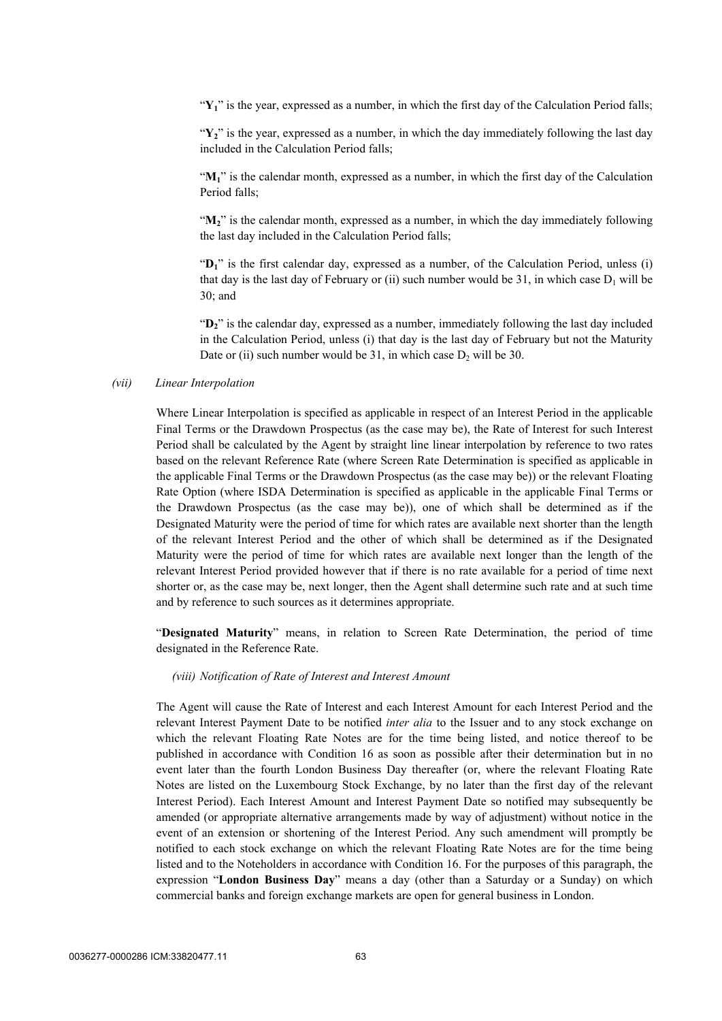"**Y1**" is the year, expressed as a number, in which the first day of the Calculation Period falls;

"Y<sub>2</sub>" is the year, expressed as a number, in which the day immediately following the last day included in the Calculation Period falls;

"**M1**" is the calendar month, expressed as a number, in which the first day of the Calculation Period falls;

"**M2**" is the calendar month, expressed as a number, in which the day immediately following the last day included in the Calculation Period falls;

"D<sub>1</sub>" is the first calendar day, expressed as a number, of the Calculation Period, unless (i) that day is the last day of February or (ii) such number would be 31, in which case  $D_1$  will be 30; and

"**D2**" is the calendar day, expressed as a number, immediately following the last day included in the Calculation Period, unless (i) that day is the last day of February but not the Maturity Date or (ii) such number would be 31, in which case  $D_2$  will be 30.

#### *(vii) Linear Interpolation*

Where Linear Interpolation is specified as applicable in respect of an Interest Period in the applicable Final Terms or the Drawdown Prospectus (as the case may be), the Rate of Interest for such Interest Period shall be calculated by the Agent by straight line linear interpolation by reference to two rates based on the relevant Reference Rate (where Screen Rate Determination is specified as applicable in the applicable Final Terms or the Drawdown Prospectus (as the case may be)) or the relevant Floating Rate Option (where ISDA Determination is specified as applicable in the applicable Final Terms or the Drawdown Prospectus (as the case may be)), one of which shall be determined as if the Designated Maturity were the period of time for which rates are available next shorter than the length of the relevant Interest Period and the other of which shall be determined as if the Designated Maturity were the period of time for which rates are available next longer than the length of the relevant Interest Period provided however that if there is no rate available for a period of time next shorter or, as the case may be, next longer, then the Agent shall determine such rate and at such time and by reference to such sources as it determines appropriate.

"**Designated Maturity**" means, in relation to Screen Rate Determination, the period of time designated in the Reference Rate.

#### <span id="page-65-0"></span>*(viii) Notification of Rate of Interest and Interest Amount*

The Agent will cause the Rate of Interest and each Interest Amount for each Interest Period and the relevant Interest Payment Date to be notified *inter alia* to the Issuer and to any stock exchange on which the relevant Floating Rate Notes are for the time being listed, and notice thereof to be published in accordance with Condition [16](#page-89-0) as soon as possible after their determination but in no event later than the fourth London Business Day thereafter (or, where the relevant Floating Rate Notes are listed on the Luxembourg Stock Exchange, by no later than the first day of the relevant Interest Period). Each Interest Amount and Interest Payment Date so notified may subsequently be amended (or appropriate alternative arrangements made by way of adjustment) without notice in the event of an extension or shortening of the Interest Period. Any such amendment will promptly be notified to each stock exchange on which the relevant Floating Rate Notes are for the time being listed and to the Noteholders in accordance with Condition [16](#page-89-0). For the purposes of this paragraph, the expression "**London Business Day**" means a day (other than a Saturday or a Sunday) on which commercial banks and foreign exchange markets are open for general business in London.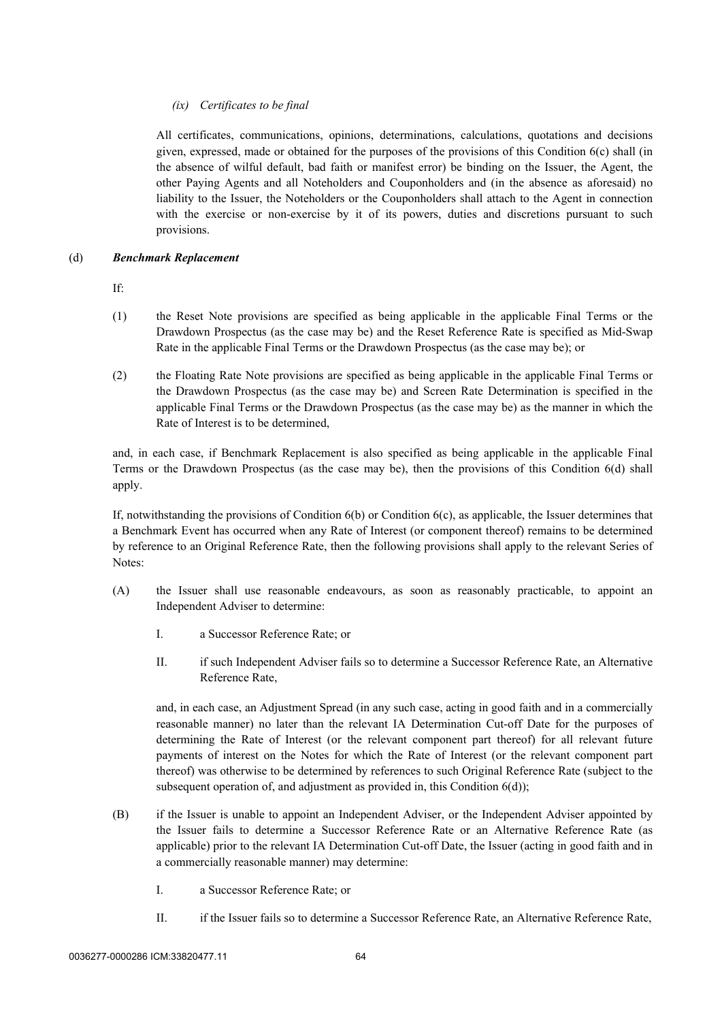### *(ix) Certificates to be final*

All certificates, communications, opinions, determinations, calculations, quotations and decisions given, expressed, made or obtained for the purposes of the provisions of this Condition [6](#page-51-2)[\(c\)](#page-60-2) shall (in the absence of wilful default, bad faith or manifest error) be binding on the Issuer, the Agent, the other Paying Agents and all Noteholders and Couponholders and (in the absence as aforesaid) no liability to the Issuer, the Noteholders or the Couponholders shall attach to the Agent in connection with the exercise or non-exercise by it of its powers, duties and discretions pursuant to such provisions.

### (d) *Benchmark Replacement*

If:

- (1) the Reset Note provisions are specified as being applicable in the applicable Final Terms or the Drawdown Prospectus (as the case may be) and the Reset Reference Rate is specified as Mid-Swap Rate in the applicable Final Terms or the Drawdown Prospectus (as the case may be); or
- (2) the Floating Rate Note provisions are specified as being applicable in the applicable Final Terms or the Drawdown Prospectus (as the case may be) and Screen Rate Determination is specified in the applicable Final Terms or the Drawdown Prospectus (as the case may be) as the manner in which the Rate of Interest is to be determined,

and, in each case, if Benchmark Replacement is also specified as being applicable in the applicable Final Terms or the Drawdown Prospectus (as the case may be), then the provisions of this Condition 6(d) shall apply.

If, notwithstanding the provisions of Condition 6(b) or Condition 6(c), as applicable, the Issuer determines that a Benchmark Event has occurred when any Rate of Interest (or component thereof) remains to be determined by reference to an Original Reference Rate, then the following provisions shall apply to the relevant Series of Notes:

- (A) the Issuer shall use reasonable endeavours, as soon as reasonably practicable, to appoint an Independent Adviser to determine:
	- I. a Successor Reference Rate; or
	- II. if such Independent Adviser fails so to determine a Successor Reference Rate, an Alternative Reference Rate,

and, in each case, an Adjustment Spread (in any such case, acting in good faith and in a commercially reasonable manner) no later than the relevant IA Determination Cut-off Date for the purposes of determining the Rate of Interest (or the relevant component part thereof) for all relevant future payments of interest on the Notes for which the Rate of Interest (or the relevant component part thereof) was otherwise to be determined by references to such Original Reference Rate (subject to the subsequent operation of, and adjustment as provided in, this Condition 6(d));

- (B) if the Issuer is unable to appoint an Independent Adviser, or the Independent Adviser appointed by the Issuer fails to determine a Successor Reference Rate or an Alternative Reference Rate (as applicable) prior to the relevant IA Determination Cut-off Date, the Issuer (acting in good faith and in a commercially reasonable manner) may determine:
	- I. a Successor Reference Rate; or
	- II. if the Issuer fails so to determine a Successor Reference Rate, an Alternative Reference Rate,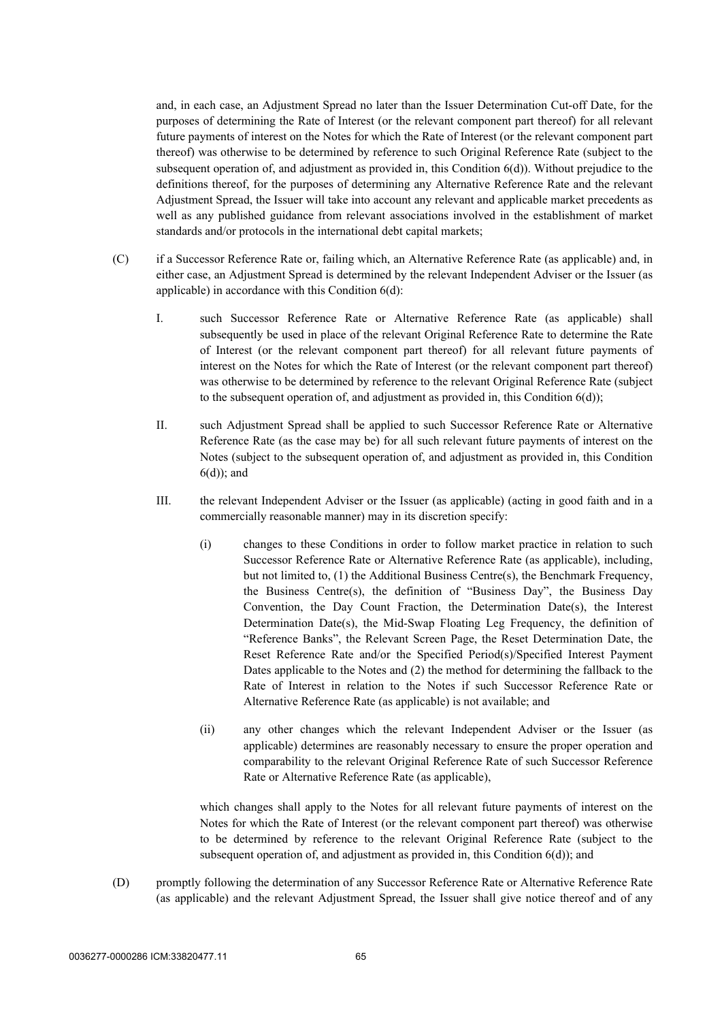and, in each case, an Adjustment Spread no later than the Issuer Determination Cut-off Date, for the purposes of determining the Rate of Interest (or the relevant component part thereof) for all relevant future payments of interest on the Notes for which the Rate of Interest (or the relevant component part thereof) was otherwise to be determined by reference to such Original Reference Rate (subject to the subsequent operation of, and adjustment as provided in, this Condition 6(d)). Without prejudice to the definitions thereof, for the purposes of determining any Alternative Reference Rate and the relevant Adjustment Spread, the Issuer will take into account any relevant and applicable market precedents as well as any published guidance from relevant associations involved in the establishment of market standards and/or protocols in the international debt capital markets;

- (C) if a Successor Reference Rate or, failing which, an Alternative Reference Rate (as applicable) and, in either case, an Adjustment Spread is determined by the relevant Independent Adviser or the Issuer (as applicable) in accordance with this Condition 6(d):
	- I. such Successor Reference Rate or Alternative Reference Rate (as applicable) shall subsequently be used in place of the relevant Original Reference Rate to determine the Rate of Interest (or the relevant component part thereof) for all relevant future payments of interest on the Notes for which the Rate of Interest (or the relevant component part thereof) was otherwise to be determined by reference to the relevant Original Reference Rate (subject to the subsequent operation of, and adjustment as provided in, this Condition  $6(d)$ );
	- II. such Adjustment Spread shall be applied to such Successor Reference Rate or Alternative Reference Rate (as the case may be) for all such relevant future payments of interest on the Notes (subject to the subsequent operation of, and adjustment as provided in, this Condition 6(d)); and
	- III. the relevant Independent Adviser or the Issuer (as applicable) (acting in good faith and in a commercially reasonable manner) may in its discretion specify:
		- (i) changes to these Conditions in order to follow market practice in relation to such Successor Reference Rate or Alternative Reference Rate (as applicable), including, but not limited to, (1) the Additional Business Centre(s), the Benchmark Frequency, the Business Centre(s), the definition of "Business Day", the Business Day Convention, the Day Count Fraction, the Determination Date(s), the Interest Determination Date(s), the Mid-Swap Floating Leg Frequency, the definition of "Reference Banks", the Relevant Screen Page, the Reset Determination Date, the Reset Reference Rate and/or the Specified Period(s)/Specified Interest Payment Dates applicable to the Notes and (2) the method for determining the fallback to the Rate of Interest in relation to the Notes if such Successor Reference Rate or Alternative Reference Rate (as applicable) is not available; and
		- (ii) any other changes which the relevant Independent Adviser or the Issuer (as applicable) determines are reasonably necessary to ensure the proper operation and comparability to the relevant Original Reference Rate of such Successor Reference Rate or Alternative Reference Rate (as applicable),

which changes shall apply to the Notes for all relevant future payments of interest on the Notes for which the Rate of Interest (or the relevant component part thereof) was otherwise to be determined by reference to the relevant Original Reference Rate (subject to the subsequent operation of, and adjustment as provided in, this Condition  $6(d)$ ); and

(D) promptly following the determination of any Successor Reference Rate or Alternative Reference Rate (as applicable) and the relevant Adjustment Spread, the Issuer shall give notice thereof and of any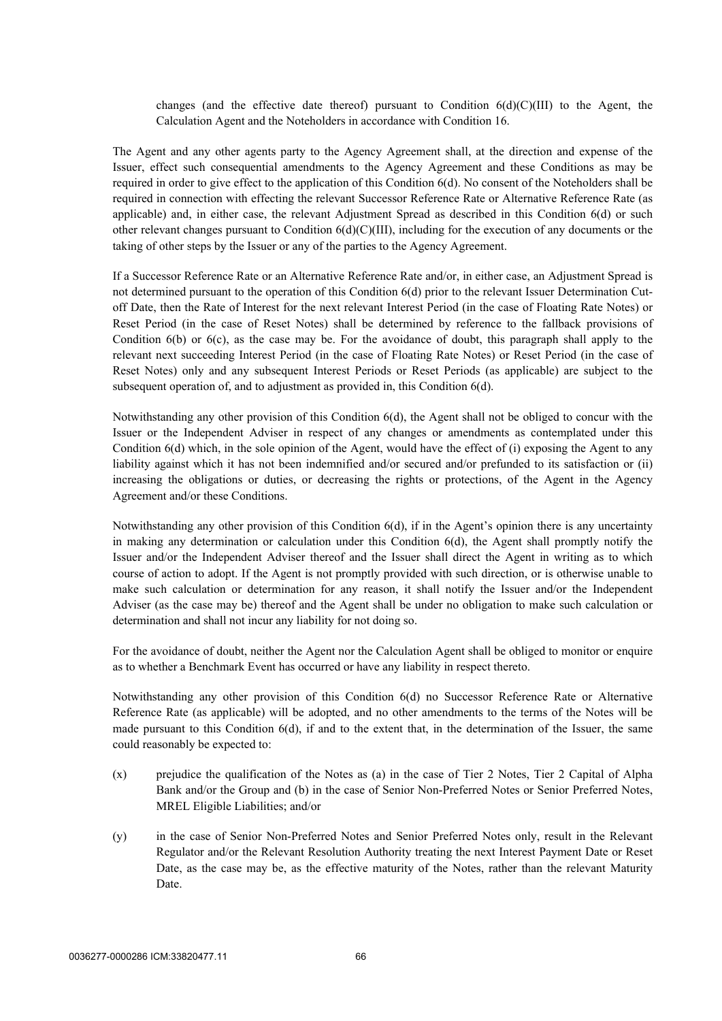changes (and the effective date thereof) pursuant to Condition  $6(d)(C)(III)$  to the Agent, the Calculation Agent and the Noteholders in accordance with Condition 16.

The Agent and any other agents party to the Agency Agreement shall, at the direction and expense of the Issuer, effect such consequential amendments to the Agency Agreement and these Conditions as may be required in order to give effect to the application of this Condition 6(d). No consent of the Noteholders shall be required in connection with effecting the relevant Successor Reference Rate or Alternative Reference Rate (as applicable) and, in either case, the relevant Adjustment Spread as described in this Condition 6(d) or such other relevant changes pursuant to Condition 6(d)(C)(III), including for the execution of any documents or the taking of other steps by the Issuer or any of the parties to the Agency Agreement.

If a Successor Reference Rate or an Alternative Reference Rate and/or, in either case, an Adjustment Spread is not determined pursuant to the operation of this Condition 6(d) prior to the relevant Issuer Determination Cutoff Date, then the Rate of Interest for the next relevant Interest Period (in the case of Floating Rate Notes) or Reset Period (in the case of Reset Notes) shall be determined by reference to the fallback provisions of Condition 6(b) or 6(c), as the case may be. For the avoidance of doubt, this paragraph shall apply to the relevant next succeeding Interest Period (in the case of Floating Rate Notes) or Reset Period (in the case of Reset Notes) only and any subsequent Interest Periods or Reset Periods (as applicable) are subject to the subsequent operation of, and to adjustment as provided in, this Condition 6(d).

Notwithstanding any other provision of this Condition 6(d), the Agent shall not be obliged to concur with the Issuer or the Independent Adviser in respect of any changes or amendments as contemplated under this Condition 6(d) which, in the sole opinion of the Agent, would have the effect of (i) exposing the Agent to any liability against which it has not been indemnified and/or secured and/or prefunded to its satisfaction or (ii) increasing the obligations or duties, or decreasing the rights or protections, of the Agent in the Agency Agreement and/or these Conditions.

Notwithstanding any other provision of this Condition 6(d), if in the Agent's opinion there is any uncertainty in making any determination or calculation under this Condition 6(d), the Agent shall promptly notify the Issuer and/or the Independent Adviser thereof and the Issuer shall direct the Agent in writing as to which course of action to adopt. If the Agent is not promptly provided with such direction, or is otherwise unable to make such calculation or determination for any reason, it shall notify the Issuer and/or the Independent Adviser (as the case may be) thereof and the Agent shall be under no obligation to make such calculation or determination and shall not incur any liability for not doing so.

For the avoidance of doubt, neither the Agent nor the Calculation Agent shall be obliged to monitor or enquire as to whether a Benchmark Event has occurred or have any liability in respect thereto.

Notwithstanding any other provision of this Condition 6(d) no Successor Reference Rate or Alternative Reference Rate (as applicable) will be adopted, and no other amendments to the terms of the Notes will be made pursuant to this Condition 6(d), if and to the extent that, in the determination of the Issuer, the same could reasonably be expected to:

- (x) prejudice the qualification of the Notes as (a) in the case of Tier 2 Notes, Tier 2 Capital of Alpha Bank and/or the Group and (b) in the case of Senior Non-Preferred Notes or Senior Preferred Notes, MREL Eligible Liabilities; and/or
- (y) in the case of Senior Non-Preferred Notes and Senior Preferred Notes only, result in the Relevant Regulator and/or the Relevant Resolution Authority treating the next Interest Payment Date or Reset Date, as the case may be, as the effective maturity of the Notes, rather than the relevant Maturity Date.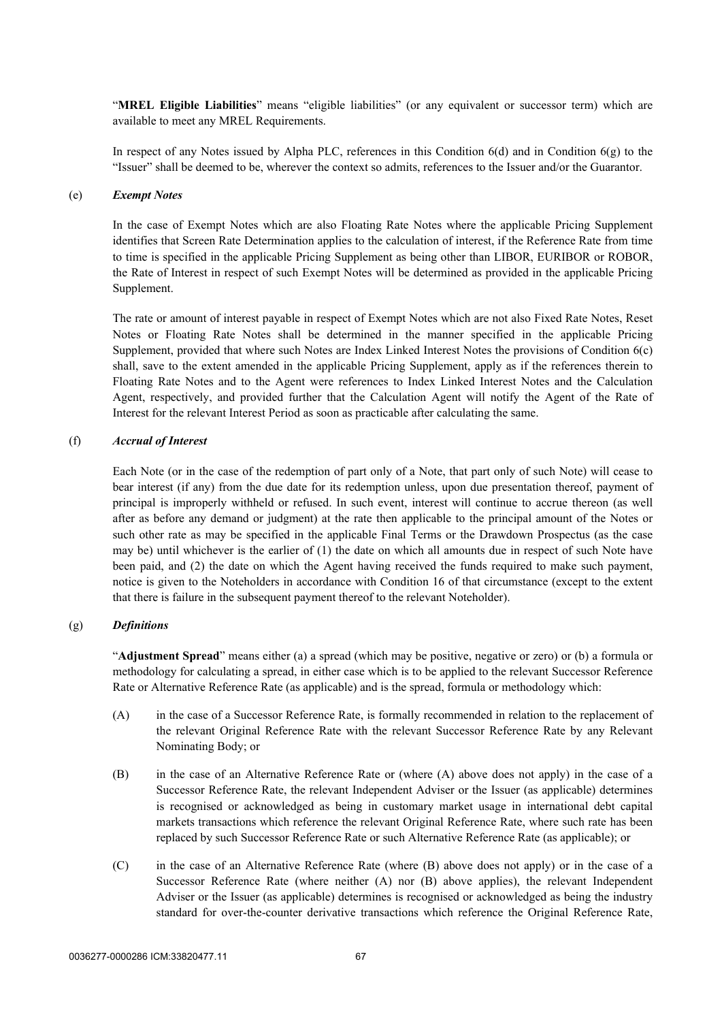"**MREL Eligible Liabilities**" means "eligible liabilities" (or any equivalent or successor term) which are available to meet any MREL Requirements.

In respect of any Notes issued by Alpha PLC, references in this Condition 6(d) and in Condition 6(g) to the "Issuer" shall be deemed to be, wherever the context so admits, references to the Issuer and/or the Guarantor.

### (e) *Exempt Notes*

In the case of Exempt Notes which are also Floating Rate Notes where the applicable Pricing Supplement identifies that Screen Rate Determination applies to the calculation of interest, if the Reference Rate from time to time is specified in the applicable Pricing Supplement as being other than LIBOR, EURIBOR or ROBOR, the Rate of Interest in respect of such Exempt Notes will be determined as provided in the applicable Pricing Supplement.

The rate or amount of interest payable in respect of Exempt Notes which are not also Fixed Rate Notes, Reset Notes or Floating Rate Notes shall be determined in the manner specified in the applicable Pricing Supplement, provided that where such Notes are Index Linked Interest Notes the provisions of Condition [6\(c\)](#page-60-2) shall, save to the extent amended in the applicable Pricing Supplement, apply as if the references therein to Floating Rate Notes and to the Agent were references to Index Linked Interest Notes and the Calculation Agent, respectively, and provided further that the Calculation Agent will notify the Agent of the Rate of Interest for the relevant Interest Period as soon as practicable after calculating the same.

### (f) *Accrual of Interest*

Each Note (or in the case of the redemption of part only of a Note, that part only of such Note) will cease to bear interest (if any) from the due date for its redemption unless, upon due presentation thereof, payment of principal is improperly withheld or refused. In such event, interest will continue to accrue thereon (as well after as before any demand or judgment) at the rate then applicable to the principal amount of the Notes or such other rate as may be specified in the applicable Final Terms or the Drawdown Prospectus (as the case may be) until whichever is the earlier of (1) the date on which all amounts due in respect of such Note have been paid, and (2) the date on which the Agent having received the funds required to make such payment, notice is given to the Noteholders in accordance with Condition [16](#page-89-0) of that circumstance (except to the extent that there is failure in the subsequent payment thereof to the relevant Noteholder).

### (g) *Definitions*

"**Adjustment Spread**" means either (a) a spread (which may be positive, negative or zero) or (b) a formula or methodology for calculating a spread, in either case which is to be applied to the relevant Successor Reference Rate or Alternative Reference Rate (as applicable) and is the spread, formula or methodology which:

- (A) in the case of a Successor Reference Rate, is formally recommended in relation to the replacement of the relevant Original Reference Rate with the relevant Successor Reference Rate by any Relevant Nominating Body; or
- (B) in the case of an Alternative Reference Rate or (where (A) above does not apply) in the case of a Successor Reference Rate, the relevant Independent Adviser or the Issuer (as applicable) determines is recognised or acknowledged as being in customary market usage in international debt capital markets transactions which reference the relevant Original Reference Rate, where such rate has been replaced by such Successor Reference Rate or such Alternative Reference Rate (as applicable); or
- (C) in the case of an Alternative Reference Rate (where (B) above does not apply) or in the case of a Successor Reference Rate (where neither (A) nor (B) above applies), the relevant Independent Adviser or the Issuer (as applicable) determines is recognised or acknowledged as being the industry standard for over-the-counter derivative transactions which reference the Original Reference Rate,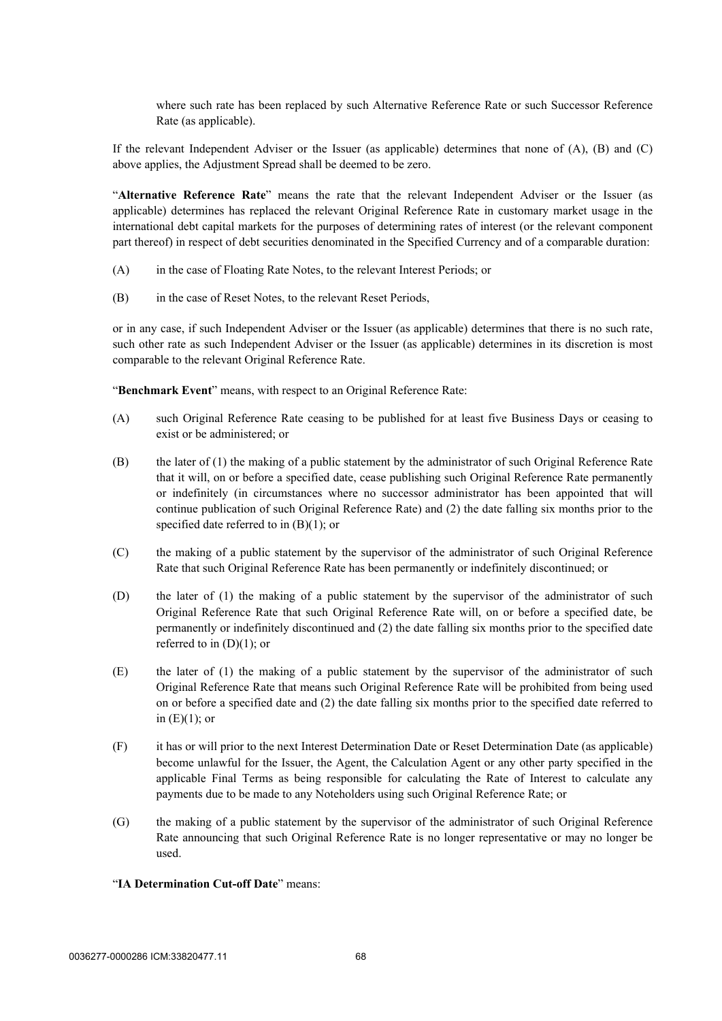where such rate has been replaced by such Alternative Reference Rate or such Successor Reference Rate (as applicable).

If the relevant Independent Adviser or the Issuer (as applicable) determines that none of (A), (B) and (C) above applies, the Adjustment Spread shall be deemed to be zero.

"**Alternative Reference Rate**" means the rate that the relevant Independent Adviser or the Issuer (as applicable) determines has replaced the relevant Original Reference Rate in customary market usage in the international debt capital markets for the purposes of determining rates of interest (or the relevant component part thereof) in respect of debt securities denominated in the Specified Currency and of a comparable duration:

- (A) in the case of Floating Rate Notes, to the relevant Interest Periods; or
- (B) in the case of Reset Notes, to the relevant Reset Periods,

or in any case, if such Independent Adviser or the Issuer (as applicable) determines that there is no such rate, such other rate as such Independent Adviser or the Issuer (as applicable) determines in its discretion is most comparable to the relevant Original Reference Rate.

"**Benchmark Event**" means, with respect to an Original Reference Rate:

- (A) such Original Reference Rate ceasing to be published for at least five Business Days or ceasing to exist or be administered; or
- (B) the later of (1) the making of a public statement by the administrator of such Original Reference Rate that it will, on or before a specified date, cease publishing such Original Reference Rate permanently or indefinitely (in circumstances where no successor administrator has been appointed that will continue publication of such Original Reference Rate) and (2) the date falling six months prior to the specified date referred to in  $(B)(1)$ ; or
- (C) the making of a public statement by the supervisor of the administrator of such Original Reference Rate that such Original Reference Rate has been permanently or indefinitely discontinued; or
- (D) the later of (1) the making of a public statement by the supervisor of the administrator of such Original Reference Rate that such Original Reference Rate will, on or before a specified date, be permanently or indefinitely discontinued and (2) the date falling six months prior to the specified date referred to in  $(D)(1)$ ; or
- (E) the later of (1) the making of a public statement by the supervisor of the administrator of such Original Reference Rate that means such Original Reference Rate will be prohibited from being used on or before a specified date and (2) the date falling six months prior to the specified date referred to in  $(E)(1)$ ; or
- (F) it has or will prior to the next Interest Determination Date or Reset Determination Date (as applicable) become unlawful for the Issuer, the Agent, the Calculation Agent or any other party specified in the applicable Final Terms as being responsible for calculating the Rate of Interest to calculate any payments due to be made to any Noteholders using such Original Reference Rate; or
- (G) the making of a public statement by the supervisor of the administrator of such Original Reference Rate announcing that such Original Reference Rate is no longer representative or may no longer be used.
- "**IA Determination Cut-off Date**" means: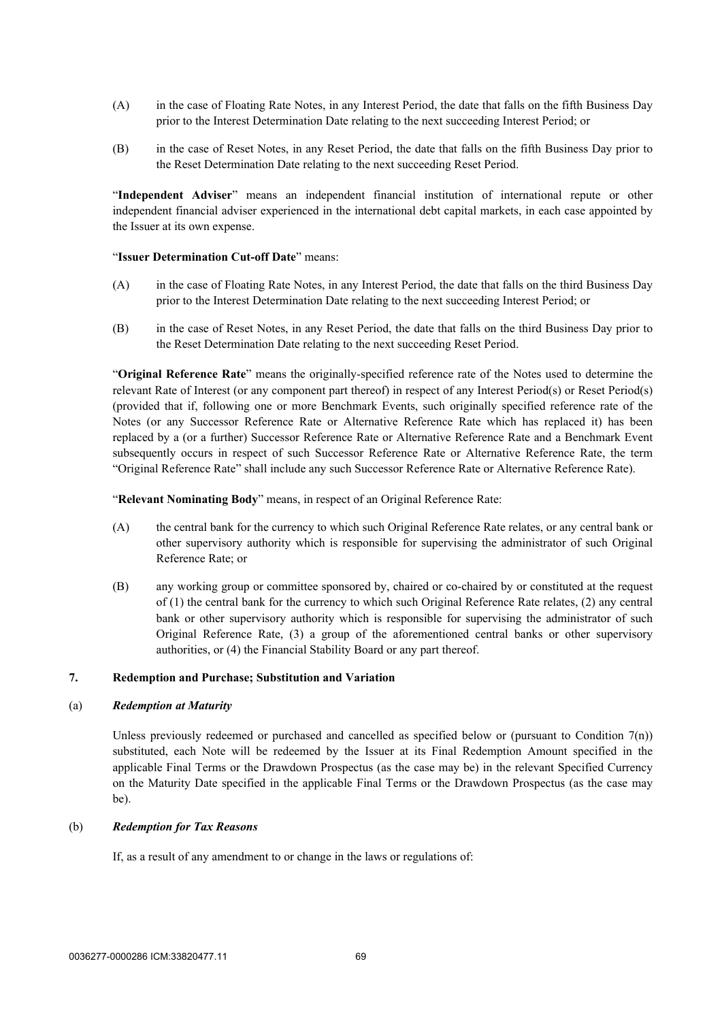- (A) in the case of Floating Rate Notes, in any Interest Period, the date that falls on the fifth Business Day prior to the Interest Determination Date relating to the next succeeding Interest Period; or
- (B) in the case of Reset Notes, in any Reset Period, the date that falls on the fifth Business Day prior to the Reset Determination Date relating to the next succeeding Reset Period.

"**Independent Adviser**" means an independent financial institution of international repute or other independent financial adviser experienced in the international debt capital markets, in each case appointed by the Issuer at its own expense.

#### "**Issuer Determination Cut-off Date**" means:

- (A) in the case of Floating Rate Notes, in any Interest Period, the date that falls on the third Business Day prior to the Interest Determination Date relating to the next succeeding Interest Period; or
- (B) in the case of Reset Notes, in any Reset Period, the date that falls on the third Business Day prior to the Reset Determination Date relating to the next succeeding Reset Period.

"**Original Reference Rate**" means the originally-specified reference rate of the Notes used to determine the relevant Rate of Interest (or any component part thereof) in respect of any Interest Period(s) or Reset Period(s) (provided that if, following one or more Benchmark Events, such originally specified reference rate of the Notes (or any Successor Reference Rate or Alternative Reference Rate which has replaced it) has been replaced by a (or a further) Successor Reference Rate or Alternative Reference Rate and a Benchmark Event subsequently occurs in respect of such Successor Reference Rate or Alternative Reference Rate, the term "Original Reference Rate" shall include any such Successor Reference Rate or Alternative Reference Rate).

"**Relevant Nominating Body**" means, in respect of an Original Reference Rate:

- (A) the central bank for the currency to which such Original Reference Rate relates, or any central bank or other supervisory authority which is responsible for supervising the administrator of such Original Reference Rate; or
- (B) any working group or committee sponsored by, chaired or co-chaired by or constituted at the request of (1) the central bank for the currency to which such Original Reference Rate relates, (2) any central bank or other supervisory authority which is responsible for supervising the administrator of such Original Reference Rate, (3) a group of the aforementioned central banks or other supervisory authorities, or (4) the Financial Stability Board or any part thereof.

### **7. Redemption and Purchase; Substitution and Variation**

### (a) *Redemption at Maturity*

Unless previously redeemed or purchased and cancelled as specified below or (pursuant to Condition  $7(n)$ ) substituted, each Note will be redeemed by the Issuer at its Final Redemption Amount specified in the applicable Final Terms or the Drawdown Prospectus (as the case may be) in the relevant Specified Currency on the Maturity Date specified in the applicable Final Terms or the Drawdown Prospectus (as the case may be).

### (b) *Redemption for Tax Reasons*

If, as a result of any amendment to or change in the laws or regulations of: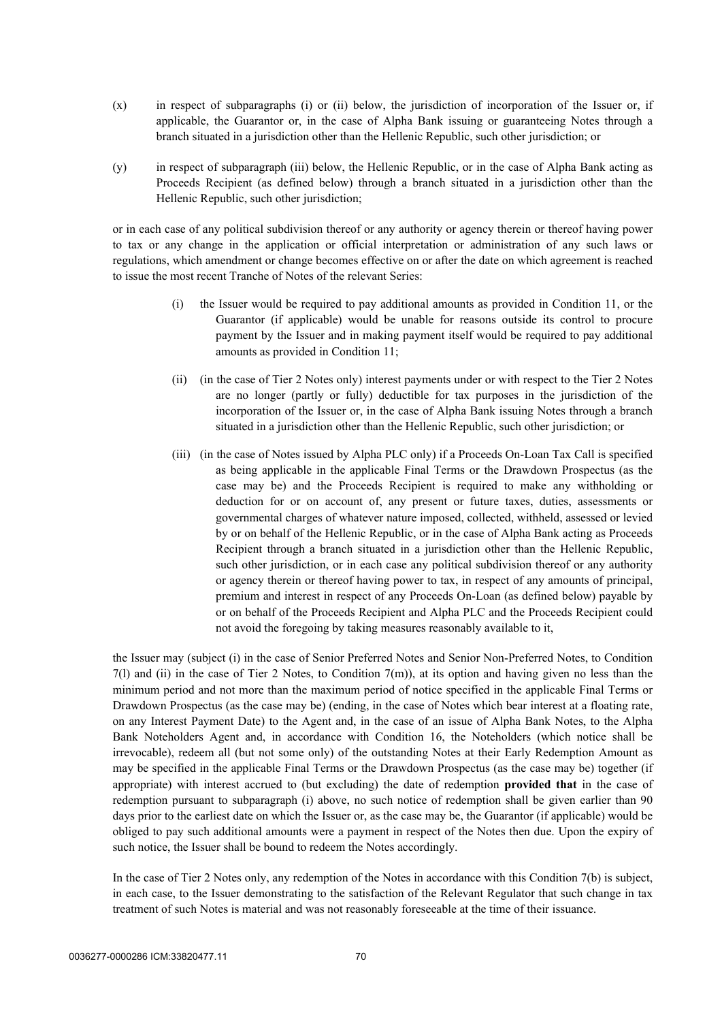- (x) in respect of subparagraphs [\(i\)](#page-72-0) or [\(ii\) below,](#page-72-1) the jurisdiction of incorporation of the Issuer or, if applicable, the Guarantor or, in the case of Alpha Bank issuing or guaranteeing Notes through a branch situated in a jurisdiction other than the Hellenic Republic, such other jurisdiction; or
- (y) in respect of subparagraph [\(iii\) below](#page-72-2), the Hellenic Republic, or in the case of Alpha Bank acting as Proceeds Recipient (as defined below) through a branch situated in a jurisdiction other than the Hellenic Republic, such other jurisdiction;

or in each case of any political subdivision thereof or any authority or agency therein or thereof having power to tax or any change in the application or official interpretation or administration of any such laws or regulations, which amendment or change becomes effective on or after the date on which agreement is reached to issue the most recent Tranche of Notes of the relevant Series:

- <span id="page-72-0"></span>(i) the Issuer would be required to pay additional amounts as provided in Condition [11,](#page-84-0) or the Guarantor (if applicable) would be unable for reasons outside its control to procure payment by the Issuer and in making payment itself would be required to pay additional amounts as provided in Condition [11](#page-84-0);
- <span id="page-72-1"></span>(ii) (in the case of Tier 2 Notes only) interest payments under or with respect to the Tier 2 Notes are no longer (partly or fully) deductible for tax purposes in the jurisdiction of the incorporation of the Issuer or, in the case of Alpha Bank issuing Notes through a branch situated in a jurisdiction other than the Hellenic Republic, such other jurisdiction; or
- <span id="page-72-2"></span>(iii) (in the case of Notes issued by Alpha PLC only) if a Proceeds On-Loan Tax Call is specified as being applicable in the applicable Final Terms or the Drawdown Prospectus (as the case may be) and the Proceeds Recipient is required to make any withholding or deduction for or on account of, any present or future taxes, duties, assessments or governmental charges of whatever nature imposed, collected, withheld, assessed or levied by or on behalf of the Hellenic Republic, or in the case of Alpha Bank acting as Proceeds Recipient through a branch situated in a jurisdiction other than the Hellenic Republic, such other jurisdiction, or in each case any political subdivision thereof or any authority or agency therein or thereof having power to tax, in respect of any amounts of principal, premium and interest in respect of any Proceeds On-Loan (as defined below) payable by or on behalf of the Proceeds Recipient and Alpha PLC and the Proceeds Recipient could not avoid the foregoing by taking measures reasonably available to it,

the Issuer may (subject (i) in the case of Senior Preferred Notes and Senior Non-Preferred Notes, to Condition  $7(1)$  and (ii) in the case of Tier 2 Notes, to Condition  $7(m)$ ), at its option and having given no less than the minimum period and not more than the maximum period of notice specified in the applicable Final Terms or Drawdown Prospectus (as the case may be) (ending, in the case of Notes which bear interest at a floating rate, on any Interest Payment Date) to the Agent and, in the case of an issue of Alpha Bank Notes, to the Alpha Bank Noteholders Agent and, in accordance with Condition [16,](#page-89-0) the Noteholders (which notice shall be irrevocable), redeem all (but not some only) of the outstanding Notes at their Early Redemption Amount as may be specified in the applicable Final Terms or the Drawdown Prospectus (as the case may be) together (if appropriate) with interest accrued to (but excluding) the date of redemption **provided that** in the case of redemption pursuant to subparagraph [\(i\) above](#page-72-0), no such notice of redemption shall be given earlier than 90 days prior to the earliest date on which the Issuer or, as the case may be, the Guarantor (if applicable) would be obliged to pay such additional amounts were a payment in respect of the Notes then due. Upon the expiry of such notice, the Issuer shall be bound to redeem the Notes accordingly.

In the case of Tier 2 Notes only, any redemption of the Notes in accordance with this Condition 7(b) is subject, in each case, to the Issuer demonstrating to the satisfaction of the Relevant Regulator that such change in tax treatment of such Notes is material and was not reasonably foreseeable at the time of their issuance.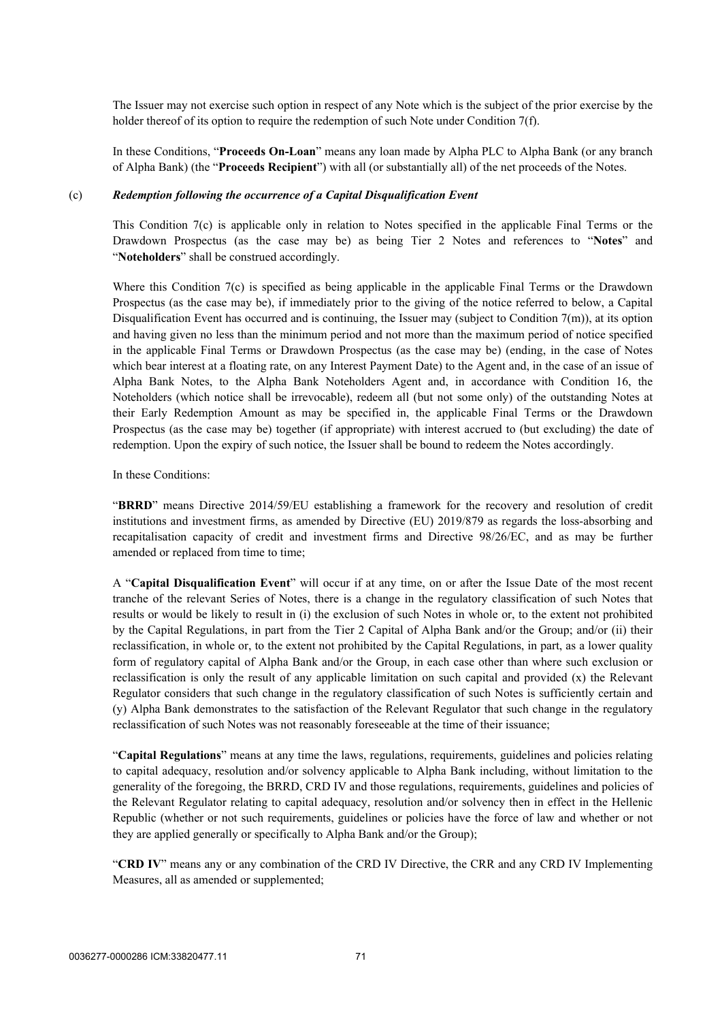The Issuer may not exercise such option in respect of any Note which is the subject of the prior exercise by the holder thereof of its option to require the redemption of such Note under Condition 7(f).

In these Conditions, "**Proceeds On-Loan**" means any loan made by Alpha PLC to Alpha Bank (or any branch of Alpha Bank) (the "**Proceeds Recipient**") with all (or substantially all) of the net proceeds of the Notes.

#### <span id="page-73-0"></span>(c) *Redemption following the occurrence of a Capital Disqualification Event*

This Condition [7\(c\)](#page-73-0) is applicable only in relation to Notes specified in the applicable Final Terms or the Drawdown Prospectus (as the case may be) as being Tier 2 Notes and references to "**Notes**" and "**Noteholders**" shall be construed accordingly.

Where this Condition [7\(c\)](#page-73-0) is specified as being applicable in the applicable Final Terms or the Drawdown Prospectus (as the case may be), if immediately prior to the giving of the notice referred to below, a Capital Disqualification Event has occurred and is continuing, the Issuer may (subject to Condition 7(m)), at its option and having given no less than the minimum period and not more than the maximum period of notice specified in the applicable Final Terms or Drawdown Prospectus (as the case may be) (ending, in the case of Notes which bear interest at a floating rate, on any Interest Payment Date) to the Agent and, in the case of an issue of Alpha Bank Notes, to the Alpha Bank Noteholders Agent and, in accordance with Condition [16](#page-89-0), the Noteholders (which notice shall be irrevocable), redeem all (but not some only) of the outstanding Notes at their Early Redemption Amount as may be specified in, the applicable Final Terms or the Drawdown Prospectus (as the case may be) together (if appropriate) with interest accrued to (but excluding) the date of redemption. Upon the expiry of such notice, the Issuer shall be bound to redeem the Notes accordingly.

#### In these Conditions:

"**BRRD**" means Directive 2014/59/EU establishing a framework for the recovery and resolution of credit institutions and investment firms, as amended by Directive (EU) 2019/879 as regards the loss-absorbing and recapitalisation capacity of credit and investment firms and Directive 98/26/EC, and as may be further amended or replaced from time to time;

A "**Capital Disqualification Event**" will occur if at any time, on or after the Issue Date of the most recent tranche of the relevant Series of Notes, there is a change in the regulatory classification of such Notes that results or would be likely to result in (i) the exclusion of such Notes in whole or, to the extent not prohibited by the Capital Regulations, in part from the Tier 2 Capital of Alpha Bank and/or the Group; and/or (ii) their reclassification, in whole or, to the extent not prohibited by the Capital Regulations, in part, as a lower quality form of regulatory capital of Alpha Bank and/or the Group, in each case other than where such exclusion or reclassification is only the result of any applicable limitation on such capital and provided (x) the Relevant Regulator considers that such change in the regulatory classification of such Notes is sufficiently certain and (y) Alpha Bank demonstrates to the satisfaction of the Relevant Regulator that such change in the regulatory reclassification of such Notes was not reasonably foreseeable at the time of their issuance;

"**Capital Regulations**" means at any time the laws, regulations, requirements, guidelines and policies relating to capital adequacy, resolution and/or solvency applicable to Alpha Bank including, without limitation to the generality of the foregoing, the BRRD, CRD IV and those regulations, requirements, guidelines and policies of the Relevant Regulator relating to capital adequacy, resolution and/or solvency then in effect in the Hellenic Republic (whether or not such requirements, guidelines or policies have the force of law and whether or not they are applied generally or specifically to Alpha Bank and/or the Group);

"**CRD IV**" means any or any combination of the CRD IV Directive, the CRR and any CRD IV Implementing Measures, all as amended or supplemented;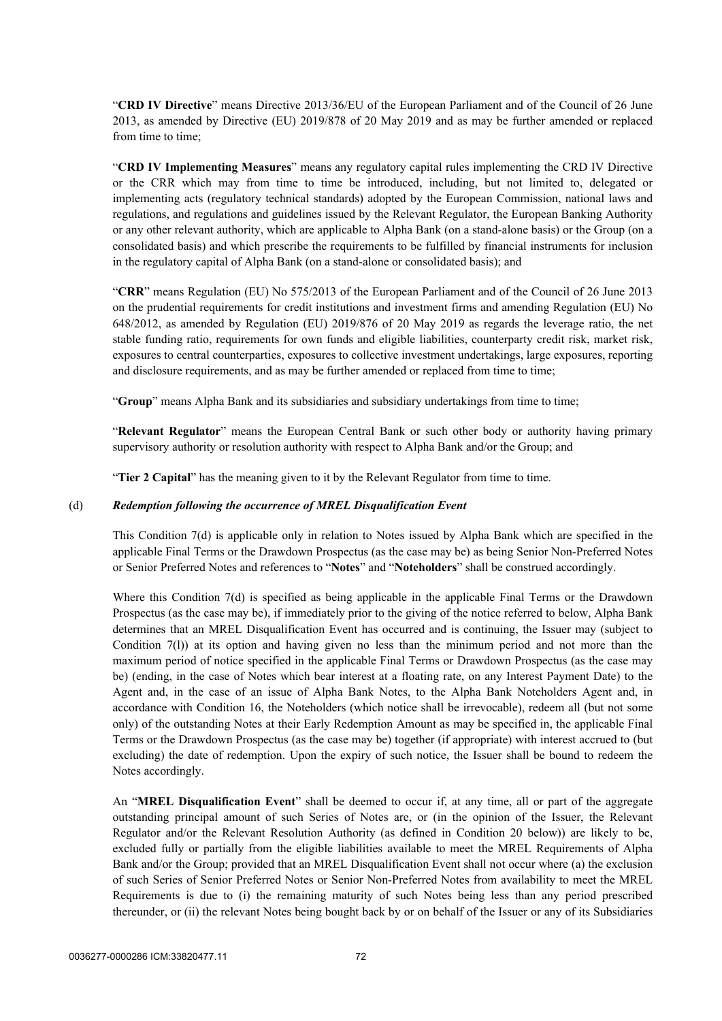"**CRD IV Directive**" means Directive 2013/36/EU of the European Parliament and of the Council of 26 June 2013, as amended by Directive (EU) 2019/878 of 20 May 2019 and as may be further amended or replaced from time to time;

"**CRD IV Implementing Measures**" means any regulatory capital rules implementing the CRD IV Directive or the CRR which may from time to time be introduced, including, but not limited to, delegated or implementing acts (regulatory technical standards) adopted by the European Commission, national laws and regulations, and regulations and guidelines issued by the Relevant Regulator, the European Banking Authority or any other relevant authority, which are applicable to Alpha Bank (on a stand-alone basis) or the Group (on a consolidated basis) and which prescribe the requirements to be fulfilled by financial instruments for inclusion in the regulatory capital of Alpha Bank (on a stand-alone or consolidated basis); and

"**CRR**" means Regulation (EU) No 575/2013 of the European Parliament and of the Council of 26 June 2013 on the prudential requirements for credit institutions and investment firms and amending Regulation (EU) No 648/2012, as amended by Regulation (EU) 2019/876 of 20 May 2019 as regards the leverage ratio, the net stable funding ratio, requirements for own funds and eligible liabilities, counterparty credit risk, market risk, exposures to central counterparties, exposures to collective investment undertakings, large exposures, reporting and disclosure requirements, and as may be further amended or replaced from time to time;

"**Group**" means Alpha Bank and its subsidiaries and subsidiary undertakings from time to time;

"**Relevant Regulator**" means the European Central Bank or such other body or authority having primary supervisory authority or resolution authority with respect to Alpha Bank and/or the Group; and

"**Tier 2 Capital**" has the meaning given to it by the Relevant Regulator from time to time.

#### <span id="page-74-0"></span>(d) *Redemption following the occurrence of MREL Disqualification Event*

This Condition [7\(d\)](#page-74-0) is applicable only in relation to Notes issued by Alpha Bank which are specified in the applicable Final Terms or the Drawdown Prospectus (as the case may be) as being Senior Non-Preferred Notes or Senior Preferred Notes and references to "**Notes**" and "**Noteholders**" shall be construed accordingly.

Where this Condition [7\(d\)](#page-74-0) is specified as being applicable in the applicable Final Terms or the Drawdown Prospectus (as the case may be), if immediately prior to the giving of the notice referred to below, Alpha Bank determines that an MREL Disqualification Event has occurred and is continuing, the Issuer may (subject to Condition [7\(l\)](#page-77-0)) at its option and having given no less than the minimum period and not more than the maximum period of notice specified in the applicable Final Terms or Drawdown Prospectus (as the case may be) (ending, in the case of Notes which bear interest at a floating rate, on any Interest Payment Date) to the Agent and, in the case of an issue of Alpha Bank Notes, to the Alpha Bank Noteholders Agent and, in accordance with Condition 16, the Noteholders (which notice shall be irrevocable), redeem all (but not some only) of the outstanding Notes at their Early Redemption Amount as may be specified in, the applicable Final Terms or the Drawdown Prospectus (as the case may be) together (if appropriate) with interest accrued to (but excluding) the date of redemption. Upon the expiry of such notice, the Issuer shall be bound to redeem the Notes accordingly.

An "**MREL Disqualification Event**" shall be deemed to occur if, at any time, all or part of the aggregate outstanding principal amount of such Series of Notes are, or (in the opinion of the Issuer, the Relevant Regulator and/or the Relevant Resolution Authority (as defined in Condition 20 below)) are likely to be, excluded fully or partially from the eligible liabilities available to meet the MREL Requirements of Alpha Bank and/or the Group; provided that an MREL Disqualification Event shall not occur where (a) the exclusion of such Series of Senior Preferred Notes or Senior Non-Preferred Notes from availability to meet the MREL Requirements is due to (i) the remaining maturity of such Notes being less than any period prescribed thereunder, or (ii) the relevant Notes being bought back by or on behalf of the Issuer or any of its Subsidiaries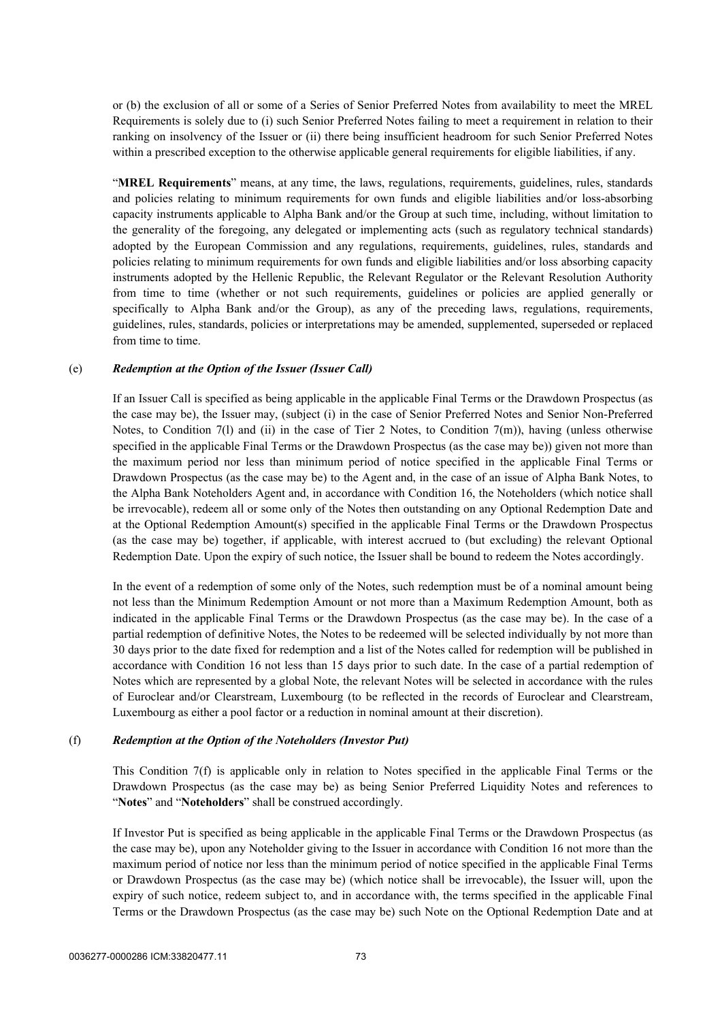or (b) the exclusion of all or some of a Series of Senior Preferred Notes from availability to meet the MREL Requirements is solely due to (i) such Senior Preferred Notes failing to meet a requirement in relation to their ranking on insolvency of the Issuer or (ii) there being insufficient headroom for such Senior Preferred Notes within a prescribed exception to the otherwise applicable general requirements for eligible liabilities, if any.

"**MREL Requirements**" means, at any time, the laws, regulations, requirements, guidelines, rules, standards and policies relating to minimum requirements for own funds and eligible liabilities and/or loss-absorbing capacity instruments applicable to Alpha Bank and/or the Group at such time, including, without limitation to the generality of the foregoing, any delegated or implementing acts (such as regulatory technical standards) adopted by the European Commission and any regulations, requirements, guidelines, rules, standards and policies relating to minimum requirements for own funds and eligible liabilities and/or loss absorbing capacity instruments adopted by the Hellenic Republic, the Relevant Regulator or the Relevant Resolution Authority from time to time (whether or not such requirements, guidelines or policies are applied generally or specifically to Alpha Bank and/or the Group), as any of the preceding laws, regulations, requirements, guidelines, rules, standards, policies or interpretations may be amended, supplemented, superseded or replaced from time to time.

#### <span id="page-75-1"></span>(e) *Redemption at the Option of the Issuer (Issuer Call)*

If an Issuer Call is specified as being applicable in the applicable Final Terms or the Drawdown Prospectus (as the case may be), the Issuer may, (subject (i) in the case of Senior Preferred Notes and Senior Non-Preferred Notes, to Condition 7(1) and (ii) in the case of Tier 2 Notes, to Condition 7(m)), having (unless otherwise specified in the applicable Final Terms or the Drawdown Prospectus (as the case may be)) given not more than the maximum period nor less than minimum period of notice specified in the applicable Final Terms or Drawdown Prospectus (as the case may be) to the Agent and, in the case of an issue of Alpha Bank Notes, to the Alpha Bank Noteholders Agent and, in accordance with Condition [16,](#page-89-0) the Noteholders (which notice shall be irrevocable), redeem all or some only of the Notes then outstanding on any Optional Redemption Date and at the Optional Redemption Amount(s) specified in the applicable Final Terms or the Drawdown Prospectus (as the case may be) together, if applicable, with interest accrued to (but excluding) the relevant Optional Redemption Date. Upon the expiry of such notice, the Issuer shall be bound to redeem the Notes accordingly.

In the event of a redemption of some only of the Notes, such redemption must be of a nominal amount being not less than the Minimum Redemption Amount or not more than a Maximum Redemption Amount, both as indicated in the applicable Final Terms or the Drawdown Prospectus (as the case may be). In the case of a partial redemption of definitive Notes, the Notes to be redeemed will be selected individually by not more than 30 days prior to the date fixed for redemption and a list of the Notes called for redemption will be published in accordance with Condition [16](#page-89-0) not less than 15 days prior to such date. In the case of a partial redemption of Notes which are represented by a global Note, the relevant Notes will be selected in accordance with the rules of Euroclear and/or Clearstream, Luxembourg (to be reflected in the records of Euroclear and Clearstream, Luxembourg as either a pool factor or a reduction in nominal amount at their discretion).

#### <span id="page-75-0"></span>(f) *Redemption at the Option of the Noteholders (Investor Put)*

This Condition [7\(f\)](#page-75-0) is applicable only in relation to Notes specified in the applicable Final Terms or the Drawdown Prospectus (as the case may be) as being Senior Preferred Liquidity Notes and references to "**Notes**" and "**Noteholders**" shall be construed accordingly.

If Investor Put is specified as being applicable in the applicable Final Terms or the Drawdown Prospectus (as the case may be), upon any Noteholder giving to the Issuer in accordance with Condition [16](#page-89-0) not more than the maximum period of notice nor less than the minimum period of notice specified in the applicable Final Terms or Drawdown Prospectus (as the case may be) (which notice shall be irrevocable), the Issuer will, upon the expiry of such notice, redeem subject to, and in accordance with, the terms specified in the applicable Final Terms or the Drawdown Prospectus (as the case may be) such Note on the Optional Redemption Date and at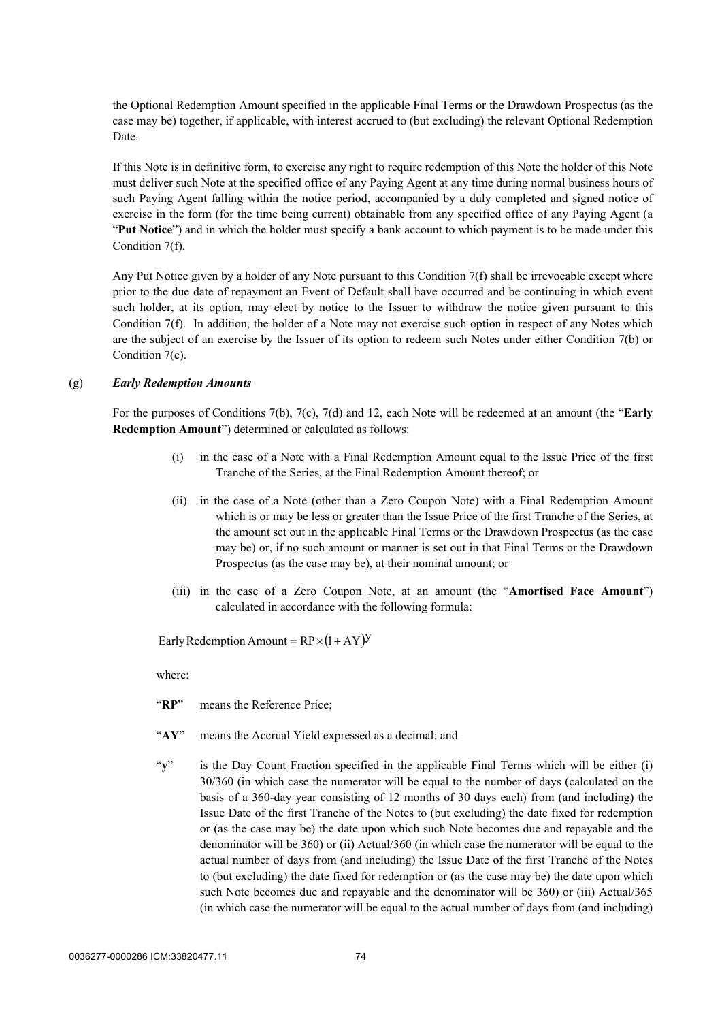the Optional Redemption Amount specified in the applicable Final Terms or the Drawdown Prospectus (as the case may be) together, if applicable, with interest accrued to (but excluding) the relevant Optional Redemption Date.

If this Note is in definitive form, to exercise any right to require redemption of this Note the holder of this Note must deliver such Note at the specified office of any Paying Agent at any time during normal business hours of such Paying Agent falling within the notice period, accompanied by a duly completed and signed notice of exercise in the form (for the time being current) obtainable from any specified office of any Paying Agent (a "**Put Notice**") and in which the holder must specify a bank account to which payment is to be made under this Condition 7(f).

Any Put Notice given by a holder of any Note pursuant to this Condition [7\(f\)](#page-75-0) shall be irrevocable except where prior to the due date of repayment an Event of Default shall have occurred and be continuing in which event such holder, at its option, may elect by notice to the Issuer to withdraw the notice given pursuant to this Condition [7\(f\).](#page-75-0) In addition, the holder of a Note may not exercise such option in respect of any Notes which are the subject of an exercise by the Issuer of its option to redeem such Notes under either Condition 7(b) or Condition 7(e).

#### <span id="page-76-0"></span>(g) *Early Redemption Amounts*

For the purposes of Conditions [7\(b\),](#page-71-0) [7\(c\)](#page-73-0), [7\(d\)](#page-74-0) and [12](#page-85-0), each Note will be redeemed at an amount (the "**Early Redemption Amount**") determined or calculated as follows:

- (i) in the case of a Note with a Final Redemption Amount equal to the Issue Price of the first Tranche of the Series, at the Final Redemption Amount thereof; or
- (ii) in the case of a Note (other than a Zero Coupon Note) with a Final Redemption Amount which is or may be less or greater than the Issue Price of the first Tranche of the Series, at the amount set out in the applicable Final Terms or the Drawdown Prospectus (as the case may be) or, if no such amount or manner is set out in that Final Terms or the Drawdown Prospectus (as the case may be), at their nominal amount; or
- <span id="page-76-1"></span>(iii) in the case of a Zero Coupon Note, at an amount (the "**Amortised Face Amount**") calculated in accordance with the following formula:

Early Redemption Amount =  $RP \times (1 + AY)^y$ 

where:

- "**RP**" means the Reference Price;
- "**AY**" means the Accrual Yield expressed as a decimal; and
- "**y**" is the Day Count Fraction specified in the applicable Final Terms which will be either (i) 30/360 (in which case the numerator will be equal to the number of days (calculated on the basis of a 360-day year consisting of 12 months of 30 days each) from (and including) the Issue Date of the first Tranche of the Notes to (but excluding) the date fixed for redemption or (as the case may be) the date upon which such Note becomes due and repayable and the denominator will be 360) or (ii) Actual/360 (in which case the numerator will be equal to the actual number of days from (and including) the Issue Date of the first Tranche of the Notes to (but excluding) the date fixed for redemption or (as the case may be) the date upon which such Note becomes due and repayable and the denominator will be 360) or (iii) Actual/365 (in which case the numerator will be equal to the actual number of days from (and including)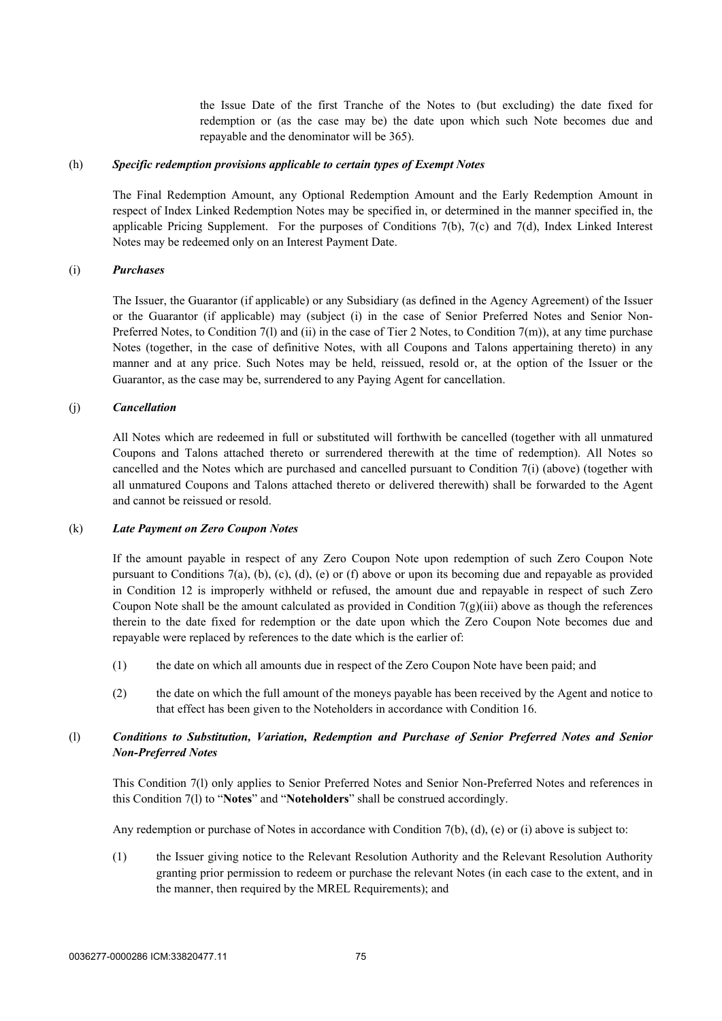the Issue Date of the first Tranche of the Notes to (but excluding) the date fixed for redemption or (as the case may be) the date upon which such Note becomes due and repayable and the denominator will be 365).

#### <span id="page-77-1"></span>(h) *Specific redemption provisions applicable to certain types of Exempt Notes*

The Final Redemption Amount, any Optional Redemption Amount and the Early Redemption Amount in respect of Index Linked Redemption Notes may be specified in, or determined in the manner specified in, the applicable Pricing Supplement. For the purposes of Conditions [7\(b\),](#page-71-0) [7\(c\)](#page-73-0) and [7\(d\),](#page-74-0) Index Linked Interest Notes may be redeemed only on an Interest Payment Date.

#### (i) *Purchases*

The Issuer, the Guarantor (if applicable) or any Subsidiary (as defined in the Agency Agreement) of the Issuer or the Guarantor (if applicable) may (subject (i) in the case of Senior Preferred Notes and Senior Non-Preferred Notes, to Condition 7(1) and (ii) in the case of Tier 2 Notes, to Condition 7(m)), at any time purchase Notes (together, in the case of definitive Notes, with all Coupons and Talons appertaining thereto) in any manner and at any price. Such Notes may be held, reissued, resold or, at the option of the Issuer or the Guarantor, as the case may be, surrendered to any Paying Agent for cancellation.

#### (j) *Cancellation*

All Notes which are redeemed in full or substituted will forthwith be cancelled (together with all unmatured Coupons and Talons attached thereto or surrendered therewith at the time of redemption). All Notes so cancelled and the Notes which are purchased and cancelled pursuant to Condition 7(i) [\(above\)](#page-77-1) (together with all unmatured Coupons and Talons attached thereto or delivered therewith) shall be forwarded to the Agent and cannot be reissued or resold.

#### (k) *Late Payment on Zero Coupon Notes*

If the amount payable in respect of any Zero Coupon Note upon redemption of such Zero Coupon Note pursuant to Conditions [7](#page-71-1)[\(a\)](#page-71-2), [\(b\)](#page-71-0), [\(c\),](#page-73-0) [\(d\),](#page-74-0) [\(e\)](#page-75-1) or [\(f\) above](#page-75-0) or upon its becoming due and repayable as provided in Condition [12](#page-85-0) is improperly withheld or refused, the amount due and repayable in respect of such Zero Coupon Note shall be the amount calculated as provided in Condition  $7(g)(iii)$  $7(g)(iii)$  $7(g)(iii)$  above as though the references therein to the date fixed for redemption or the date upon which the Zero Coupon Note becomes due and repayable were replaced by references to the date which is the earlier of:

- (1) the date on which all amounts due in respect of the Zero Coupon Note have been paid; and
- (2) the date on which the full amount of the moneys payable has been received by the Agent and notice to that effect has been given to the Noteholders in accordance with Condition [16](#page-89-0).

#### <span id="page-77-0"></span>(l) *Conditions to Substitution, Variation, Redemption and Purchase of Senior Preferred Notes and Senior Non-Preferred Notes*

This Condition 7(l) only applies to Senior Preferred Notes and Senior Non-Preferred Notes and references in this Condition 7(l) to "**Notes**" and "**Noteholders**" shall be construed accordingly.

Any redemption or purchase of Notes in accordance with Condition [7\(b\)](#page-71-0), [\(d\)](#page-74-0), [\(e\)](#page-75-1) or (i) above is subject to:

(1) the Issuer giving notice to the Relevant Resolution Authority and the Relevant Resolution Authority granting prior permission to redeem or purchase the relevant Notes (in each case to the extent, and in the manner, then required by the MREL Requirements); and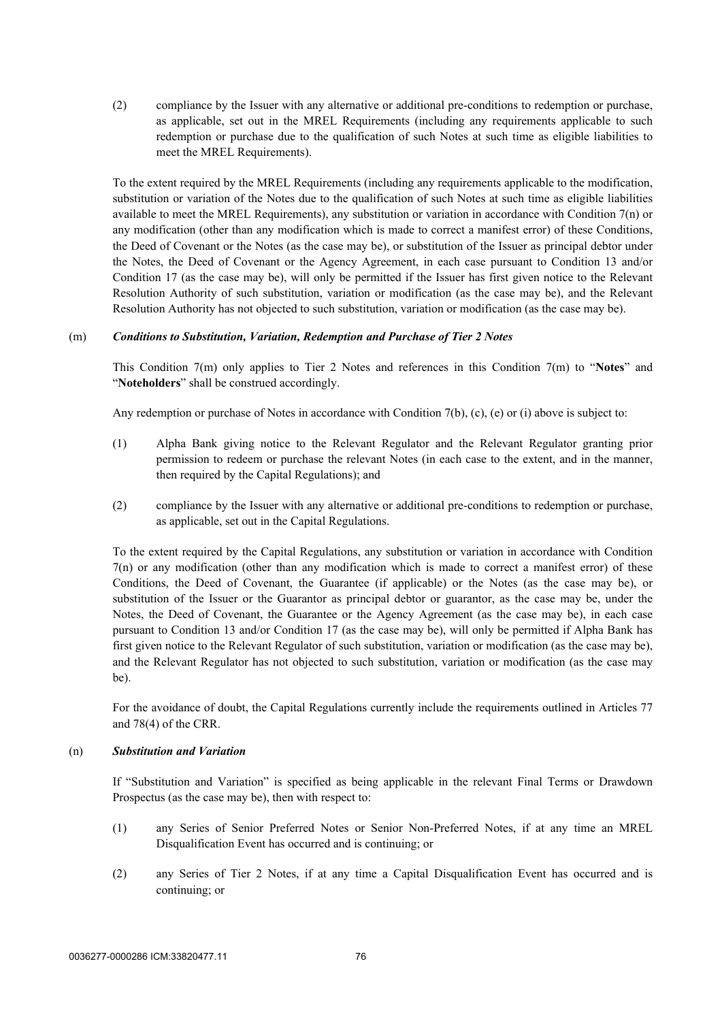(2) compliance by the Issuer with any alternative or additional pre-conditions to redemption or purchase, as applicable, set out in the MREL Requirements (including any requirements applicable to such redemption or purchase due to the qualification of such Notes at such time as eligible liabilities to meet the MREL Requirements).

To the extent required by the MREL Requirements (including any requirements applicable to the modification, substitution or variation of the Notes due to the qualification of such Notes at such time as eligible liabilities available to meet the MREL Requirements), any substitution or variation in accordance with Condition 7(n) or any modification (other than any modification which is made to correct a manifest error) of these Conditions, the Deed of Covenant or the Notes (as the case may be), or substitution of the Issuer as principal debtor under the Notes, the Deed of Covenant or the Agency Agreement, in each case pursuant to Condition 13 and/or Condition 17 (as the case may be), will only be permitted if the Issuer has first given notice to the Relevant Resolution Authority of such substitution, variation or modification (as the case may be), and the Relevant Resolution Authority has not objected to such substitution, variation or modification (as the case may be).

#### (m) *Conditions to Substitution, Variation, Redemption and Purchase of Tier 2 Notes*

This Condition 7(m) only applies to Tier 2 Notes and references in this Condition 7(m) to "**Notes**" and "**Noteholders**" shall be construed accordingly.

Any redemption or purchase of Notes in accordance with Condition [7\(b\)](#page-71-0), [\(c\)](#page-73-0), [\(e\)](#page-75-1) or (i) above is subject to:

- (1) Alpha Bank giving notice to the Relevant Regulator and the Relevant Regulator granting prior permission to redeem or purchase the relevant Notes (in each case to the extent, and in the manner, then required by the Capital Regulations); and
- (2) compliance by the Issuer with any alternative or additional pre-conditions to redemption or purchase, as applicable, set out in the Capital Regulations.

To the extent required by the Capital Regulations, any substitution or variation in accordance with Condition 7(n) or any modification (other than any modification which is made to correct a manifest error) of these Conditions, the Deed of Covenant, the Guarantee (if applicable) or the Notes (as the case may be), or substitution of the Issuer or the Guarantor as principal debtor or guarantor, as the case may be, under the Notes, the Deed of Covenant, the Guarantee or the Agency Agreement (as the case may be), in each case pursuant to Condition 13 and/or Condition 17 (as the case may be), will only be permitted if Alpha Bank has first given notice to the Relevant Regulator of such substitution, variation or modification (as the case may be), and the Relevant Regulator has not objected to such substitution, variation or modification (as the case may be).

For the avoidance of doubt, the Capital Regulations currently include the requirements outlined in Articles 77 and 78(4) of the CRR.

#### (n) *Substitution and Variation*

If "Substitution and Variation" is specified as being applicable in the relevant Final Terms or Drawdown Prospectus (as the case may be), then with respect to:

- (1) any Series of Senior Preferred Notes or Senior Non-Preferred Notes, if at any time an MREL Disqualification Event has occurred and is continuing; or
- (2) any Series of Tier 2 Notes, if at any time a Capital Disqualification Event has occurred and is continuing; or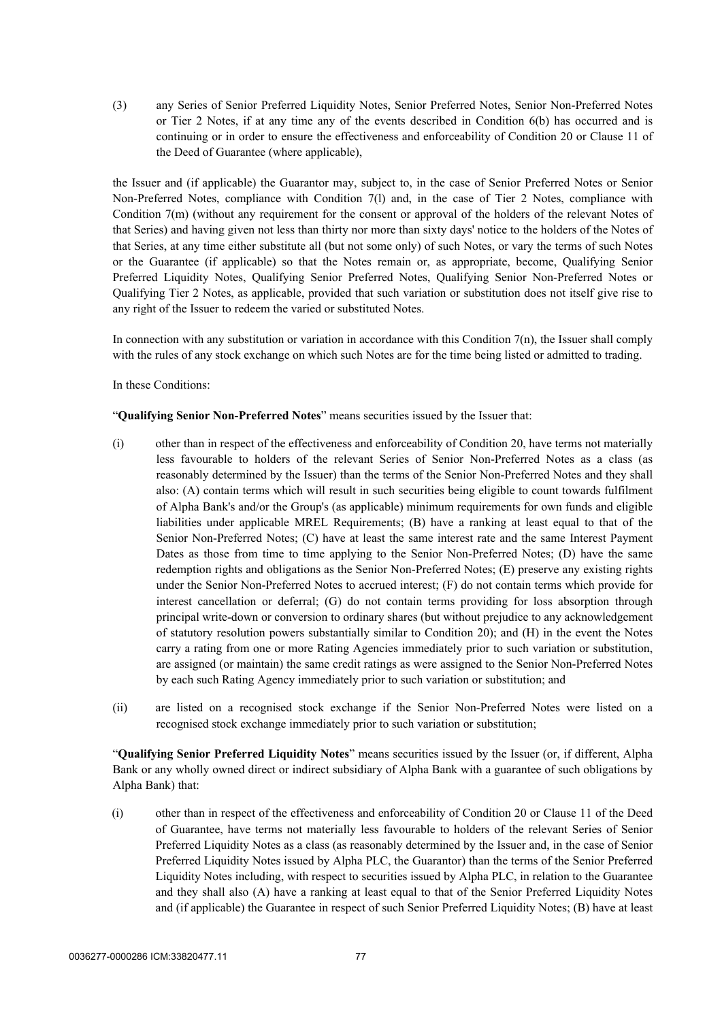(3) any Series of Senior Preferred Liquidity Notes, Senior Preferred Notes, Senior Non-Preferred Notes or Tier 2 Notes, if at any time any of the events described in Condition 6(b) has occurred and is continuing or in order to ensure the effectiveness and enforceability of Condition 20 or Clause 11 of the Deed of Guarantee (where applicable),

the Issuer and (if applicable) the Guarantor may, subject to, in the case of Senior Preferred Notes or Senior Non-Preferred Notes, compliance with Condition 7(l) and, in the case of Tier 2 Notes, compliance with Condition 7(m) (without any requirement for the consent or approval of the holders of the relevant Notes of that Series) and having given not less than thirty nor more than sixty days' notice to the holders of the Notes of that Series, at any time either substitute all (but not some only) of such Notes, or vary the terms of such Notes or the Guarantee (if applicable) so that the Notes remain or, as appropriate, become, Qualifying Senior Preferred Liquidity Notes, Qualifying Senior Preferred Notes, Qualifying Senior Non-Preferred Notes or Qualifying Tier 2 Notes, as applicable, provided that such variation or substitution does not itself give rise to any right of the Issuer to redeem the varied or substituted Notes.

In connection with any substitution or variation in accordance with this Condition 7(n), the Issuer shall comply with the rules of any stock exchange on which such Notes are for the time being listed or admitted to trading.

In these Conditions:

#### "**Qualifying Senior Non-Preferred Notes**" means securities issued by the Issuer that:

- (i) other than in respect of the effectiveness and enforceability of Condition 20, have terms not materially less favourable to holders of the relevant Series of Senior Non-Preferred Notes as a class (as reasonably determined by the Issuer) than the terms of the Senior Non-Preferred Notes and they shall also: (A) contain terms which will result in such securities being eligible to count towards fulfilment of Alpha Bank's and/or the Group's (as applicable) minimum requirements for own funds and eligible liabilities under applicable MREL Requirements; (B) have a ranking at least equal to that of the Senior Non-Preferred Notes; (C) have at least the same interest rate and the same Interest Payment Dates as those from time to time applying to the Senior Non-Preferred Notes; (D) have the same redemption rights and obligations as the Senior Non-Preferred Notes; (E) preserve any existing rights under the Senior Non-Preferred Notes to accrued interest; (F) do not contain terms which provide for interest cancellation or deferral; (G) do not contain terms providing for loss absorption through principal write-down or conversion to ordinary shares (but without prejudice to any acknowledgement of statutory resolution powers substantially similar to Condition 20); and (H) in the event the Notes carry a rating from one or more Rating Agencies immediately prior to such variation or substitution, are assigned (or maintain) the same credit ratings as were assigned to the Senior Non-Preferred Notes by each such Rating Agency immediately prior to such variation or substitution; and
- (ii) are listed on a recognised stock exchange if the Senior Non-Preferred Notes were listed on a recognised stock exchange immediately prior to such variation or substitution;

"**Qualifying Senior Preferred Liquidity Notes**" means securities issued by the Issuer (or, if different, Alpha Bank or any wholly owned direct or indirect subsidiary of Alpha Bank with a guarantee of such obligations by Alpha Bank) that:

(i) other than in respect of the effectiveness and enforceability of Condition 20 or Clause 11 of the Deed of Guarantee, have terms not materially less favourable to holders of the relevant Series of Senior Preferred Liquidity Notes as a class (as reasonably determined by the Issuer and, in the case of Senior Preferred Liquidity Notes issued by Alpha PLC, the Guarantor) than the terms of the Senior Preferred Liquidity Notes including, with respect to securities issued by Alpha PLC, in relation to the Guarantee and they shall also (A) have a ranking at least equal to that of the Senior Preferred Liquidity Notes and (if applicable) the Guarantee in respect of such Senior Preferred Liquidity Notes; (B) have at least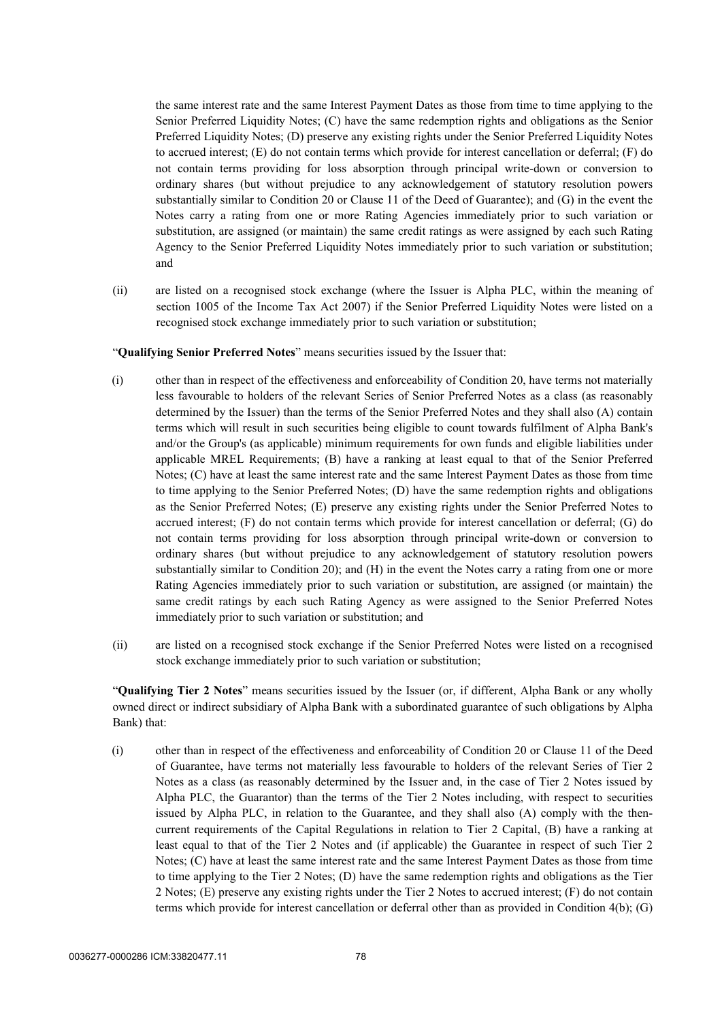the same interest rate and the same Interest Payment Dates as those from time to time applying to the Senior Preferred Liquidity Notes; (C) have the same redemption rights and obligations as the Senior Preferred Liquidity Notes; (D) preserve any existing rights under the Senior Preferred Liquidity Notes to accrued interest; (E) do not contain terms which provide for interest cancellation or deferral; (F) do not contain terms providing for loss absorption through principal write-down or conversion to ordinary shares (but without prejudice to any acknowledgement of statutory resolution powers substantially similar to Condition 20 or Clause 11 of the Deed of Guarantee); and (G) in the event the Notes carry a rating from one or more Rating Agencies immediately prior to such variation or substitution, are assigned (or maintain) the same credit ratings as were assigned by each such Rating Agency to the Senior Preferred Liquidity Notes immediately prior to such variation or substitution; and

(ii) are listed on a recognised stock exchange (where the Issuer is Alpha PLC, within the meaning of section 1005 of the Income Tax Act 2007) if the Senior Preferred Liquidity Notes were listed on a recognised stock exchange immediately prior to such variation or substitution;

#### "**Qualifying Senior Preferred Notes**" means securities issued by the Issuer that:

- (i) other than in respect of the effectiveness and enforceability of Condition 20, have terms not materially less favourable to holders of the relevant Series of Senior Preferred Notes as a class (as reasonably determined by the Issuer) than the terms of the Senior Preferred Notes and they shall also (A) contain terms which will result in such securities being eligible to count towards fulfilment of Alpha Bank's and/or the Group's (as applicable) minimum requirements for own funds and eligible liabilities under applicable MREL Requirements; (B) have a ranking at least equal to that of the Senior Preferred Notes; (C) have at least the same interest rate and the same Interest Payment Dates as those from time to time applying to the Senior Preferred Notes; (D) have the same redemption rights and obligations as the Senior Preferred Notes; (E) preserve any existing rights under the Senior Preferred Notes to accrued interest; (F) do not contain terms which provide for interest cancellation or deferral; (G) do not contain terms providing for loss absorption through principal write-down or conversion to ordinary shares (but without prejudice to any acknowledgement of statutory resolution powers substantially similar to Condition 20); and (H) in the event the Notes carry a rating from one or more Rating Agencies immediately prior to such variation or substitution, are assigned (or maintain) the same credit ratings by each such Rating Agency as were assigned to the Senior Preferred Notes immediately prior to such variation or substitution; and
- (ii) are listed on a recognised stock exchange if the Senior Preferred Notes were listed on a recognised stock exchange immediately prior to such variation or substitution;

"**Qualifying Tier 2 Notes**" means securities issued by the Issuer (or, if different, Alpha Bank or any wholly owned direct or indirect subsidiary of Alpha Bank with a subordinated guarantee of such obligations by Alpha Bank) that:

(i) other than in respect of the effectiveness and enforceability of Condition 20 or Clause 11 of the Deed of Guarantee, have terms not materially less favourable to holders of the relevant Series of Tier 2 Notes as a class (as reasonably determined by the Issuer and, in the case of Tier 2 Notes issued by Alpha PLC, the Guarantor) than the terms of the Tier 2 Notes including, with respect to securities issued by Alpha PLC, in relation to the Guarantee, and they shall also (A) comply with the thencurrent requirements of the Capital Regulations in relation to Tier 2 Capital, (B) have a ranking at least equal to that of the Tier 2 Notes and (if applicable) the Guarantee in respect of such Tier 2 Notes; (C) have at least the same interest rate and the same Interest Payment Dates as those from time to time applying to the Tier 2 Notes; (D) have the same redemption rights and obligations as the Tier 2 Notes; (E) preserve any existing rights under the Tier 2 Notes to accrued interest; (F) do not contain terms which provide for interest cancellation or deferral other than as provided in Condition 4(b); (G)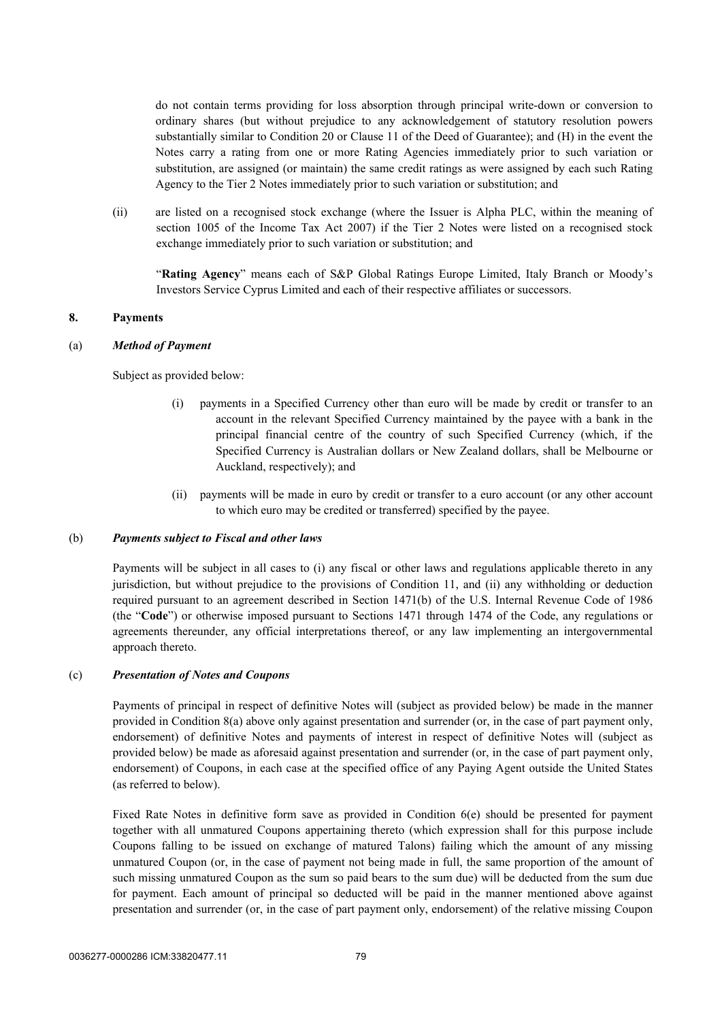do not contain terms providing for loss absorption through principal write-down or conversion to ordinary shares (but without prejudice to any acknowledgement of statutory resolution powers substantially similar to Condition 20 or Clause 11 of the Deed of Guarantee); and (H) in the event the Notes carry a rating from one or more Rating Agencies immediately prior to such variation or substitution, are assigned (or maintain) the same credit ratings as were assigned by each such Rating Agency to the Tier 2 Notes immediately prior to such variation or substitution; and

(ii) are listed on a recognised stock exchange (where the Issuer is Alpha PLC, within the meaning of section 1005 of the Income Tax Act 2007) if the Tier 2 Notes were listed on a recognised stock exchange immediately prior to such variation or substitution; and

"**Rating Agency**" means each of S&P Global Ratings Europe Limited, Italy Branch or Moody's Investors Service Cyprus Limited and each of their respective affiliates or successors.

#### <span id="page-81-1"></span><span id="page-81-0"></span>**8. Payments**

#### (a) *Method of Payment*

Subject as provided below:

- (i) payments in a Specified Currency other than euro will be made by credit or transfer to an account in the relevant Specified Currency maintained by the payee with a bank in the principal financial centre of the country of such Specified Currency (which, if the Specified Currency is Australian dollars or New Zealand dollars, shall be Melbourne or Auckland, respectively); and
- (ii) payments will be made in euro by credit or transfer to a euro account (or any other account to which euro may be credited or transferred) specified by the payee.

#### (b) *Payments subject to Fiscal and other laws*

Payments will be subject in all cases to (i) any fiscal or other laws and regulations applicable thereto in any jurisdiction, but without prejudice to the provisions of Condition [11,](#page-84-0) and (ii) any withholding or deduction required pursuant to an agreement described in Section 1471(b) of the U.S. Internal Revenue Code of 1986 (the "**Code**") or otherwise imposed pursuant to Sections 1471 through 1474 of the Code, any regulations or agreements thereunder, any official interpretations thereof, or any law implementing an intergovernmental approach thereto.

#### <span id="page-81-2"></span>(c) *Presentation of Notes and Coupons*

Payments of principal in respect of definitive Notes will (subject as provided below) be made in the manner provided in Condition [8](#page-81-0)[\(a\) above](#page-81-1) only against presentation and surrender (or, in the case of part payment only, endorsement) of definitive Notes and payments of interest in respect of definitive Notes will (subject as provided below) be made as aforesaid against presentation and surrender (or, in the case of part payment only, endorsement) of Coupons, in each case at the specified office of any Paying Agent outside the United States (as referred to below).

Fixed Rate Notes in definitive form save as provided in Condition 6(e) should be presented for payment together with all unmatured Coupons appertaining thereto (which expression shall for this purpose include Coupons falling to be issued on exchange of matured Talons) failing which the amount of any missing unmatured Coupon (or, in the case of payment not being made in full, the same proportion of the amount of such missing unmatured Coupon as the sum so paid bears to the sum due) will be deducted from the sum due for payment. Each amount of principal so deducted will be paid in the manner mentioned above against presentation and surrender (or, in the case of part payment only, endorsement) of the relative missing Coupon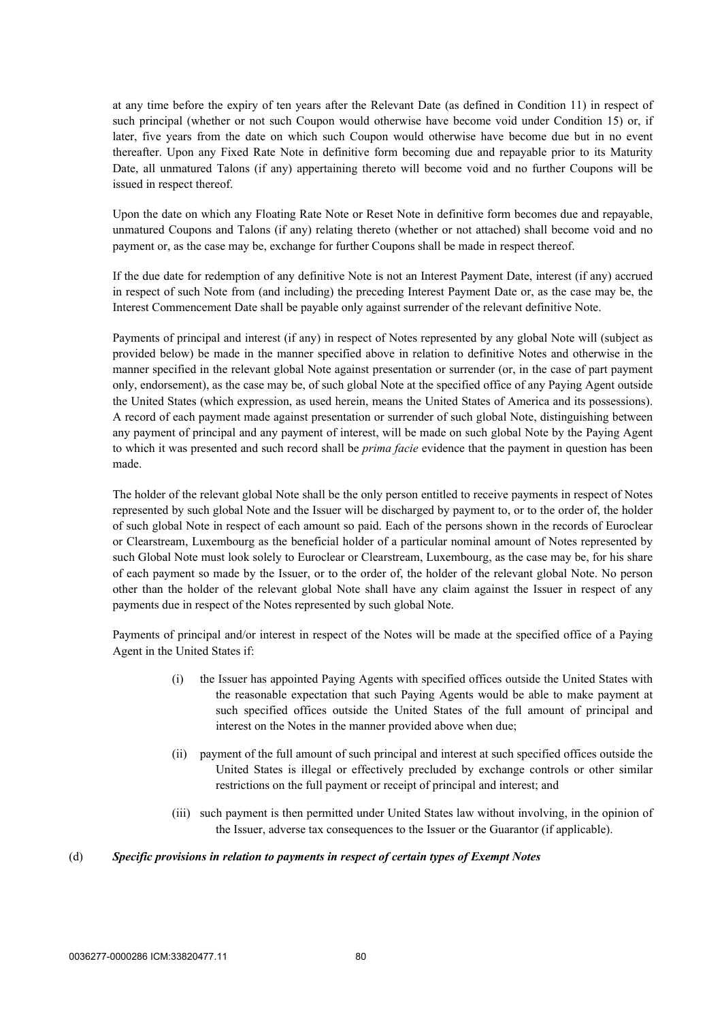at any time before the expiry of ten years after the Relevant Date (as defined in Condition [11](#page-84-0)) in respect of such principal (whether or not such Coupon would otherwise have become void under Condition [15\)](#page-88-0) or, if later, five years from the date on which such Coupon would otherwise have become due but in no event thereafter. Upon any Fixed Rate Note in definitive form becoming due and repayable prior to its Maturity Date, all unmatured Talons (if any) appertaining thereto will become void and no further Coupons will be issued in respect thereof.

Upon the date on which any Floating Rate Note or Reset Note in definitive form becomes due and repayable, unmatured Coupons and Talons (if any) relating thereto (whether or not attached) shall become void and no payment or, as the case may be, exchange for further Coupons shall be made in respect thereof.

If the due date for redemption of any definitive Note is not an Interest Payment Date, interest (if any) accrued in respect of such Note from (and including) the preceding Interest Payment Date or, as the case may be, the Interest Commencement Date shall be payable only against surrender of the relevant definitive Note.

Payments of principal and interest (if any) in respect of Notes represented by any global Note will (subject as provided below) be made in the manner specified above in relation to definitive Notes and otherwise in the manner specified in the relevant global Note against presentation or surrender (or, in the case of part payment only, endorsement), as the case may be, of such global Note at the specified office of any Paying Agent outside the United States (which expression, as used herein, means the United States of America and its possessions). A record of each payment made against presentation or surrender of such global Note, distinguishing between any payment of principal and any payment of interest, will be made on such global Note by the Paying Agent to which it was presented and such record shall be *prima facie* evidence that the payment in question has been made.

The holder of the relevant global Note shall be the only person entitled to receive payments in respect of Notes represented by such global Note and the Issuer will be discharged by payment to, or to the order of, the holder of such global Note in respect of each amount so paid. Each of the persons shown in the records of Euroclear or Clearstream, Luxembourg as the beneficial holder of a particular nominal amount of Notes represented by such Global Note must look solely to Euroclear or Clearstream, Luxembourg, as the case may be, for his share of each payment so made by the Issuer, or to the order of, the holder of the relevant global Note. No person other than the holder of the relevant global Note shall have any claim against the Issuer in respect of any payments due in respect of the Notes represented by such global Note.

Payments of principal and/or interest in respect of the Notes will be made at the specified office of a Paying Agent in the United States if:

- (i) the Issuer has appointed Paying Agents with specified offices outside the United States with the reasonable expectation that such Paying Agents would be able to make payment at such specified offices outside the United States of the full amount of principal and interest on the Notes in the manner provided above when due;
- (ii) payment of the full amount of such principal and interest at such specified offices outside the United States is illegal or effectively precluded by exchange controls or other similar restrictions on the full payment or receipt of principal and interest; and
- (iii) such payment is then permitted under United States law without involving, in the opinion of the Issuer, adverse tax consequences to the Issuer or the Guarantor (if applicable).

#### (d) *Specific provisions in relation to payments in respect of certain types of Exempt Notes*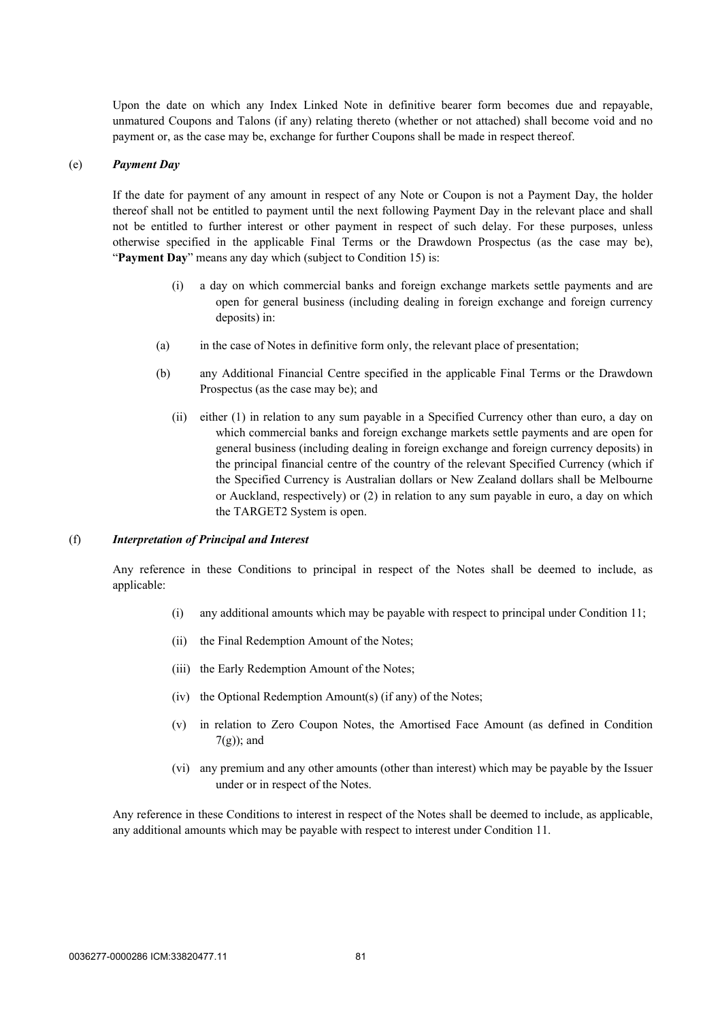Upon the date on which any Index Linked Note in definitive bearer form becomes due and repayable, unmatured Coupons and Talons (if any) relating thereto (whether or not attached) shall become void and no payment or, as the case may be, exchange for further Coupons shall be made in respect thereof.

#### (e) *Payment Day*

If the date for payment of any amount in respect of any Note or Coupon is not a Payment Day, the holder thereof shall not be entitled to payment until the next following Payment Day in the relevant place and shall not be entitled to further interest or other payment in respect of such delay. For these purposes, unless otherwise specified in the applicable Final Terms or the Drawdown Prospectus (as the case may be), "Payment Day" means any day which (subject to Condition [15\)](#page-88-0) is:

- (i) a day on which commercial banks and foreign exchange markets settle payments and are open for general business (including dealing in foreign exchange and foreign currency deposits) in:
- (a) in the case of Notes in definitive form only, the relevant place of presentation;
- (b) any Additional Financial Centre specified in the applicable Final Terms or the Drawdown Prospectus (as the case may be); and
	- (ii) either (1) in relation to any sum payable in a Specified Currency other than euro, a day on which commercial banks and foreign exchange markets settle payments and are open for general business (including dealing in foreign exchange and foreign currency deposits) in the principal financial centre of the country of the relevant Specified Currency (which if the Specified Currency is Australian dollars or New Zealand dollars shall be Melbourne or Auckland, respectively) or (2) in relation to any sum payable in euro, a day on which the TARGET2 System is open.

#### (f) *Interpretation of Principal and Interest*

Any reference in these Conditions to principal in respect of the Notes shall be deemed to include, as applicable:

- (i) any additional amounts which may be payable with respect to principal under Condition [11](#page-84-0);
- (ii) the Final Redemption Amount of the Notes;
- (iii) the Early Redemption Amount of the Notes;
- (iv) the Optional Redemption Amount(s) (if any) of the Notes;
- (v) in relation to Zero Coupon Notes, the Amortised Face Amount (as defined in Condition [7\(g\)\)](#page-76-0); and
- (vi) any premium and any other amounts (other than interest) which may be payable by the Issuer under or in respect of the Notes.

Any reference in these Conditions to interest in respect of the Notes shall be deemed to include, as applicable, any additional amounts which may be payable with respect to interest under Condition [11.](#page-84-0)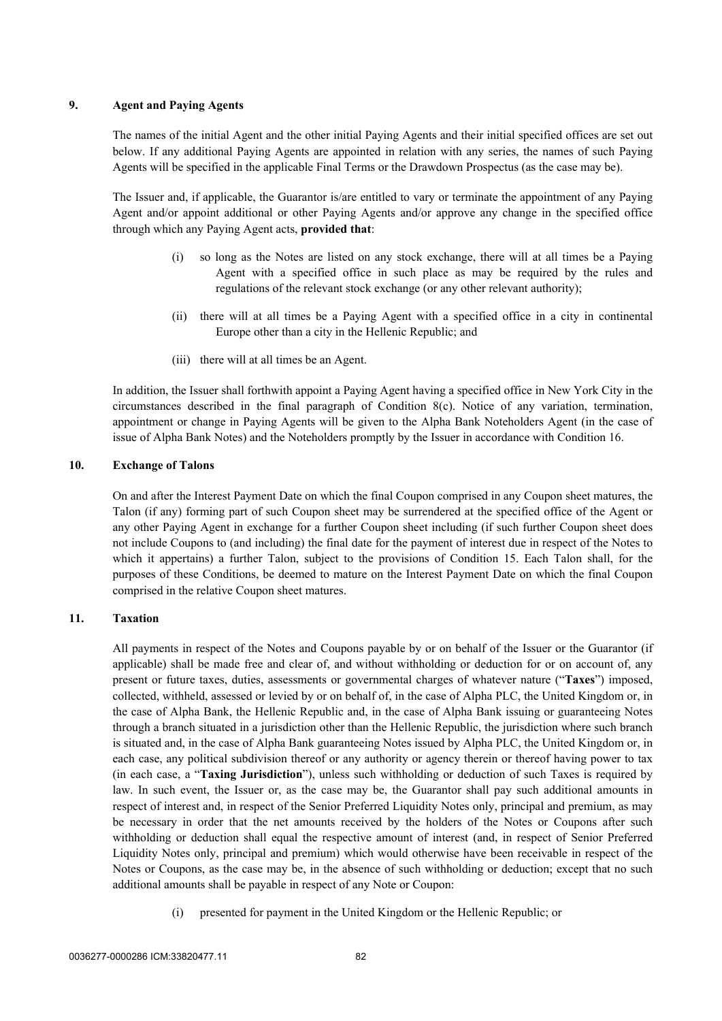#### **9. Agent and Paying Agents**

The names of the initial Agent and the other initial Paying Agents and their initial specified offices are set out below. If any additional Paying Agents are appointed in relation with any series, the names of such Paying Agents will be specified in the applicable Final Terms or the Drawdown Prospectus (as the case may be).

The Issuer and, if applicable, the Guarantor is/are entitled to vary or terminate the appointment of any Paying Agent and/or appoint additional or other Paying Agents and/or approve any change in the specified office through which any Paying Agent acts, **provided that**:

- (i) so long as the Notes are listed on any stock exchange, there will at all times be a Paying Agent with a specified office in such place as may be required by the rules and regulations of the relevant stock exchange (or any other relevant authority);
- (ii) there will at all times be a Paying Agent with a specified office in a city in continental Europe other than a city in the Hellenic Republic; and
- (iii) there will at all times be an Agent.

In addition, the Issuer shall forthwith appoint a Paying Agent having a specified office in New York City in the circumstances described in the final paragraph of Condition [8\(c\)](#page-81-2). Notice of any variation, termination, appointment or change in Paying Agents will be given to the Alpha Bank Noteholders Agent (in the case of issue of Alpha Bank Notes) and the Noteholders promptly by the Issuer in accordance with Condition [16](#page-89-0).

#### **10. Exchange of Talons**

On and after the Interest Payment Date on which the final Coupon comprised in any Coupon sheet matures, the Talon (if any) forming part of such Coupon sheet may be surrendered at the specified office of the Agent or any other Paying Agent in exchange for a further Coupon sheet including (if such further Coupon sheet does not include Coupons to (and including) the final date for the payment of interest due in respect of the Notes to which it appertains) a further Talon, subject to the provisions of Condition [15.](#page-88-0) Each Talon shall, for the purposes of these Conditions, be deemed to mature on the Interest Payment Date on which the final Coupon comprised in the relative Coupon sheet matures.

#### <span id="page-84-0"></span>**11. Taxation**

All payments in respect of the Notes and Coupons payable by or on behalf of the Issuer or the Guarantor (if applicable) shall be made free and clear of, and without withholding or deduction for or on account of, any present or future taxes, duties, assessments or governmental charges of whatever nature ("**Taxes**") imposed, collected, withheld, assessed or levied by or on behalf of, in the case of Alpha PLC, the United Kingdom or, in the case of Alpha Bank, the Hellenic Republic and, in the case of Alpha Bank issuing or guaranteeing Notes through a branch situated in a jurisdiction other than the Hellenic Republic, the jurisdiction where such branch is situated and, in the case of Alpha Bank guaranteeing Notes issued by Alpha PLC, the United Kingdom or, in each case, any political subdivision thereof or any authority or agency therein or thereof having power to tax (in each case, a "**Taxing Jurisdiction**"), unless such withholding or deduction of such Taxes is required by law. In such event, the Issuer or, as the case may be, the Guarantor shall pay such additional amounts in respect of interest and, in respect of the Senior Preferred Liquidity Notes only, principal and premium, as may be necessary in order that the net amounts received by the holders of the Notes or Coupons after such withholding or deduction shall equal the respective amount of interest (and, in respect of Senior Preferred Liquidity Notes only, principal and premium) which would otherwise have been receivable in respect of the Notes or Coupons, as the case may be, in the absence of such withholding or deduction; except that no such additional amounts shall be payable in respect of any Note or Coupon:

(i) presented for payment in the United Kingdom or the Hellenic Republic; or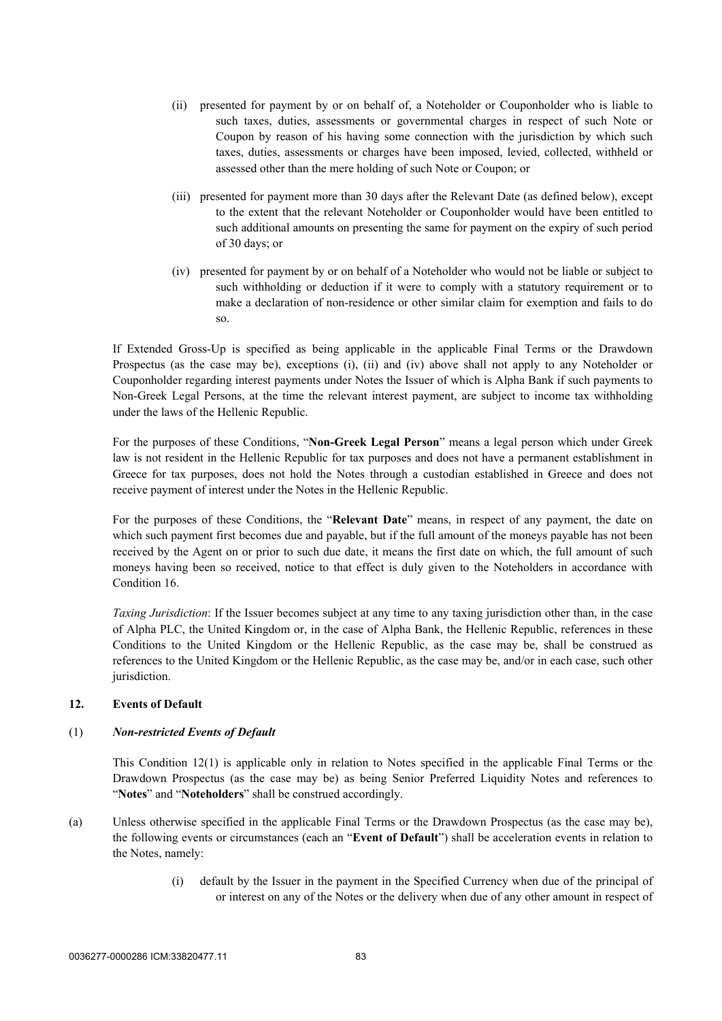- (ii) presented for payment by or on behalf of, a Noteholder or Couponholder who is liable to such taxes, duties, assessments or governmental charges in respect of such Note or Coupon by reason of his having some connection with the jurisdiction by which such taxes, duties, assessments or charges have been imposed, levied, collected, withheld or assessed other than the mere holding of such Note or Coupon; or
- (iii) presented for payment more than 30 days after the Relevant Date (as defined below), except to the extent that the relevant Noteholder or Couponholder would have been entitled to such additional amounts on presenting the same for payment on the expiry of such period of 30 days; or
- (iv) presented for payment by or on behalf of a Noteholder who would not be liable or subject to such withholding or deduction if it were to comply with a statutory requirement or to make a declaration of non-residence or other similar claim for exemption and fails to do so.

If Extended Gross-Up is specified as being applicable in the applicable Final Terms or the Drawdown Prospectus (as the case may be), exceptions (i), (ii) and (iv) above shall not apply to any Noteholder or Couponholder regarding interest payments under Notes the Issuer of which is Alpha Bank if such payments to Non-Greek Legal Persons, at the time the relevant interest payment, are subject to income tax withholding under the laws of the Hellenic Republic.

For the purposes of these Conditions, "**Non-Greek Legal Person**" means a legal person which under Greek law is not resident in the Hellenic Republic for tax purposes and does not have a permanent establishment in Greece for tax purposes, does not hold the Notes through a custodian established in Greece and does not receive payment of interest under the Notes in the Hellenic Republic.

For the purposes of these Conditions, the "**Relevant Date**" means, in respect of any payment, the date on which such payment first becomes due and payable, but if the full amount of the moneys payable has not been received by the Agent on or prior to such due date, it means the first date on which, the full amount of such moneys having been so received, notice to that effect is duly given to the Noteholders in accordance with Condition [16](#page-89-0).

*Taxing Jurisdiction*: If the Issuer becomes subject at any time to any taxing jurisdiction other than, in the case of Alpha PLC, the United Kingdom or, in the case of Alpha Bank, the Hellenic Republic, references in these Conditions to the United Kingdom or the Hellenic Republic, as the case may be, shall be construed as references to the United Kingdom or the Hellenic Republic, as the case may be, and/or in each case, such other jurisdiction.

#### <span id="page-85-0"></span>**12. Events of Default**

#### (1) *Non-restricted Events of Default*

This Condition 12(1) is applicable only in relation to Notes specified in the applicable Final Terms or the Drawdown Prospectus (as the case may be) as being Senior Preferred Liquidity Notes and references to "**Notes**" and "**Noteholders**" shall be construed accordingly.

- <span id="page-85-1"></span>(a) Unless otherwise specified in the applicable Final Terms or the Drawdown Prospectus (as the case may be), the following events or circumstances (each an "**Event of Default**") shall be acceleration events in relation to the Notes, namely:
	- (i) default by the Issuer in the payment in the Specified Currency when due of the principal of or interest on any of the Notes or the delivery when due of any other amount in respect of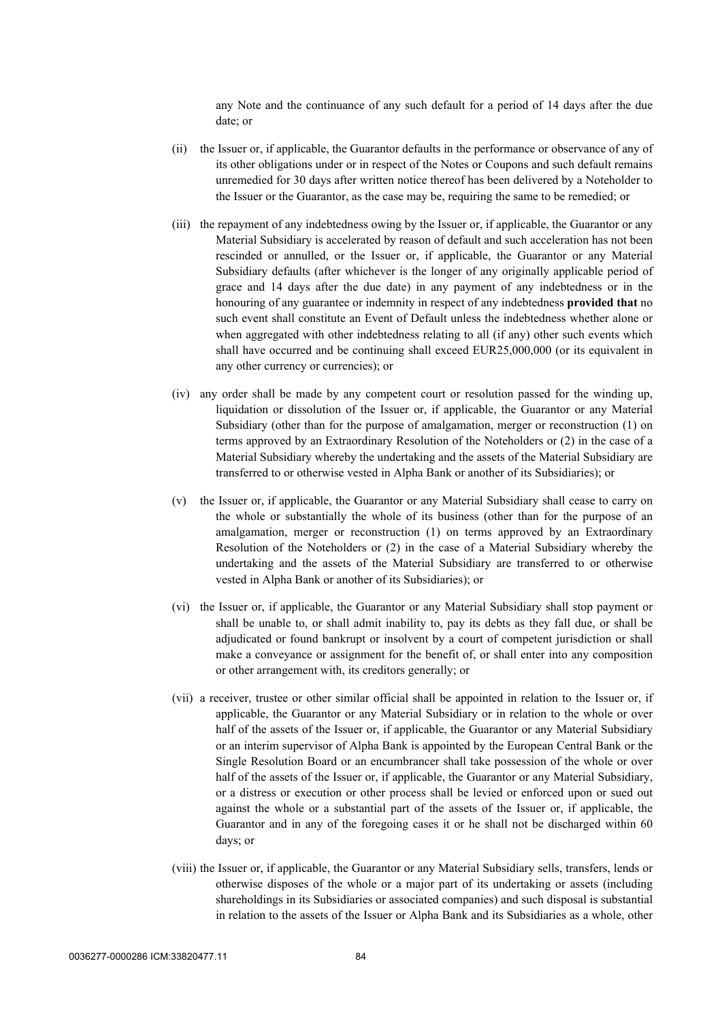any Note and the continuance of any such default for a period of 14 days after the due date; or

- (ii) the Issuer or, if applicable, the Guarantor defaults in the performance or observance of any of its other obligations under or in respect of the Notes or Coupons and such default remains unremedied for 30 days after written notice thereof has been delivered by a Noteholder to the Issuer or the Guarantor, as the case may be, requiring the same to be remedied; or
- (iii) the repayment of any indebtedness owing by the Issuer or, if applicable, the Guarantor or any Material Subsidiary is accelerated by reason of default and such acceleration has not been rescinded or annulled, or the Issuer or, if applicable, the Guarantor or any Material Subsidiary defaults (after whichever is the longer of any originally applicable period of grace and 14 days after the due date) in any payment of any indebtedness or in the honouring of any guarantee or indemnity in respect of any indebtedness **provided that** no such event shall constitute an Event of Default unless the indebtedness whether alone or when aggregated with other indebtedness relating to all (if any) other such events which shall have occurred and be continuing shall exceed EUR25,000,000 (or its equivalent in any other currency or currencies); or
- (iv) any order shall be made by any competent court or resolution passed for the winding up, liquidation or dissolution of the Issuer or, if applicable, the Guarantor or any Material Subsidiary (other than for the purpose of amalgamation, merger or reconstruction (1) on terms approved by an Extraordinary Resolution of the Noteholders or (2) in the case of a Material Subsidiary whereby the undertaking and the assets of the Material Subsidiary are transferred to or otherwise vested in Alpha Bank or another of its Subsidiaries); or
- (v) the Issuer or, if applicable, the Guarantor or any Material Subsidiary shall cease to carry on the whole or substantially the whole of its business (other than for the purpose of an amalgamation, merger or reconstruction (1) on terms approved by an Extraordinary Resolution of the Noteholders or (2) in the case of a Material Subsidiary whereby the undertaking and the assets of the Material Subsidiary are transferred to or otherwise vested in Alpha Bank or another of its Subsidiaries); or
- (vi) the Issuer or, if applicable, the Guarantor or any Material Subsidiary shall stop payment or shall be unable to, or shall admit inability to, pay its debts as they fall due, or shall be adjudicated or found bankrupt or insolvent by a court of competent jurisdiction or shall make a conveyance or assignment for the benefit of, or shall enter into any composition or other arrangement with, its creditors generally; or
- (vii) a receiver, trustee or other similar official shall be appointed in relation to the Issuer or, if applicable, the Guarantor or any Material Subsidiary or in relation to the whole or over half of the assets of the Issuer or, if applicable, the Guarantor or any Material Subsidiary or an interim supervisor of Alpha Bank is appointed by the European Central Bank or the Single Resolution Board or an encumbrancer shall take possession of the whole or over half of the assets of the Issuer or, if applicable, the Guarantor or any Material Subsidiary, or a distress or execution or other process shall be levied or enforced upon or sued out against the whole or a substantial part of the assets of the Issuer or, if applicable, the Guarantor and in any of the foregoing cases it or he shall not be discharged within 60 days; or
- (viii) the Issuer or, if applicable, the Guarantor or any Material Subsidiary sells, transfers, lends or otherwise disposes of the whole or a major part of its undertaking or assets (including shareholdings in its Subsidiaries or associated companies) and such disposal is substantial in relation to the assets of the Issuer or Alpha Bank and its Subsidiaries as a whole, other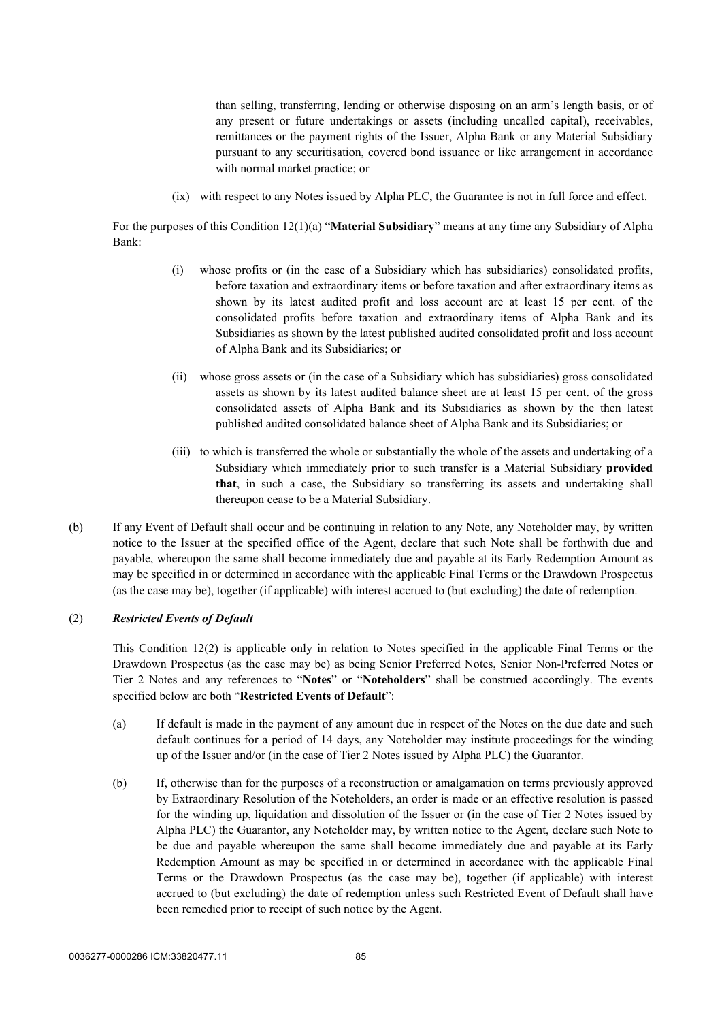than selling, transferring, lending or otherwise disposing on an arm's length basis, or of any present or future undertakings or assets (including uncalled capital), receivables, remittances or the payment rights of the Issuer, Alpha Bank or any Material Subsidiary pursuant to any securitisation, covered bond issuance or like arrangement in accordance with normal market practice; or

(ix) with respect to any Notes issued by Alpha PLC, the Guarantee is not in full force and effect.

For the purposes of this Condition [12\(1\)\(a\)](#page-85-1) "**Material Subsidiary**" means at any time any Subsidiary of Alpha Bank:

- (i) whose profits or (in the case of a Subsidiary which has subsidiaries) consolidated profits, before taxation and extraordinary items or before taxation and after extraordinary items as shown by its latest audited profit and loss account are at least 15 per cent. of the consolidated profits before taxation and extraordinary items of Alpha Bank and its Subsidiaries as shown by the latest published audited consolidated profit and loss account of Alpha Bank and its Subsidiaries; or
- (ii) whose gross assets or (in the case of a Subsidiary which has subsidiaries) gross consolidated assets as shown by its latest audited balance sheet are at least 15 per cent. of the gross consolidated assets of Alpha Bank and its Subsidiaries as shown by the then latest published audited consolidated balance sheet of Alpha Bank and its Subsidiaries; or
- (iii) to which is transferred the whole or substantially the whole of the assets and undertaking of a Subsidiary which immediately prior to such transfer is a Material Subsidiary **provided that**, in such a case, the Subsidiary so transferring its assets and undertaking shall thereupon cease to be a Material Subsidiary.
- (b) If any Event of Default shall occur and be continuing in relation to any Note, any Noteholder may, by written notice to the Issuer at the specified office of the Agent, declare that such Note shall be forthwith due and payable, whereupon the same shall become immediately due and payable at its Early Redemption Amount as may be specified in or determined in accordance with the applicable Final Terms or the Drawdown Prospectus (as the case may be), together (if applicable) with interest accrued to (but excluding) the date of redemption.

#### (2) *Restricted Events of Default*

This Condition 12(2) is applicable only in relation to Notes specified in the applicable Final Terms or the Drawdown Prospectus (as the case may be) as being Senior Preferred Notes, Senior Non-Preferred Notes or Tier 2 Notes and any references to "**Notes**" or "**Noteholders**" shall be construed accordingly. The events specified below are both "**Restricted Events of Default**":

- (a) If default is made in the payment of any amount due in respect of the Notes on the due date and such default continues for a period of 14 days, any Noteholder may institute proceedings for the winding up of the Issuer and/or (in the case of Tier 2 Notes issued by Alpha PLC) the Guarantor.
- (b) If, otherwise than for the purposes of a reconstruction or amalgamation on terms previously approved by Extraordinary Resolution of the Noteholders, an order is made or an effective resolution is passed for the winding up, liquidation and dissolution of the Issuer or (in the case of Tier 2 Notes issued by Alpha PLC) the Guarantor, any Noteholder may, by written notice to the Agent, declare such Note to be due and payable whereupon the same shall become immediately due and payable at its Early Redemption Amount as may be specified in or determined in accordance with the applicable Final Terms or the Drawdown Prospectus (as the case may be), together (if applicable) with interest accrued to (but excluding) the date of redemption unless such Restricted Event of Default shall have been remedied prior to receipt of such notice by the Agent.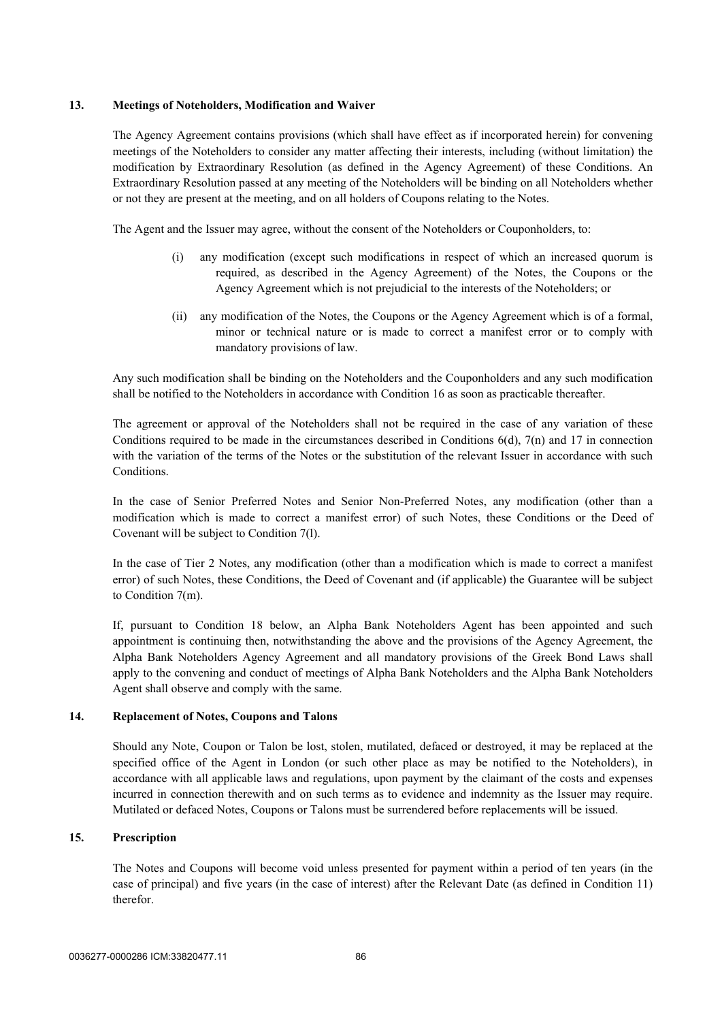#### **13. Meetings of Noteholders, Modification and Waiver**

The Agency Agreement contains provisions (which shall have effect as if incorporated herein) for convening meetings of the Noteholders to consider any matter affecting their interests, including (without limitation) the modification by Extraordinary Resolution (as defined in the Agency Agreement) of these Conditions. An Extraordinary Resolution passed at any meeting of the Noteholders will be binding on all Noteholders whether or not they are present at the meeting, and on all holders of Coupons relating to the Notes.

The Agent and the Issuer may agree, without the consent of the Noteholders or Couponholders, to:

- (i) any modification (except such modifications in respect of which an increased quorum is required, as described in the Agency Agreement) of the Notes, the Coupons or the Agency Agreement which is not prejudicial to the interests of the Noteholders; or
- (ii) any modification of the Notes, the Coupons or the Agency Agreement which is of a formal, minor or technical nature or is made to correct a manifest error or to comply with mandatory provisions of law.

Any such modification shall be binding on the Noteholders and the Couponholders and any such modification shall be notified to the Noteholders in accordance with Condition [16](#page-89-0) as soon as practicable thereafter.

The agreement or approval of the Noteholders shall not be required in the case of any variation of these Conditions required to be made in the circumstances described in Conditions  $6(d)$ ,  $7(n)$  and 17 in connection with the variation of the terms of the Notes or the substitution of the relevant Issuer in accordance with such Conditions.

In the case of Senior Preferred Notes and Senior Non-Preferred Notes, any modification (other than a modification which is made to correct a manifest error) of such Notes, these Conditions or the Deed of Covenant will be subject to Condition 7(l).

In the case of Tier 2 Notes, any modification (other than a modification which is made to correct a manifest error) of such Notes, these Conditions, the Deed of Covenant and (if applicable) the Guarantee will be subject to Condition 7(m).

If, pursuant to Condition 18 below, an Alpha Bank Noteholders Agent has been appointed and such appointment is continuing then, notwithstanding the above and the provisions of the Agency Agreement, the Alpha Bank Noteholders Agency Agreement and all mandatory provisions of the Greek Bond Laws shall apply to the convening and conduct of meetings of Alpha Bank Noteholders and the Alpha Bank Noteholders Agent shall observe and comply with the same.

#### **14. Replacement of Notes, Coupons and Talons**

Should any Note, Coupon or Talon be lost, stolen, mutilated, defaced or destroyed, it may be replaced at the specified office of the Agent in London (or such other place as may be notified to the Noteholders), in accordance with all applicable laws and regulations, upon payment by the claimant of the costs and expenses incurred in connection therewith and on such terms as to evidence and indemnity as the Issuer may require. Mutilated or defaced Notes, Coupons or Talons must be surrendered before replacements will be issued.

#### <span id="page-88-0"></span>**15. Prescription**

The Notes and Coupons will become void unless presented for payment within a period of ten years (in the case of principal) and five years (in the case of interest) after the Relevant Date (as defined in Condition [11](#page-84-0)) therefor.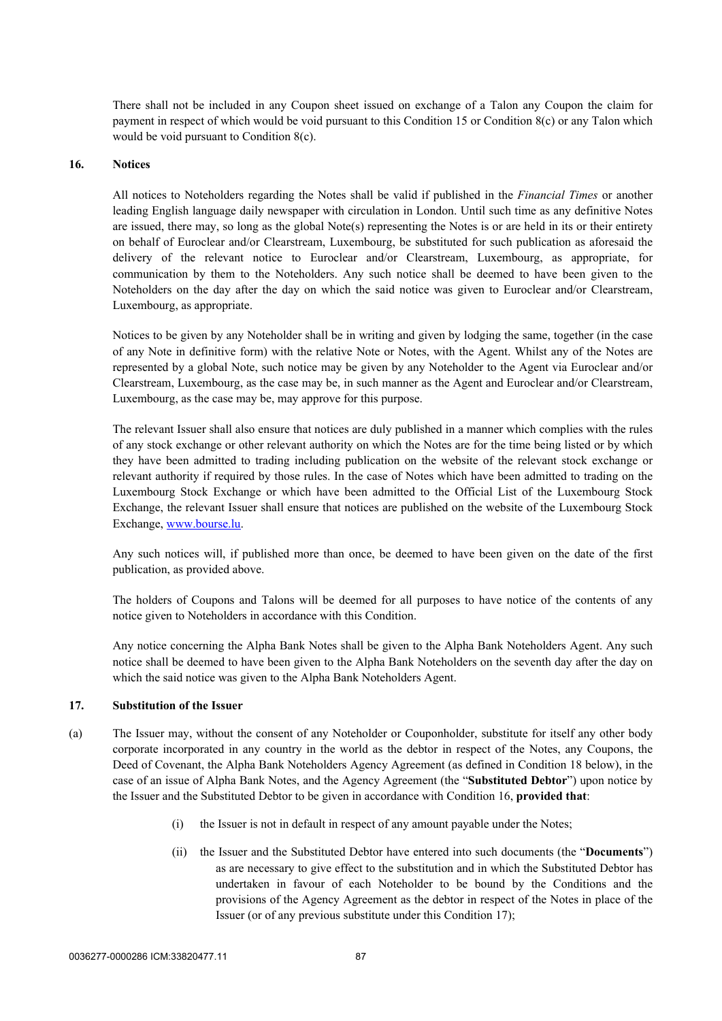There shall not be included in any Coupon sheet issued on exchange of a Talon any Coupon the claim for payment in respect of which would be void pursuant to this Condition [15](#page-88-0) or Condition [8\(c\)](#page-81-2) or any Talon which would be void pursuant to Condition [8\(c\)](#page-81-2).

#### <span id="page-89-0"></span>**16. Notices**

All notices to Noteholders regarding the Notes shall be valid if published in the *Financial Times* or another leading English language daily newspaper with circulation in London. Until such time as any definitive Notes are issued, there may, so long as the global Note(s) representing the Notes is or are held in its or their entirety on behalf of Euroclear and/or Clearstream, Luxembourg, be substituted for such publication as aforesaid the delivery of the relevant notice to Euroclear and/or Clearstream, Luxembourg, as appropriate, for communication by them to the Noteholders. Any such notice shall be deemed to have been given to the Noteholders on the day after the day on which the said notice was given to Euroclear and/or Clearstream, Luxembourg, as appropriate.

Notices to be given by any Noteholder shall be in writing and given by lodging the same, together (in the case of any Note in definitive form) with the relative Note or Notes, with the Agent. Whilst any of the Notes are represented by a global Note, such notice may be given by any Noteholder to the Agent via Euroclear and/or Clearstream, Luxembourg, as the case may be, in such manner as the Agent and Euroclear and/or Clearstream, Luxembourg, as the case may be, may approve for this purpose.

The relevant Issuer shall also ensure that notices are duly published in a manner which complies with the rules of any stock exchange or other relevant authority on which the Notes are for the time being listed or by which they have been admitted to trading including publication on the website of the relevant stock exchange or relevant authority if required by those rules. In the case of Notes which have been admitted to trading on the Luxembourg Stock Exchange or which have been admitted to the Official List of the Luxembourg Stock Exchange, the relevant Issuer shall ensure that notices are published on the website of the Luxembourg Stock Exchange, [www.bourse.lu](http://www.bourse.lu/).

Any such notices will, if published more than once, be deemed to have been given on the date of the first publication, as provided above.

The holders of Coupons and Talons will be deemed for all purposes to have notice of the contents of any notice given to Noteholders in accordance with this Condition.

Any notice concerning the Alpha Bank Notes shall be given to the Alpha Bank Noteholders Agent. Any such notice shall be deemed to have been given to the Alpha Bank Noteholders on the seventh day after the day on which the said notice was given to the Alpha Bank Noteholders Agent.

#### **17. Substitution of the Issuer**

- (a) The Issuer may, without the consent of any Noteholder or Couponholder, substitute for itself any other body corporate incorporated in any country in the world as the debtor in respect of the Notes, any Coupons, the Deed of Covenant, the Alpha Bank Noteholders Agency Agreement (as defined in Condition 18 below), in the case of an issue of Alpha Bank Notes, and the Agency Agreement (the "**Substituted Debtor**") upon notice by the Issuer and the Substituted Debtor to be given in accordance with Condition 16, **provided that**:
	- (i) the Issuer is not in default in respect of any amount payable under the Notes;
	- (ii) the Issuer and the Substituted Debtor have entered into such documents (the "**Documents**") as are necessary to give effect to the substitution and in which the Substituted Debtor has undertaken in favour of each Noteholder to be bound by the Conditions and the provisions of the Agency Agreement as the debtor in respect of the Notes in place of the Issuer (or of any previous substitute under this Condition 17);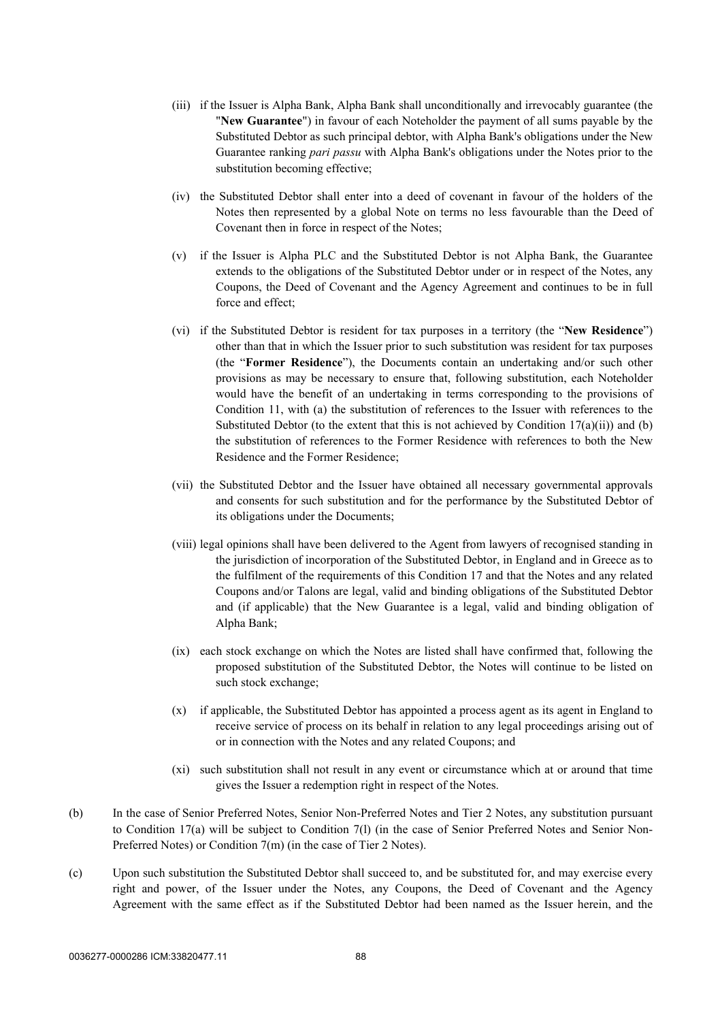- (iii) if the Issuer is Alpha Bank, Alpha Bank shall unconditionally and irrevocably guarantee (the "**New Guarantee**") in favour of each Noteholder the payment of all sums payable by the Substituted Debtor as such principal debtor, with Alpha Bank's obligations under the New Guarantee ranking *pari passu* with Alpha Bank's obligations under the Notes prior to the substitution becoming effective;
- (iv) the Substituted Debtor shall enter into a deed of covenant in favour of the holders of the Notes then represented by a global Note on terms no less favourable than the Deed of Covenant then in force in respect of the Notes;
- (v) if the Issuer is Alpha PLC and the Substituted Debtor is not Alpha Bank, the Guarantee extends to the obligations of the Substituted Debtor under or in respect of the Notes, any Coupons, the Deed of Covenant and the Agency Agreement and continues to be in full force and effect;
- (vi) if the Substituted Debtor is resident for tax purposes in a territory (the "**New Residence**") other than that in which the Issuer prior to such substitution was resident for tax purposes (the "**Former Residence**"), the Documents contain an undertaking and/or such other provisions as may be necessary to ensure that, following substitution, each Noteholder would have the benefit of an undertaking in terms corresponding to the provisions of Condition [11](#page-84-0), with (a) the substitution of references to the Issuer with references to the Substituted Debtor (to the extent that this is not achieved by Condition  $17(a)(ii)$ ) and (b) the substitution of references to the Former Residence with references to both the New Residence and the Former Residence;
- (vii) the Substituted Debtor and the Issuer have obtained all necessary governmental approvals and consents for such substitution and for the performance by the Substituted Debtor of its obligations under the Documents;
- (viii) legal opinions shall have been delivered to the Agent from lawyers of recognised standing in the jurisdiction of incorporation of the Substituted Debtor, in England and in Greece as to the fulfilment of the requirements of this Condition 17 and that the Notes and any related Coupons and/or Talons are legal, valid and binding obligations of the Substituted Debtor and (if applicable) that the New Guarantee is a legal, valid and binding obligation of Alpha Bank;
- (ix) each stock exchange on which the Notes are listed shall have confirmed that, following the proposed substitution of the Substituted Debtor, the Notes will continue to be listed on such stock exchange;
- (x) if applicable, the Substituted Debtor has appointed a process agent as its agent in England to receive service of process on its behalf in relation to any legal proceedings arising out of or in connection with the Notes and any related Coupons; and
- (xi) such substitution shall not result in any event or circumstance which at or around that time gives the Issuer a redemption right in respect of the Notes.
- (b) In the case of Senior Preferred Notes, Senior Non-Preferred Notes and Tier 2 Notes, any substitution pursuant to Condition 17(a) will be subject to Condition 7(l) (in the case of Senior Preferred Notes and Senior Non-Preferred Notes) or Condition 7(m) (in the case of Tier 2 Notes).
- (c) Upon such substitution the Substituted Debtor shall succeed to, and be substituted for, and may exercise every right and power, of the Issuer under the Notes, any Coupons, the Deed of Covenant and the Agency Agreement with the same effect as if the Substituted Debtor had been named as the Issuer herein, and the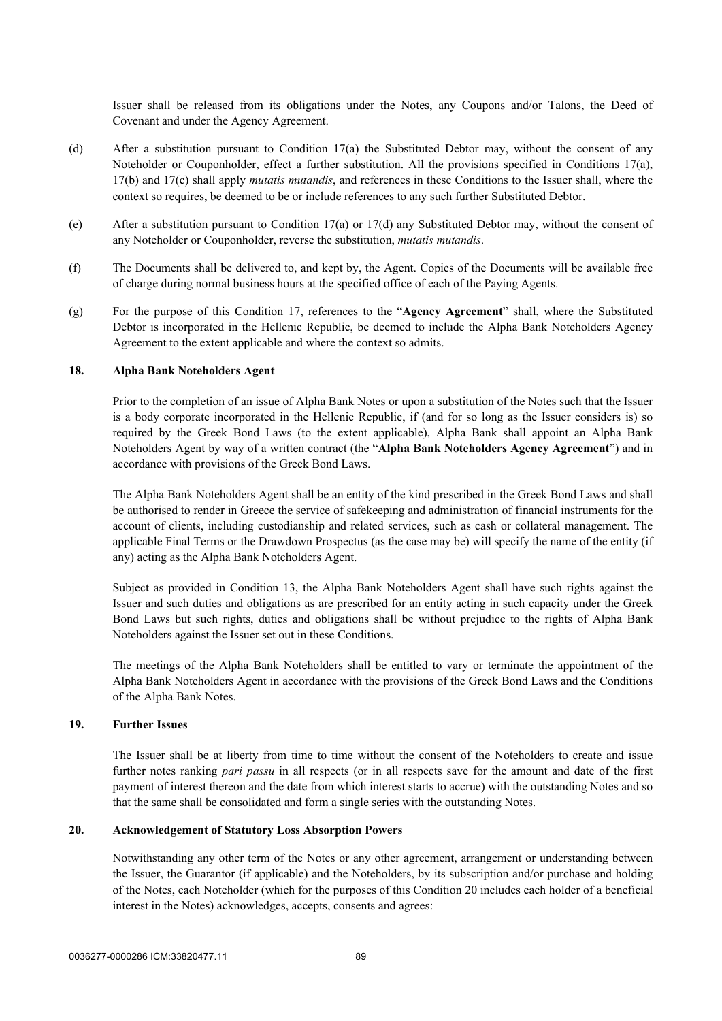Issuer shall be released from its obligations under the Notes, any Coupons and/or Talons, the Deed of Covenant and under the Agency Agreement.

- (d) After a substitution pursuant to Condition 17(a) the Substituted Debtor may, without the consent of any Noteholder or Couponholder, effect a further substitution. All the provisions specified in Conditions 17(a), 17(b) and 17(c) shall apply *mutatis mutandis*, and references in these Conditions to the Issuer shall, where the context so requires, be deemed to be or include references to any such further Substituted Debtor.
- (e) After a substitution pursuant to Condition 17(a) or 17(d) any Substituted Debtor may, without the consent of any Noteholder or Couponholder, reverse the substitution, *mutatis mutandis*.
- (f) The Documents shall be delivered to, and kept by, the Agent. Copies of the Documents will be available free of charge during normal business hours at the specified office of each of the Paying Agents.
- (g) For the purpose of this Condition 17, references to the "**Agency Agreement**" shall, where the Substituted Debtor is incorporated in the Hellenic Republic, be deemed to include the Alpha Bank Noteholders Agency Agreement to the extent applicable and where the context so admits.

#### **18. Alpha Bank Noteholders Agent**

Prior to the completion of an issue of Alpha Bank Notes or upon a substitution of the Notes such that the Issuer is a body corporate incorporated in the Hellenic Republic, if (and for so long as the Issuer considers is) so required by the Greek Bond Laws (to the extent applicable), Alpha Bank shall appoint an Alpha Bank Noteholders Agent by way of a written contract (the "**Alpha Bank Noteholders Agency Agreement**") and in accordance with provisions of the Greek Bond Laws.

The Alpha Bank Noteholders Agent shall be an entity of the kind prescribed in the Greek Bond Laws and shall be authorised to render in Greece the service of safekeeping and administration of financial instruments for the account of clients, including custodianship and related services, such as cash or collateral management. The applicable Final Terms or the Drawdown Prospectus (as the case may be) will specify the name of the entity (if any) acting as the Alpha Bank Noteholders Agent.

Subject as provided in Condition 13, the Alpha Bank Noteholders Agent shall have such rights against the Issuer and such duties and obligations as are prescribed for an entity acting in such capacity under the Greek Bond Laws but such rights, duties and obligations shall be without prejudice to the rights of Alpha Bank Noteholders against the Issuer set out in these Conditions.

The meetings of the Alpha Bank Noteholders shall be entitled to vary or terminate the appointment of the Alpha Bank Noteholders Agent in accordance with the provisions of the Greek Bond Laws and the Conditions of the Alpha Bank Notes.

#### **19. Further Issues**

The Issuer shall be at liberty from time to time without the consent of the Noteholders to create and issue further notes ranking *pari passu* in all respects (or in all respects save for the amount and date of the first payment of interest thereon and the date from which interest starts to accrue) with the outstanding Notes and so that the same shall be consolidated and form a single series with the outstanding Notes.

#### **20. Acknowledgement of Statutory Loss Absorption Powers**

Notwithstanding any other term of the Notes or any other agreement, arrangement or understanding between the Issuer, the Guarantor (if applicable) and the Noteholders, by its subscription and/or purchase and holding of the Notes, each Noteholder (which for the purposes of this Condition 20 includes each holder of a beneficial interest in the Notes) acknowledges, accepts, consents and agrees: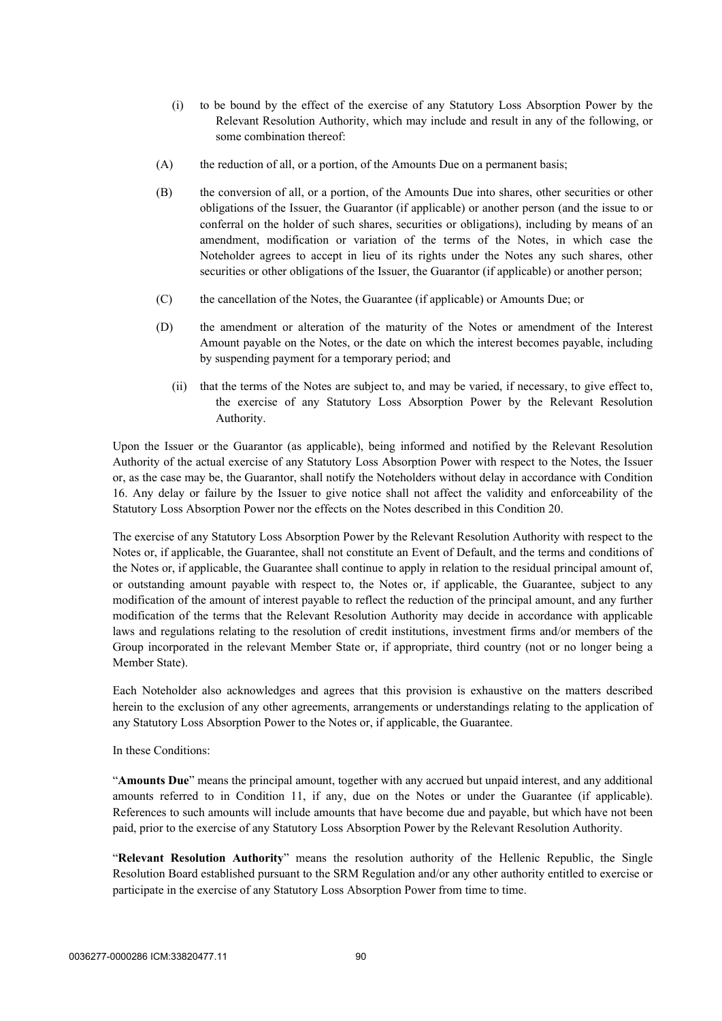- (i) to be bound by the effect of the exercise of any Statutory Loss Absorption Power by the Relevant Resolution Authority, which may include and result in any of the following, or some combination thereof:
- (A) the reduction of all, or a portion, of the Amounts Due on a permanent basis;
- (B) the conversion of all, or a portion, of the Amounts Due into shares, other securities or other obligations of the Issuer, the Guarantor (if applicable) or another person (and the issue to or conferral on the holder of such shares, securities or obligations), including by means of an amendment, modification or variation of the terms of the Notes, in which case the Noteholder agrees to accept in lieu of its rights under the Notes any such shares, other securities or other obligations of the Issuer, the Guarantor (if applicable) or another person;
- (C) the cancellation of the Notes, the Guarantee (if applicable) or Amounts Due; or
- (D) the amendment or alteration of the maturity of the Notes or amendment of the Interest Amount payable on the Notes, or the date on which the interest becomes payable, including by suspending payment for a temporary period; and
	- (ii) that the terms of the Notes are subject to, and may be varied, if necessary, to give effect to, the exercise of any Statutory Loss Absorption Power by the Relevant Resolution Authority.

Upon the Issuer or the Guarantor (as applicable), being informed and notified by the Relevant Resolution Authority of the actual exercise of any Statutory Loss Absorption Power with respect to the Notes, the Issuer or, as the case may be, the Guarantor, shall notify the Noteholders without delay in accordance with Condition 16. Any delay or failure by the Issuer to give notice shall not affect the validity and enforceability of the Statutory Loss Absorption Power nor the effects on the Notes described in this Condition 20.

The exercise of any Statutory Loss Absorption Power by the Relevant Resolution Authority with respect to the Notes or, if applicable, the Guarantee, shall not constitute an Event of Default, and the terms and conditions of the Notes or, if applicable, the Guarantee shall continue to apply in relation to the residual principal amount of, or outstanding amount payable with respect to, the Notes or, if applicable, the Guarantee, subject to any modification of the amount of interest payable to reflect the reduction of the principal amount, and any further modification of the terms that the Relevant Resolution Authority may decide in accordance with applicable laws and regulations relating to the resolution of credit institutions, investment firms and/or members of the Group incorporated in the relevant Member State or, if appropriate, third country (not or no longer being a Member State).

Each Noteholder also acknowledges and agrees that this provision is exhaustive on the matters described herein to the exclusion of any other agreements, arrangements or understandings relating to the application of any Statutory Loss Absorption Power to the Notes or, if applicable, the Guarantee.

In these Conditions:

"**Amounts Due**" means the principal amount, together with any accrued but unpaid interest, and any additional amounts referred to in Condition [11,](#page-84-0) if any, due on the Notes or under the Guarantee (if applicable). References to such amounts will include amounts that have become due and payable, but which have not been paid, prior to the exercise of any Statutory Loss Absorption Power by the Relevant Resolution Authority.

"**Relevant Resolution Authority**" means the resolution authority of the Hellenic Republic, the Single Resolution Board established pursuant to the SRM Regulation and/or any other authority entitled to exercise or participate in the exercise of any Statutory Loss Absorption Power from time to time.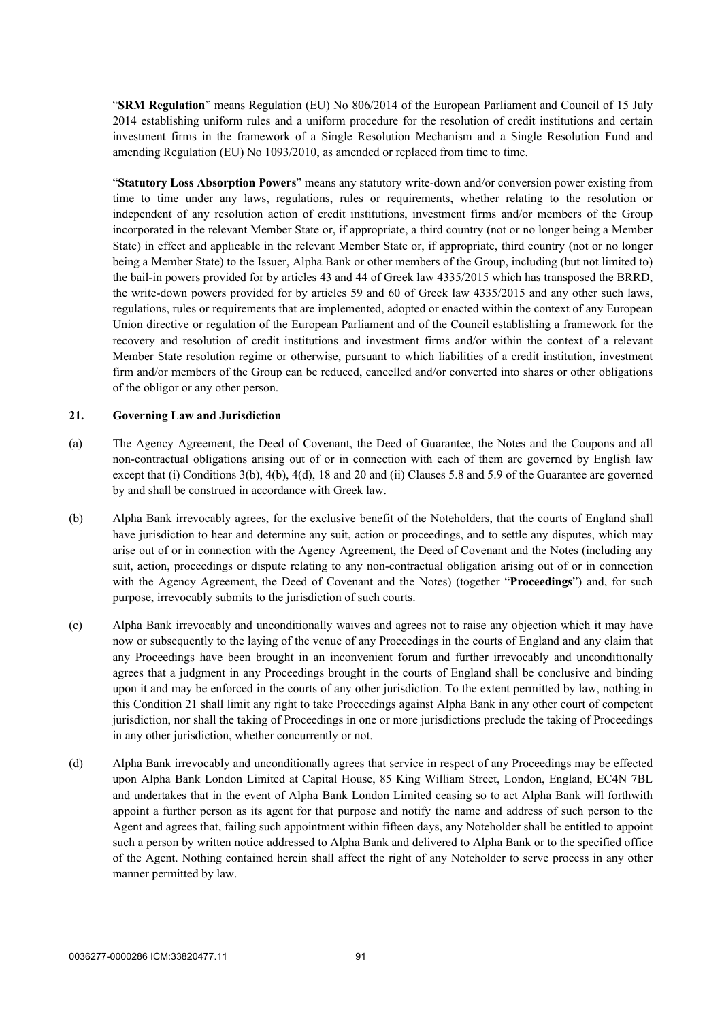"**SRM Regulation**" means Regulation (EU) No 806/2014 of the European Parliament and Council of 15 July 2014 establishing uniform rules and a uniform procedure for the resolution of credit institutions and certain investment firms in the framework of a Single Resolution Mechanism and a Single Resolution Fund and amending Regulation (EU) No 1093/2010, as amended or replaced from time to time.

"**Statutory Loss Absorption Powers**" means any statutory write-down and/or conversion power existing from time to time under any laws, regulations, rules or requirements, whether relating to the resolution or independent of any resolution action of credit institutions, investment firms and/or members of the Group incorporated in the relevant Member State or, if appropriate, a third country (not or no longer being a Member State) in effect and applicable in the relevant Member State or, if appropriate, third country (not or no longer being a Member State) to the Issuer, Alpha Bank or other members of the Group, including (but not limited to) the bail-in powers provided for by articles 43 and 44 of Greek law 4335/2015 which has transposed the BRRD, the write-down powers provided for by articles 59 and 60 of Greek law 4335/2015 and any other such laws, regulations, rules or requirements that are implemented, adopted or enacted within the context of any European Union directive or regulation of the European Parliament and of the Council establishing a framework for the recovery and resolution of credit institutions and investment firms and/or within the context of a relevant Member State resolution regime or otherwise, pursuant to which liabilities of a credit institution, investment firm and/or members of the Group can be reduced, cancelled and/or converted into shares or other obligations of the obligor or any other person.

#### **21. Governing Law and Jurisdiction**

- (a) The Agency Agreement, the Deed of Covenant, the Deed of Guarantee, the Notes and the Coupons and all non-contractual obligations arising out of or in connection with each of them are governed by English law except that (i) Conditions 3(b), 4(b), 4(d), 18 and 20 and (ii) Clauses 5.8 and 5.9 of the Guarantee are governed by and shall be construed in accordance with Greek law.
- (b) Alpha Bank irrevocably agrees, for the exclusive benefit of the Noteholders, that the courts of England shall have jurisdiction to hear and determine any suit, action or proceedings, and to settle any disputes, which may arise out of or in connection with the Agency Agreement, the Deed of Covenant and the Notes (including any suit, action, proceedings or dispute relating to any non-contractual obligation arising out of or in connection with the Agency Agreement, the Deed of Covenant and the Notes) (together "**Proceedings**") and, for such purpose, irrevocably submits to the jurisdiction of such courts.
- (c) Alpha Bank irrevocably and unconditionally waives and agrees not to raise any objection which it may have now or subsequently to the laying of the venue of any Proceedings in the courts of England and any claim that any Proceedings have been brought in an inconvenient forum and further irrevocably and unconditionally agrees that a judgment in any Proceedings brought in the courts of England shall be conclusive and binding upon it and may be enforced in the courts of any other jurisdiction. To the extent permitted by law, nothing in this Condition 21 shall limit any right to take Proceedings against Alpha Bank in any other court of competent jurisdiction, nor shall the taking of Proceedings in one or more jurisdictions preclude the taking of Proceedings in any other jurisdiction, whether concurrently or not.
- (d) Alpha Bank irrevocably and unconditionally agrees that service in respect of any Proceedings may be effected upon Alpha Bank London Limited at Capital House, 85 King William Street, London, England, EC4N 7BL and undertakes that in the event of Alpha Bank London Limited ceasing so to act Alpha Bank will forthwith appoint a further person as its agent for that purpose and notify the name and address of such person to the Agent and agrees that, failing such appointment within fifteen days, any Noteholder shall be entitled to appoint such a person by written notice addressed to Alpha Bank and delivered to Alpha Bank or to the specified office of the Agent. Nothing contained herein shall affect the right of any Noteholder to serve process in any other manner permitted by law.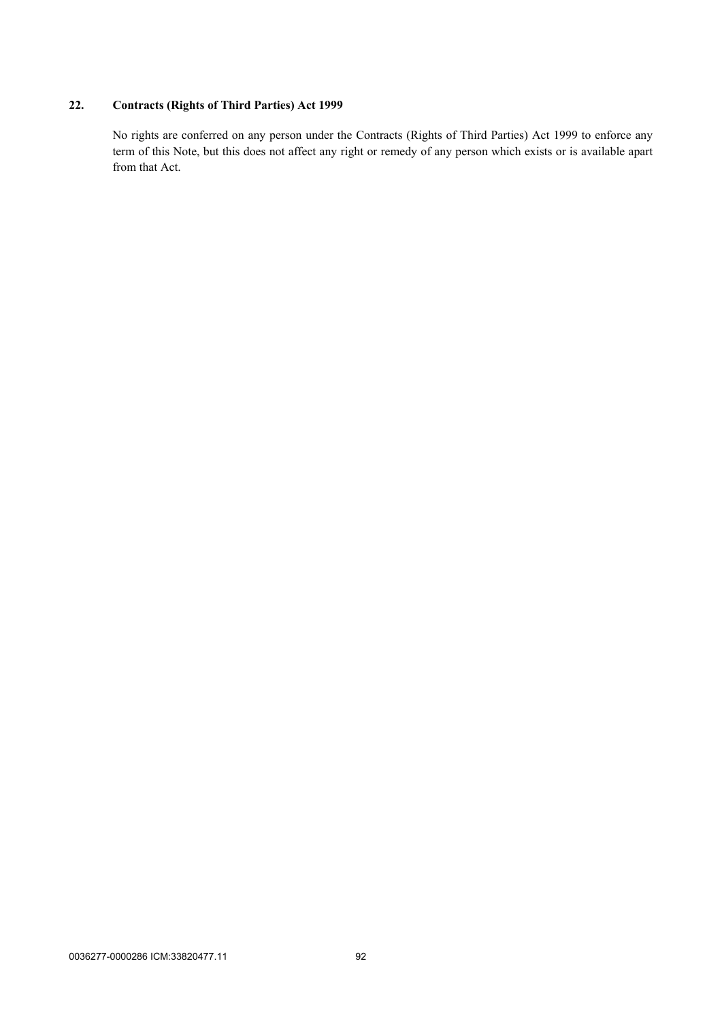# **22. Contracts (Rights of Third Parties) Act 1999**

No rights are conferred on any person under the Contracts (Rights of Third Parties) Act 1999 to enforce any term of this Note, but this does not affect any right or remedy of any person which exists or is available apart from that Act.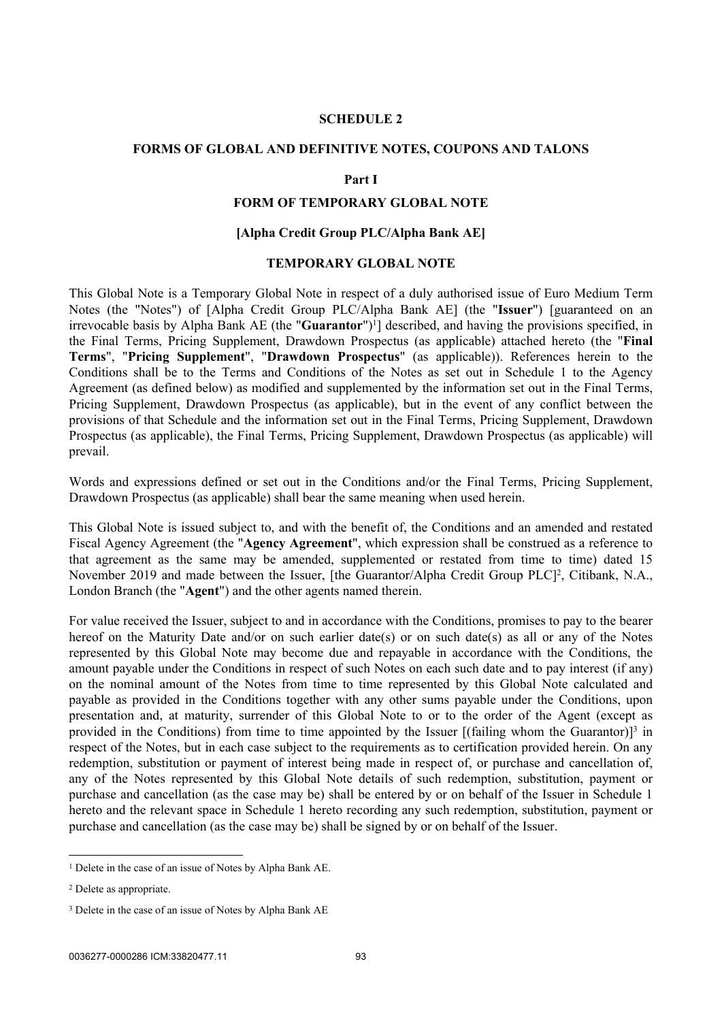#### <span id="page-95-0"></span>**SCHEDULE 2**

#### **FORMS OF GLOBAL AND DEFINITIVE NOTES, COUPONS AND TALONS**

#### **Part I**

#### **FORM OF TEMPORARY GLOBAL NOTE**

#### **[Alpha Credit Group PLC/Alpha Bank AE]**

#### **TEMPORARY GLOBAL NOTE**

This Global Note is a Temporary Global Note in respect of a duly authorised issue of Euro Medium Term Notes (the "Notes") of [Alpha Credit Group PLC/Alpha Bank AE] (the "**Issuer**") [guaranteed on an irrevocable basis by Alpha Bank AE (the "Guarantor")<sup>1</sup>] described, and having the provisions specified, in the Final Terms, Pricing Supplement, Drawdown Prospectus (as applicable) attached hereto (the "**Final Terms**", "**Pricing Supplement**", "**Drawdown Prospectus**" (as applicable)). References herein to the Conditions shall be to the Terms and Conditions of the Notes as set out in [Schedule 1](#page-44-0) to the Agency Agreement (as defined below) as modified and supplemented by the information set out in the Final Terms, Pricing Supplement, Drawdown Prospectus (as applicable), but in the event of any conflict between the provisions of that Schedule and the information set out in the Final Terms, Pricing Supplement, Drawdown Prospectus (as applicable), the Final Terms, Pricing Supplement, Drawdown Prospectus (as applicable) will prevail.

Words and expressions defined or set out in the Conditions and/or the Final Terms, Pricing Supplement, Drawdown Prospectus (as applicable) shall bear the same meaning when used herein.

This Global Note is issued subject to, and with the benefit of, the Conditions and an amended and restated Fiscal Agency Agreement (the "**Agency Agreement**", which expression shall be construed as a reference to that agreement as the same may be amended, supplemented or restated from time to time) dated 15 November 2019 and made between the Issuer, [the Guarantor/Alpha Credit Group PLC]<sup>2</sup>, Citibank, N.A., London Branch (the "**Agent**") and the other agents named therein.

For value received the Issuer, subject to and in accordance with the Conditions, promises to pay to the bearer hereof on the Maturity Date and/or on such earlier date(s) or on such date(s) as all or any of the Notes represented by this Global Note may become due and repayable in accordance with the Conditions, the amount payable under the Conditions in respect of such Notes on each such date and to pay interest (if any) on the nominal amount of the Notes from time to time represented by this Global Note calculated and payable as provided in the Conditions together with any other sums payable under the Conditions, upon presentation and, at maturity, surrender of this Global Note to or to the order of the Agent (except as provided in the Conditions) from time to time appointed by the Issuer  $[(\text{failing whom the Guarantor})]^3$  in respect of the Notes, but in each case subject to the requirements as to certification provided herein. On any redemption, substitution or payment of interest being made in respect of, or purchase and cancellation of, any of the Notes represented by this Global Note details of such redemption, substitution, payment or purchase and cancellation (as the case may be) shall be entered by or on behalf of the Issuer in [Schedule 1](#page-44-0) hereto and the relevant space in [Schedule 1](#page-44-0) hereto recording any such redemption, substitution, payment or purchase and cancellation (as the case may be) shall be signed by or on behalf of the Issuer.

<sup>&</sup>lt;sup>1</sup> Delete in the case of an issue of Notes by Alpha Bank AE.

<sup>2</sup> Delete as appropriate.

<sup>&</sup>lt;sup>3</sup> Delete in the case of an issue of Notes by Alpha Bank AE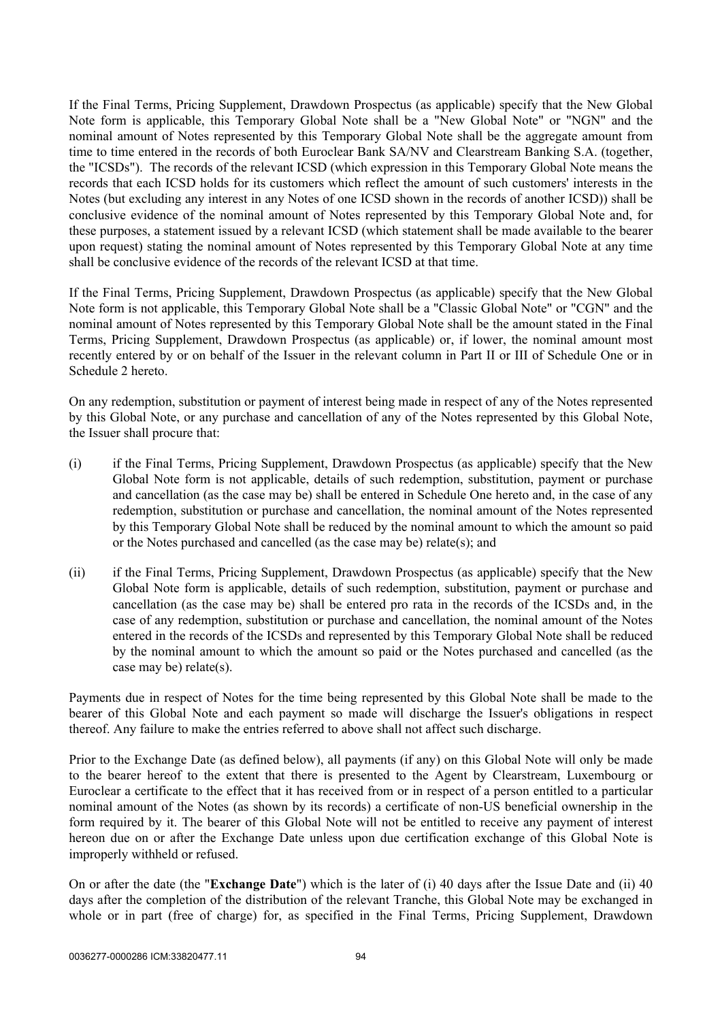If the Final Terms, Pricing Supplement, Drawdown Prospectus (as applicable) specify that the New Global Note form is applicable, this Temporary Global Note shall be a "New Global Note" or "NGN" and the nominal amount of Notes represented by this Temporary Global Note shall be the aggregate amount from time to time entered in the records of both Euroclear Bank SA/NV and Clearstream Banking S.A. (together, the "ICSDs"). The records of the relevant ICSD (which expression in this Temporary Global Note means the records that each ICSD holds for its customers which reflect the amount of such customers' interests in the Notes (but excluding any interest in any Notes of one ICSD shown in the records of another ICSD)) shall be conclusive evidence of the nominal amount of Notes represented by this Temporary Global Note and, for these purposes, a statement issued by a relevant ICSD (which statement shall be made available to the bearer upon request) stating the nominal amount of Notes represented by this Temporary Global Note at any time shall be conclusive evidence of the records of the relevant ICSD at that time.

If the Final Terms, Pricing Supplement, Drawdown Prospectus (as applicable) specify that the New Global Note form is not applicable, this Temporary Global Note shall be a "Classic Global Note" or "CGN" and the nominal amount of Notes represented by this Temporary Global Note shall be the amount stated in the Final Terms, Pricing Supplement, Drawdown Prospectus (as applicable) or, if lower, the nominal amount most recently entered by or on behalf of the Issuer in the relevant column in Part II or III of Schedule One or in [Schedule 2](#page-95-0) hereto.

On any redemption, substitution or payment of interest being made in respect of any of the Notes represented by this Global Note, or any purchase and cancellation of any of the Notes represented by this Global Note, the Issuer shall procure that:

- (i) if the Final Terms, Pricing Supplement, Drawdown Prospectus (as applicable) specify that the New Global Note form is not applicable, details of such redemption, substitution, payment or purchase and cancellation (as the case may be) shall be entered in Schedule One hereto and, in the case of any redemption, substitution or purchase and cancellation, the nominal amount of the Notes represented by this Temporary Global Note shall be reduced by the nominal amount to which the amount so paid or the Notes purchased and cancelled (as the case may be) relate(s); and
- (ii) if the Final Terms, Pricing Supplement, Drawdown Prospectus (as applicable) specify that the New Global Note form is applicable, details of such redemption, substitution, payment or purchase and cancellation (as the case may be) shall be entered pro rata in the records of the ICSDs and, in the case of any redemption, substitution or purchase and cancellation, the nominal amount of the Notes entered in the records of the ICSDs and represented by this Temporary Global Note shall be reduced by the nominal amount to which the amount so paid or the Notes purchased and cancelled (as the case may be) relate(s).

Payments due in respect of Notes for the time being represented by this Global Note shall be made to the bearer of this Global Note and each payment so made will discharge the Issuer's obligations in respect thereof. Any failure to make the entries referred to above shall not affect such discharge.

Prior to the Exchange Date (as defined below), all payments (if any) on this Global Note will only be made to the bearer hereof to the extent that there is presented to the Agent by Clearstream, Luxembourg or Euroclear a certificate to the effect that it has received from or in respect of a person entitled to a particular nominal amount of the Notes (as shown by its records) a certificate of non-US beneficial ownership in the form required by it. The bearer of this Global Note will not be entitled to receive any payment of interest hereon due on or after the Exchange Date unless upon due certification exchange of this Global Note is improperly withheld or refused.

On or after the date (the "**Exchange Date**") which is the later of (i) 40 days after the Issue Date and (ii) 40 days after the completion of the distribution of the relevant Tranche, this Global Note may be exchanged in whole or in part (free of charge) for, as specified in the Final Terms, Pricing Supplement, Drawdown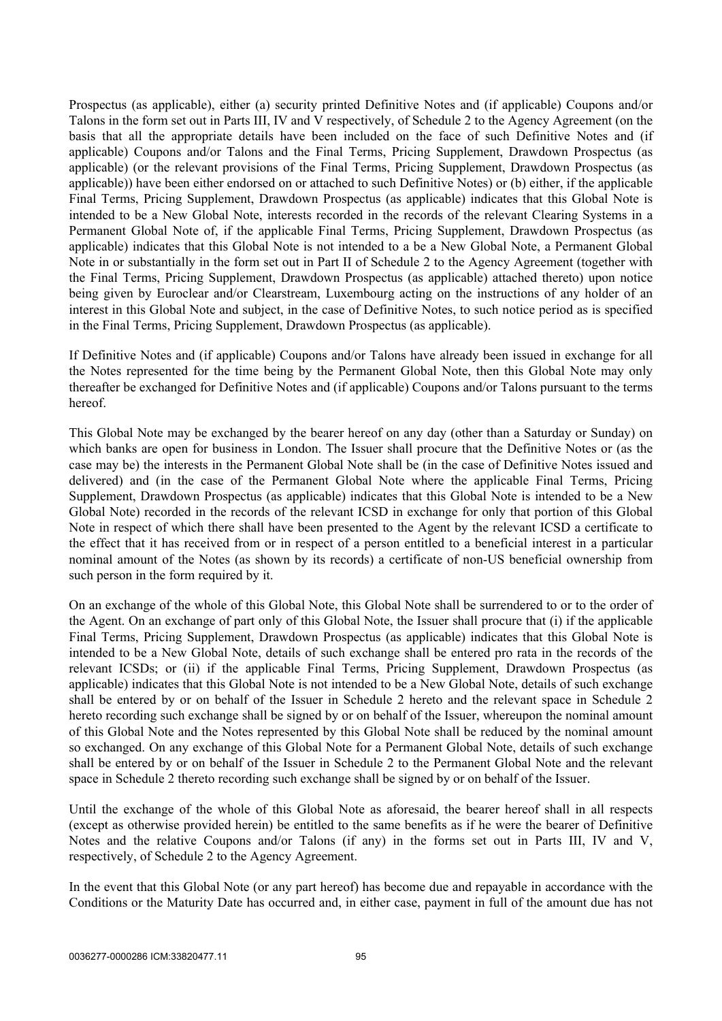Prospectus (as applicable), either (a) security printed Definitive Notes and (if applicable) Coupons and/or Talons in the form set out in Parts III, IV and V respectively, of [Schedule 2](#page-95-0) to the Agency Agreement (on the basis that all the appropriate details have been included on the face of such Definitive Notes and (if applicable) Coupons and/or Talons and the Final Terms, Pricing Supplement, Drawdown Prospectus (as applicable) (or the relevant provisions of the Final Terms, Pricing Supplement, Drawdown Prospectus (as applicable)) have been either endorsed on or attached to such Definitive Notes) or (b) either, if the applicable Final Terms, Pricing Supplement, Drawdown Prospectus (as applicable) indicates that this Global Note is intended to be a New Global Note, interests recorded in the records of the relevant Clearing Systems in a Permanent Global Note of, if the applicable Final Terms, Pricing Supplement, Drawdown Prospectus (as applicable) indicates that this Global Note is not intended to a be a New Global Note, a Permanent Global Note in or substantially in the form set out in [Part II](#page-103-0) of [Schedule 2](#page-95-0) to the Agency Agreement (together with the Final Terms, Pricing Supplement, Drawdown Prospectus (as applicable) attached thereto) upon notice being given by Euroclear and/or Clearstream, Luxembourg acting on the instructions of any holder of an interest in this Global Note and subject, in the case of Definitive Notes, to such notice period as is specified in the Final Terms, Pricing Supplement, Drawdown Prospectus (as applicable).

If Definitive Notes and (if applicable) Coupons and/or Talons have already been issued in exchange for all the Notes represented for the time being by the Permanent Global Note, then this Global Note may only thereafter be exchanged for Definitive Notes and (if applicable) Coupons and/or Talons pursuant to the terms hereof.

This Global Note may be exchanged by the bearer hereof on any day (other than a Saturday or Sunday) on which banks are open for business in London. The Issuer shall procure that the Definitive Notes or (as the case may be) the interests in the Permanent Global Note shall be (in the case of Definitive Notes issued and delivered) and (in the case of the Permanent Global Note where the applicable Final Terms, Pricing Supplement, Drawdown Prospectus (as applicable) indicates that this Global Note is intended to be a New Global Note) recorded in the records of the relevant ICSD in exchange for only that portion of this Global Note in respect of which there shall have been presented to the Agent by the relevant ICSD a certificate to the effect that it has received from or in respect of a person entitled to a beneficial interest in a particular nominal amount of the Notes (as shown by its records) a certificate of non-US beneficial ownership from such person in the form required by it.

On an exchange of the whole of this Global Note, this Global Note shall be surrendered to or to the order of the Agent. On an exchange of part only of this Global Note, the Issuer shall procure that (i) if the applicable Final Terms, Pricing Supplement, Drawdown Prospectus (as applicable) indicates that this Global Note is intended to be a New Global Note, details of such exchange shall be entered pro rata in the records of the relevant ICSDs; or (ii) if the applicable Final Terms, Pricing Supplement, Drawdown Prospectus (as applicable) indicates that this Global Note is not intended to be a New Global Note, details of such exchange shall be entered by or on behalf of the Issuer in [Schedule 2](#page-95-0) hereto and the relevant space in [Schedule 2](#page-95-0) hereto recording such exchange shall be signed by or on behalf of the Issuer, whereupon the nominal amount of this Global Note and the Notes represented by this Global Note shall be reduced by the nominal amount so exchanged. On any exchange of this Global Note for a Permanent Global Note, details of such exchange shall be entered by or on behalf of the Issuer in [Schedule 2](#page-95-0) to the Permanent Global Note and the relevant space in [Schedule 2](#page-95-0) thereto recording such exchange shall be signed by or on behalf of the Issuer.

Until the exchange of the whole of this Global Note as aforesaid, the bearer hereof shall in all respects (except as otherwise provided herein) be entitled to the same benefits as if he were the bearer of Definitive Notes and the relative Coupons and/or Talons (if any) in the forms set out in Parts III, IV and V, respectively, of [Schedule 2](#page-95-0) to the Agency Agreement.

In the event that this Global Note (or any part hereof) has become due and repayable in accordance with the Conditions or the Maturity Date has occurred and, in either case, payment in full of the amount due has not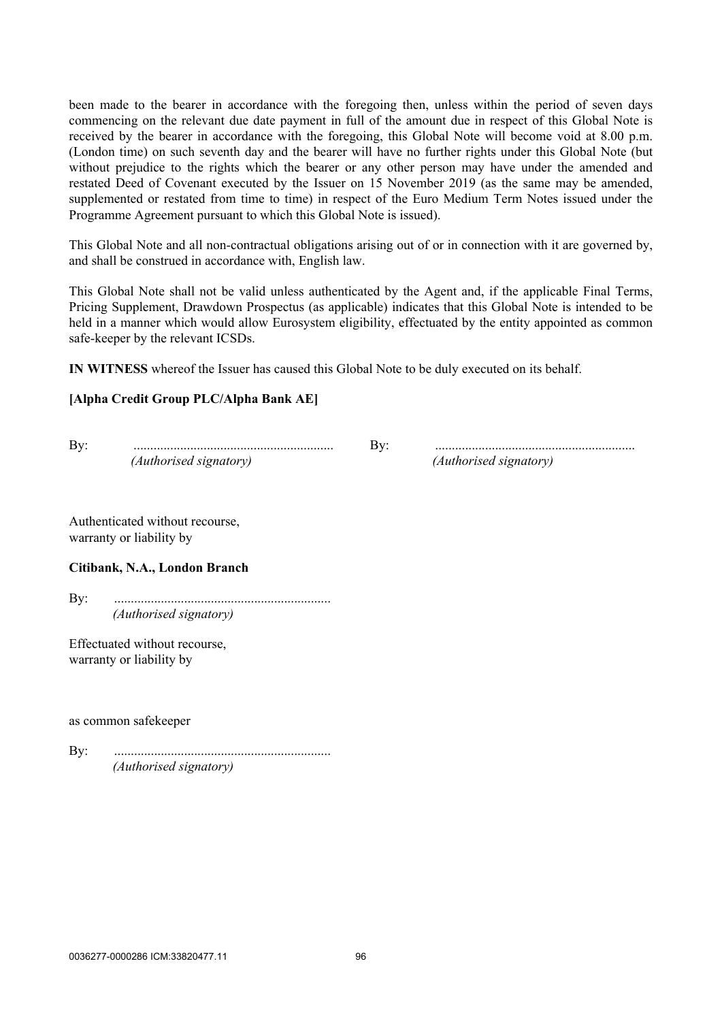been made to the bearer in accordance with the foregoing then, unless within the period of seven days commencing on the relevant due date payment in full of the amount due in respect of this Global Note is received by the bearer in accordance with the foregoing, this Global Note will become void at 8.00 p.m. (London time) on such seventh day and the bearer will have no further rights under this Global Note (but without prejudice to the rights which the bearer or any other person may have under the amended and restated Deed of Covenant executed by the Issuer on 15 November 2019 (as the same may be amended, supplemented or restated from time to time) in respect of the Euro Medium Term Notes issued under the Programme Agreement pursuant to which this Global Note is issued).

This Global Note and all non-contractual obligations arising out of or in connection with it are governed by, and shall be construed in accordance with, English law.

This Global Note shall not be valid unless authenticated by the Agent and, if the applicable Final Terms, Pricing Supplement, Drawdown Prospectus (as applicable) indicates that this Global Note is intended to be held in a manner which would allow Eurosystem eligibility, effectuated by the entity appointed as common safe-keeper by the relevant ICSDs.

**IN WITNESS** whereof the Issuer has caused this Global Note to be duly executed on its behalf.

#### **[Alpha Credit Group PLC/Alpha Bank AE]**

*(Authorised signatory) (Authorised signatory)*

By: ............................................................ By: ............................................................

Authenticated without recourse, warranty or liability by

#### **Citibank, N.A., London Branch**

By: ................................................................. *(Authorised signatory)*

Effectuated without recourse, warranty or liability by

as common safekeeper

By: ................................................................. *(Authorised signatory)*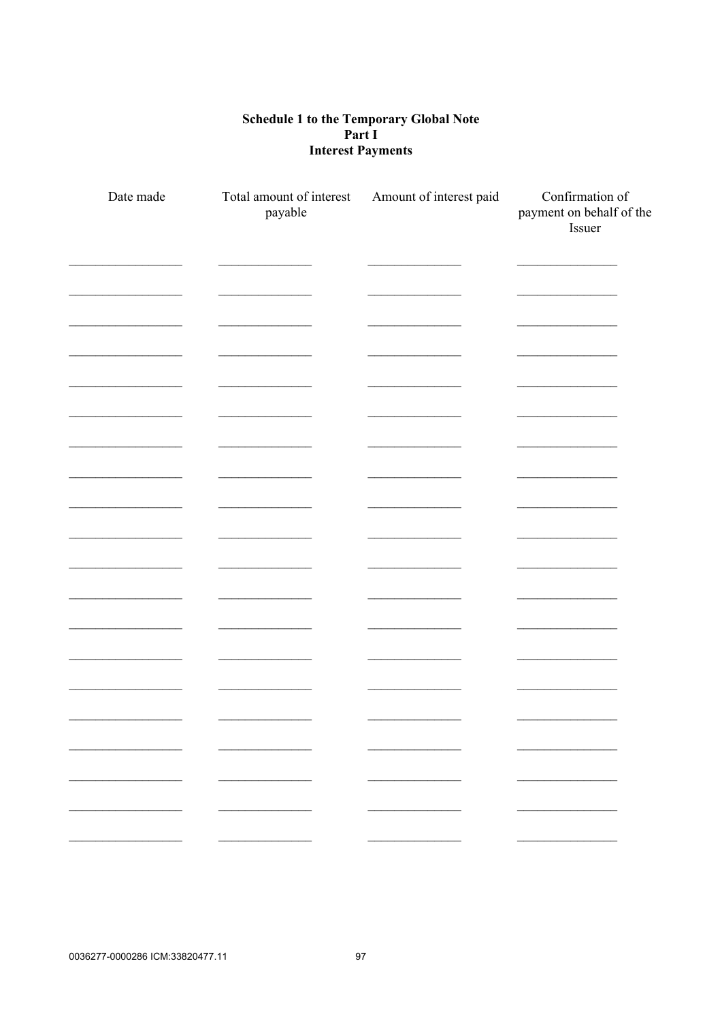# Schedule 1 to the Temporary Global Note<br>Part I **Interest Payments**

| Date made | Total amount of interest<br>payable | Amount of interest paid | Confirmation of<br>payment on behalf of the<br>Issuer |
|-----------|-------------------------------------|-------------------------|-------------------------------------------------------|
|           |                                     |                         |                                                       |
|           |                                     |                         |                                                       |
|           |                                     |                         |                                                       |
|           |                                     |                         |                                                       |
|           |                                     |                         |                                                       |
|           |                                     |                         |                                                       |
|           |                                     |                         |                                                       |
|           |                                     |                         |                                                       |
|           |                                     |                         |                                                       |
|           |                                     |                         |                                                       |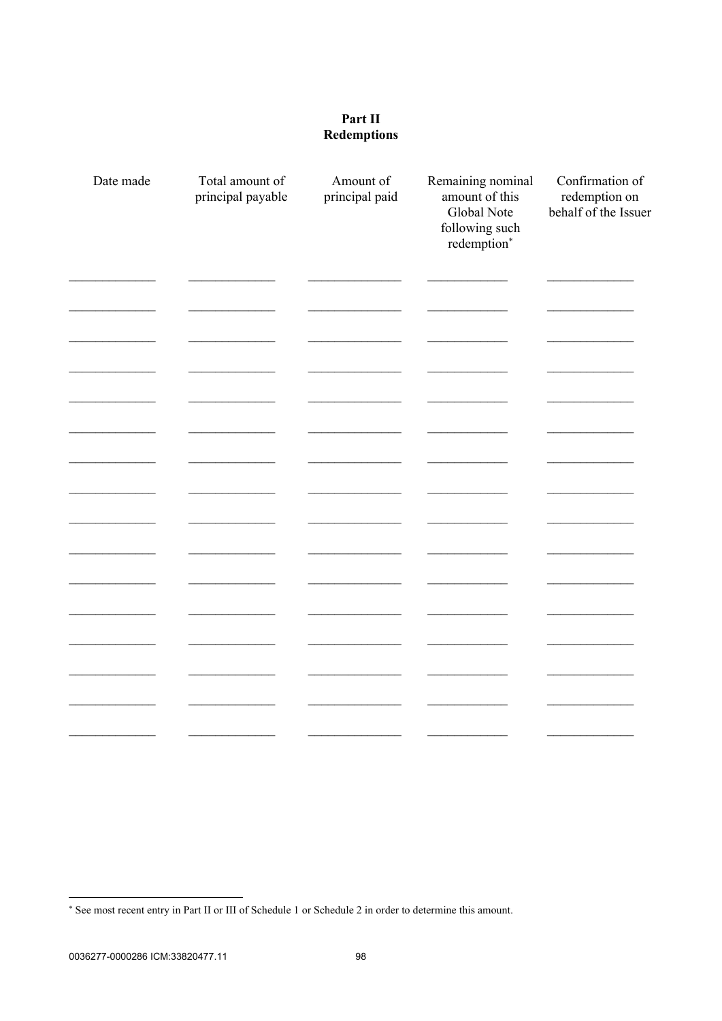### Part II **Redemptions**

| Date made | Total amount of<br>principal payable | Amount of<br>principal paid | Remaining nominal<br>amount of this<br>Global Note<br>following such<br>redemption* | Confirmation of<br>redemption on<br>behalf of the Issuer |
|-----------|--------------------------------------|-----------------------------|-------------------------------------------------------------------------------------|----------------------------------------------------------|
|           |                                      |                             |                                                                                     |                                                          |
|           |                                      |                             |                                                                                     |                                                          |
|           |                                      |                             |                                                                                     |                                                          |
|           |                                      |                             |                                                                                     |                                                          |
|           |                                      |                             |                                                                                     |                                                          |
|           |                                      |                             |                                                                                     |                                                          |
|           |                                      |                             |                                                                                     |                                                          |
|           |                                      |                             |                                                                                     |                                                          |
|           |                                      |                             |                                                                                     |                                                          |
|           |                                      |                             |                                                                                     |                                                          |
|           |                                      |                             |                                                                                     |                                                          |
|           |                                      |                             |                                                                                     |                                                          |

<sup>\*</sup> See most recent entry in Part II or III of Schedule 1 or Schedule 2 in order to determine this amount.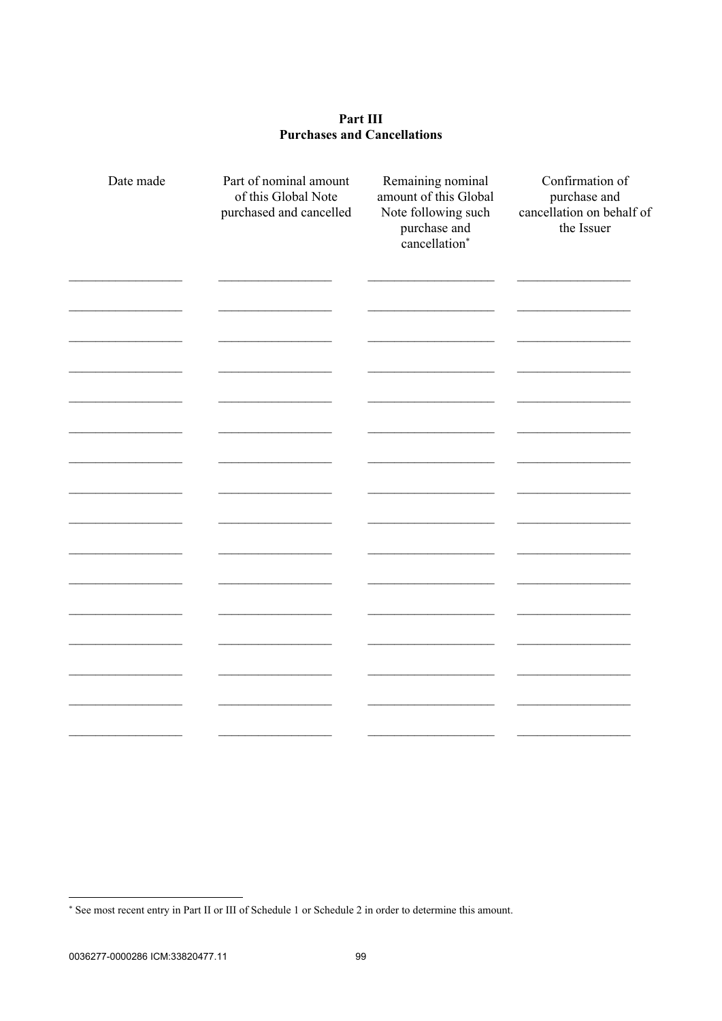#### Part III **Purchases and Cancellations**

| Date made | Part of nominal amount<br>of this Global Note<br>purchased and cancelled | Remaining nominal<br>amount of this Global<br>Note following such<br>purchase and<br>cancellation* | Confirmation of<br>purchase and<br>cancellation on behalf of<br>the Issuer |
|-----------|--------------------------------------------------------------------------|----------------------------------------------------------------------------------------------------|----------------------------------------------------------------------------|
|           |                                                                          |                                                                                                    |                                                                            |
|           |                                                                          |                                                                                                    |                                                                            |
|           |                                                                          |                                                                                                    |                                                                            |
|           |                                                                          |                                                                                                    |                                                                            |
|           |                                                                          |                                                                                                    |                                                                            |
|           |                                                                          |                                                                                                    |                                                                            |
|           |                                                                          |                                                                                                    |                                                                            |
|           |                                                                          |                                                                                                    |                                                                            |
|           |                                                                          |                                                                                                    |                                                                            |
|           |                                                                          |                                                                                                    |                                                                            |

<sup>\*</sup> See most recent entry in Part II or III of Schedule 1 or Schedule 2 in order to determine this amount.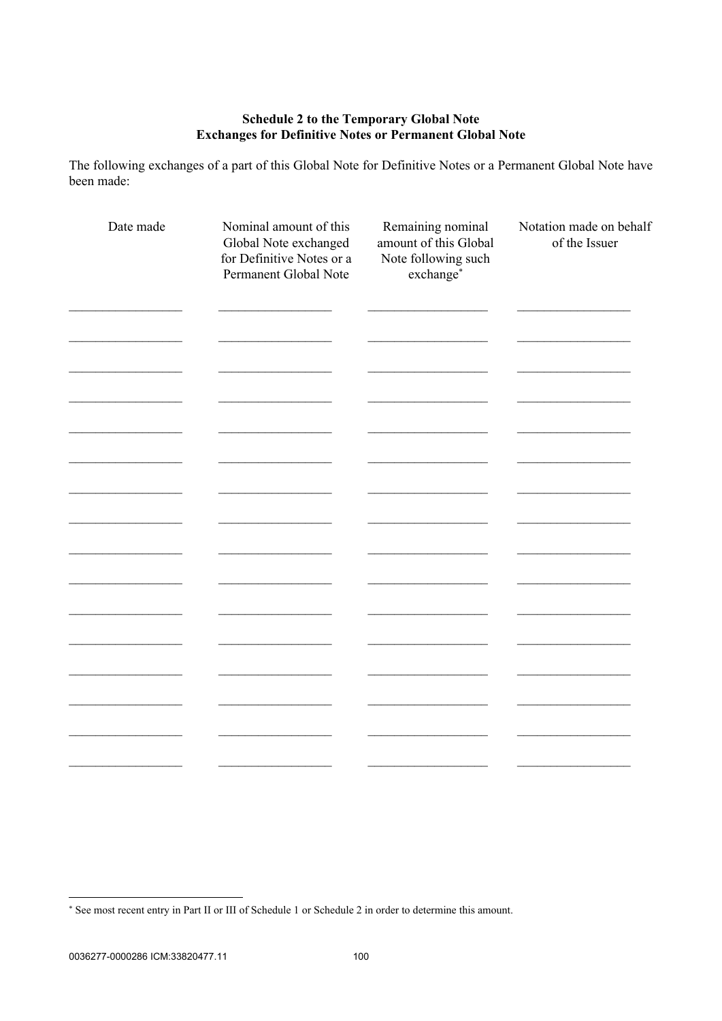# **Schedule 2 to the Temporary Global Note<br>Exchanges for Definitive Notes or Permanent Global Note**

The following exchanges of a part of this Global Note for Definitive Notes or a Permanent Global Note have been made:

| Date made | Nominal amount of this<br>Global Note exchanged<br>for Definitive Notes or a<br>Permanent Global Note | Remaining nominal<br>amount of this Global<br>Note following such<br>exchange* | Notation made on behalf<br>of the Issuer |
|-----------|-------------------------------------------------------------------------------------------------------|--------------------------------------------------------------------------------|------------------------------------------|
|           |                                                                                                       |                                                                                |                                          |
|           |                                                                                                       |                                                                                |                                          |
|           |                                                                                                       |                                                                                |                                          |
|           |                                                                                                       |                                                                                |                                          |
|           |                                                                                                       |                                                                                |                                          |
|           |                                                                                                       |                                                                                |                                          |
|           |                                                                                                       |                                                                                |                                          |
|           |                                                                                                       |                                                                                |                                          |
|           |                                                                                                       |                                                                                |                                          |

<sup>\*</sup> See most recent entry in Part II or III of Schedule 1 or Schedule 2 in order to determine this amount.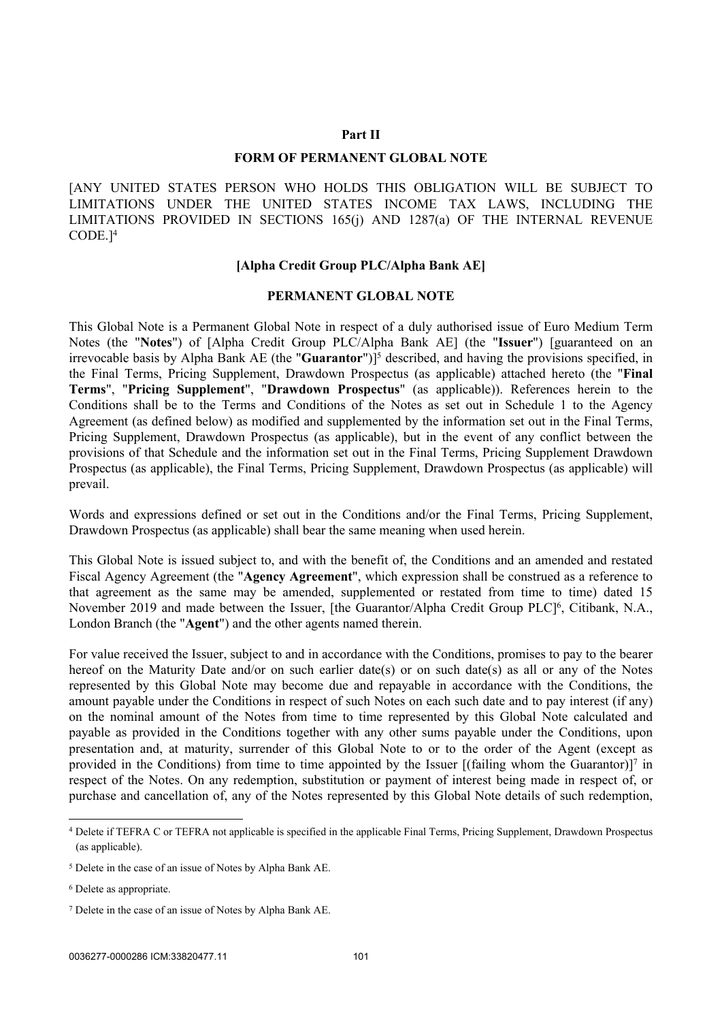#### <span id="page-103-0"></span>**Part II**

#### **FORM OF PERMANENT GLOBAL NOTE**

[ANY UNITED STATES PERSON WHO HOLDS THIS OBLIGATION WILL BE SUBJECT TO LIMITATIONS UNDER THE UNITED STATES INCOME TAX LAWS, INCLUDING THE LIMITATIONS PROVIDED IN SECTIONS 165(j) AND 1287(a) OF THE INTERNAL REVENUE CODE.]<sup>4</sup>

#### **[Alpha Credit Group PLC/Alpha Bank AE]**

#### **PERMANENT GLOBAL NOTE**

This Global Note is a Permanent Global Note in respect of a duly authorised issue of Euro Medium Term Notes (the "**Notes**") of [Alpha Credit Group PLC/Alpha Bank AE] (the "**Issuer**") [guaranteed on an irrevocable basis by Alpha Bank AE (the "**Guarantor**")]<sup>5</sup> described, and having the provisions specified, in the Final Terms, Pricing Supplement, Drawdown Prospectus (as applicable) attached hereto (the "**Final Terms**", "**Pricing Supplement**", "**Drawdown Prospectus**" (as applicable)). References herein to the Conditions shall be to the Terms and Conditions of the Notes as set out in [Schedule 1](#page-44-0) to the Agency Agreement (as defined below) as modified and supplemented by the information set out in the Final Terms, Pricing Supplement, Drawdown Prospectus (as applicable), but in the event of any conflict between the provisions of that Schedule and the information set out in the Final Terms, Pricing Supplement Drawdown Prospectus (as applicable), the Final Terms, Pricing Supplement, Drawdown Prospectus (as applicable) will prevail.

Words and expressions defined or set out in the Conditions and/or the Final Terms, Pricing Supplement, Drawdown Prospectus (as applicable) shall bear the same meaning when used herein.

This Global Note is issued subject to, and with the benefit of, the Conditions and an amended and restated Fiscal Agency Agreement (the "**Agency Agreement**", which expression shall be construed as a reference to that agreement as the same may be amended, supplemented or restated from time to time) dated 15 November 2019 and made between the Issuer, [the Guarantor/Alpha Credit Group PLC]<sup>6</sup>, Citibank, N.A., London Branch (the "**Agent**") and the other agents named therein.

For value received the Issuer, subject to and in accordance with the Conditions, promises to pay to the bearer hereof on the Maturity Date and/or on such earlier date(s) or on such date(s) as all or any of the Notes represented by this Global Note may become due and repayable in accordance with the Conditions, the amount payable under the Conditions in respect of such Notes on each such date and to pay interest (if any) on the nominal amount of the Notes from time to time represented by this Global Note calculated and payable as provided in the Conditions together with any other sums payable under the Conditions, upon presentation and, at maturity, surrender of this Global Note to or to the order of the Agent (except as provided in the Conditions) from time to time appointed by the Issuer [(failing whom the Guarantor)]<sup>7</sup> in respect of the Notes. On any redemption, substitution or payment of interest being made in respect of, or purchase and cancellation of, any of the Notes represented by this Global Note details of such redemption,

<sup>4</sup> Delete if TEFRA C or TEFRA not applicable is specified in the applicable Final Terms, Pricing Supplement, Drawdown Prospectus (as applicable).

<sup>5</sup> Delete in the case of an issue of Notes by Alpha Bank AE.

<sup>6</sup> Delete as appropriate.

<sup>7</sup> Delete in the case of an issue of Notes by Alpha Bank AE.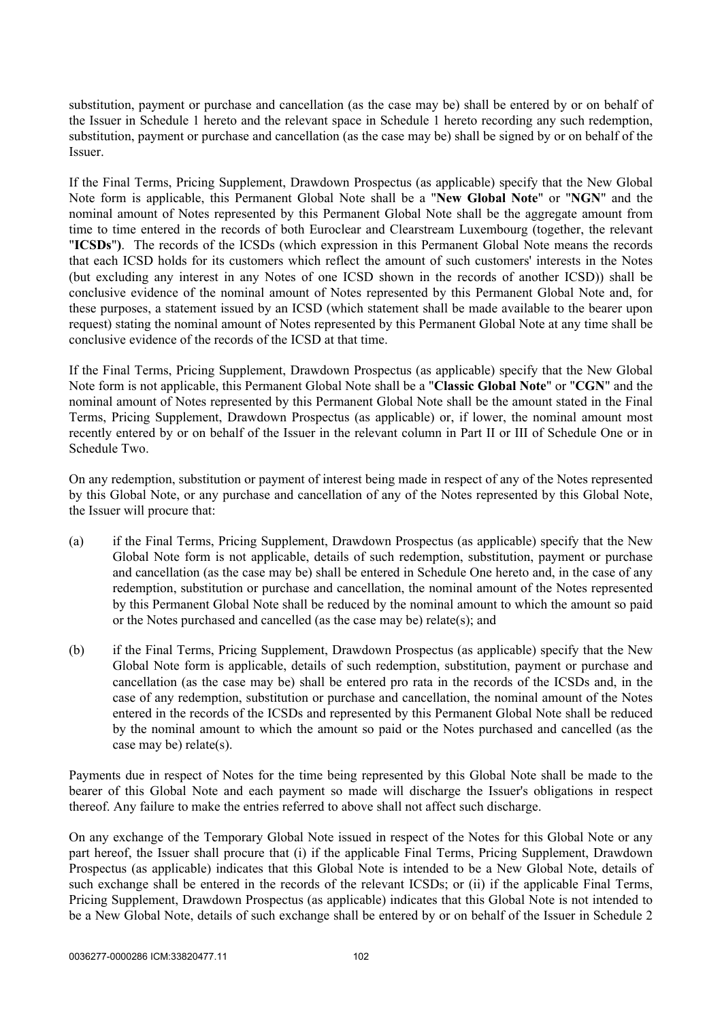substitution, payment or purchase and cancellation (as the case may be) shall be entered by or on behalf of the Issuer in [Schedule 1](#page-44-0) hereto and the relevant space in [Schedule 1](#page-44-0) hereto recording any such redemption, substitution, payment or purchase and cancellation (as the case may be) shall be signed by or on behalf of the Issuer.

If the Final Terms, Pricing Supplement, Drawdown Prospectus (as applicable) specify that the New Global Note form is applicable, this Permanent Global Note shall be a "**New Global Note**" or "**NGN**" and the nominal amount of Notes represented by this Permanent Global Note shall be the aggregate amount from time to time entered in the records of both Euroclear and Clearstream Luxembourg (together, the relevant "**ICSDs**"**)**. The records of the ICSDs (which expression in this Permanent Global Note means the records that each ICSD holds for its customers which reflect the amount of such customers' interests in the Notes (but excluding any interest in any Notes of one ICSD shown in the records of another ICSD)) shall be conclusive evidence of the nominal amount of Notes represented by this Permanent Global Note and, for these purposes, a statement issued by an ICSD (which statement shall be made available to the bearer upon request) stating the nominal amount of Notes represented by this Permanent Global Note at any time shall be conclusive evidence of the records of the ICSD at that time.

If the Final Terms, Pricing Supplement, Drawdown Prospectus (as applicable) specify that the New Global Note form is not applicable, this Permanent Global Note shall be a "**Classic Global Note**" or "**CGN**" and the nominal amount of Notes represented by this Permanent Global Note shall be the amount stated in the Final Terms, Pricing Supplement, Drawdown Prospectus (as applicable) or, if lower, the nominal amount most recently entered by or on behalf of the Issuer in the relevant column in Part II or III of Schedule One or in Schedule Two.

On any redemption, substitution or payment of interest being made in respect of any of the Notes represented by this Global Note, or any purchase and cancellation of any of the Notes represented by this Global Note, the Issuer will procure that:

- (a) if the Final Terms, Pricing Supplement, Drawdown Prospectus (as applicable) specify that the New Global Note form is not applicable, details of such redemption, substitution, payment or purchase and cancellation (as the case may be) shall be entered in Schedule One hereto and, in the case of any redemption, substitution or purchase and cancellation, the nominal amount of the Notes represented by this Permanent Global Note shall be reduced by the nominal amount to which the amount so paid or the Notes purchased and cancelled (as the case may be) relate(s); and
- (b) if the Final Terms, Pricing Supplement, Drawdown Prospectus (as applicable) specify that the New Global Note form is applicable, details of such redemption, substitution, payment or purchase and cancellation (as the case may be) shall be entered pro rata in the records of the ICSDs and, in the case of any redemption, substitution or purchase and cancellation, the nominal amount of the Notes entered in the records of the ICSDs and represented by this Permanent Global Note shall be reduced by the nominal amount to which the amount so paid or the Notes purchased and cancelled (as the case may be) relate(s).

Payments due in respect of Notes for the time being represented by this Global Note shall be made to the bearer of this Global Note and each payment so made will discharge the Issuer's obligations in respect thereof. Any failure to make the entries referred to above shall not affect such discharge.

On any exchange of the Temporary Global Note issued in respect of the Notes for this Global Note or any part hereof, the Issuer shall procure that (i) if the applicable Final Terms, Pricing Supplement, Drawdown Prospectus (as applicable) indicates that this Global Note is intended to be a New Global Note, details of such exchange shall be entered in the records of the relevant ICSDs; or (ii) if the applicable Final Terms, Pricing Supplement, Drawdown Prospectus (as applicable) indicates that this Global Note is not intended to be a New Global Note, details of such exchange shall be entered by or on behalf of the Issuer in [Schedule 2](#page-95-0)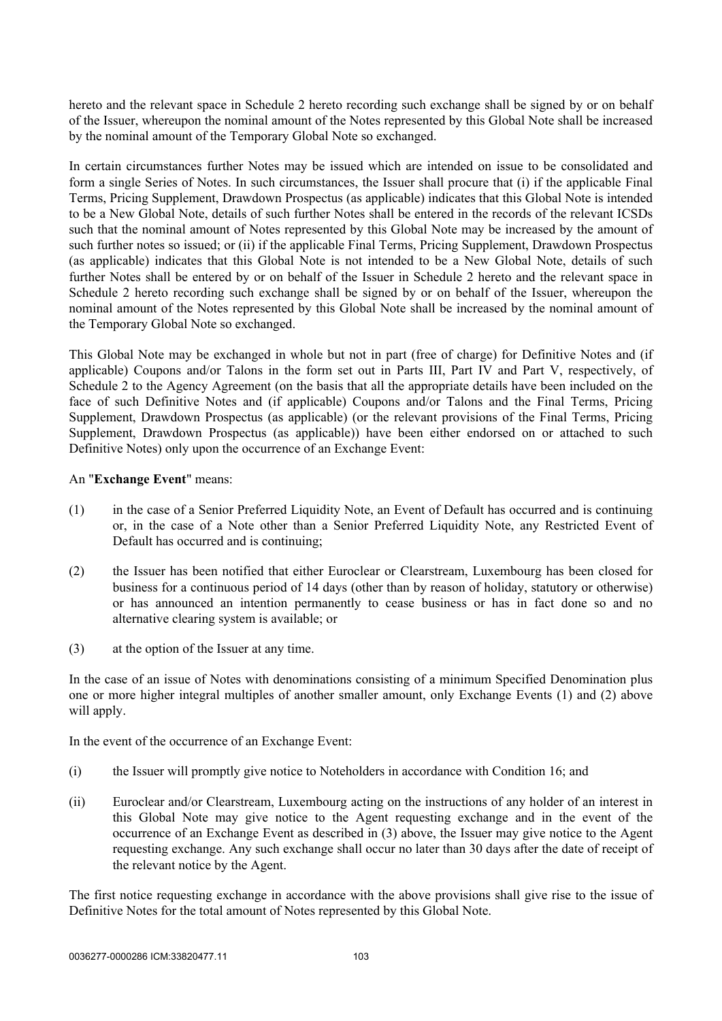hereto and the relevant space in [Schedule 2](#page-95-0) hereto recording such exchange shall be signed by or on behalf of the Issuer, whereupon the nominal amount of the Notes represented by this Global Note shall be increased by the nominal amount of the Temporary Global Note so exchanged.

In certain circumstances further Notes may be issued which are intended on issue to be consolidated and form a single Series of Notes. In such circumstances, the Issuer shall procure that (i) if the applicable Final Terms, Pricing Supplement, Drawdown Prospectus (as applicable) indicates that this Global Note is intended to be a New Global Note, details of such further Notes shall be entered in the records of the relevant ICSDs such that the nominal amount of Notes represented by this Global Note may be increased by the amount of such further notes so issued; or (ii) if the applicable Final Terms, Pricing Supplement, Drawdown Prospectus (as applicable) indicates that this Global Note is not intended to be a New Global Note, details of such further Notes shall be entered by or on behalf of the Issuer in [Schedule 2](#page-95-0) hereto and the relevant space in [Schedule 2](#page-95-0) hereto recording such exchange shall be signed by or on behalf of the Issuer, whereupon the nominal amount of the Notes represented by this Global Note shall be increased by the nominal amount of the Temporary Global Note so exchanged.

This Global Note may be exchanged in whole but not in part (free of charge) for Definitive Notes and (if applicable) Coupons and/or Talons in the form set out in Parts [III,](#page-112-0) Part IV and Part V, respectively, of [Schedule 2](#page-95-0) to the Agency Agreement (on the basis that all the appropriate details have been included on the face of such Definitive Notes and (if applicable) Coupons and/or Talons and the Final Terms, Pricing Supplement, Drawdown Prospectus (as applicable) (or the relevant provisions of the Final Terms, Pricing Supplement, Drawdown Prospectus (as applicable)) have been either endorsed on or attached to such Definitive Notes) only upon the occurrence of an Exchange Event:

#### <span id="page-105-0"></span>An "**Exchange Event**" means:

- (1) in the case of a Senior Preferred Liquidity Note, an Event of Default has occurred and is continuing or, in the case of a Note other than a Senior Preferred Liquidity Note, any Restricted Event of Default has occurred and is continuing;
- <span id="page-105-1"></span>(2) the Issuer has been notified that either Euroclear or Clearstream, Luxembourg has been closed for business for a continuous period of 14 days (other than by reason of holiday, statutory or otherwise) or has announced an intention permanently to cease business or has in fact done so and no alternative clearing system is available; or
- <span id="page-105-2"></span>(3) at the option of the Issuer at any time.

In the case of an issue of Notes with denominations consisting of a minimum Specified Denomination plus one or more higher integral multiples of another smaller amount, only Exchange Events [\(1\)](#page-105-0) and [\(2\) above](#page-105-1) will apply.

In the event of the occurrence of an Exchange Event:

- (i) the Issuer will promptly give notice to Noteholders in accordance with Condition 16; and
- (ii) Euroclear and/or Clearstream, Luxembourg acting on the instructions of any holder of an interest in this Global Note may give notice to the Agent requesting exchange and in the event of the occurrence of an Exchange Event as described in [\(3\) above](#page-105-2), the Issuer may give notice to the Agent requesting exchange. Any such exchange shall occur no later than 30 days after the date of receipt of the relevant notice by the Agent.

The first notice requesting exchange in accordance with the above provisions shall give rise to the issue of Definitive Notes for the total amount of Notes represented by this Global Note.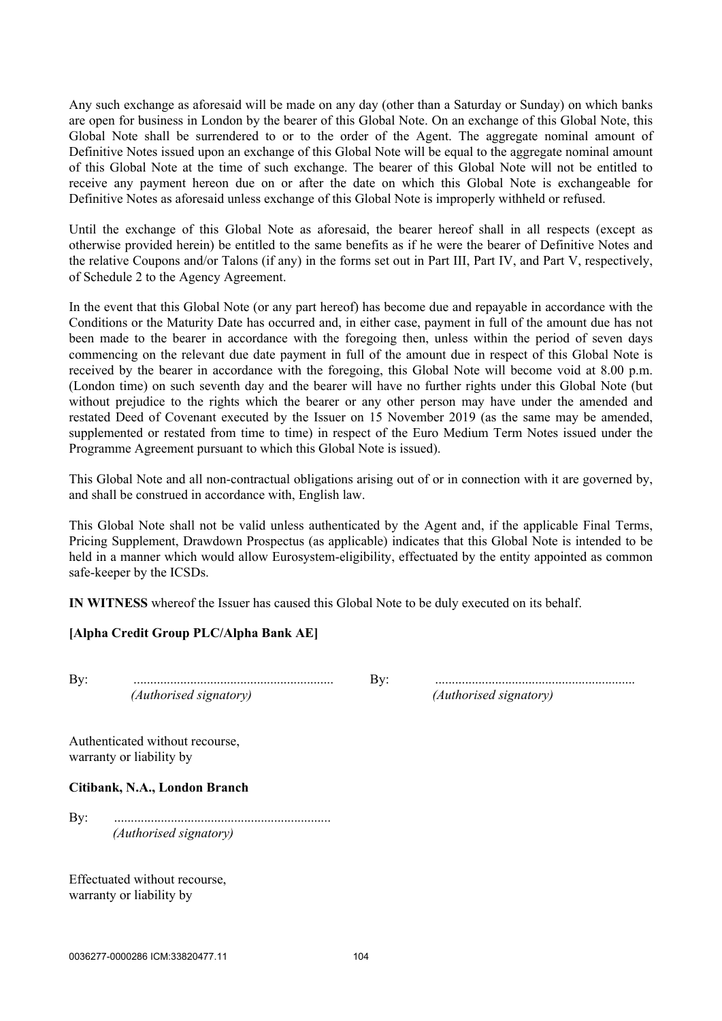Any such exchange as aforesaid will be made on any day (other than a Saturday or Sunday) on which banks are open for business in London by the bearer of this Global Note. On an exchange of this Global Note, this Global Note shall be surrendered to or to the order of the Agent. The aggregate nominal amount of Definitive Notes issued upon an exchange of this Global Note will be equal to the aggregate nominal amount of this Global Note at the time of such exchange. The bearer of this Global Note will not be entitled to receive any payment hereon due on or after the date on which this Global Note is exchangeable for Definitive Notes as aforesaid unless exchange of this Global Note is improperly withheld or refused.

Until the exchange of this Global Note as aforesaid, the bearer hereof shall in all respects (except as otherwise provided herein) be entitled to the same benefits as if he were the bearer of Definitive Notes and the relative Coupons and/or Talons (if any) in the forms set out in [Part III,](#page-112-0) [Part IV](#page-115-0), and [Part V,](#page-117-0) respectively, of [Schedule 2](#page-95-0) to the Agency Agreement.

In the event that this Global Note (or any part hereof) has become due and repayable in accordance with the Conditions or the Maturity Date has occurred and, in either case, payment in full of the amount due has not been made to the bearer in accordance with the foregoing then, unless within the period of seven days commencing on the relevant due date payment in full of the amount due in respect of this Global Note is received by the bearer in accordance with the foregoing, this Global Note will become void at 8.00 p.m. (London time) on such seventh day and the bearer will have no further rights under this Global Note (but without prejudice to the rights which the bearer or any other person may have under the amended and restated Deed of Covenant executed by the Issuer on 15 November 2019 (as the same may be amended, supplemented or restated from time to time) in respect of the Euro Medium Term Notes issued under the Programme Agreement pursuant to which this Global Note is issued).

This Global Note and all non-contractual obligations arising out of or in connection with it are governed by, and shall be construed in accordance with, English law.

This Global Note shall not be valid unless authenticated by the Agent and, if the applicable Final Terms, Pricing Supplement, Drawdown Prospectus (as applicable) indicates that this Global Note is intended to be held in a manner which would allow Eurosystem-eligibility, effectuated by the entity appointed as common safe-keeper by the ICSDs.

**IN WITNESS** whereof the Issuer has caused this Global Note to be duly executed on its behalf.

#### **[Alpha Credit Group PLC/Alpha Bank AE]**

By: ............................................................ By: ............................................................ *(Authorised signatory) (Authorised signatory)*

Authenticated without recourse, warranty or liability by

#### **Citibank, N.A., London Branch**

By: ................................................................. *(Authorised signatory)*

Effectuated without recourse, warranty or liability by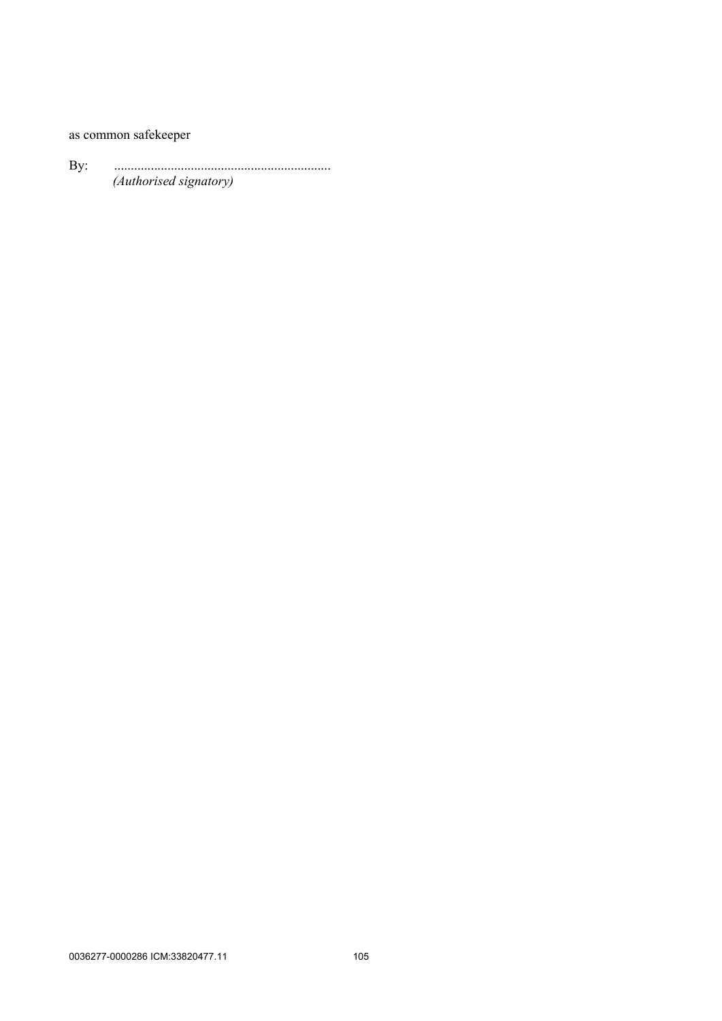## as common safekeeper

By: ................................................................. *(Authorised signatory)*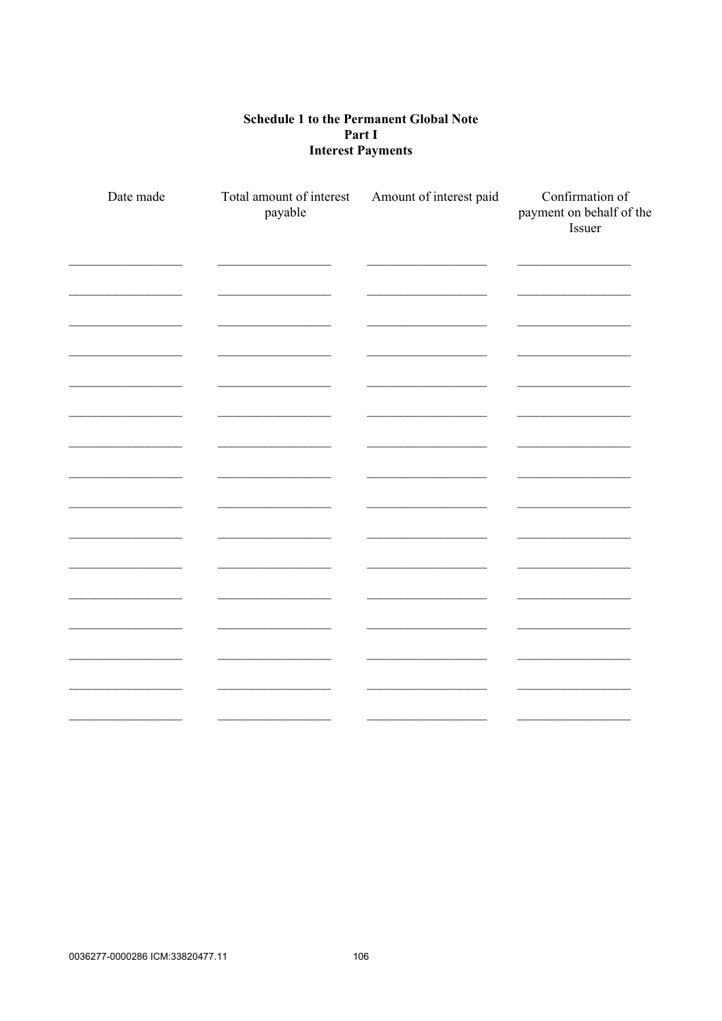## **Schedule 1 to the Permanent Global Note** Part I **Interest Payments**

| Date made | Total amount of interest<br>payable | Amount of interest paid | Confirmation of<br>payment on behalf of the<br>Issuer |
|-----------|-------------------------------------|-------------------------|-------------------------------------------------------|
|           |                                     |                         |                                                       |
|           |                                     |                         |                                                       |
|           |                                     |                         |                                                       |
|           |                                     |                         |                                                       |
|           |                                     |                         |                                                       |
|           |                                     |                         |                                                       |
|           |                                     |                         |                                                       |
|           |                                     |                         |                                                       |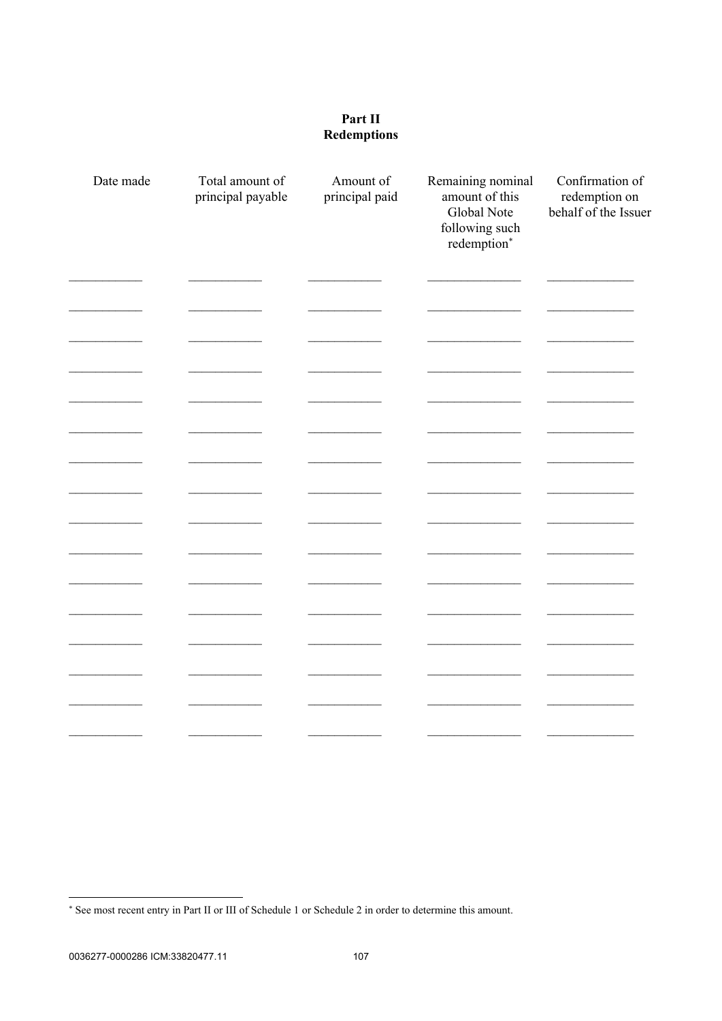## Part II **Redemptions**

| Date made | Total amount of<br>principal payable | Amount of<br>principal paid | Remaining nominal<br>amount of this<br><b>Global Note</b><br>following such<br>redemption* | Confirmation of<br>redemption on<br>behalf of the Issuer |
|-----------|--------------------------------------|-----------------------------|--------------------------------------------------------------------------------------------|----------------------------------------------------------|
|           |                                      |                             |                                                                                            |                                                          |
|           |                                      |                             |                                                                                            |                                                          |
|           |                                      |                             |                                                                                            |                                                          |
|           |                                      |                             |                                                                                            |                                                          |
|           |                                      |                             |                                                                                            |                                                          |
|           |                                      |                             |                                                                                            |                                                          |
|           |                                      |                             |                                                                                            |                                                          |
|           |                                      |                             |                                                                                            |                                                          |
|           |                                      |                             |                                                                                            |                                                          |
|           |                                      |                             |                                                                                            |                                                          |
|           |                                      |                             |                                                                                            |                                                          |
|           |                                      |                             |                                                                                            |                                                          |
|           |                                      |                             |                                                                                            |                                                          |

<sup>\*</sup> See most recent entry in Part II or III of Schedule 1 or Schedule 2 in order to determine this amount.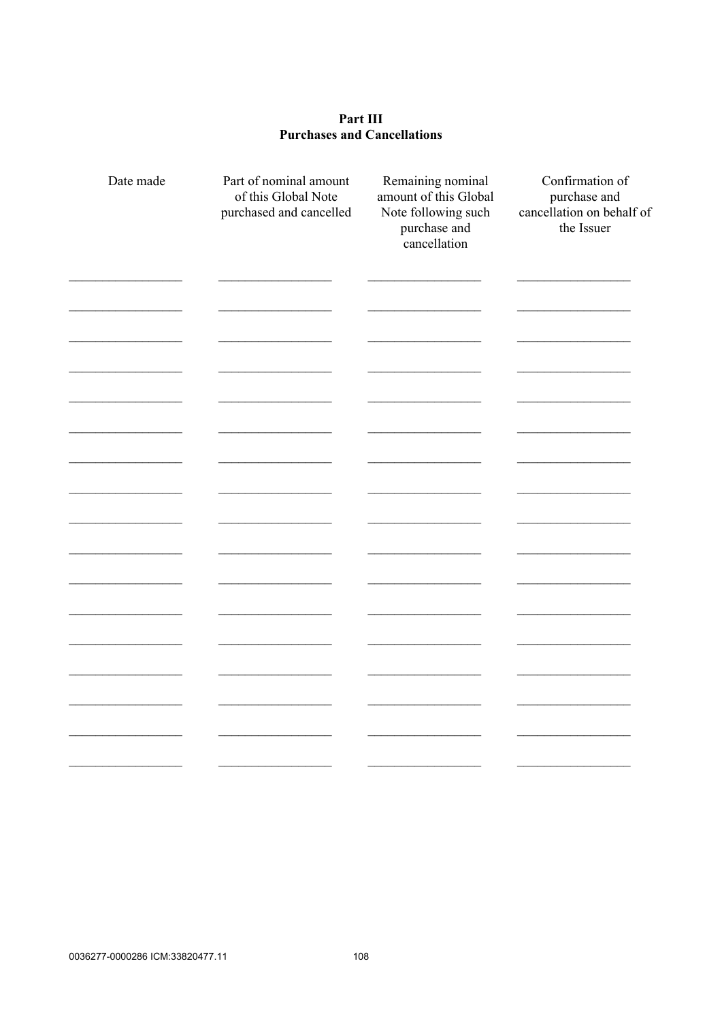## Part III **Purchases and Cancellations**

| Date made | Part of nominal amount<br>of this Global Note<br>purchased and cancelled | Remaining nominal<br>amount of this Global<br>Note following such<br>purchase and<br>cancellation | Confirmation of<br>purchase and<br>cancellation on behalf of<br>the Issuer |
|-----------|--------------------------------------------------------------------------|---------------------------------------------------------------------------------------------------|----------------------------------------------------------------------------|
|           |                                                                          |                                                                                                   |                                                                            |
|           |                                                                          |                                                                                                   |                                                                            |
|           |                                                                          |                                                                                                   |                                                                            |
|           |                                                                          |                                                                                                   |                                                                            |
|           |                                                                          |                                                                                                   |                                                                            |
|           |                                                                          |                                                                                                   |                                                                            |
|           |                                                                          |                                                                                                   |                                                                            |
|           |                                                                          |                                                                                                   |                                                                            |
|           |                                                                          |                                                                                                   |                                                                            |
|           |                                                                          |                                                                                                   |                                                                            |
|           |                                                                          |                                                                                                   |                                                                            |
|           |                                                                          |                                                                                                   |                                                                            |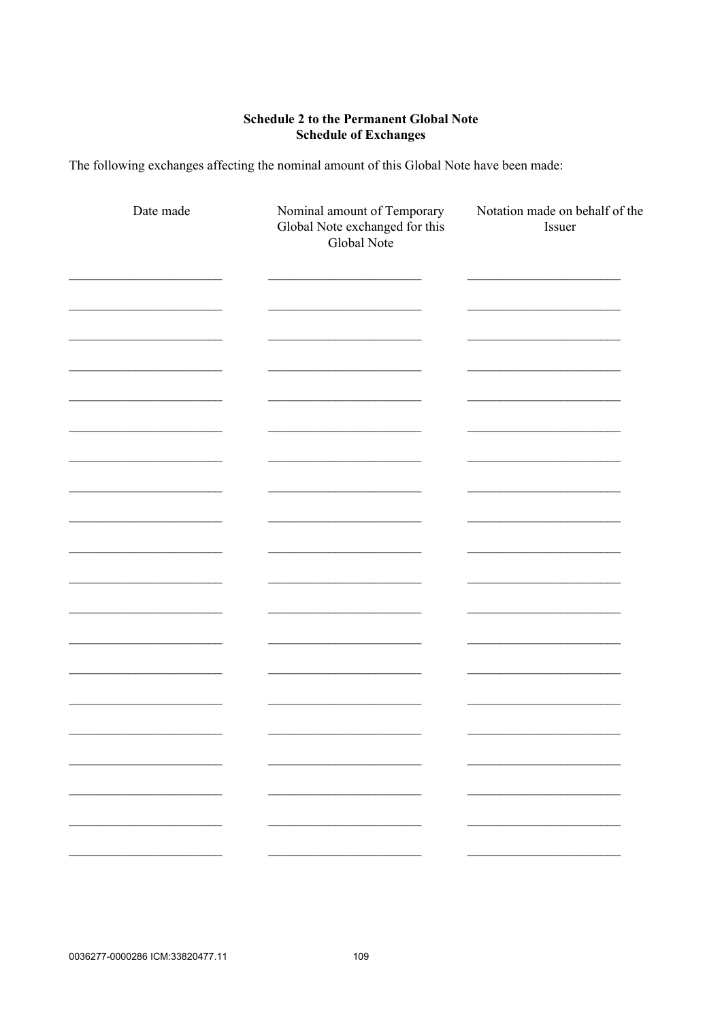## **Schedule 2 to the Permanent Global Note Schedule of Exchanges**

The following exchanges affecting the nominal amount of this Global Note have been made:

| Date made  | Nominal amount of Temporary<br>Global Note exchanged for this<br>Global Note | Notation made on behalf of the<br>Issuer |
|------------|------------------------------------------------------------------------------|------------------------------------------|
|            |                                                                              |                                          |
|            |                                                                              |                                          |
|            |                                                                              |                                          |
|            |                                                                              |                                          |
|            |                                                                              |                                          |
| المستحصلين |                                                                              |                                          |
|            |                                                                              |                                          |
|            |                                                                              |                                          |
|            |                                                                              |                                          |
|            |                                                                              |                                          |
|            |                                                                              |                                          |
|            |                                                                              |                                          |
|            |                                                                              |                                          |
|            |                                                                              |                                          |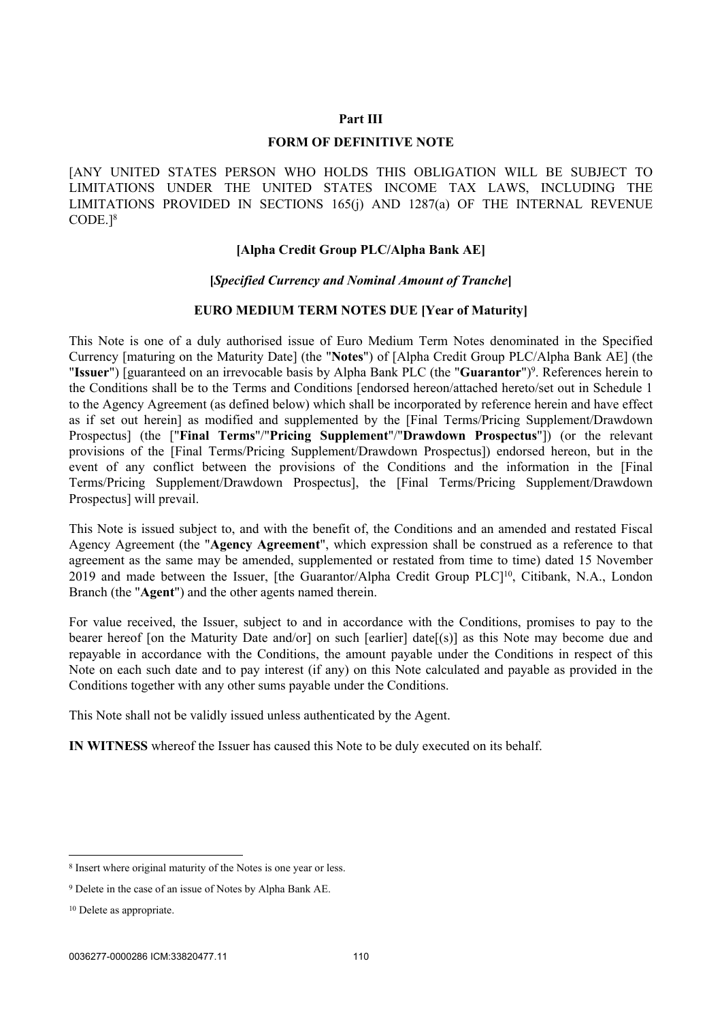#### **Part III**

#### **FORM OF DEFINITIVE NOTE**

[ANY UNITED STATES PERSON WHO HOLDS THIS OBLIGATION WILL BE SUBJECT TO LIMITATIONS UNDER THE UNITED STATES INCOME TAX LAWS, INCLUDING THE LIMITATIONS PROVIDED IN SECTIONS 165(j) AND 1287(a) OF THE INTERNAL REVENUE CODE.]<sup>8</sup>

#### **[Alpha Credit Group PLC/Alpha Bank AE]**

#### **[***Specified Currency and Nominal Amount of Tranche***]**

#### **EURO MEDIUM TERM NOTES DUE [Year of Maturity]**

This Note is one of a duly authorised issue of Euro Medium Term Notes denominated in the Specified Currency [maturing on the Maturity Date] (the "**Notes**") of [Alpha Credit Group PLC/Alpha Bank AE] (the "Issuer") [guaranteed on an irrevocable basis by Alpha Bank PLC (the "Guarantor")<sup>9</sup>. References herein to the Conditions shall be to the Terms and Conditions [endorsed hereon/attached hereto/set out in [Schedule 1](#page-44-0) to the Agency Agreement (as defined below) which shall be incorporated by reference herein and have effect as if set out herein] as modified and supplemented by the [Final Terms/Pricing Supplement/Drawdown Prospectus] (the ["**Final Terms**"/"**Pricing Supplement**"/"**Drawdown Prospectus**"]) (or the relevant provisions of the [Final Terms/Pricing Supplement/Drawdown Prospectus]) endorsed hereon, but in the event of any conflict between the provisions of the Conditions and the information in the [Final Terms/Pricing Supplement/Drawdown Prospectus], the [Final Terms/Pricing Supplement/Drawdown Prospectus] will prevail.

This Note is issued subject to, and with the benefit of, the Conditions and an amended and restated Fiscal Agency Agreement (the "**Agency Agreement**", which expression shall be construed as a reference to that agreement as the same may be amended, supplemented or restated from time to time) dated 15 November 2019 and made between the Issuer, [the Guarantor/Alpha Credit Group PLC]<sup>10</sup>, Citibank, N.A., London Branch (the "**Agent**") and the other agents named therein.

For value received, the Issuer, subject to and in accordance with the Conditions, promises to pay to the bearer hereof [on the Maturity Date and/or] on such [earlier] date[(s)] as this Note may become due and repayable in accordance with the Conditions, the amount payable under the Conditions in respect of this Note on each such date and to pay interest (if any) on this Note calculated and payable as provided in the Conditions together with any other sums payable under the Conditions.

This Note shall not be validly issued unless authenticated by the Agent.

**IN WITNESS** whereof the Issuer has caused this Note to be duly executed on its behalf.

<sup>8</sup> Insert where original maturity of the Notes is one year or less.

<sup>9</sup> Delete in the case of an issue of Notes by Alpha Bank AE.

<sup>10</sup> Delete as appropriate.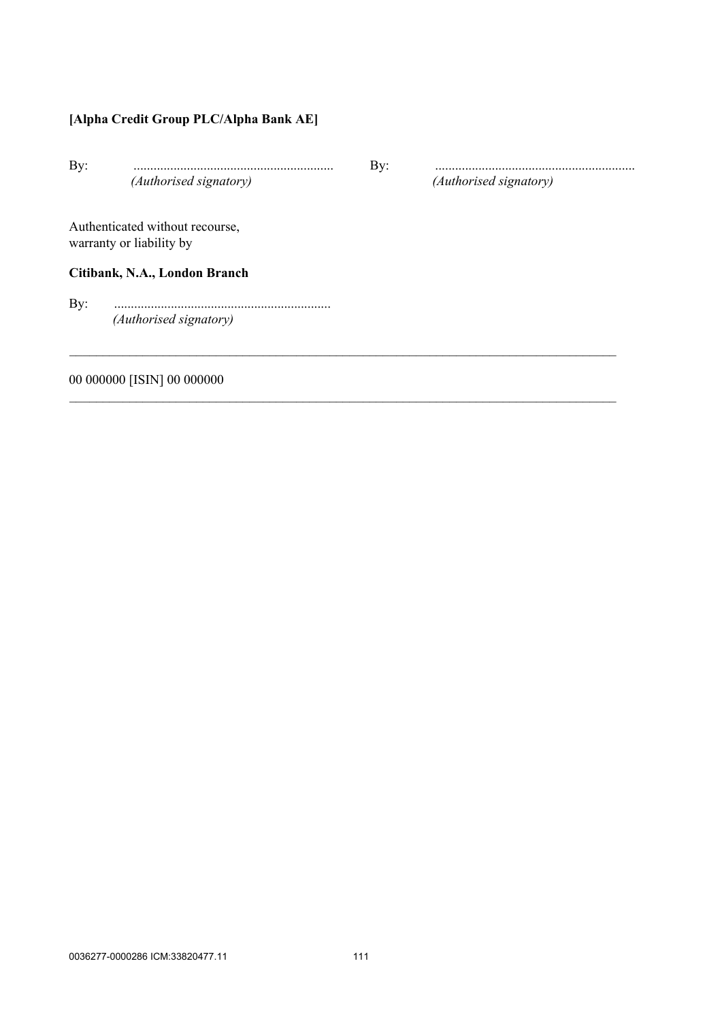# **[Alpha Credit Group PLC/Alpha Bank AE]**

| By: | (Authorised signatory)                                      | By: | (Authorised signatory) |
|-----|-------------------------------------------------------------|-----|------------------------|
|     | Authenticated without recourse,<br>warranty or liability by |     |                        |
|     | Citibank, N.A., London Branch                               |     |                        |
| By: |                                                             |     |                        |
|     | (Authorised signatory)                                      |     |                        |
|     | 00 000000 [ISIN] 00 000000                                  |     |                        |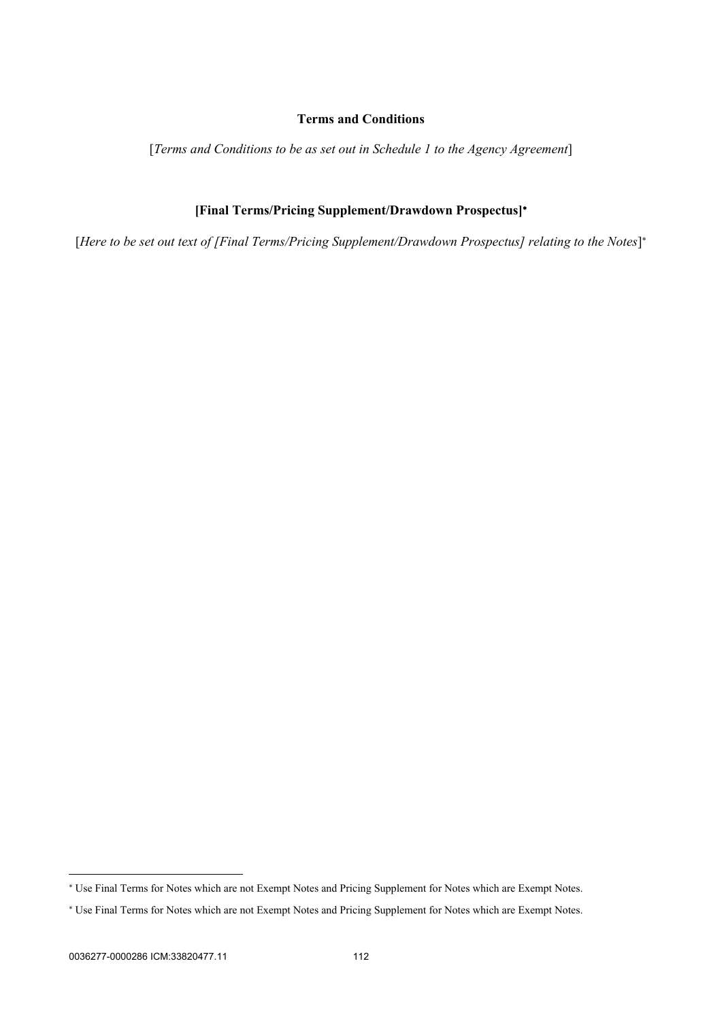## **Terms and Conditions**

[*Terms and Conditions to be as set out in Schedule 1 to the Agency Agreement*]

## **[Final Terms/Pricing Supplement/Drawdown Prospectus]**

[*Here to be set out text of [Final Terms/Pricing Supplement/Drawdown Prospectus] relating to the Notes*]

 Use Final Terms for Notes which are not Exempt Notes and Pricing Supplement for Notes which are Exempt Notes.

 Use Final Terms for Notes which are not Exempt Notes and Pricing Supplement for Notes which are Exempt Notes.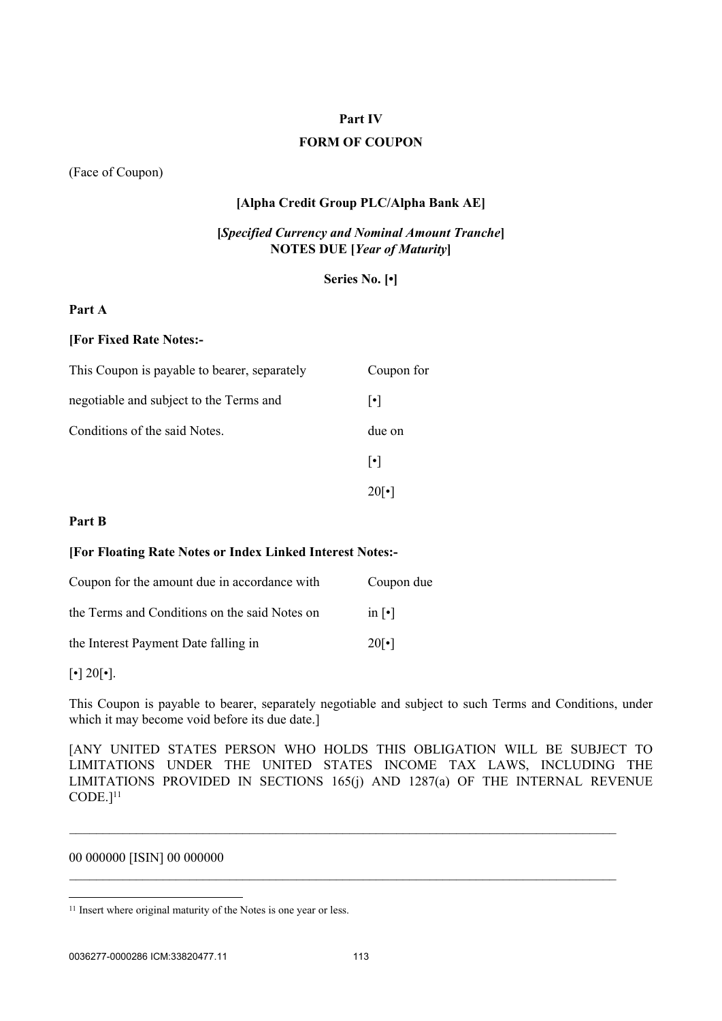## **Part IV**

## **FORM OF COUPON**

(Face of Coupon)

## **[Alpha Credit Group PLC/Alpha Bank AE]**

## **[***Specified Currency and Nominal Amount Tranche***] NOTES DUE [***Year of Maturity***]**

**Series No. [•]**

### **Part A**

#### **[For Fixed Rate Notes:-**

| This Coupon is payable to bearer, separately | Coupon for            |
|----------------------------------------------|-----------------------|
| negotiable and subject to the Terms and      | $\lvert \cdot \rvert$ |
| Conditions of the said Notes.                | due on                |
|                                              | $\vert \cdot \vert$   |
|                                              |                       |

### **Part B**

### **[For Floating Rate Notes or Index Linked Interest Notes:-**

| Coupon for the amount due in accordance with  | Coupon due               |
|-----------------------------------------------|--------------------------|
| the Terms and Conditions on the said Notes on | in $\lceil \cdot \rceil$ |
| the Interest Payment Date falling in          | $20\lceil \cdot \rceil$  |

 $\lceil \cdot \rceil$  20 $\lceil \cdot \rceil$ .

This Coupon is payable to bearer, separately negotiable and subject to such Terms and Conditions, under which it may become void before its due date.]

[ANY UNITED STATES PERSON WHO HOLDS THIS OBLIGATION WILL BE SUBJECT TO LIMITATIONS UNDER THE UNITED STATES INCOME TAX LAWS, INCLUDING THE LIMITATIONS PROVIDED IN SECTIONS 165(j) AND 1287(a) OF THE INTERNAL REVENUE CODE.]<sup>11</sup>

 $\mathcal{L}_\mathcal{L} = \{ \mathcal{L}_\mathcal{L} = \{ \mathcal{L}_\mathcal{L} = \{ \mathcal{L}_\mathcal{L} = \{ \mathcal{L}_\mathcal{L} = \{ \mathcal{L}_\mathcal{L} = \{ \mathcal{L}_\mathcal{L} = \{ \mathcal{L}_\mathcal{L} = \{ \mathcal{L}_\mathcal{L} = \{ \mathcal{L}_\mathcal{L} = \{ \mathcal{L}_\mathcal{L} = \{ \mathcal{L}_\mathcal{L} = \{ \mathcal{L}_\mathcal{L} = \{ \mathcal{L}_\mathcal{L} = \{ \mathcal{L}_\mathcal{$ 

 $\mathcal{L}_\mathcal{L} = \{ \mathcal{L}_\mathcal{L} = \{ \mathcal{L}_\mathcal{L} = \{ \mathcal{L}_\mathcal{L} = \{ \mathcal{L}_\mathcal{L} = \{ \mathcal{L}_\mathcal{L} = \{ \mathcal{L}_\mathcal{L} = \{ \mathcal{L}_\mathcal{L} = \{ \mathcal{L}_\mathcal{L} = \{ \mathcal{L}_\mathcal{L} = \{ \mathcal{L}_\mathcal{L} = \{ \mathcal{L}_\mathcal{L} = \{ \mathcal{L}_\mathcal{L} = \{ \mathcal{L}_\mathcal{L} = \{ \mathcal{L}_\mathcal{$ 

00 000000 [ISIN] 00 000000

<sup>&</sup>lt;sup>11</sup> Insert where original maturity of the Notes is one year or less.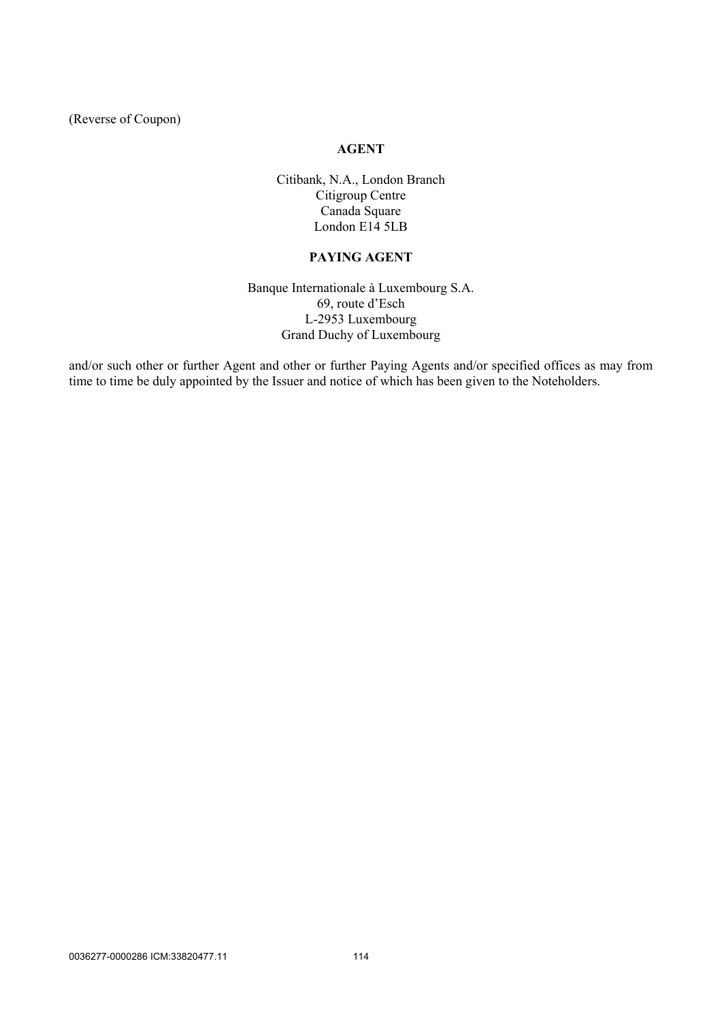(Reverse of Coupon)

## **AGENT**

Citibank, N.A., London Branch Citigroup Centre Canada Square London E14 5LB

## **PAYING AGENT**

Banque Internationale à Luxembourg S.A. 69, route d'Esch L-2953 Luxembourg Grand Duchy of Luxembourg

and/or such other or further Agent and other or further Paying Agents and/or specified offices as may from time to time be duly appointed by the Issuer and notice of which has been given to the Noteholders.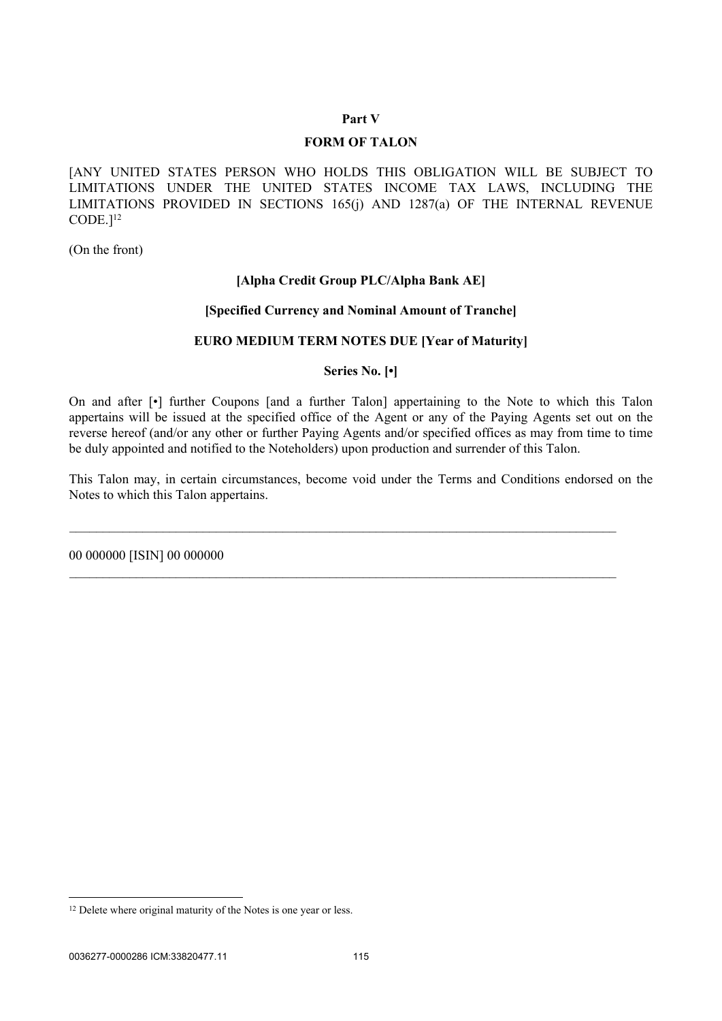#### **Part V**

### **FORM OF TALON**

[ANY UNITED STATES PERSON WHO HOLDS THIS OBLIGATION WILL BE SUBJECT TO LIMITATIONS UNDER THE UNITED STATES INCOME TAX LAWS, INCLUDING THE LIMITATIONS PROVIDED IN SECTIONS 165(j) AND 1287(a) OF THE INTERNAL REVENUE CODE.]<sup>12</sup>

(On the front)

#### **[Alpha Credit Group PLC/Alpha Bank AE]**

### **[Specified Currency and Nominal Amount of Tranche]**

#### **EURO MEDIUM TERM NOTES DUE [Year of Maturity]**

**Series No. [•]**

On and after [•] further Coupons [and a further Talon] appertaining to the Note to which this Talon appertains will be issued at the specified office of the Agent or any of the Paying Agents set out on the reverse hereof (and/or any other or further Paying Agents and/or specified offices as may from time to time be duly appointed and notified to the Noteholders) upon production and surrender of this Talon.

This Talon may, in certain circumstances, become void under the Terms and Conditions endorsed on the Notes to which this Talon appertains.

\_\_\_\_\_\_\_\_\_\_\_\_\_\_\_\_\_\_\_\_\_\_\_\_\_\_\_\_\_\_\_\_\_\_\_\_\_\_\_\_\_\_\_\_\_\_\_\_\_\_\_\_\_\_\_\_\_\_\_\_\_\_\_\_\_\_\_\_\_\_\_\_\_\_\_\_\_\_\_\_\_\_

 $\mathcal{L}_\mathcal{L} = \{ \mathcal{L}_\mathcal{L} = \{ \mathcal{L}_\mathcal{L} = \{ \mathcal{L}_\mathcal{L} = \{ \mathcal{L}_\mathcal{L} = \{ \mathcal{L}_\mathcal{L} = \{ \mathcal{L}_\mathcal{L} = \{ \mathcal{L}_\mathcal{L} = \{ \mathcal{L}_\mathcal{L} = \{ \mathcal{L}_\mathcal{L} = \{ \mathcal{L}_\mathcal{L} = \{ \mathcal{L}_\mathcal{L} = \{ \mathcal{L}_\mathcal{L} = \{ \mathcal{L}_\mathcal{L} = \{ \mathcal{L}_\mathcal{$ 

00 000000 [ISIN] 00 000000

<sup>&</sup>lt;sup>12</sup> Delete where original maturity of the Notes is one year or less.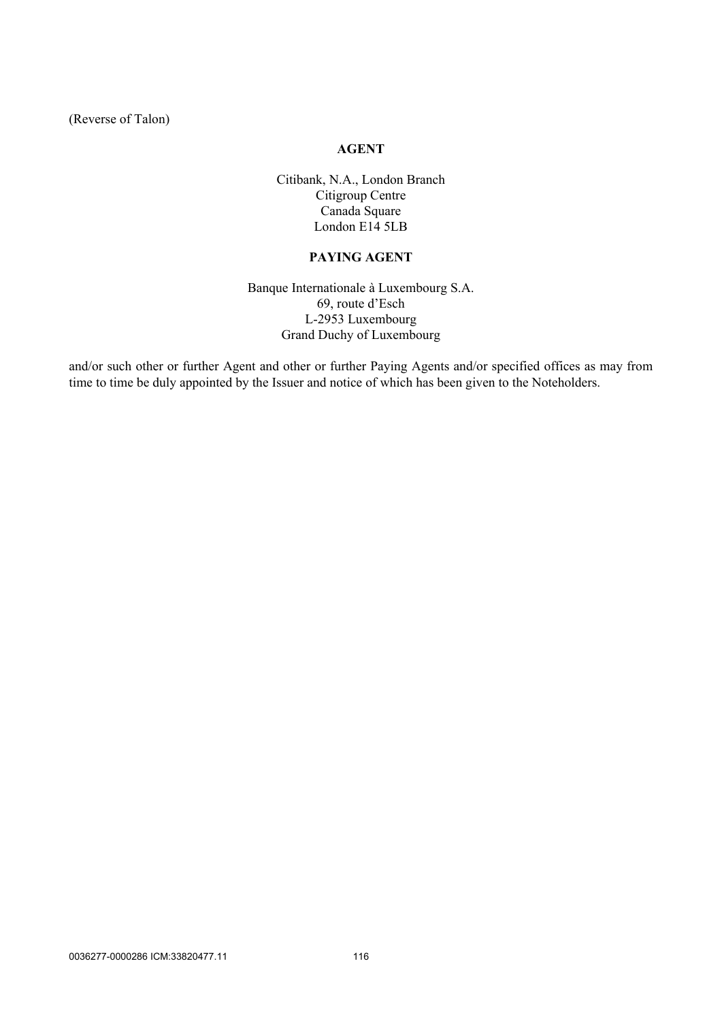(Reverse of Talon)

## **AGENT**

Citibank, N.A., London Branch Citigroup Centre Canada Square London E14 5LB

## **PAYING AGENT**

Banque Internationale à Luxembourg S.A. 69, route d'Esch L-2953 Luxembourg Grand Duchy of Luxembourg

and/or such other or further Agent and other or further Paying Agents and/or specified offices as may from time to time be duly appointed by the Issuer and notice of which has been given to the Noteholders.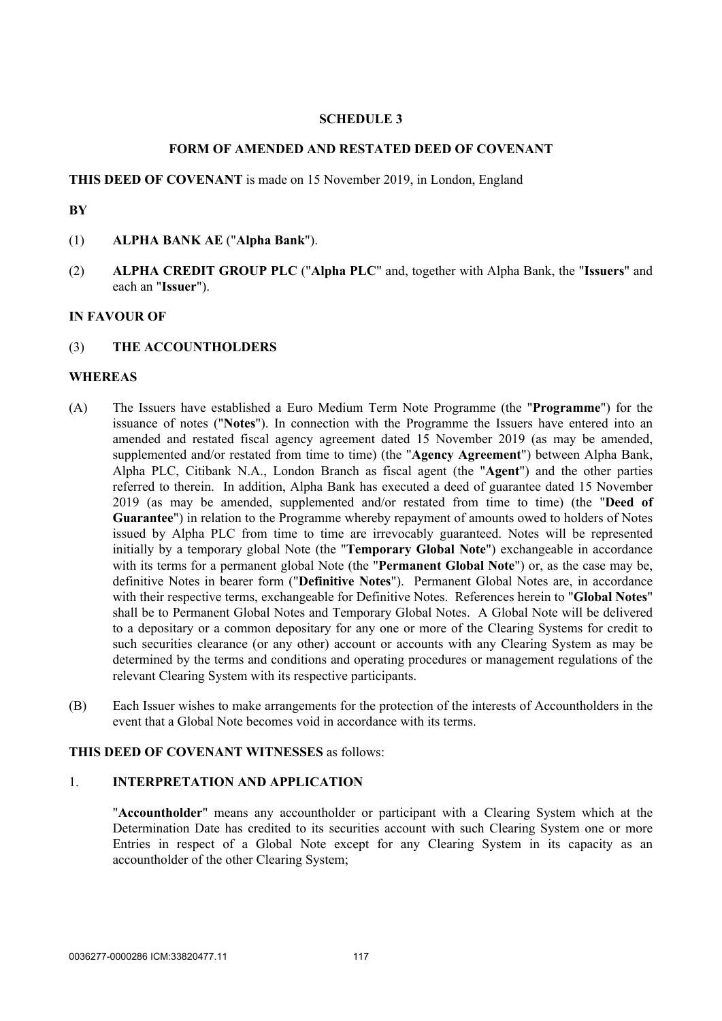### **SCHEDULE 3**

### **FORM OF AMENDED AND RESTATED DEED OF COVENANT**

#### **THIS DEED OF COVENANT** is made on 15 November 2019, in London, England

#### **BY**

- (1) **ALPHA BANK AE** ("**Alpha Bank**").
- (2) **ALPHA CREDIT GROUP PLC** ("**Alpha PLC**" and, together with Alpha Bank, the "**Issuers**" and each an "**Issuer**").

## **IN FAVOUR OF**

#### (3) **THE ACCOUNTHOLDERS**

#### **WHEREAS**

- (A) The Issuers have established a Euro Medium Term Note Programme (the "**Programme**") for the issuance of notes ("**Notes**"). In connection with the Programme the Issuers have entered into an amended and restated fiscal agency agreement dated 15 November 2019 (as may be amended, supplemented and/or restated from time to time) (the "**Agency Agreement**") between Alpha Bank, Alpha PLC, Citibank N.A., London Branch as fiscal agent (the "**Agent**") and the other parties referred to therein. In addition, Alpha Bank has executed a deed of guarantee dated 15 November 2019 (as may be amended, supplemented and/or restated from time to time) (the "**Deed of Guarantee**") in relation to the Programme whereby repayment of amounts owed to holders of Notes issued by Alpha PLC from time to time are irrevocably guaranteed. Notes will be represented initially by a temporary global Note (the "**Temporary Global Note**") exchangeable in accordance with its terms for a permanent global Note (the "**Permanent Global Note**") or, as the case may be, definitive Notes in bearer form ("**Definitive Notes**"). Permanent Global Notes are, in accordance with their respective terms, exchangeable for Definitive Notes. References herein to "**Global Notes**" shall be to Permanent Global Notes and Temporary Global Notes. A Global Note will be delivered to a depositary or a common depositary for any one or more of the Clearing Systems for credit to such securities clearance (or any other) account or accounts with any Clearing System as may be determined by the terms and conditions and operating procedures or management regulations of the relevant Clearing System with its respective participants.
- (B) Each Issuer wishes to make arrangements for the protection of the interests of Accountholders in the event that a Global Note becomes void in accordance with its terms.

#### **THIS DEED OF COVENANT WITNESSES** as follows:

#### 1. **INTERPRETATION AND APPLICATION**

"**Accountholder**" means any accountholder or participant with a Clearing System which at the Determination Date has credited to its securities account with such Clearing System one or more Entries in respect of a Global Note except for any Clearing System in its capacity as an accountholder of the other Clearing System;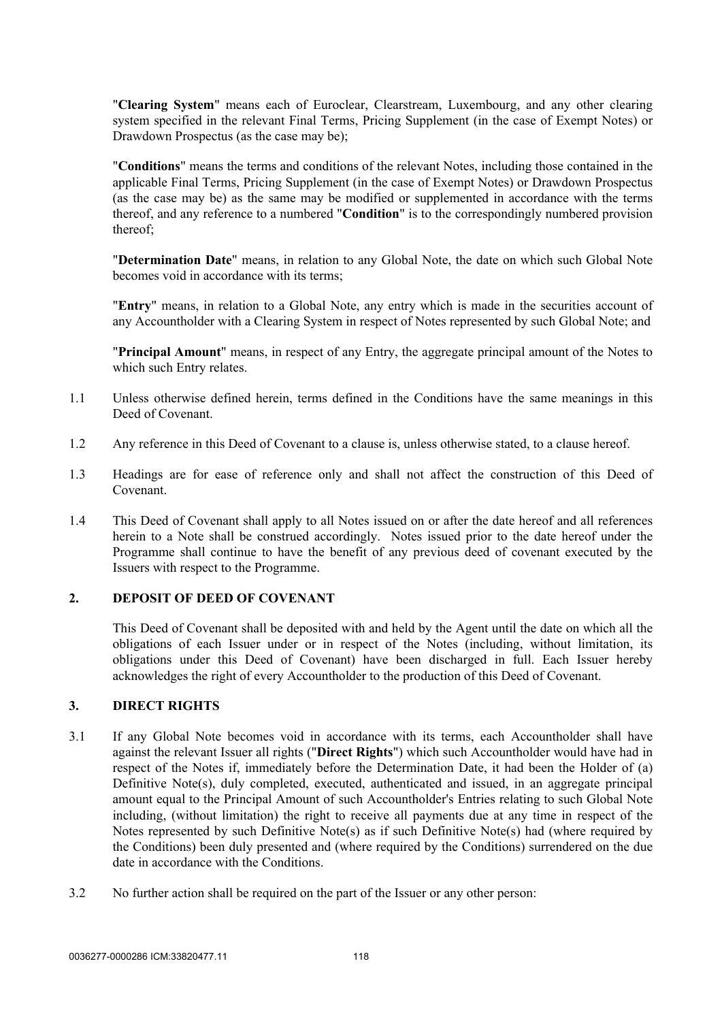"**Clearing System**" means each of Euroclear, Clearstream, Luxembourg, and any other clearing system specified in the relevant Final Terms, Pricing Supplement (in the case of Exempt Notes) or Drawdown Prospectus (as the case may be);

"**Conditions**" means the terms and conditions of the relevant Notes, including those contained in the applicable Final Terms, Pricing Supplement (in the case of Exempt Notes) or Drawdown Prospectus (as the case may be) as the same may be modified or supplemented in accordance with the terms thereof, and any reference to a numbered "**Condition**" is to the correspondingly numbered provision thereof;

"**Determination Date**" means, in relation to any Global Note, the date on which such Global Note becomes void in accordance with its terms;

"**Entry**" means, in relation to a Global Note, any entry which is made in the securities account of any Accountholder with a Clearing System in respect of Notes represented by such Global Note; and

"**Principal Amount**" means, in respect of any Entry, the aggregate principal amount of the Notes to which such Entry relates.

- 1.1 Unless otherwise defined herein, terms defined in the Conditions have the same meanings in this Deed of Covenant.
- 1.2 Any reference in this Deed of Covenant to a clause is, unless otherwise stated, to a clause hereof.
- 1.3 Headings are for ease of reference only and shall not affect the construction of this Deed of Covenant.
- 1.4 This Deed of Covenant shall apply to all Notes issued on or after the date hereof and all references herein to a Note shall be construed accordingly. Notes issued prior to the date hereof under the Programme shall continue to have the benefit of any previous deed of covenant executed by the Issuers with respect to the Programme.

## **2. DEPOSIT OF DEED OF COVENANT**

This Deed of Covenant shall be deposited with and held by the Agent until the date on which all the obligations of each Issuer under or in respect of the Notes (including, without limitation, its obligations under this Deed of Covenant) have been discharged in full. Each Issuer hereby acknowledges the right of every Accountholder to the production of this Deed of Covenant.

#### **3. DIRECT RIGHTS**

- 3.1 If any Global Note becomes void in accordance with its terms, each Accountholder shall have against the relevant Issuer all rights ("**Direct Rights**") which such Accountholder would have had in respect of the Notes if, immediately before the Determination Date, it had been the Holder of (a) Definitive Note(s), duly completed, executed, authenticated and issued, in an aggregate principal amount equal to the Principal Amount of such Accountholder's Entries relating to such Global Note including, (without limitation) the right to receive all payments due at any time in respect of the Notes represented by such Definitive Note(s) as if such Definitive Note(s) had (where required by the Conditions) been duly presented and (where required by the Conditions) surrendered on the due date in accordance with the Conditions.
- 3.2 No further action shall be required on the part of the Issuer or any other person: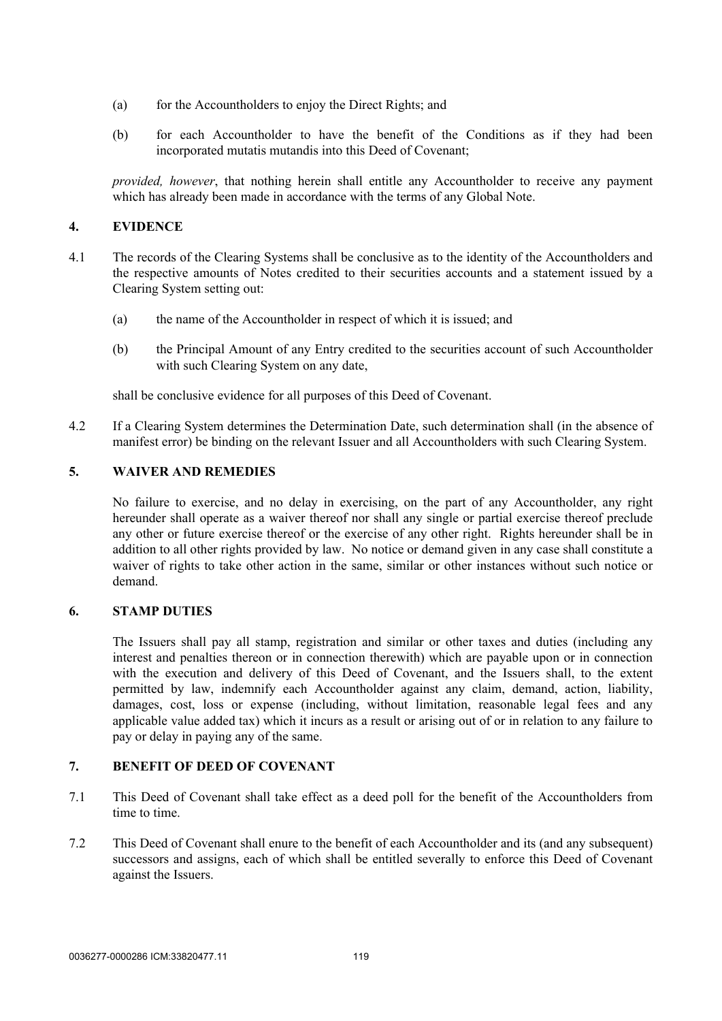- (a) for the Accountholders to enjoy the Direct Rights; and
- (b) for each Accountholder to have the benefit of the Conditions as if they had been incorporated mutatis mutandis into this Deed of Covenant;

*provided, however*, that nothing herein shall entitle any Accountholder to receive any payment which has already been made in accordance with the terms of any Global Note.

## **4. EVIDENCE**

- 4.1 The records of the Clearing Systems shall be conclusive as to the identity of the Accountholders and the respective amounts of Notes credited to their securities accounts and a statement issued by a Clearing System setting out:
	- (a) the name of the Accountholder in respect of which it is issued; and
	- (b) the Principal Amount of any Entry credited to the securities account of such Accountholder with such Clearing System on any date,

shall be conclusive evidence for all purposes of this Deed of Covenant.

4.2 If a Clearing System determines the Determination Date, such determination shall (in the absence of manifest error) be binding on the relevant Issuer and all Accountholders with such Clearing System.

## **5. WAIVER AND REMEDIES**

No failure to exercise, and no delay in exercising, on the part of any Accountholder, any right hereunder shall operate as a waiver thereof nor shall any single or partial exercise thereof preclude any other or future exercise thereof or the exercise of any other right. Rights hereunder shall be in addition to all other rights provided by law. No notice or demand given in any case shall constitute a waiver of rights to take other action in the same, similar or other instances without such notice or demand.

### **6. STAMP DUTIES**

The Issuers shall pay all stamp, registration and similar or other taxes and duties (including any interest and penalties thereon or in connection therewith) which are payable upon or in connection with the execution and delivery of this Deed of Covenant, and the Issuers shall, to the extent permitted by law, indemnify each Accountholder against any claim, demand, action, liability, damages, cost, loss or expense (including, without limitation, reasonable legal fees and any applicable value added tax) which it incurs as a result or arising out of or in relation to any failure to pay or delay in paying any of the same.

### **7. BENEFIT OF DEED OF COVENANT**

- 7.1 This Deed of Covenant shall take effect as a deed poll for the benefit of the Accountholders from time to time.
- 7.2 This Deed of Covenant shall enure to the benefit of each Accountholder and its (and any subsequent) successors and assigns, each of which shall be entitled severally to enforce this Deed of Covenant against the Issuers.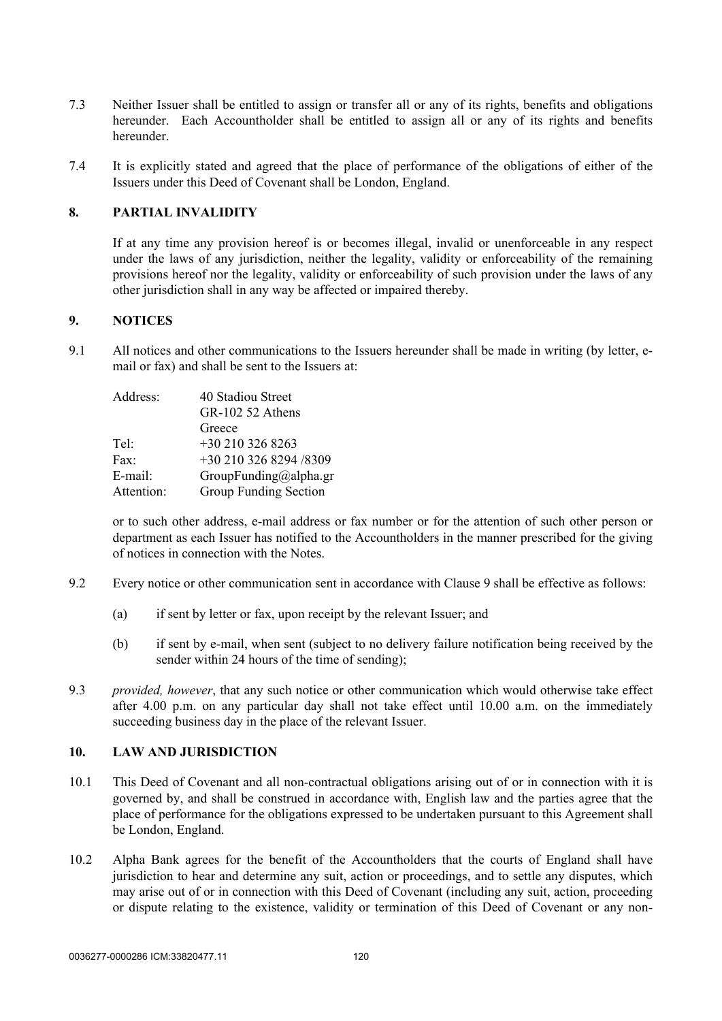- 7.3 Neither Issuer shall be entitled to assign or transfer all or any of its rights, benefits and obligations hereunder. Each Accountholder shall be entitled to assign all or any of its rights and benefits hereunder.
- 7.4 It is explicitly stated and agreed that the place of performance of the obligations of either of the Issuers under this Deed of Covenant shall be London, England.

## **8. PARTIAL INVALIDITY**

If at any time any provision hereof is or becomes illegal, invalid or unenforceable in any respect under the laws of any jurisdiction, neither the legality, validity or enforceability of the remaining provisions hereof nor the legality, validity or enforceability of such provision under the laws of any other jurisdiction shall in any way be affected or impaired thereby.

## <span id="page-122-0"></span>**9. NOTICES**

9.1 All notices and other communications to the Issuers hereunder shall be made in writing (by letter, email or fax) and shall be sent to the Issuers at:

| Address:   | 40 Stadiou Street      |
|------------|------------------------|
|            | GR-102 52 Athens       |
|            | Greece                 |
| Tel:       | $+302103268263$        |
| Fax:       | +30 210 326 8294 /8309 |
| E-mail:    | GroupFunding@alpha.gr  |
| Attention: | Group Funding Section  |
|            |                        |

or to such other address, e-mail address or fax number or for the attention of such other person or department as each Issuer has notified to the Accountholders in the manner prescribed for the giving of notices in connection with the Notes.

- 9.2 Every notice or other communication sent in accordance with Clause [9](#page-122-0) shall be effective as follows:
	- (a) if sent by letter or fax, upon receipt by the relevant Issuer; and
	- (b) if sent by e-mail, when sent (subject to no delivery failure notification being received by the sender within 24 hours of the time of sending);
- 9.3 *provided, however*, that any such notice or other communication which would otherwise take effect after 4.00 p.m. on any particular day shall not take effect until 10.00 a.m. on the immediately succeeding business day in the place of the relevant Issuer.

## **10. LAW AND JURISDICTION**

- 10.1 This Deed of Covenant and all non-contractual obligations arising out of or in connection with it is governed by, and shall be construed in accordance with, English law and the parties agree that the place of performance for the obligations expressed to be undertaken pursuant to this Agreement shall be London, England.
- <span id="page-122-1"></span>10.2 Alpha Bank agrees for the benefit of the Accountholders that the courts of England shall have jurisdiction to hear and determine any suit, action or proceedings, and to settle any disputes, which may arise out of or in connection with this Deed of Covenant (including any suit, action, proceeding or dispute relating to the existence, validity or termination of this Deed of Covenant or any non-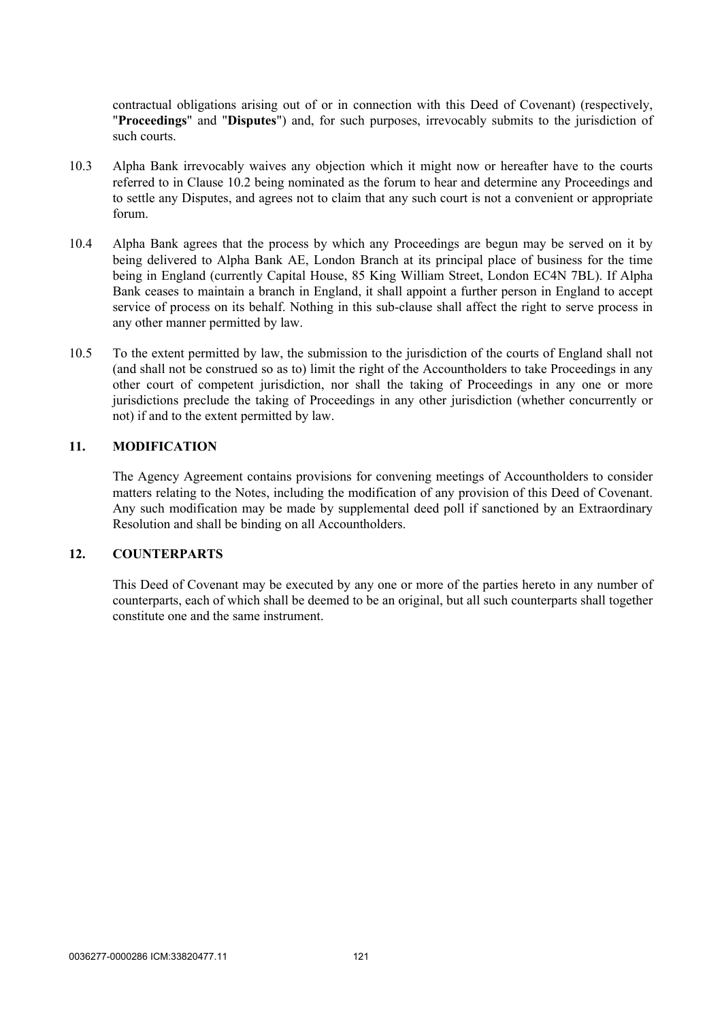contractual obligations arising out of or in connection with this Deed of Covenant) (respectively, "**Proceedings**" and "**Disputes**") and, for such purposes, irrevocably submits to the jurisdiction of such courts.

- 10.3 Alpha Bank irrevocably waives any objection which it might now or hereafter have to the courts referred to in Clause [10.2](#page-122-1) being nominated as the forum to hear and determine any Proceedings and to settle any Disputes, and agrees not to claim that any such court is not a convenient or appropriate forum.
- 10.4 Alpha Bank agrees that the process by which any Proceedings are begun may be served on it by being delivered to Alpha Bank AE, London Branch at its principal place of business for the time being in England (currently Capital House, 85 King William Street, London EC4N 7BL). If Alpha Bank ceases to maintain a branch in England, it shall appoint a further person in England to accept service of process on its behalf. Nothing in this sub-clause shall affect the right to serve process in any other manner permitted by law.
- 10.5 To the extent permitted by law, the submission to the jurisdiction of the courts of England shall not (and shall not be construed so as to) limit the right of the Accountholders to take Proceedings in any other court of competent jurisdiction, nor shall the taking of Proceedings in any one or more jurisdictions preclude the taking of Proceedings in any other jurisdiction (whether concurrently or not) if and to the extent permitted by law.

### **11. MODIFICATION**

The Agency Agreement contains provisions for convening meetings of Accountholders to consider matters relating to the Notes, including the modification of any provision of this Deed of Covenant. Any such modification may be made by supplemental deed poll if sanctioned by an Extraordinary Resolution and shall be binding on all Accountholders.

### **12. COUNTERPARTS**

This Deed of Covenant may be executed by any one or more of the parties hereto in any number of counterparts, each of which shall be deemed to be an original, but all such counterparts shall together constitute one and the same instrument.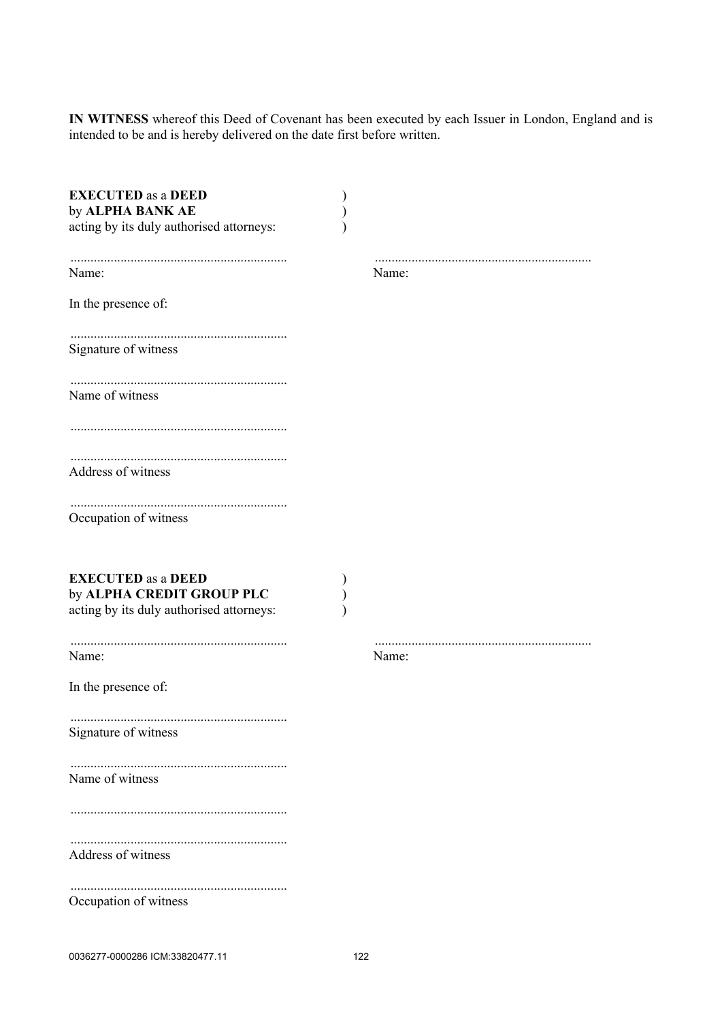**IN WITNESS** whereof this Deed of Covenant has been executed by each Issuer in London, England and is intended to be and is hereby delivered on the date first before written.

| <b>EXECUTED</b> as a DEED<br>by ALPHA BANK AE<br>acting by its duly authorised attorneys:          |       |
|----------------------------------------------------------------------------------------------------|-------|
| Name:                                                                                              | Name: |
| In the presence of:                                                                                |       |
| Signature of witness                                                                               |       |
| Name of witness                                                                                    |       |
|                                                                                                    |       |
| Address of witness                                                                                 |       |
| Occupation of witness                                                                              |       |
| <b>EXECUTED</b> as a DEED<br>by ALPHA CREDIT GROUP PLC<br>acting by its duly authorised attorneys: |       |
| Name:                                                                                              | Name: |
| In the presence of:                                                                                |       |
| Signature of witness                                                                               |       |
| Name of witness                                                                                    |       |
|                                                                                                    |       |
| Address of witness                                                                                 |       |
| Occupation of witness                                                                              |       |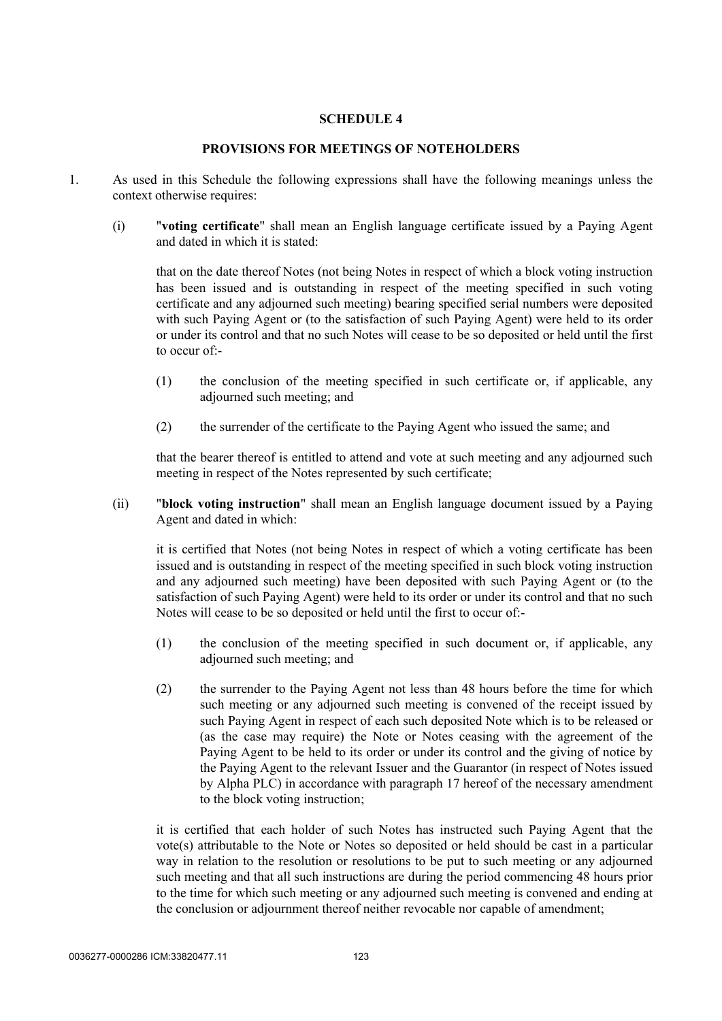## **SCHEDULE 4**

#### **PROVISIONS FOR MEETINGS OF NOTEHOLDERS**

- 1. As used in this Schedule the following expressions shall have the following meanings unless the context otherwise requires:
	- (i) "**voting certificate**" shall mean an English language certificate issued by a Paying Agent and dated in which it is stated:

that on the date thereof Notes (not being Notes in respect of which a block voting instruction has been issued and is outstanding in respect of the meeting specified in such voting certificate and any adjourned such meeting) bearing specified serial numbers were deposited with such Paying Agent or (to the satisfaction of such Paying Agent) were held to its order or under its control and that no such Notes will cease to be so deposited or held until the first to occur of:-

- (1) the conclusion of the meeting specified in such certificate or, if applicable, any adjourned such meeting; and
- (2) the surrender of the certificate to the Paying Agent who issued the same; and

that the bearer thereof is entitled to attend and vote at such meeting and any adjourned such meeting in respect of the Notes represented by such certificate;

(ii) "**block voting instruction**" shall mean an English language document issued by a Paying Agent and dated in which:

it is certified that Notes (not being Notes in respect of which a voting certificate has been issued and is outstanding in respect of the meeting specified in such block voting instruction and any adjourned such meeting) have been deposited with such Paying Agent or (to the satisfaction of such Paying Agent) were held to its order or under its control and that no such Notes will cease to be so deposited or held until the first to occur of:-

- (1) the conclusion of the meeting specified in such document or, if applicable, any adjourned such meeting; and
- (2) the surrender to the Paying Agent not less than 48 hours before the time for which such meeting or any adjourned such meeting is convened of the receipt issued by such Paying Agent in respect of each such deposited Note which is to be released or (as the case may require) the Note or Notes ceasing with the agreement of the Paying Agent to be held to its order or under its control and the giving of notice by the Paying Agent to the relevant Issuer and the Guarantor (in respect of Notes issued by Alpha PLC) in accordance with paragraph 17 hereof of the necessary amendment to the block voting instruction;

it is certified that each holder of such Notes has instructed such Paying Agent that the vote(s) attributable to the Note or Notes so deposited or held should be cast in a particular way in relation to the resolution or resolutions to be put to such meeting or any adjourned such meeting and that all such instructions are during the period commencing 48 hours prior to the time for which such meeting or any adjourned such meeting is convened and ending at the conclusion or adjournment thereof neither revocable nor capable of amendment;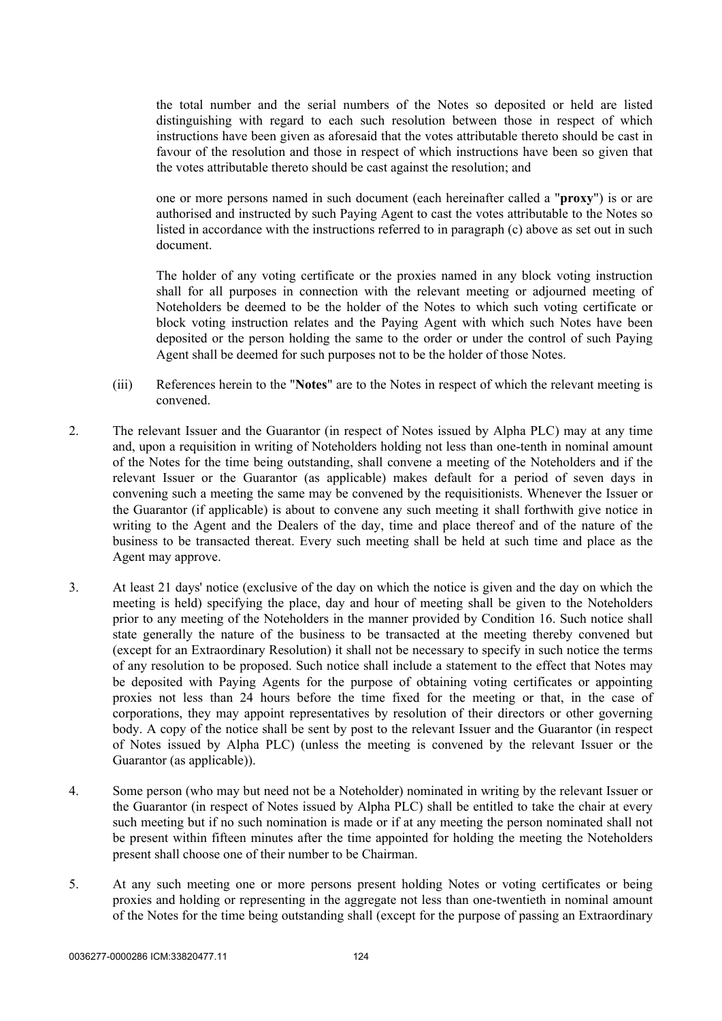the total number and the serial numbers of the Notes so deposited or held are listed distinguishing with regard to each such resolution between those in respect of which instructions have been given as aforesaid that the votes attributable thereto should be cast in favour of the resolution and those in respect of which instructions have been so given that the votes attributable thereto should be cast against the resolution; and

one or more persons named in such document (each hereinafter called a "**proxy**") is or are authorised and instructed by such Paying Agent to cast the votes attributable to the Notes so listed in accordance with the instructions referred to in paragraph (c) above as set out in such document.

The holder of any voting certificate or the proxies named in any block voting instruction shall for all purposes in connection with the relevant meeting or adjourned meeting of Noteholders be deemed to be the holder of the Notes to which such voting certificate or block voting instruction relates and the Paying Agent with which such Notes have been deposited or the person holding the same to the order or under the control of such Paying Agent shall be deemed for such purposes not to be the holder of those Notes.

- (iii) References herein to the "**Notes**" are to the Notes in respect of which the relevant meeting is convened.
- 2. The relevant Issuer and the Guarantor (in respect of Notes issued by Alpha PLC) may at any time and, upon a requisition in writing of Noteholders holding not less than one-tenth in nominal amount of the Notes for the time being outstanding, shall convene a meeting of the Noteholders and if the relevant Issuer or the Guarantor (as applicable) makes default for a period of seven days in convening such a meeting the same may be convened by the requisitionists. Whenever the Issuer or the Guarantor (if applicable) is about to convene any such meeting it shall forthwith give notice in writing to the Agent and the Dealers of the day, time and place thereof and of the nature of the business to be transacted thereat. Every such meeting shall be held at such time and place as the Agent may approve.
- <span id="page-126-1"></span>3. At least 21 days' notice (exclusive of the day on which the notice is given and the day on which the meeting is held) specifying the place, day and hour of meeting shall be given to the Noteholders prior to any meeting of the Noteholders in the manner provided by Condition 16. Such notice shall state generally the nature of the business to be transacted at the meeting thereby convened but (except for an Extraordinary Resolution) it shall not be necessary to specify in such notice the terms of any resolution to be proposed. Such notice shall include a statement to the effect that Notes may be deposited with Paying Agents for the purpose of obtaining voting certificates or appointing proxies not less than 24 hours before the time fixed for the meeting or that, in the case of corporations, they may appoint representatives by resolution of their directors or other governing body. A copy of the notice shall be sent by post to the relevant Issuer and the Guarantor (in respect of Notes issued by Alpha PLC) (unless the meeting is convened by the relevant Issuer or the Guarantor (as applicable)).
- 4. Some person (who may but need not be a Noteholder) nominated in writing by the relevant Issuer or the Guarantor (in respect of Notes issued by Alpha PLC) shall be entitled to take the chair at every such meeting but if no such nomination is made or if at any meeting the person nominated shall not be present within fifteen minutes after the time appointed for holding the meeting the Noteholders present shall choose one of their number to be Chairman.
- <span id="page-126-0"></span>5. At any such meeting one or more persons present holding Notes or voting certificates or being proxies and holding or representing in the aggregate not less than one-twentieth in nominal amount of the Notes for the time being outstanding shall (except for the purpose of passing an Extraordinary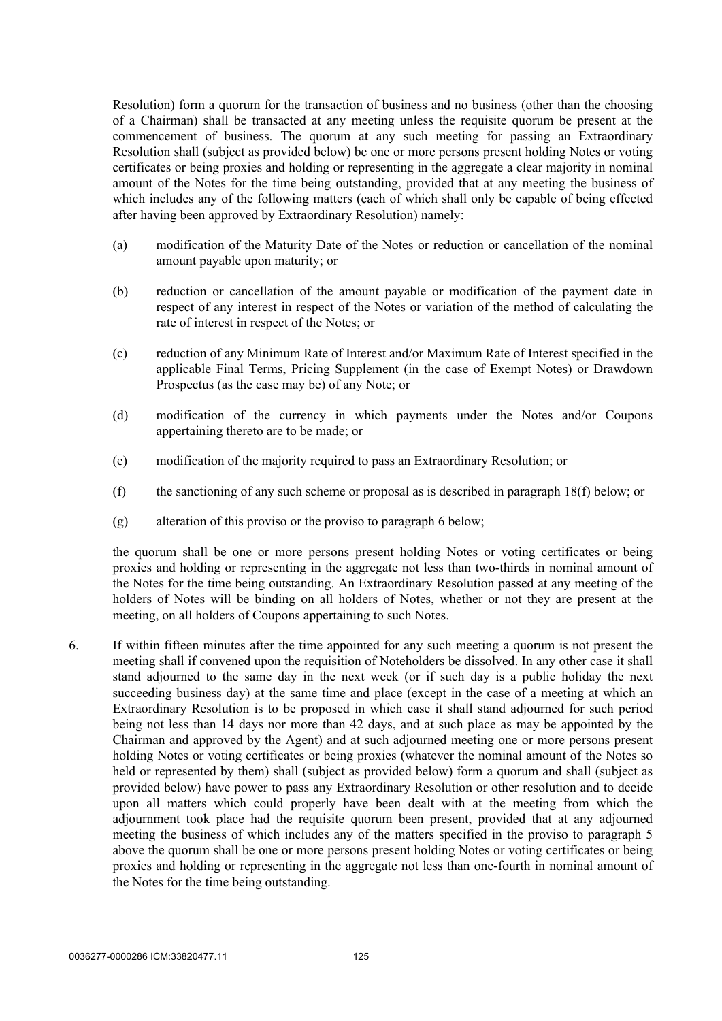Resolution) form a quorum for the transaction of business and no business (other than the choosing of a Chairman) shall be transacted at any meeting unless the requisite quorum be present at the commencement of business. The quorum at any such meeting for passing an Extraordinary Resolution shall (subject as provided below) be one or more persons present holding Notes or voting certificates or being proxies and holding or representing in the aggregate a clear majority in nominal amount of the Notes for the time being outstanding, provided that at any meeting the business of which includes any of the following matters (each of which shall only be capable of being effected after having been approved by Extraordinary Resolution) namely:

- (a) modification of the Maturity Date of the Notes or reduction or cancellation of the nominal amount payable upon maturity; or
- (b) reduction or cancellation of the amount payable or modification of the payment date in respect of any interest in respect of the Notes or variation of the method of calculating the rate of interest in respect of the Notes; or
- (c) reduction of any Minimum Rate of Interest and/or Maximum Rate of Interest specified in the applicable Final Terms, Pricing Supplement (in the case of Exempt Notes) or Drawdown Prospectus (as the case may be) of any Note; or
- (d) modification of the currency in which payments under the Notes and/or Coupons appertaining thereto are to be made; or
- (e) modification of the majority required to pass an Extraordinary Resolution; or
- (f) the sanctioning of any such scheme or proposal as is described in paragraph [18\(f\) below;](#page-130-0) or
- (g) alteration of this proviso or the proviso to paragraph [6 below;](#page-127-0)

the quorum shall be one or more persons present holding Notes or voting certificates or being proxies and holding or representing in the aggregate not less than two-thirds in nominal amount of the Notes for the time being outstanding. An Extraordinary Resolution passed at any meeting of the holders of Notes will be binding on all holders of Notes, whether or not they are present at the meeting, on all holders of Coupons appertaining to such Notes.

<span id="page-127-0"></span>6. If within fifteen minutes after the time appointed for any such meeting a quorum is not present the meeting shall if convened upon the requisition of Noteholders be dissolved. In any other case it shall stand adjourned to the same day in the next week (or if such day is a public holiday the next succeeding business day) at the same time and place (except in the case of a meeting at which an Extraordinary Resolution is to be proposed in which case it shall stand adjourned for such period being not less than 14 days nor more than 42 days, and at such place as may be appointed by the Chairman and approved by the Agent) and at such adjourned meeting one or more persons present holding Notes or voting certificates or being proxies (whatever the nominal amount of the Notes so held or represented by them) shall (subject as provided below) form a quorum and shall (subject as provided below) have power to pass any Extraordinary Resolution or other resolution and to decide upon all matters which could properly have been dealt with at the meeting from which the adjournment took place had the requisite quorum been present, provided that at any adjourned meeting the business of which includes any of the matters specified in the proviso to paragraph [5](#page-126-0)  [above](#page-126-0) the quorum shall be one or more persons present holding Notes or voting certificates or being proxies and holding or representing in the aggregate not less than one-fourth in nominal amount of the Notes for the time being outstanding.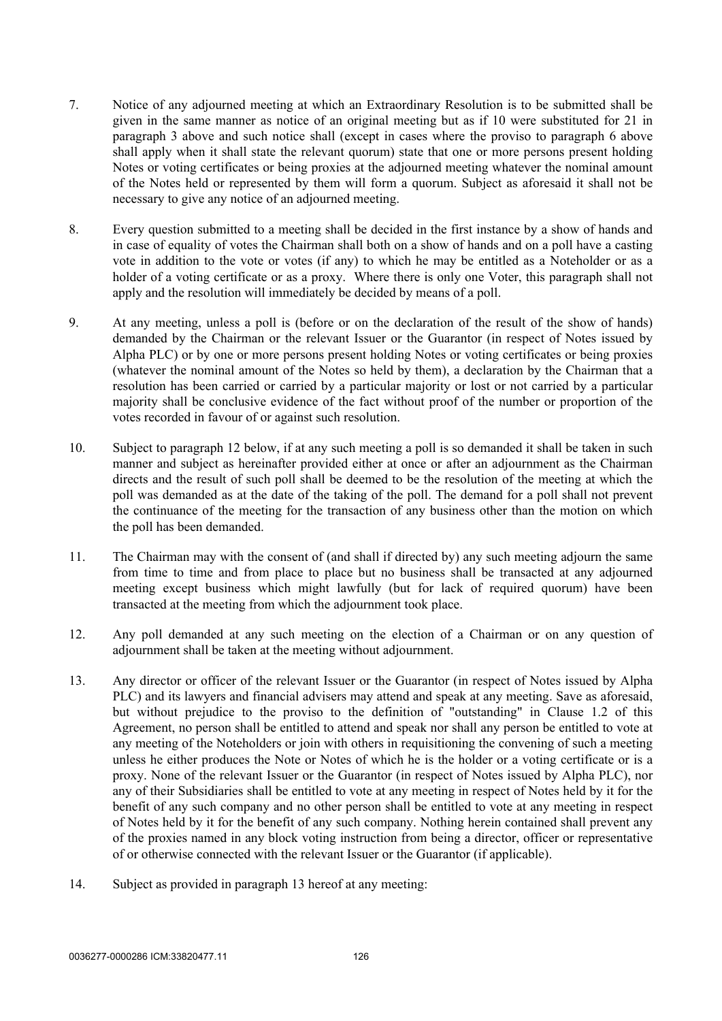- 7. Notice of any adjourned meeting at which an Extraordinary Resolution is to be submitted shall be given in the same manner as notice of an original meeting but as if 10 were substituted for 21 in paragraph [3 above](#page-126-1) and such notice shall (except in cases where the proviso to paragraph [6 above](#page-127-0) shall apply when it shall state the relevant quorum) state that one or more persons present holding Notes or voting certificates or being proxies at the adjourned meeting whatever the nominal amount of the Notes held or represented by them will form a quorum. Subject as aforesaid it shall not be necessary to give any notice of an adjourned meeting.
- 8. Every question submitted to a meeting shall be decided in the first instance by a show of hands and in case of equality of votes the Chairman shall both on a show of hands and on a poll have a casting vote in addition to the vote or votes (if any) to which he may be entitled as a Noteholder or as a holder of a voting certificate or as a proxy. Where there is only one Voter, this paragraph shall not apply and the resolution will immediately be decided by means of a poll.
- 9. At any meeting, unless a poll is (before or on the declaration of the result of the show of hands) demanded by the Chairman or the relevant Issuer or the Guarantor (in respect of Notes issued by Alpha PLC) or by one or more persons present holding Notes or voting certificates or being proxies (whatever the nominal amount of the Notes so held by them), a declaration by the Chairman that a resolution has been carried or carried by a particular majority or lost or not carried by a particular majority shall be conclusive evidence of the fact without proof of the number or proportion of the votes recorded in favour of or against such resolution.
- 10. Subject to paragraph [12 below](#page-128-0), if at any such meeting a poll is so demanded it shall be taken in such manner and subject as hereinafter provided either at once or after an adjournment as the Chairman directs and the result of such poll shall be deemed to be the resolution of the meeting at which the poll was demanded as at the date of the taking of the poll. The demand for a poll shall not prevent the continuance of the meeting for the transaction of any business other than the motion on which the poll has been demanded.
- 11. The Chairman may with the consent of (and shall if directed by) any such meeting adjourn the same from time to time and from place to place but no business shall be transacted at any adjourned meeting except business which might lawfully (but for lack of required quorum) have been transacted at the meeting from which the adjournment took place.
- <span id="page-128-0"></span>12. Any poll demanded at any such meeting on the election of a Chairman or on any question of adjournment shall be taken at the meeting without adjournment.
- <span id="page-128-1"></span>13. Any director or officer of the relevant Issuer or the Guarantor (in respect of Notes issued by Alpha PLC) and its lawyers and financial advisers may attend and speak at any meeting. Save as aforesaid, but without prejudice to the proviso to the definition of "outstanding" in Clause [1.2](#page-4-0) of this Agreement, no person shall be entitled to attend and speak nor shall any person be entitled to vote at any meeting of the Noteholders or join with others in requisitioning the convening of such a meeting unless he either produces the Note or Notes of which he is the holder or a voting certificate or is a proxy. None of the relevant Issuer or the Guarantor (in respect of Notes issued by Alpha PLC), nor any of their Subsidiaries shall be entitled to vote at any meeting in respect of Notes held by it for the benefit of any such company and no other person shall be entitled to vote at any meeting in respect of Notes held by it for the benefit of any such company. Nothing herein contained shall prevent any of the proxies named in any block voting instruction from being a director, officer or representative of or otherwise connected with the relevant Issuer or the Guarantor (if applicable).
- 14. Subject as provided in paragraph [13](#page-128-1) hereof at any meeting: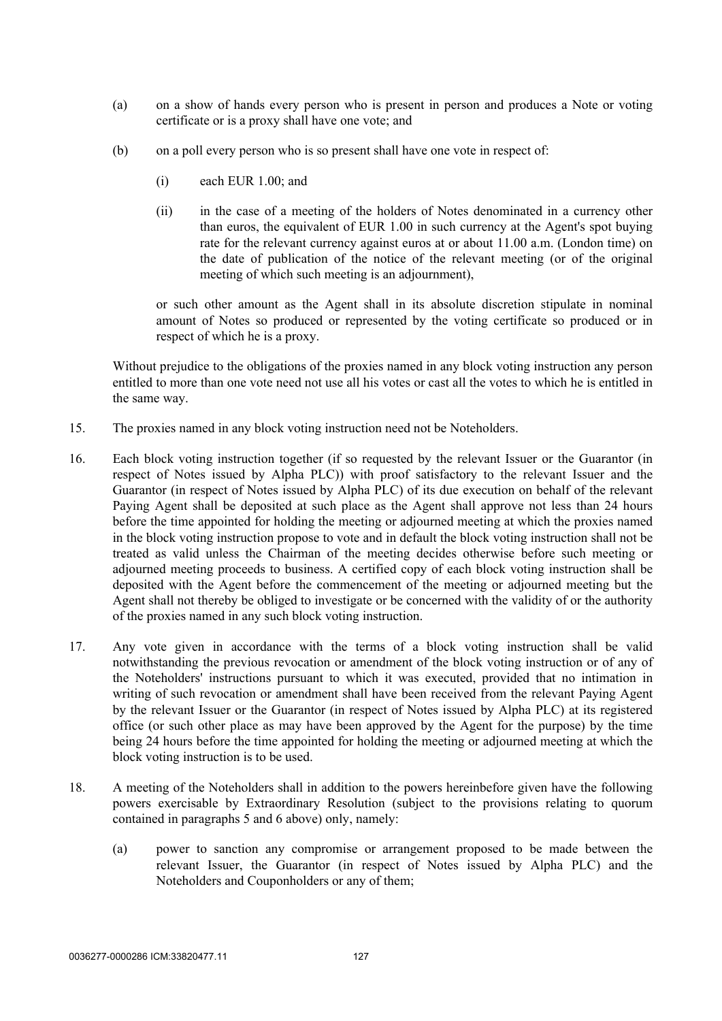- (a) on a show of hands every person who is present in person and produces a Note or voting certificate or is a proxy shall have one vote; and
- (b) on a poll every person who is so present shall have one vote in respect of:
	- (i) each EUR 1.00; and
	- (ii) in the case of a meeting of the holders of Notes denominated in a currency other than euros, the equivalent of EUR 1.00 in such currency at the Agent's spot buying rate for the relevant currency against euros at or about 11.00 a.m. (London time) on the date of publication of the notice of the relevant meeting (or of the original meeting of which such meeting is an adjournment),

or such other amount as the Agent shall in its absolute discretion stipulate in nominal amount of Notes so produced or represented by the voting certificate so produced or in respect of which he is a proxy.

Without prejudice to the obligations of the proxies named in any block voting instruction any person entitled to more than one vote need not use all his votes or cast all the votes to which he is entitled in the same way.

- 15. The proxies named in any block voting instruction need not be Noteholders.
- 16. Each block voting instruction together (if so requested by the relevant Issuer or the Guarantor (in respect of Notes issued by Alpha PLC)) with proof satisfactory to the relevant Issuer and the Guarantor (in respect of Notes issued by Alpha PLC) of its due execution on behalf of the relevant Paying Agent shall be deposited at such place as the Agent shall approve not less than 24 hours before the time appointed for holding the meeting or adjourned meeting at which the proxies named in the block voting instruction propose to vote and in default the block voting instruction shall not be treated as valid unless the Chairman of the meeting decides otherwise before such meeting or adjourned meeting proceeds to business. A certified copy of each block voting instruction shall be deposited with the Agent before the commencement of the meeting or adjourned meeting but the Agent shall not thereby be obliged to investigate or be concerned with the validity of or the authority of the proxies named in any such block voting instruction.
- 17. Any vote given in accordance with the terms of a block voting instruction shall be valid notwithstanding the previous revocation or amendment of the block voting instruction or of any of the Noteholders' instructions pursuant to which it was executed, provided that no intimation in writing of such revocation or amendment shall have been received from the relevant Paying Agent by the relevant Issuer or the Guarantor (in respect of Notes issued by Alpha PLC) at its registered office (or such other place as may have been approved by the Agent for the purpose) by the time being 24 hours before the time appointed for holding the meeting or adjourned meeting at which the block voting instruction is to be used.
- 18. A meeting of the Noteholders shall in addition to the powers hereinbefore given have the following powers exercisable by Extraordinary Resolution (subject to the provisions relating to quorum contained in paragraphs [5](#page-126-0) and [6 above](#page-127-0)) only, namely:
	- (a) power to sanction any compromise or arrangement proposed to be made between the relevant Issuer, the Guarantor (in respect of Notes issued by Alpha PLC) and the Noteholders and Couponholders or any of them;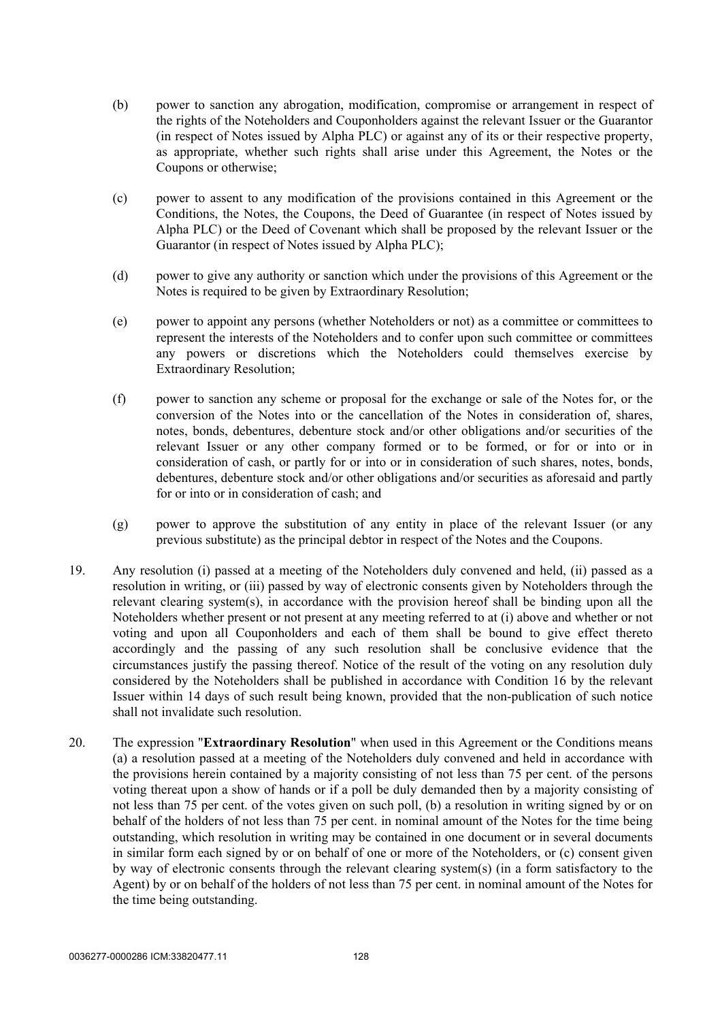- (b) power to sanction any abrogation, modification, compromise or arrangement in respect of the rights of the Noteholders and Couponholders against the relevant Issuer or the Guarantor (in respect of Notes issued by Alpha PLC) or against any of its or their respective property, as appropriate, whether such rights shall arise under this Agreement, the Notes or the Coupons or otherwise;
- (c) power to assent to any modification of the provisions contained in this Agreement or the Conditions, the Notes, the Coupons, the Deed of Guarantee (in respect of Notes issued by Alpha PLC) or the Deed of Covenant which shall be proposed by the relevant Issuer or the Guarantor (in respect of Notes issued by Alpha PLC);
- (d) power to give any authority or sanction which under the provisions of this Agreement or the Notes is required to be given by Extraordinary Resolution;
- (e) power to appoint any persons (whether Noteholders or not) as a committee or committees to represent the interests of the Noteholders and to confer upon such committee or committees any powers or discretions which the Noteholders could themselves exercise by Extraordinary Resolution;
- <span id="page-130-0"></span>(f) power to sanction any scheme or proposal for the exchange or sale of the Notes for, or the conversion of the Notes into or the cancellation of the Notes in consideration of, shares, notes, bonds, debentures, debenture stock and/or other obligations and/or securities of the relevant Issuer or any other company formed or to be formed, or for or into or in consideration of cash, or partly for or into or in consideration of such shares, notes, bonds, debentures, debenture stock and/or other obligations and/or securities as aforesaid and partly for or into or in consideration of cash; and
- (g) power to approve the substitution of any entity in place of the relevant Issuer (or any previous substitute) as the principal debtor in respect of the Notes and the Coupons.
- 19. Any resolution (i) passed at a meeting of the Noteholders duly convened and held, (ii) passed as a resolution in writing, or (iii) passed by way of electronic consents given by Noteholders through the relevant clearing system(s), in accordance with the provision hereof shall be binding upon all the Noteholders whether present or not present at any meeting referred to at (i) above and whether or not voting and upon all Couponholders and each of them shall be bound to give effect thereto accordingly and the passing of any such resolution shall be conclusive evidence that the circumstances justify the passing thereof. Notice of the result of the voting on any resolution duly considered by the Noteholders shall be published in accordance with Condition 16 by the relevant Issuer within 14 days of such result being known, provided that the non-publication of such notice shall not invalidate such resolution.
- 20. The expression "**Extraordinary Resolution**" when used in this Agreement or the Conditions means (a) a resolution passed at a meeting of the Noteholders duly convened and held in accordance with the provisions herein contained by a majority consisting of not less than 75 per cent. of the persons voting thereat upon a show of hands or if a poll be duly demanded then by a majority consisting of not less than 75 per cent. of the votes given on such poll, (b) a resolution in writing signed by or on behalf of the holders of not less than 75 per cent. in nominal amount of the Notes for the time being outstanding, which resolution in writing may be contained in one document or in several documents in similar form each signed by or on behalf of one or more of the Noteholders, or (c) consent given by way of electronic consents through the relevant clearing system(s) (in a form satisfactory to the Agent) by or on behalf of the holders of not less than 75 per cent. in nominal amount of the Notes for the time being outstanding.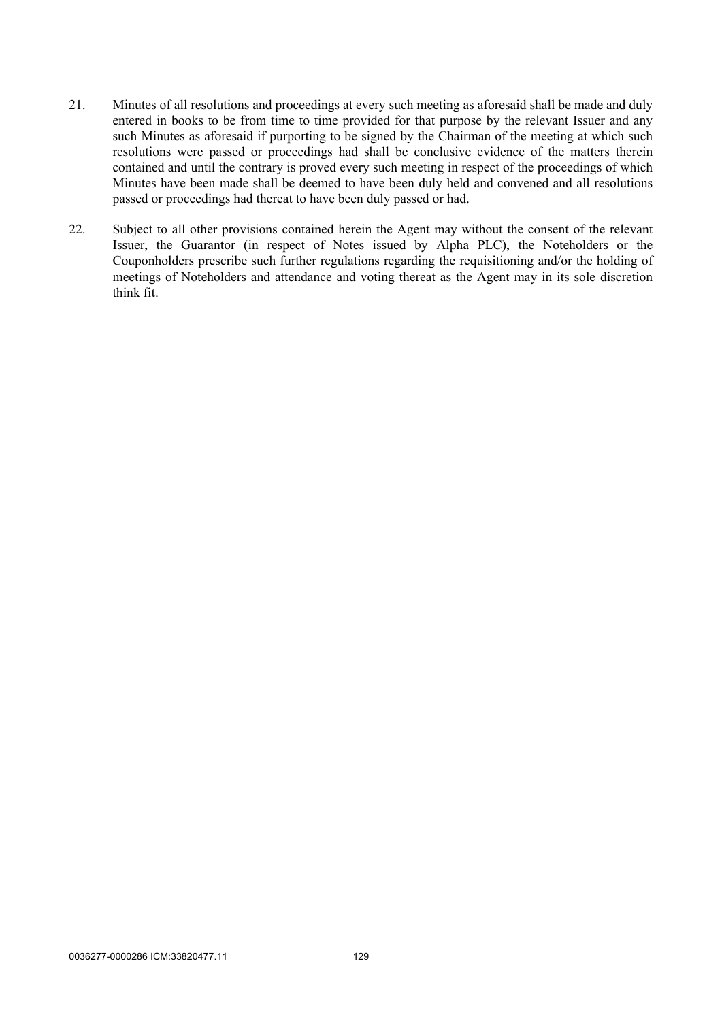- 21. Minutes of all resolutions and proceedings at every such meeting as aforesaid shall be made and duly entered in books to be from time to time provided for that purpose by the relevant Issuer and any such Minutes as aforesaid if purporting to be signed by the Chairman of the meeting at which such resolutions were passed or proceedings had shall be conclusive evidence of the matters therein contained and until the contrary is proved every such meeting in respect of the proceedings of which Minutes have been made shall be deemed to have been duly held and convened and all resolutions passed or proceedings had thereat to have been duly passed or had.
- 22. Subject to all other provisions contained herein the Agent may without the consent of the relevant Issuer, the Guarantor (in respect of Notes issued by Alpha PLC), the Noteholders or the Couponholders prescribe such further regulations regarding the requisitioning and/or the holding of meetings of Noteholders and attendance and voting thereat as the Agent may in its sole discretion think fit.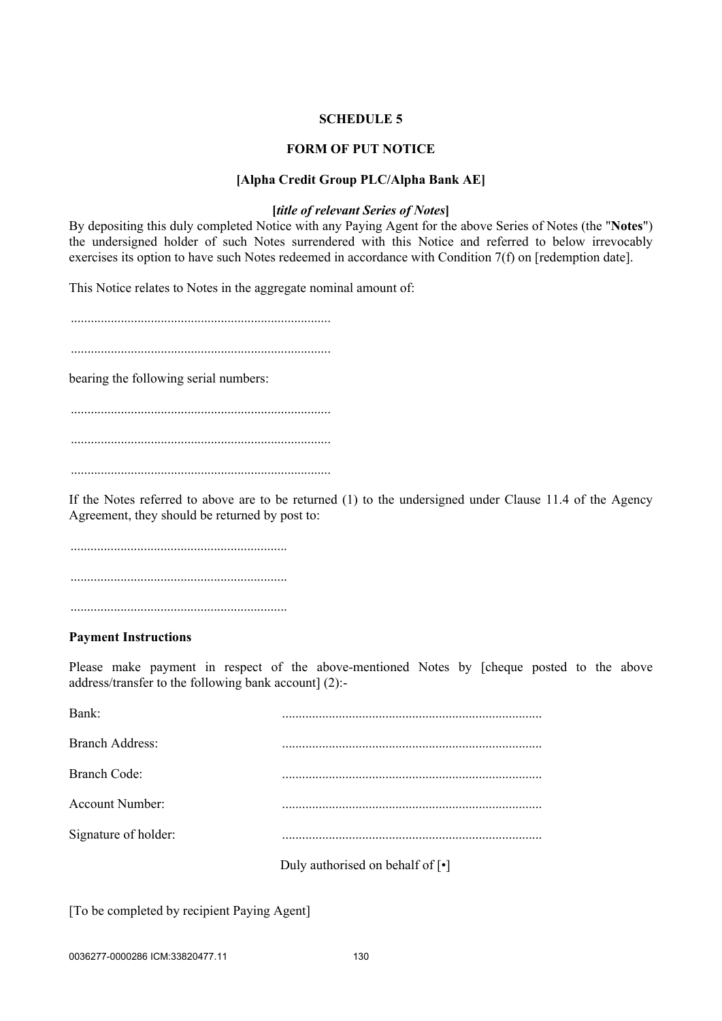## **SCHEDULE 5**

## **FORM OF PUT NOTICE**

### **[Alpha Credit Group PLC/Alpha Bank AE]**

### **[***title of relevant Series of Notes***]**

By depositing this duly completed Notice with any Paying Agent for the above Series of Notes (the "**Notes**") the undersigned holder of such Notes surrendered with this Notice and referred to below irrevocably exercises its option to have such Notes redeemed in accordance with Condition 7(f) on [redemption date].

This Notice relates to Notes in the aggregate nominal amount of:

..............................................................................

..............................................................................

bearing the following serial numbers:

..............................................................................

..............................................................................

..............................................................................

If the Notes referred to above are to be returned (1) to the undersigned under Clause [11.4](#page-22-0) of the Agency Agreement, they should be returned by post to:

................................................................. ................................................................. .................................................................

#### **Payment Instructions**

Please make payment in respect of the above-mentioned Notes by [cheque posted to the above address/transfer to the following bank account] (2):-

| Bank:                  |                                  |
|------------------------|----------------------------------|
| <b>Branch Address:</b> |                                  |
| <b>Branch Code:</b>    |                                  |
| Account Number:        |                                  |
| Signature of holder:   |                                  |
|                        | Duly authorised on behalf of [•] |

[To be completed by recipient Paying Agent]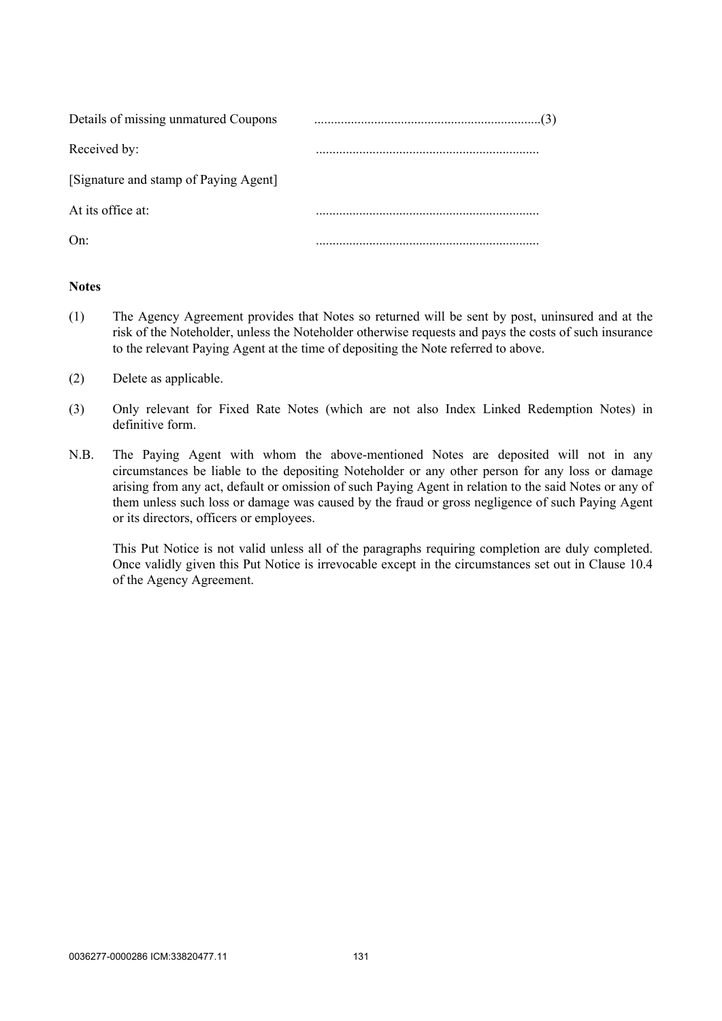| Details of missing unmatured Coupons  |  |
|---------------------------------------|--|
| Received by:                          |  |
| [Signature and stamp of Paying Agent] |  |
| At its office at:                     |  |
| On:                                   |  |

## **Notes**

- (1) The Agency Agreement provides that Notes so returned will be sent by post, uninsured and at the risk of the Noteholder, unless the Noteholder otherwise requests and pays the costs of such insurance to the relevant Paying Agent at the time of depositing the Note referred to above.
- (2) Delete as applicable.
- (3) Only relevant for Fixed Rate Notes (which are not also Index Linked Redemption Notes) in definitive form.
- N.B. The Paying Agent with whom the above-mentioned Notes are deposited will not in any circumstances be liable to the depositing Noteholder or any other person for any loss or damage arising from any act, default or omission of such Paying Agent in relation to the said Notes or any of them unless such loss or damage was caused by the fraud or gross negligence of such Paying Agent or its directors, officers or employees.

This Put Notice is not valid unless all of the paragraphs requiring completion are duly completed. Once validly given this Put Notice is irrevocable except in the circumstances set out in Clause 10.4 of the Agency Agreement.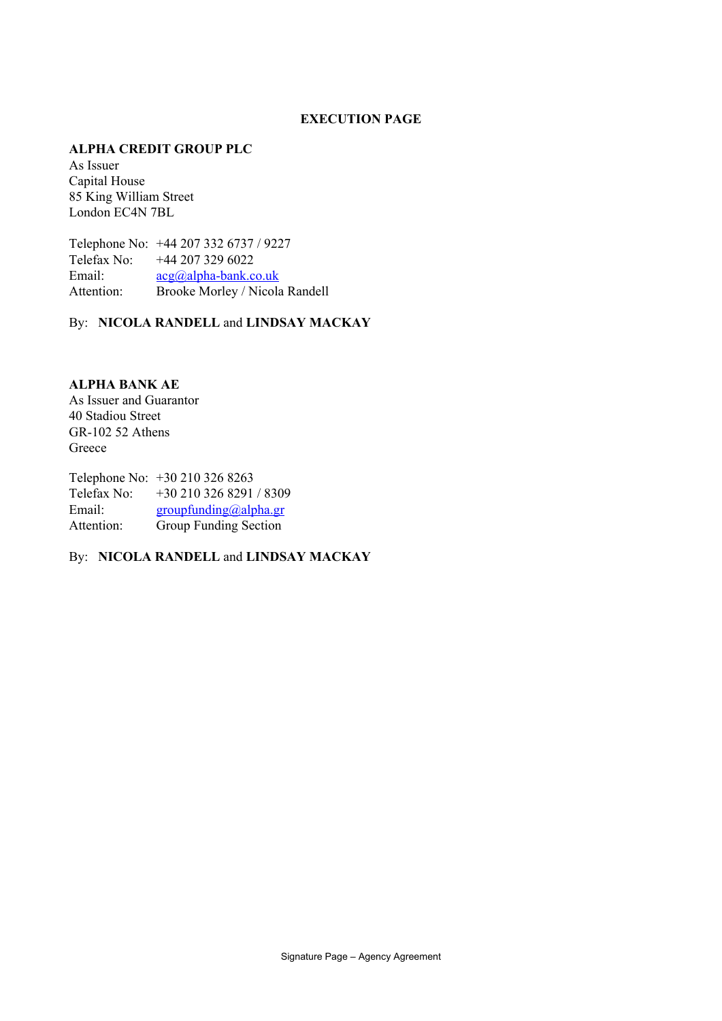## **EXECUTION PAGE**

### **ALPHA CREDIT GROUP PLC**

As Issuer Capital House 85 King William Street London EC4N 7BL

Telephone No: +44 207 332 6737 / 9227 Telefax No: +44 207 329 6022 Email:  $acg(a)abha-bank.co.uk$ Attention: Brooke Morley / Nicola Randell

By: **NICOLA RANDELL** and **LINDSAY MACKAY**

**ALPHA BANK AE** As Issuer and Guarantor 40 Stadiou Street GR-102 52 Athens Greece

Telephone No: +30 210 326 8263 Telefax No: +30 210 326 8291 / 8309 Email: [groupfunding@alpha.gr](mailto:groupfunding@alpha.gr) Attention: Group Funding Section

By: **NICOLA RANDELL** and **LINDSAY MACKAY**